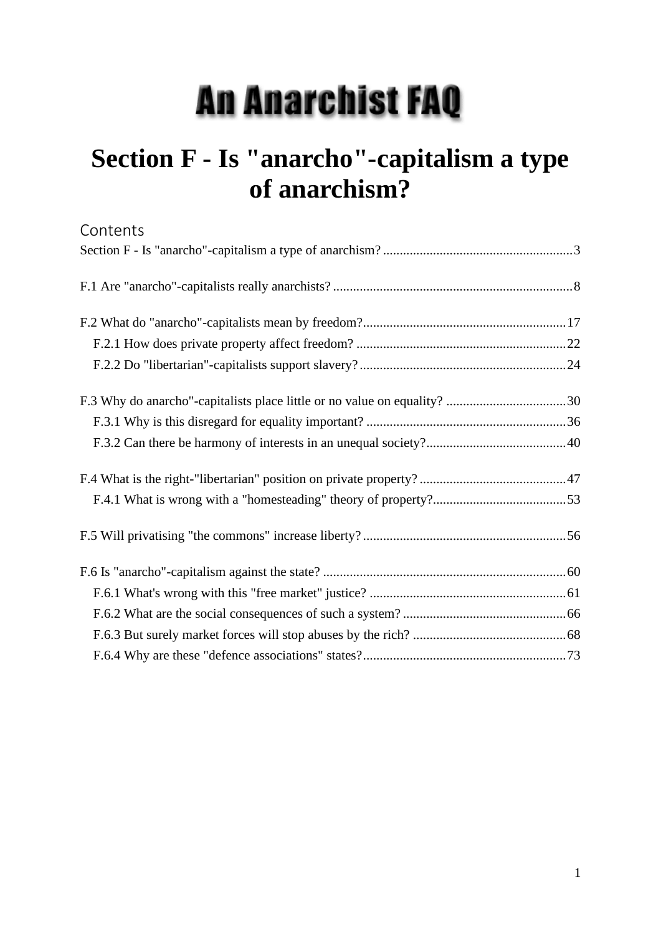# **An Anarchist FAQ**

# **Section F - Is "anarcho"-capitalism a type of anarchism?**

| Contents |  |
|----------|--|
|          |  |
|          |  |
|          |  |
|          |  |
|          |  |
|          |  |
|          |  |
|          |  |
|          |  |
|          |  |
|          |  |
|          |  |
|          |  |
|          |  |
|          |  |
|          |  |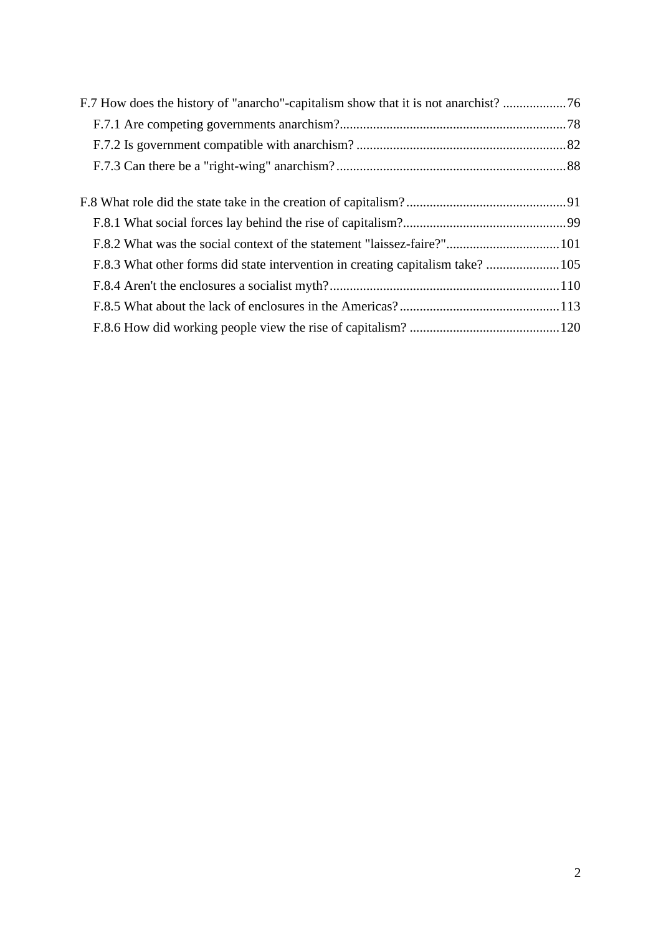| F.7 How does the history of "anarcho"-capitalism show that it is not anarchist? |  |
|---------------------------------------------------------------------------------|--|
|                                                                                 |  |
|                                                                                 |  |
|                                                                                 |  |
|                                                                                 |  |
|                                                                                 |  |
| F.8.2 What was the social context of the statement "laissez-faire?" 101         |  |
| F.8.3 What other forms did state intervention in creating capitalism take?  105 |  |
|                                                                                 |  |
|                                                                                 |  |
|                                                                                 |  |
|                                                                                 |  |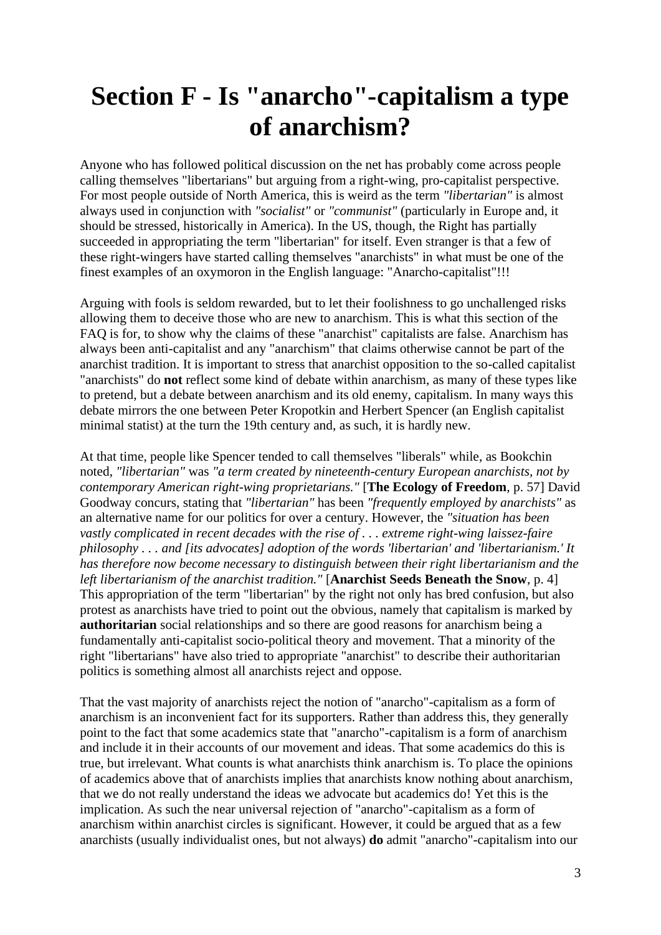## <span id="page-2-0"></span>**Section F - Is "anarcho"-capitalism a type of anarchism?**

Anyone who has followed political discussion on the net has probably come across people calling themselves "libertarians" but arguing from a right-wing, pro-capitalist perspective. For most people outside of North America, this is weird as the term *"libertarian"* is almost always used in conjunction with *"socialist"* or *"communist"* (particularly in Europe and, it should be stressed, historically in America). In the US, though, the Right has partially succeeded in appropriating the term "libertarian" for itself. Even stranger is that a few of these right-wingers have started calling themselves "anarchists" in what must be one of the finest examples of an oxymoron in the English language: "Anarcho-capitalist"!!!

Arguing with fools is seldom rewarded, but to let their foolishness to go unchallenged risks allowing them to deceive those who are new to anarchism. This is what this section of the FAQ is for, to show why the claims of these "anarchist" capitalists are false. Anarchism has always been anti-capitalist and any "anarchism" that claims otherwise cannot be part of the anarchist tradition. It is important to stress that anarchist opposition to the so-called capitalist "anarchists" do **not** reflect some kind of debate within anarchism, as many of these types like to pretend, but a debate between anarchism and its old enemy, capitalism. In many ways this debate mirrors the one between Peter Kropotkin and Herbert Spencer (an English capitalist minimal statist) at the turn the 19th century and, as such, it is hardly new.

At that time, people like Spencer tended to call themselves "liberals" while, as Bookchin noted, *"libertarian"* was *"a term created by nineteenth-century European anarchists, not by contemporary American right-wing proprietarians."* [**The Ecology of Freedom**, p. 57] David Goodway concurs, stating that *"libertarian"* has been *"frequently employed by anarchists"* as an alternative name for our politics for over a century. However, the *"situation has been vastly complicated in recent decades with the rise of . . . extreme right-wing laissez-faire philosophy . . . and [its advocates] adoption of the words 'libertarian' and 'libertarianism.' It has therefore now become necessary to distinguish between their right libertarianism and the left libertarianism of the anarchist tradition."* [**Anarchist Seeds Beneath the Snow**, p. 4] This appropriation of the term "libertarian" by the right not only has bred confusion, but also protest as anarchists have tried to point out the obvious, namely that capitalism is marked by **authoritarian** social relationships and so there are good reasons for anarchism being a fundamentally anti-capitalist socio-political theory and movement. That a minority of the right "libertarians" have also tried to appropriate "anarchist" to describe their authoritarian politics is something almost all anarchists reject and oppose.

That the vast majority of anarchists reject the notion of "anarcho"-capitalism as a form of anarchism is an inconvenient fact for its supporters. Rather than address this, they generally point to the fact that some academics state that "anarcho"-capitalism is a form of anarchism and include it in their accounts of our movement and ideas. That some academics do this is true, but irrelevant. What counts is what anarchists think anarchism is. To place the opinions of academics above that of anarchists implies that anarchists know nothing about anarchism, that we do not really understand the ideas we advocate but academics do! Yet this is the implication. As such the near universal rejection of "anarcho"-capitalism as a form of anarchism within anarchist circles is significant. However, it could be argued that as a few anarchists (usually individualist ones, but not always) **do** admit "anarcho"-capitalism into our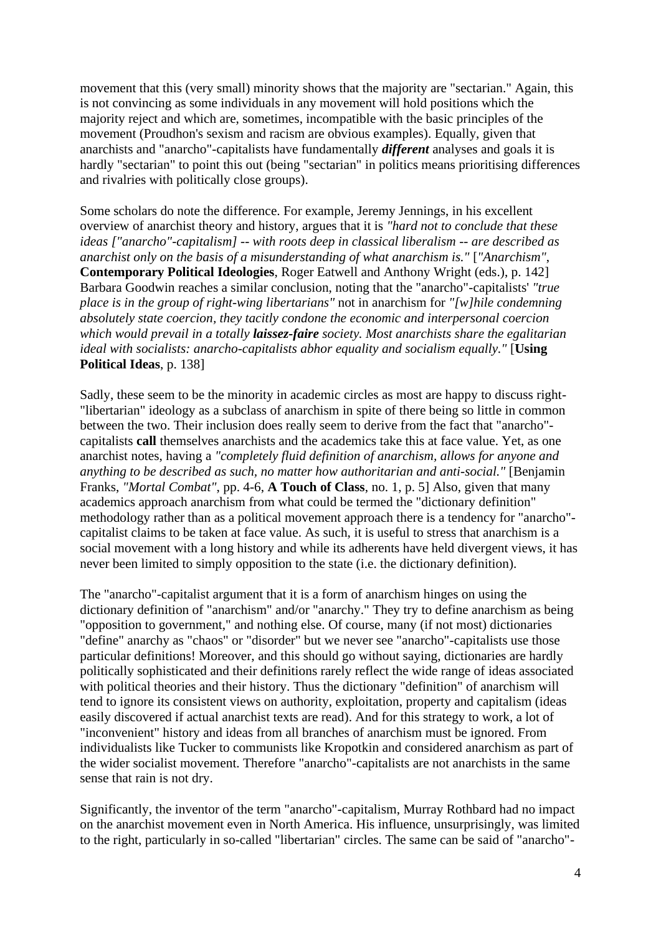movement that this (very small) minority shows that the majority are "sectarian." Again, this is not convincing as some individuals in any movement will hold positions which the majority reject and which are, sometimes, incompatible with the basic principles of the movement (Proudhon's sexism and racism are obvious examples). Equally, given that anarchists and "anarcho"-capitalists have fundamentally *different* analyses and goals it is hardly "sectarian" to point this out (being "sectarian" in politics means prioritising differences and rivalries with politically close groups).

Some scholars do note the difference. For example, Jeremy Jennings, in his excellent overview of anarchist theory and history, argues that it is *"hard not to conclude that these ideas ["anarcho"-capitalism] -- with roots deep in classical liberalism -- are described as anarchist only on the basis of a misunderstanding of what anarchism is."* [*"Anarchism"*, **Contemporary Political Ideologies**, Roger Eatwell and Anthony Wright (eds.), p. 142] Barbara Goodwin reaches a similar conclusion, noting that the "anarcho"-capitalists' *"true place is in the group of right-wing libertarians"* not in anarchism for *"[w]hile condemning absolutely state coercion, they tacitly condone the economic and interpersonal coercion which would prevail in a totally laissez-faire society. Most anarchists share the egalitarian ideal with socialists: anarcho-capitalists abhor equality and socialism equally."* [**Using Political Ideas**, p. 138]

Sadly, these seem to be the minority in academic circles as most are happy to discuss right- "libertarian" ideology as a subclass of anarchism in spite of there being so little in common between the two. Their inclusion does really seem to derive from the fact that "anarcho" capitalists **call** themselves anarchists and the academics take this at face value. Yet, as one anarchist notes, having a *"completely fluid definition of anarchism, allows for anyone and anything to be described as such, no matter how authoritarian and anti-social."* [Benjamin Franks, *"Mortal Combat"*, pp. 4-6, **A Touch of Class**, no. 1, p. 5] Also, given that many academics approach anarchism from what could be termed the "dictionary definition" methodology rather than as a political movement approach there is a tendency for "anarcho" capitalist claims to be taken at face value. As such, it is useful to stress that anarchism is a social movement with a long history and while its adherents have held divergent views, it has never been limited to simply opposition to the state (i.e. the dictionary definition).

The "anarcho"-capitalist argument that it is a form of anarchism hinges on using the dictionary definition of "anarchism" and/or "anarchy." They try to define anarchism as being "opposition to government," and nothing else. Of course, many (if not most) dictionaries "define" anarchy as "chaos" or "disorder" but we never see "anarcho"-capitalists use those particular definitions! Moreover, and this should go without saying, dictionaries are hardly politically sophisticated and their definitions rarely reflect the wide range of ideas associated with political theories and their history. Thus the dictionary "definition" of anarchism will tend to ignore its consistent views on authority, exploitation, property and capitalism (ideas easily discovered if actual anarchist texts are read). And for this strategy to work, a lot of "inconvenient" history and ideas from all branches of anarchism must be ignored. From individualists like Tucker to communists like Kropotkin and considered anarchism as part of the wider socialist movement. Therefore "anarcho"-capitalists are not anarchists in the same sense that rain is not dry.

Significantly, the inventor of the term "anarcho"-capitalism, Murray Rothbard had no impact on the anarchist movement even in North America. His influence, unsurprisingly, was limited to the right, particularly in so-called "libertarian" circles. The same can be said of "anarcho"-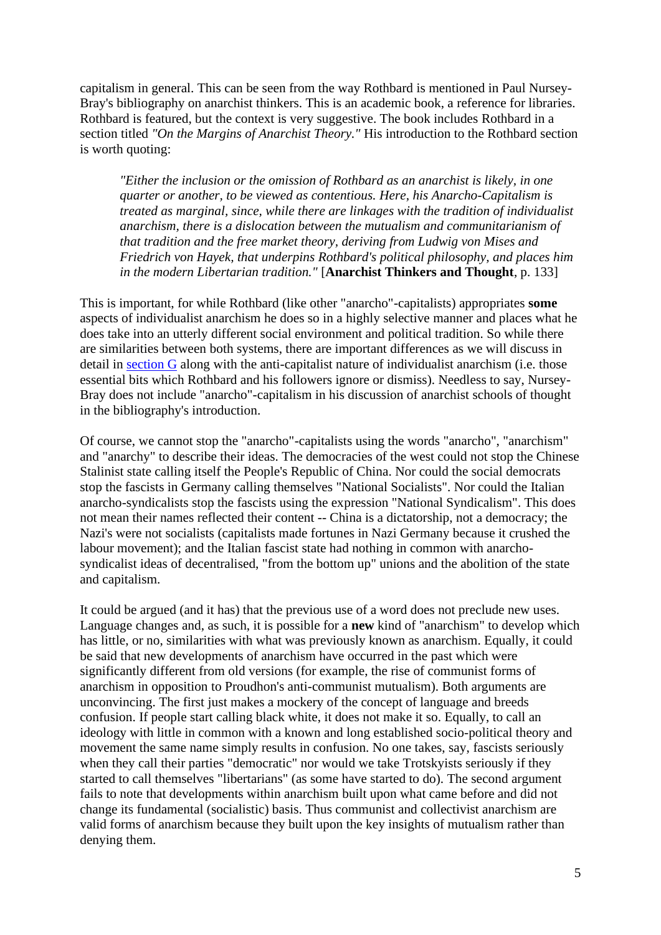capitalism in general. This can be seen from the way Rothbard is mentioned in Paul Nursey-Bray's bibliography on anarchist thinkers. This is an academic book, a reference for libraries. Rothbard is featured, but the context is very suggestive. The book includes Rothbard in a section titled *"On the Margins of Anarchist Theory."* His introduction to the Rothbard section is worth quoting:

*"Either the inclusion or the omission of Rothbard as an anarchist is likely, in one quarter or another, to be viewed as contentious. Here, his Anarcho-Capitalism is treated as marginal, since, while there are linkages with the tradition of individualist anarchism, there is a dislocation between the mutualism and communitarianism of that tradition and the free market theory, deriving from Ludwig von Mises and Friedrich von Hayek, that underpins Rothbard's political philosophy, and places him in the modern Libertarian tradition."* [**Anarchist Thinkers and Thought**, p. 133]

This is important, for while Rothbard (like other "anarcho"-capitalists) appropriates **some** aspects of individualist anarchism he does so in a highly selective manner and places what he does take into an utterly different social environment and political tradition. So while there are similarities between both systems, there are important differences as we will discuss in detail in [section G](sectionG.html) along with the anti-capitalist nature of individualist anarchism (i.e. those essential bits which Rothbard and his followers ignore or dismiss). Needless to say, Nursey-Bray does not include "anarcho"-capitalism in his discussion of anarchist schools of thought in the bibliography's introduction.

Of course, we cannot stop the "anarcho"-capitalists using the words "anarcho", "anarchism" and "anarchy" to describe their ideas. The democracies of the west could not stop the Chinese Stalinist state calling itself the People's Republic of China. Nor could the social democrats stop the fascists in Germany calling themselves "National Socialists". Nor could the Italian anarcho-syndicalists stop the fascists using the expression "National Syndicalism". This does not mean their names reflected their content -- China is a dictatorship, not a democracy; the Nazi's were not socialists (capitalists made fortunes in Nazi Germany because it crushed the labour movement); and the Italian fascist state had nothing in common with anarchosyndicalist ideas of decentralised, "from the bottom up" unions and the abolition of the state and capitalism.

It could be argued (and it has) that the previous use of a word does not preclude new uses. Language changes and, as such, it is possible for a **new** kind of "anarchism" to develop which has little, or no, similarities with what was previously known as anarchism. Equally, it could be said that new developments of anarchism have occurred in the past which were significantly different from old versions (for example, the rise of communist forms of anarchism in opposition to Proudhon's anti-communist mutualism). Both arguments are unconvincing. The first just makes a mockery of the concept of language and breeds confusion. If people start calling black white, it does not make it so. Equally, to call an ideology with little in common with a known and long established socio-political theory and movement the same name simply results in confusion. No one takes, say, fascists seriously when they call their parties "democratic" nor would we take Trotskyists seriously if they started to call themselves "libertarians" (as some have started to do). The second argument fails to note that developments within anarchism built upon what came before and did not change its fundamental (socialistic) basis. Thus communist and collectivist anarchism are valid forms of anarchism because they built upon the key insights of mutualism rather than denying them.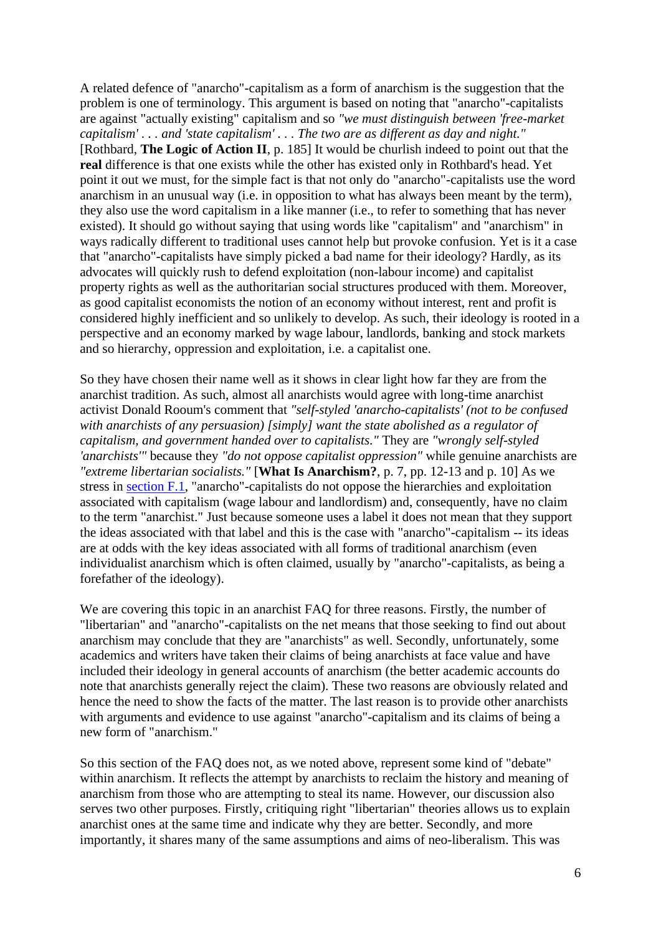A related defence of "anarcho"-capitalism as a form of anarchism is the suggestion that the problem is one of terminology. This argument is based on noting that "anarcho"-capitalists are against "actually existing" capitalism and so *"we must distinguish between 'free-market capitalism' . . . and 'state capitalism' . . . The two are as different as day and night."* [Rothbard, **The Logic of Action II**, p. 185] It would be churlish indeed to point out that the **real** difference is that one exists while the other has existed only in Rothbard's head. Yet point it out we must, for the simple fact is that not only do "anarcho"-capitalists use the word anarchism in an unusual way (i.e. in opposition to what has always been meant by the term), they also use the word capitalism in a like manner (i.e., to refer to something that has never existed). It should go without saying that using words like "capitalism" and "anarchism" in ways radically different to traditional uses cannot help but provoke confusion. Yet is it a case that "anarcho"-capitalists have simply picked a bad name for their ideology? Hardly, as its advocates will quickly rush to defend exploitation (non-labour income) and capitalist property rights as well as the authoritarian social structures produced with them. Moreover, as good capitalist economists the notion of an economy without interest, rent and profit is considered highly inefficient and so unlikely to develop. As such, their ideology is rooted in a perspective and an economy marked by wage labour, landlords, banking and stock markets and so hierarchy, oppression and exploitation, i.e. a capitalist one.

So they have chosen their name well as it shows in clear light how far they are from the anarchist tradition. As such, almost all anarchists would agree with long-time anarchist activist Donald Rooum's comment that *"self-styled 'anarcho-capitalists' (not to be confused with anarchists of any persuasion) [simply] want the state abolished as a regulator of capitalism, and government handed over to capitalists."* They are *"wrongly self-styled 'anarchists'"* because they *"do not oppose capitalist oppression"* while genuine anarchists are *"extreme libertarian socialists."* [**What Is Anarchism?**, p. 7, pp. 12-13 and p. 10] As we stress in [section F.1,](sectionF.html#secf1) "anarcho"-capitalists do not oppose the hierarchies and exploitation associated with capitalism (wage labour and landlordism) and, consequently, have no claim to the term "anarchist." Just because someone uses a label it does not mean that they support the ideas associated with that label and this is the case with "anarcho"-capitalism -- its ideas are at odds with the key ideas associated with all forms of traditional anarchism (even individualist anarchism which is often claimed, usually by "anarcho"-capitalists, as being a forefather of the ideology).

We are covering this topic in an anarchist FAQ for three reasons. Firstly, the number of "libertarian" and "anarcho"-capitalists on the net means that those seeking to find out about anarchism may conclude that they are "anarchists" as well. Secondly, unfortunately, some academics and writers have taken their claims of being anarchists at face value and have included their ideology in general accounts of anarchism (the better academic accounts do note that anarchists generally reject the claim). These two reasons are obviously related and hence the need to show the facts of the matter. The last reason is to provide other anarchists with arguments and evidence to use against "anarcho"-capitalism and its claims of being a new form of "anarchism."

So this section of the FAQ does not, as we noted above, represent some kind of "debate" within anarchism. It reflects the attempt by anarchists to reclaim the history and meaning of anarchism from those who are attempting to steal its name. However, our discussion also serves two other purposes. Firstly, critiquing right "libertarian" theories allows us to explain anarchist ones at the same time and indicate why they are better. Secondly, and more importantly, it shares many of the same assumptions and aims of neo-liberalism. This was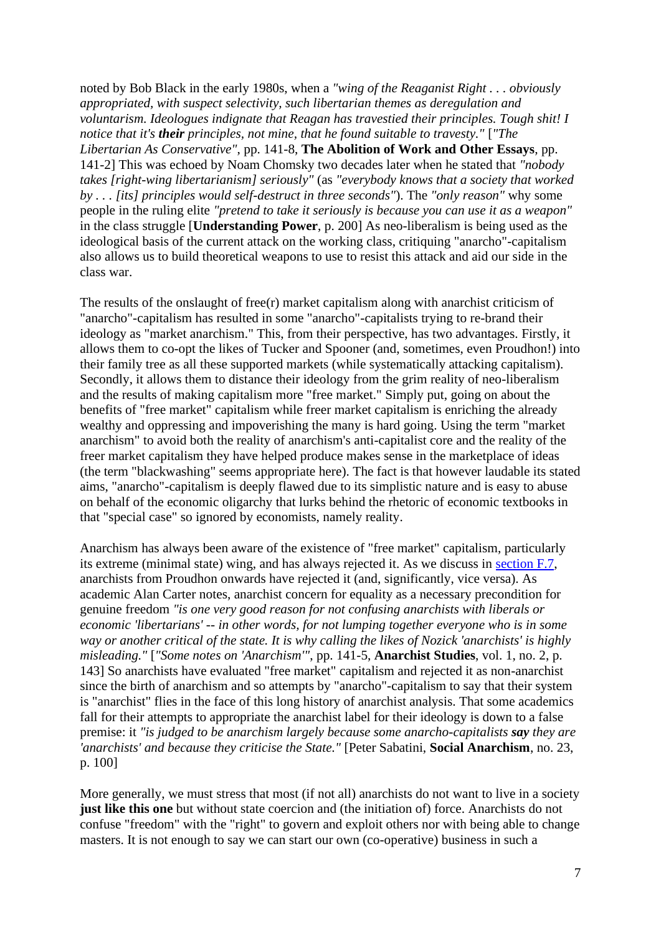noted by Bob Black in the early 1980s, when a *"wing of the Reaganist Right . . . obviously appropriated, with suspect selectivity, such libertarian themes as deregulation and voluntarism. Ideologues indignate that Reagan has travestied their principles. Tough shit! I notice that it's their principles, not mine, that he found suitable to travesty."* [*"The Libertarian As Conservative"*, pp. 141-8, **The Abolition of Work and Other Essays**, pp. 141-2] This was echoed by Noam Chomsky two decades later when he stated that *"nobody takes [right-wing libertarianism] seriously"* (as *"everybody knows that a society that worked by . . . [its] principles would self-destruct in three seconds"*). The *"only reason"* why some people in the ruling elite *"pretend to take it seriously is because you can use it as a weapon"* in the class struggle [**Understanding Power**, p. 200] As neo-liberalism is being used as the ideological basis of the current attack on the working class, critiquing "anarcho"-capitalism also allows us to build theoretical weapons to use to resist this attack and aid our side in the class war.

The results of the onslaught of free(r) market capitalism along with anarchist criticism of "anarcho"-capitalism has resulted in some "anarcho"-capitalists trying to re-brand their ideology as "market anarchism." This, from their perspective, has two advantages. Firstly, it allows them to co-opt the likes of Tucker and Spooner (and, sometimes, even Proudhon!) into their family tree as all these supported markets (while systematically attacking capitalism). Secondly, it allows them to distance their ideology from the grim reality of neo-liberalism and the results of making capitalism more "free market." Simply put, going on about the benefits of "free market" capitalism while freer market capitalism is enriching the already wealthy and oppressing and impoverishing the many is hard going. Using the term "market anarchism" to avoid both the reality of anarchism's anti-capitalist core and the reality of the freer market capitalism they have helped produce makes sense in the marketplace of ideas (the term "blackwashing" seems appropriate here). The fact is that however laudable its stated aims, "anarcho"-capitalism is deeply flawed due to its simplistic nature and is easy to abuse on behalf of the economic oligarchy that lurks behind the rhetoric of economic textbooks in that "special case" so ignored by economists, namely reality.

Anarchism has always been aware of the existence of "free market" capitalism, particularly its extreme (minimal state) wing, and has always rejected it. As we discuss in [section F.7,](sectionF.html#secf7) anarchists from Proudhon onwards have rejected it (and, significantly, vice versa). As academic Alan Carter notes, anarchist concern for equality as a necessary precondition for genuine freedom *"is one very good reason for not confusing anarchists with liberals or economic 'libertarians' -- in other words, for not lumping together everyone who is in some way or another critical of the state. It is why calling the likes of Nozick 'anarchists' is highly misleading."* [*"Some notes on 'Anarchism'"*, pp. 141-5, **Anarchist Studies**, vol. 1, no. 2, p. 143] So anarchists have evaluated "free market" capitalism and rejected it as non-anarchist since the birth of anarchism and so attempts by "anarcho"-capitalism to say that their system is "anarchist" flies in the face of this long history of anarchist analysis. That some academics fall for their attempts to appropriate the anarchist label for their ideology is down to a false premise: it *"is judged to be anarchism largely because some anarcho-capitalists say they are 'anarchists' and because they criticise the State."* [Peter Sabatini, **Social Anarchism**, no. 23, p. 100]

More generally, we must stress that most (if not all) anarchists do not want to live in a society **just like this one** but without state coercion and (the initiation of) force. Anarchists do not confuse "freedom" with the "right" to govern and exploit others nor with being able to change masters. It is not enough to say we can start our own (co-operative) business in such a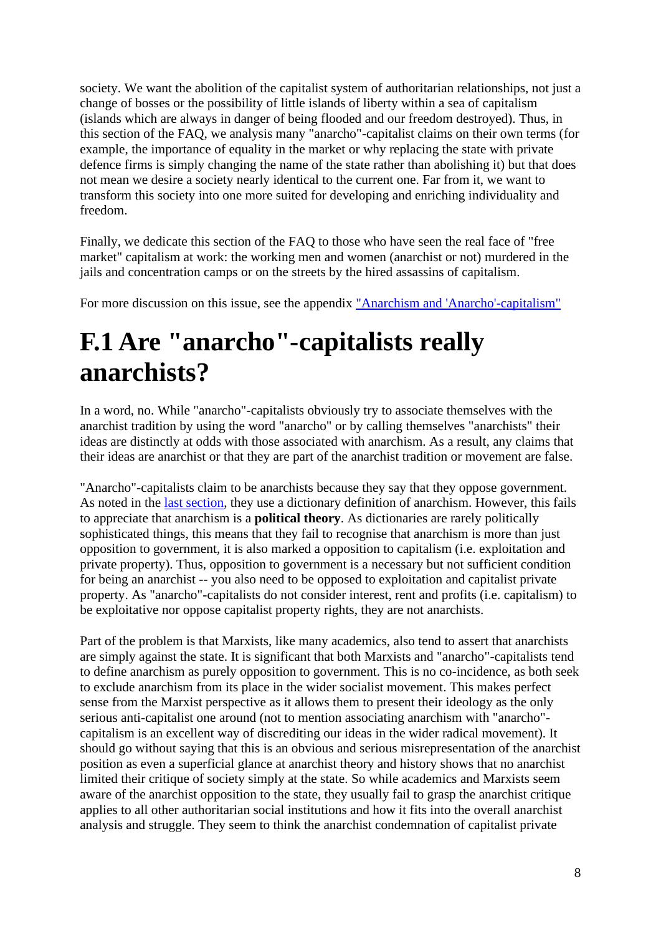society. We want the abolition of the capitalist system of authoritarian relationships, not just a change of bosses or the possibility of little islands of liberty within a sea of capitalism (islands which are always in danger of being flooded and our freedom destroyed). Thus, in this section of the FAQ, we analysis many "anarcho"-capitalist claims on their own terms (for example, the importance of equality in the market or why replacing the state with private defence firms is simply changing the name of the state rather than abolishing it) but that does not mean we desire a society nearly identical to the current one. Far from it, we want to transform this society into one more suited for developing and enriching individuality and freedom.

Finally, we dedicate this section of the FAQ to those who have seen the real face of "free market" capitalism at work: the working men and women (anarchist or not) murdered in the jails and concentration camps or on the streets by the hired assassins of capitalism.

For more discussion on this issue, see the appendix ["Anarchism and 'Anarcho'-capitalism"](append1.html)

# <span id="page-7-0"></span>**F.1 Are "anarcho"-capitalists really anarchists?**

In a word, no. While "anarcho"-capitalists obviously try to associate themselves with the anarchist tradition by using the word "anarcho" or by calling themselves "anarchists" their ideas are distinctly at odds with those associated with anarchism. As a result, any claims that their ideas are anarchist or that they are part of the anarchist tradition or movement are false.

"Anarcho"-capitalists claim to be anarchists because they say that they oppose government. As noted in the [last section,](sectionF.html#secf0) they use a dictionary definition of anarchism. However, this fails to appreciate that anarchism is a **political theory**. As dictionaries are rarely politically sophisticated things, this means that they fail to recognise that anarchism is more than just opposition to government, it is also marked a opposition to capitalism (i.e. exploitation and private property). Thus, opposition to government is a necessary but not sufficient condition for being an anarchist -- you also need to be opposed to exploitation and capitalist private property. As "anarcho"-capitalists do not consider interest, rent and profits (i.e. capitalism) to be exploitative nor oppose capitalist property rights, they are not anarchists.

Part of the problem is that Marxists, like many academics, also tend to assert that anarchists are simply against the state. It is significant that both Marxists and "anarcho"-capitalists tend to define anarchism as purely opposition to government. This is no co-incidence, as both seek to exclude anarchism from its place in the wider socialist movement. This makes perfect sense from the Marxist perspective as it allows them to present their ideology as the only serious anti-capitalist one around (not to mention associating anarchism with "anarcho" capitalism is an excellent way of discrediting our ideas in the wider radical movement). It should go without saying that this is an obvious and serious misrepresentation of the anarchist position as even a superficial glance at anarchist theory and history shows that no anarchist limited their critique of society simply at the state. So while academics and Marxists seem aware of the anarchist opposition to the state, they usually fail to grasp the anarchist critique applies to all other authoritarian social institutions and how it fits into the overall anarchist analysis and struggle. They seem to think the anarchist condemnation of capitalist private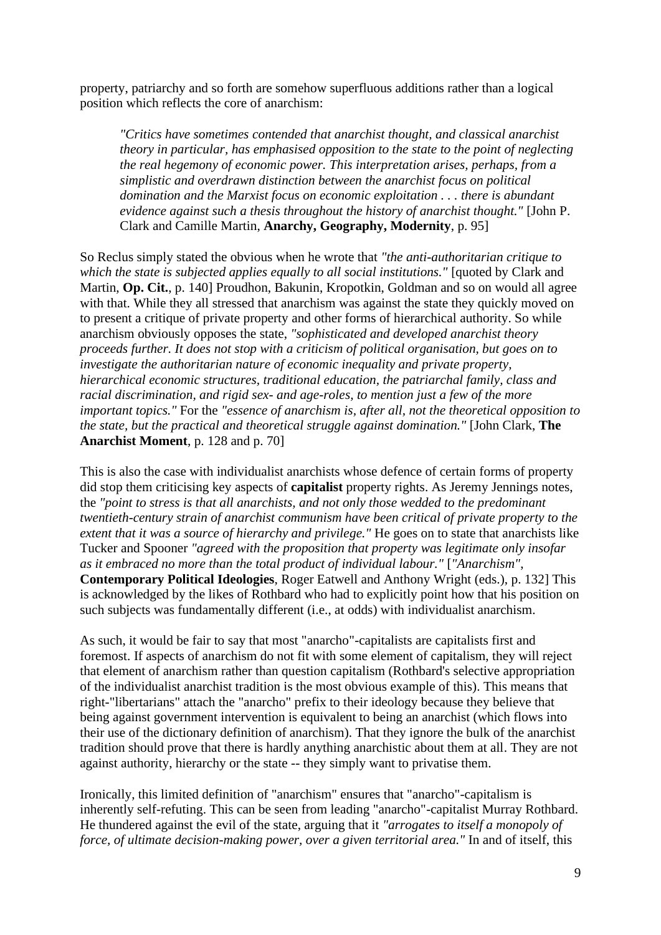property, patriarchy and so forth are somehow superfluous additions rather than a logical position which reflects the core of anarchism:

*"Critics have sometimes contended that anarchist thought, and classical anarchist theory in particular, has emphasised opposition to the state to the point of neglecting the real hegemony of economic power. This interpretation arises, perhaps, from a simplistic and overdrawn distinction between the anarchist focus on political domination and the Marxist focus on economic exploitation . . . there is abundant evidence against such a thesis throughout the history of anarchist thought."* [John P. Clark and Camille Martin, **Anarchy, Geography, Modernity**, p. 95]

So Reclus simply stated the obvious when he wrote that *"the anti-authoritarian critique to which the state is subjected applies equally to all social institutions."* [quoted by Clark and Martin, **Op. Cit.**, p. 140] Proudhon, Bakunin, Kropotkin, Goldman and so on would all agree with that. While they all stressed that anarchism was against the state they quickly moved on to present a critique of private property and other forms of hierarchical authority. So while anarchism obviously opposes the state, *"sophisticated and developed anarchist theory proceeds further. It does not stop with a criticism of political organisation, but goes on to investigate the authoritarian nature of economic inequality and private property, hierarchical economic structures, traditional education, the patriarchal family, class and racial discrimination, and rigid sex- and age-roles, to mention just a few of the more important topics."* For the *"essence of anarchism is, after all, not the theoretical opposition to the state, but the practical and theoretical struggle against domination."* [John Clark, **The Anarchist Moment**, p. 128 and p. 70]

This is also the case with individualist anarchists whose defence of certain forms of property did stop them criticising key aspects of **capitalist** property rights. As Jeremy Jennings notes, the *"point to stress is that all anarchists, and not only those wedded to the predominant twentieth-century strain of anarchist communism have been critical of private property to the extent that it was a source of hierarchy and privilege."* He goes on to state that anarchists like Tucker and Spooner *"agreed with the proposition that property was legitimate only insofar as it embraced no more than the total product of individual labour."* [*"Anarchism"*, **Contemporary Political Ideologies**, Roger Eatwell and Anthony Wright (eds.), p. 132] This is acknowledged by the likes of Rothbard who had to explicitly point how that his position on such subjects was fundamentally different (i.e., at odds) with individualist anarchism.

As such, it would be fair to say that most "anarcho"-capitalists are capitalists first and foremost. If aspects of anarchism do not fit with some element of capitalism, they will reject that element of anarchism rather than question capitalism (Rothbard's selective appropriation of the individualist anarchist tradition is the most obvious example of this). This means that right-"libertarians" attach the "anarcho" prefix to their ideology because they believe that being against government intervention is equivalent to being an anarchist (which flows into their use of the dictionary definition of anarchism). That they ignore the bulk of the anarchist tradition should prove that there is hardly anything anarchistic about them at all. They are not against authority, hierarchy or the state -- they simply want to privatise them.

Ironically, this limited definition of "anarchism" ensures that "anarcho"-capitalism is inherently self-refuting. This can be seen from leading "anarcho"-capitalist Murray Rothbard. He thundered against the evil of the state, arguing that it *"arrogates to itself a monopoly of force, of ultimate decision-making power, over a given territorial area."* In and of itself, this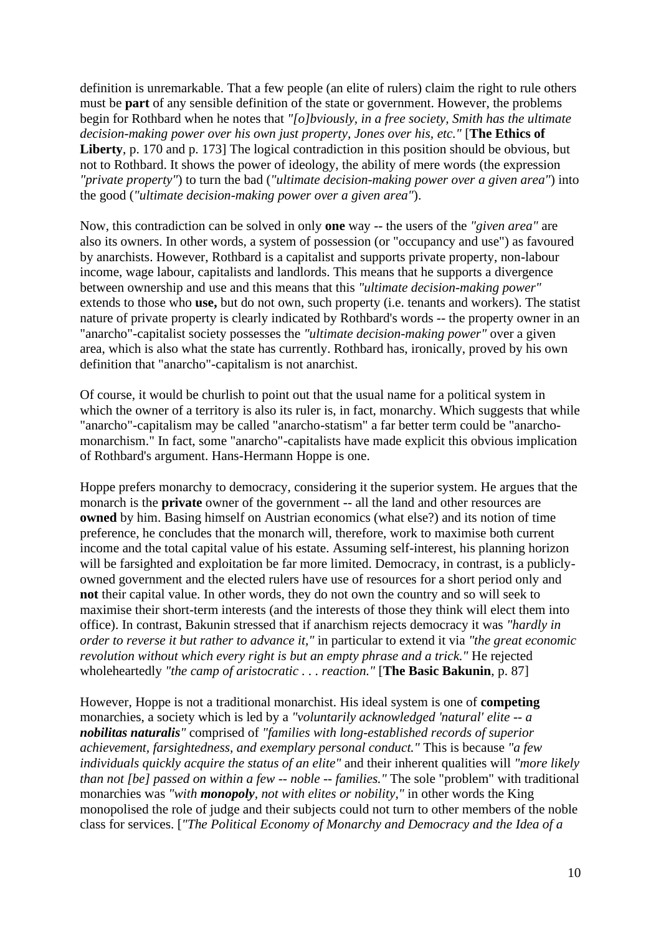definition is unremarkable. That a few people (an elite of rulers) claim the right to rule others must be **part** of any sensible definition of the state or government. However, the problems begin for Rothbard when he notes that *"[o]bviously, in a free society, Smith has the ultimate decision-making power over his own just property, Jones over his, etc."* [**The Ethics of Liberty**, p. 170 and p. 173] The logical contradiction in this position should be obvious, but not to Rothbard. It shows the power of ideology, the ability of mere words (the expression *"private property"*) to turn the bad (*"ultimate decision-making power over a given area"*) into the good (*"ultimate decision-making power over a given area"*).

Now, this contradiction can be solved in only **one** way -- the users of the *"given area"* are also its owners. In other words, a system of possession (or "occupancy and use") as favoured by anarchists. However, Rothbard is a capitalist and supports private property, non-labour income, wage labour, capitalists and landlords. This means that he supports a divergence between ownership and use and this means that this *"ultimate decision-making power"* extends to those who **use,** but do not own, such property (i.e. tenants and workers). The statist nature of private property is clearly indicated by Rothbard's words -- the property owner in an "anarcho"-capitalist society possesses the *"ultimate decision-making power"* over a given area, which is also what the state has currently. Rothbard has, ironically, proved by his own definition that "anarcho"-capitalism is not anarchist.

Of course, it would be churlish to point out that the usual name for a political system in which the owner of a territory is also its ruler is, in fact, monarchy. Which suggests that while "anarcho"-capitalism may be called "anarcho-statism" a far better term could be "anarchomonarchism." In fact, some "anarcho"-capitalists have made explicit this obvious implication of Rothbard's argument. Hans-Hermann Hoppe is one.

Hoppe prefers monarchy to democracy, considering it the superior system. He argues that the monarch is the **private** owner of the government -- all the land and other resources are **owned** by him. Basing himself on Austrian economics (what else?) and its notion of time preference, he concludes that the monarch will, therefore, work to maximise both current income and the total capital value of his estate. Assuming self-interest, his planning horizon will be farsighted and exploitation be far more limited. Democracy, in contrast, is a publiclyowned government and the elected rulers have use of resources for a short period only and **not** their capital value. In other words, they do not own the country and so will seek to maximise their short-term interests (and the interests of those they think will elect them into office). In contrast, Bakunin stressed that if anarchism rejects democracy it was *"hardly in order to reverse it but rather to advance it,"* in particular to extend it via *"the great economic revolution without which every right is but an empty phrase and a trick."* He rejected wholeheartedly *"the camp of aristocratic . . . reaction."* [**The Basic Bakunin**, p. 87]

However, Hoppe is not a traditional monarchist. His ideal system is one of **competing** monarchies, a society which is led by a *"voluntarily acknowledged 'natural' elite -- a nobilitas naturalis"* comprised of *"families with long-established records of superior achievement, farsightedness, and exemplary personal conduct."* This is because *"a few individuals quickly acquire the status of an elite"* and their inherent qualities will *"more likely than not [be] passed on within a few -- noble -- families."* The sole "problem" with traditional monarchies was *"with monopoly, not with elites or nobility,"* in other words the King monopolised the role of judge and their subjects could not turn to other members of the noble class for services. [*"The Political Economy of Monarchy and Democracy and the Idea of a*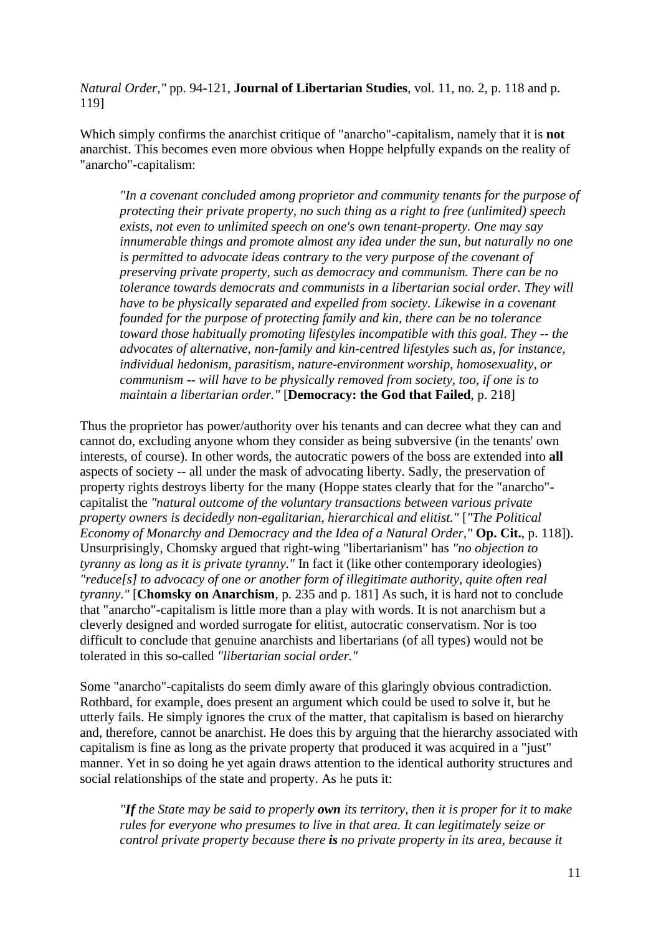*Natural Order,"* pp. 94-121, **Journal of Libertarian Studies**, vol. 11, no. 2, p. 118 and p. 119]

Which simply confirms the anarchist critique of "anarcho"-capitalism, namely that it is **not** anarchist. This becomes even more obvious when Hoppe helpfully expands on the reality of "anarcho"-capitalism:

*"In a covenant concluded among proprietor and community tenants for the purpose of protecting their private property, no such thing as a right to free (unlimited) speech exists, not even to unlimited speech on one's own tenant-property. One may say innumerable things and promote almost any idea under the sun, but naturally no one is permitted to advocate ideas contrary to the very purpose of the covenant of preserving private property, such as democracy and communism. There can be no tolerance towards democrats and communists in a libertarian social order. They will have to be physically separated and expelled from society. Likewise in a covenant founded for the purpose of protecting family and kin, there can be no tolerance toward those habitually promoting lifestyles incompatible with this goal. They -- the advocates of alternative, non-family and kin-centred lifestyles such as, for instance, individual hedonism, parasitism, nature-environment worship, homosexuality, or communism -- will have to be physically removed from society, too, if one is to maintain a libertarian order."* [**Democracy: the God that Failed**, p. 218]

Thus the proprietor has power/authority over his tenants and can decree what they can and cannot do, excluding anyone whom they consider as being subversive (in the tenants' own interests, of course). In other words, the autocratic powers of the boss are extended into **all** aspects of society -- all under the mask of advocating liberty. Sadly, the preservation of property rights destroys liberty for the many (Hoppe states clearly that for the "anarcho" capitalist the *"natural outcome of the voluntary transactions between various private property owners is decidedly non-egalitarian, hierarchical and elitist."* [*"The Political Economy of Monarchy and Democracy and the Idea of a Natural Order,"* **Op. Cit.**, p. 118]). Unsurprisingly, Chomsky argued that right-wing "libertarianism" has *"no objection to tyranny as long as it is private tyranny."* In fact it (like other contemporary ideologies) *"reduce[s] to advocacy of one or another form of illegitimate authority, quite often real tyranny."* [**Chomsky on Anarchism**, p. 235 and p. 181] As such, it is hard not to conclude that "anarcho"-capitalism is little more than a play with words. It is not anarchism but a cleverly designed and worded surrogate for elitist, autocratic conservatism. Nor is too difficult to conclude that genuine anarchists and libertarians (of all types) would not be tolerated in this so-called *"libertarian social order."*

Some "anarcho"-capitalists do seem dimly aware of this glaringly obvious contradiction. Rothbard, for example, does present an argument which could be used to solve it, but he utterly fails. He simply ignores the crux of the matter, that capitalism is based on hierarchy and, therefore, cannot be anarchist. He does this by arguing that the hierarchy associated with capitalism is fine as long as the private property that produced it was acquired in a "just" manner. Yet in so doing he yet again draws attention to the identical authority structures and social relationships of the state and property. As he puts it:

*"If the State may be said to properly own its territory, then it is proper for it to make rules for everyone who presumes to live in that area. It can legitimately seize or control private property because there is no private property in its area, because it*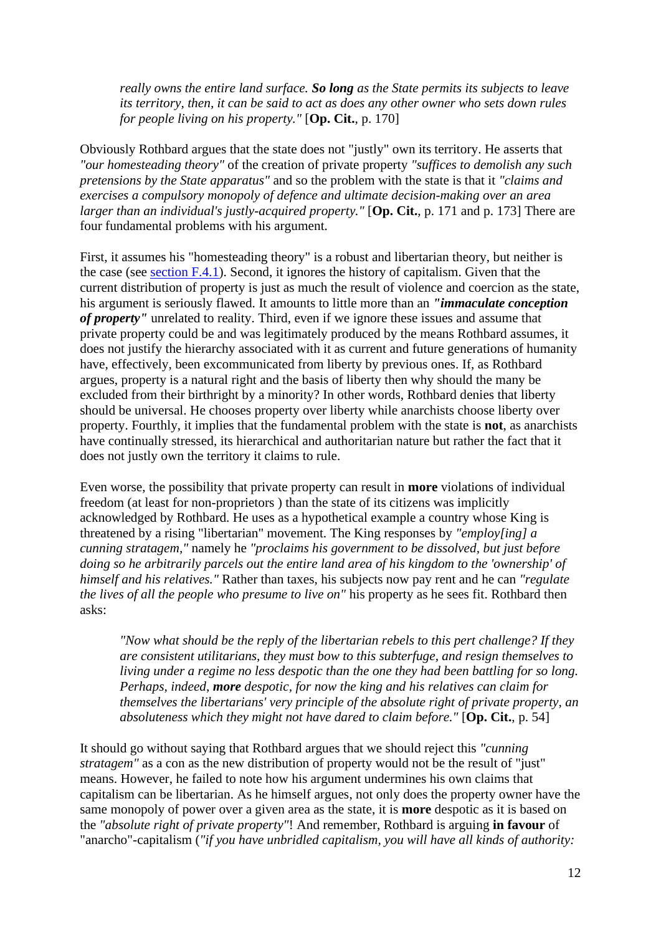*really owns the entire land surface. So long as the State permits its subjects to leave its territory, then, it can be said to act as does any other owner who sets down rules for people living on his property."* [**Op. Cit.**, p. 170]

Obviously Rothbard argues that the state does not "justly" own its territory. He asserts that *"our homesteading theory"* of the creation of private property *"suffices to demolish any such pretensions by the State apparatus"* and so the problem with the state is that it *"claims and exercises a compulsory monopoly of defence and ultimate decision-making over an area larger than an individual's justly-acquired property."* [**Op. Cit.**, p. 171 and p. 173] There are four fundamental problems with his argument.

First, it assumes his "homesteading theory" is a robust and libertarian theory, but neither is the case (see [section F.4.1\)](sectionF.html#secf41). Second, it ignores the history of capitalism. Given that the current distribution of property is just as much the result of violence and coercion as the state, his argument is seriously flawed. It amounts to little more than an *"immaculate conception of property"* unrelated to reality. Third, even if we ignore these issues and assume that private property could be and was legitimately produced by the means Rothbard assumes, it does not justify the hierarchy associated with it as current and future generations of humanity have, effectively, been excommunicated from liberty by previous ones. If, as Rothbard argues, property is a natural right and the basis of liberty then why should the many be excluded from their birthright by a minority? In other words, Rothbard denies that liberty should be universal. He chooses property over liberty while anarchists choose liberty over property. Fourthly, it implies that the fundamental problem with the state is **not**, as anarchists have continually stressed, its hierarchical and authoritarian nature but rather the fact that it does not justly own the territory it claims to rule.

Even worse, the possibility that private property can result in **more** violations of individual freedom (at least for non-proprietors ) than the state of its citizens was implicitly acknowledged by Rothbard. He uses as a hypothetical example a country whose King is threatened by a rising "libertarian" movement. The King responses by *"employ[ing] a cunning stratagem,"* namely he *"proclaims his government to be dissolved, but just before doing so he arbitrarily parcels out the entire land area of his kingdom to the 'ownership' of himself and his relatives."* Rather than taxes, his subjects now pay rent and he can *"regulate the lives of all the people who presume to live on"* his property as he sees fit. Rothbard then asks:

*"Now what should be the reply of the libertarian rebels to this pert challenge? If they are consistent utilitarians, they must bow to this subterfuge, and resign themselves to living under a regime no less despotic than the one they had been battling for so long. Perhaps, indeed, more despotic, for now the king and his relatives can claim for themselves the libertarians' very principle of the absolute right of private property, an absoluteness which they might not have dared to claim before."* [**Op. Cit.**, p. 54]

It should go without saying that Rothbard argues that we should reject this *"cunning stratagem"* as a con as the new distribution of property would not be the result of "just" means. However, he failed to note how his argument undermines his own claims that capitalism can be libertarian. As he himself argues, not only does the property owner have the same monopoly of power over a given area as the state, it is **more** despotic as it is based on the *"absolute right of private property"*! And remember, Rothbard is arguing **in favour** of "anarcho"-capitalism (*"if you have unbridled capitalism, you will have all kinds of authority:*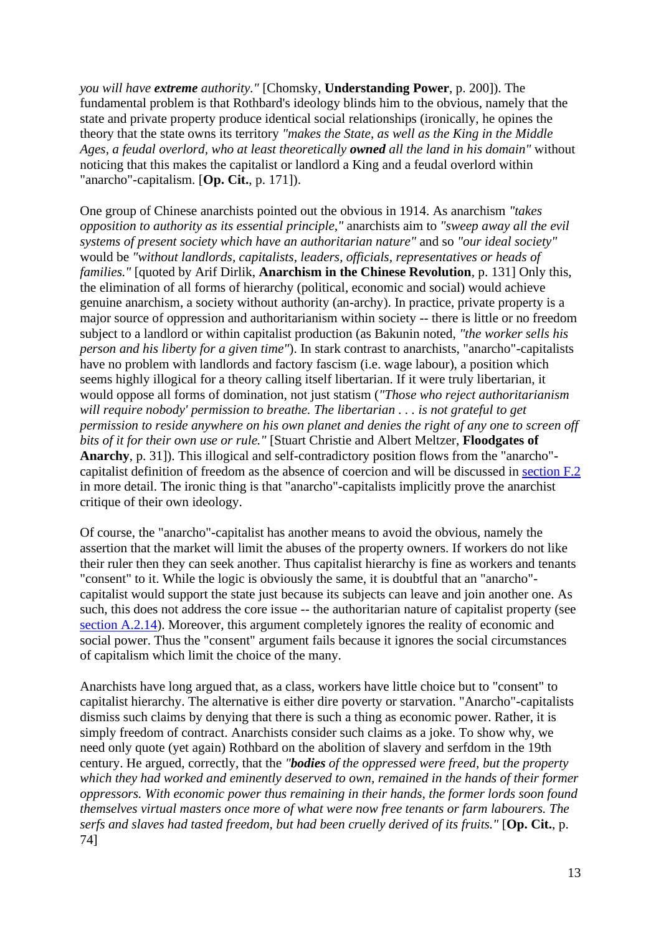*you will have extreme authority."* [Chomsky, **Understanding Power**, p. 200]). The fundamental problem is that Rothbard's ideology blinds him to the obvious, namely that the state and private property produce identical social relationships (ironically, he opines the theory that the state owns its territory *"makes the State, as well as the King in the Middle Ages, a feudal overlord, who at least theoretically owned all the land in his domain"* without noticing that this makes the capitalist or landlord a King and a feudal overlord within "anarcho"-capitalism. [**Op. Cit.**, p. 171]).

One group of Chinese anarchists pointed out the obvious in 1914. As anarchism *"takes opposition to authority as its essential principle,"* anarchists aim to *"sweep away all the evil systems of present society which have an authoritarian nature"* and so *"our ideal society"* would be *"without landlords, capitalists, leaders, officials, representatives or heads of families."* [quoted by Arif Dirlik, **Anarchism in the Chinese Revolution**, p. 131] Only this, the elimination of all forms of hierarchy (political, economic and social) would achieve genuine anarchism, a society without authority (an-archy). In practice, private property is a major source of oppression and authoritarianism within society -- there is little or no freedom subject to a landlord or within capitalist production (as Bakunin noted, *"the worker sells his person and his liberty for a given time"*). In stark contrast to anarchists, "anarcho"-capitalists have no problem with landlords and factory fascism (i.e. wage labour), a position which seems highly illogical for a theory calling itself libertarian. If it were truly libertarian, it would oppose all forms of domination, not just statism (*"Those who reject authoritarianism will require nobody' permission to breathe. The libertarian . . . is not grateful to get permission to reside anywhere on his own planet and denies the right of any one to screen off bits of it for their own use or rule."* [Stuart Christie and Albert Meltzer, **Floodgates of Anarchy**, p. 31]). This illogical and self-contradictory position flows from the "anarcho" capitalist definition of freedom as the absence of coercion and will be discussed in [section F.2](sectionF.html#secf2) in more detail. The ironic thing is that "anarcho"-capitalists implicitly prove the anarchist critique of their own ideology.

Of course, the "anarcho"-capitalist has another means to avoid the obvious, namely the assertion that the market will limit the abuses of the property owners. If workers do not like their ruler then they can seek another. Thus capitalist hierarchy is fine as workers and tenants "consent" to it. While the logic is obviously the same, it is doubtful that an "anarcho" capitalist would support the state just because its subjects can leave and join another one. As such, this does not address the core issue -- the authoritarian nature of capitalist property (see [section A.2.14\)](sectionA.html#seca214). Moreover, this argument completely ignores the reality of economic and social power. Thus the "consent" argument fails because it ignores the social circumstances of capitalism which limit the choice of the many.

Anarchists have long argued that, as a class, workers have little choice but to "consent" to capitalist hierarchy. The alternative is either dire poverty or starvation. "Anarcho"-capitalists dismiss such claims by denying that there is such a thing as economic power. Rather, it is simply freedom of contract. Anarchists consider such claims as a joke. To show why, we need only quote (yet again) Rothbard on the abolition of slavery and serfdom in the 19th century. He argued, correctly, that the *"bodies of the oppressed were freed, but the property which they had worked and eminently deserved to own, remained in the hands of their former oppressors. With economic power thus remaining in their hands, the former lords soon found themselves virtual masters once more of what were now free tenants or farm labourers. The serfs and slaves had tasted freedom, but had been cruelly derived of its fruits."* [**Op. Cit.**, p. 74]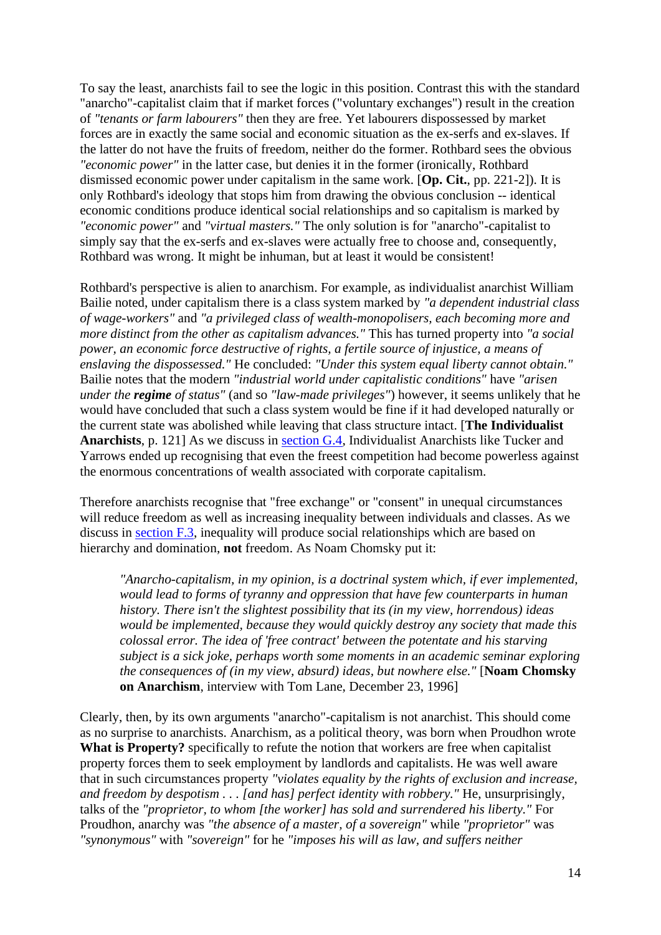To say the least, anarchists fail to see the logic in this position. Contrast this with the standard "anarcho"-capitalist claim that if market forces ("voluntary exchanges") result in the creation of *"tenants or farm labourers"* then they are free. Yet labourers dispossessed by market forces are in exactly the same social and economic situation as the ex-serfs and ex-slaves. If the latter do not have the fruits of freedom, neither do the former. Rothbard sees the obvious *"economic power"* in the latter case, but denies it in the former (ironically, Rothbard dismissed economic power under capitalism in the same work. [**Op. Cit.**, pp. 221-2]). It is only Rothbard's ideology that stops him from drawing the obvious conclusion -- identical economic conditions produce identical social relationships and so capitalism is marked by *"economic power"* and *"virtual masters."* The only solution is for "anarcho"-capitalist to simply say that the ex-serfs and ex-slaves were actually free to choose and, consequently, Rothbard was wrong. It might be inhuman, but at least it would be consistent!

Rothbard's perspective is alien to anarchism. For example, as individualist anarchist William Bailie noted, under capitalism there is a class system marked by *"a dependent industrial class of wage-workers"* and *"a privileged class of wealth-monopolisers, each becoming more and more distinct from the other as capitalism advances."* This has turned property into *"a social power, an economic force destructive of rights, a fertile source of injustice, a means of enslaving the dispossessed."* He concluded: *"Under this system equal liberty cannot obtain."* Bailie notes that the modern *"industrial world under capitalistic conditions"* have *"arisen under the regime of status"* (and so *"law-made privileges"*) however, it seems unlikely that he would have concluded that such a class system would be fine if it had developed naturally or the current state was abolished while leaving that class structure intact. [**The Individualist Anarchists**, p. 121] As we discuss in [section G.4,](sectionG.html#secg4) Individualist Anarchists like Tucker and Yarrows ended up recognising that even the freest competition had become powerless against the enormous concentrations of wealth associated with corporate capitalism.

Therefore anarchists recognise that "free exchange" or "consent" in unequal circumstances will reduce freedom as well as increasing inequality between individuals and classes. As we discuss in [section F.3,](sectionF.html#secf3) inequality will produce social relationships which are based on hierarchy and domination, **not** freedom. As Noam Chomsky put it:

*"Anarcho-capitalism, in my opinion, is a doctrinal system which, if ever implemented, would lead to forms of tyranny and oppression that have few counterparts in human history. There isn't the slightest possibility that its (in my view, horrendous) ideas would be implemented, because they would quickly destroy any society that made this colossal error. The idea of 'free contract' between the potentate and his starving subject is a sick joke, perhaps worth some moments in an academic seminar exploring the consequences of (in my view, absurd) ideas, but nowhere else."* [**Noam Chomsky on Anarchism**, interview with Tom Lane, December 23, 1996]

Clearly, then, by its own arguments "anarcho"-capitalism is not anarchist. This should come as no surprise to anarchists. Anarchism, as a political theory, was born when Proudhon wrote **What is Property?** specifically to refute the notion that workers are free when capitalist property forces them to seek employment by landlords and capitalists. He was well aware that in such circumstances property *"violates equality by the rights of exclusion and increase, and freedom by despotism . . . [and has] perfect identity with robbery."* He, unsurprisingly, talks of the *"proprietor, to whom [the worker] has sold and surrendered his liberty."* For Proudhon, anarchy was *"the absence of a master, of a sovereign"* while *"proprietor"* was *"synonymous"* with *"sovereign"* for he *"imposes his will as law, and suffers neither*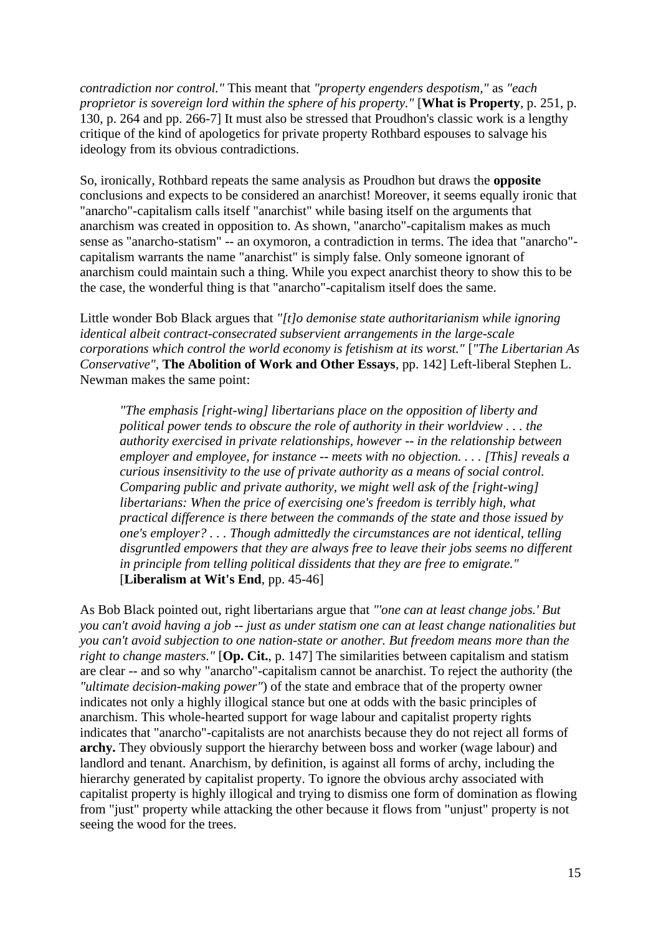*contradiction nor control."* This meant that *"property engenders despotism,"* as *"each proprietor is sovereign lord within the sphere of his property."* [**What is Property**, p. 251, p. 130, p. 264 and pp. 266-7] It must also be stressed that Proudhon's classic work is a lengthy critique of the kind of apologetics for private property Rothbard espouses to salvage his ideology from its obvious contradictions.

So, ironically, Rothbard repeats the same analysis as Proudhon but draws the **opposite** conclusions and expects to be considered an anarchist! Moreover, it seems equally ironic that "anarcho"-capitalism calls itself "anarchist" while basing itself on the arguments that anarchism was created in opposition to. As shown, "anarcho"-capitalism makes as much sense as "anarcho-statism" -- an oxymoron, a contradiction in terms. The idea that "anarcho" capitalism warrants the name "anarchist" is simply false. Only someone ignorant of anarchism could maintain such a thing. While you expect anarchist theory to show this to be the case, the wonderful thing is that "anarcho"-capitalism itself does the same.

Little wonder Bob Black argues that *"[t]o demonise state authoritarianism while ignoring identical albeit contract-consecrated subservient arrangements in the large-scale corporations which control the world economy is fetishism at its worst."* [*"The Libertarian As Conservative"*, **The Abolition of Work and Other Essays**, pp. 142] Left-liberal Stephen L. Newman makes the same point:

*"The emphasis [right-wing] libertarians place on the opposition of liberty and political power tends to obscure the role of authority in their worldview . . . the authority exercised in private relationships, however -- in the relationship between employer and employee, for instance -- meets with no objection. . . . [This] reveals a curious insensitivity to the use of private authority as a means of social control. Comparing public and private authority, we might well ask of the [right-wing] libertarians: When the price of exercising one's freedom is terribly high, what practical difference is there between the commands of the state and those issued by one's employer? . . . Though admittedly the circumstances are not identical, telling disgruntled empowers that they are always free to leave their jobs seems no different in principle from telling political dissidents that they are free to emigrate."* [**Liberalism at Wit's End**, pp. 45-46]

As Bob Black pointed out, right libertarians argue that *"'one can at least change jobs.' But you can't avoid having a job -- just as under statism one can at least change nationalities but you can't avoid subjection to one nation-state or another. But freedom means more than the right to change masters."* [**Op. Cit.**, p. 147] The similarities between capitalism and statism are clear -- and so why "anarcho"-capitalism cannot be anarchist. To reject the authority (the *"ultimate decision-making power"*) of the state and embrace that of the property owner indicates not only a highly illogical stance but one at odds with the basic principles of anarchism. This whole-hearted support for wage labour and capitalist property rights indicates that "anarcho"-capitalists are not anarchists because they do not reject all forms of **archy.** They obviously support the hierarchy between boss and worker (wage labour) and landlord and tenant. Anarchism, by definition, is against all forms of archy, including the hierarchy generated by capitalist property. To ignore the obvious archy associated with capitalist property is highly illogical and trying to dismiss one form of domination as flowing from "just" property while attacking the other because it flows from "unjust" property is not seeing the wood for the trees.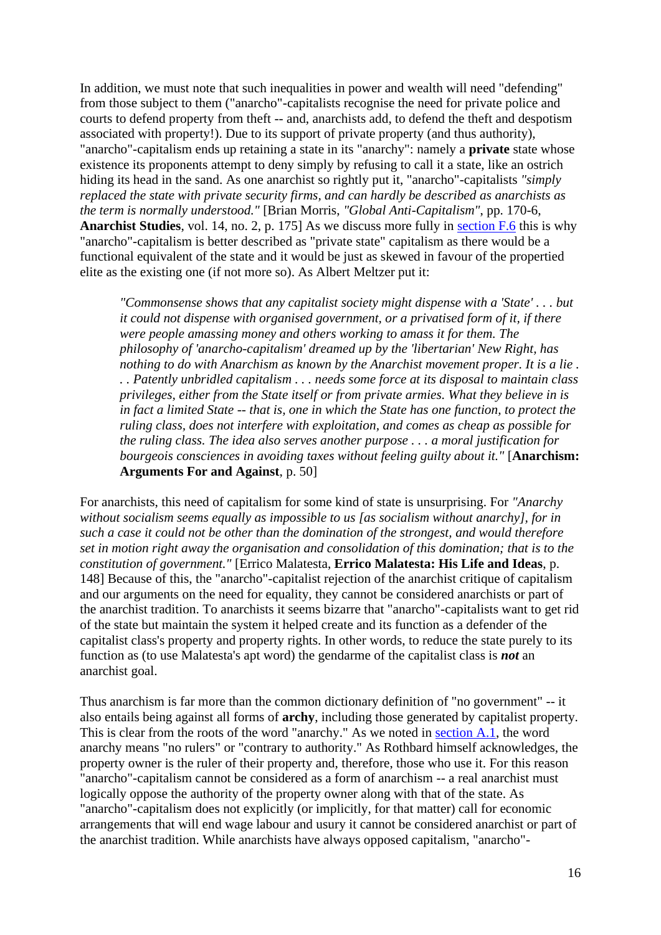In addition, we must note that such inequalities in power and wealth will need "defending" from those subject to them ("anarcho"-capitalists recognise the need for private police and courts to defend property from theft -- and, anarchists add, to defend the theft and despotism associated with property!). Due to its support of private property (and thus authority), "anarcho"-capitalism ends up retaining a state in its "anarchy": namely a **private** state whose existence its proponents attempt to deny simply by refusing to call it a state, like an ostrich hiding its head in the sand. As one anarchist so rightly put it, "anarcho"-capitalists *"simply replaced the state with private security firms, and can hardly be described as anarchists as the term is normally understood."* [Brian Morris, *"Global Anti-Capitalism"*, pp. 170-6, **Anarchist Studies**, vol. 14, no. 2, p. 175] As we discuss more fully in [section F.6](sectionF.html#secf6) this is why "anarcho"-capitalism is better described as "private state" capitalism as there would be a functional equivalent of the state and it would be just as skewed in favour of the propertied elite as the existing one (if not more so). As Albert Meltzer put it:

*"Commonsense shows that any capitalist society might dispense with a 'State' . . . but it could not dispense with organised government, or a privatised form of it, if there were people amassing money and others working to amass it for them. The philosophy of 'anarcho-capitalism' dreamed up by the 'libertarian' New Right, has nothing to do with Anarchism as known by the Anarchist movement proper. It is a lie . . . Patently unbridled capitalism . . . needs some force at its disposal to maintain class privileges, either from the State itself or from private armies. What they believe in is in fact a limited State -- that is, one in which the State has one function, to protect the ruling class, does not interfere with exploitation, and comes as cheap as possible for the ruling class. The idea also serves another purpose . . . a moral justification for bourgeois consciences in avoiding taxes without feeling guilty about it."* [**Anarchism: Arguments For and Against**, p. 50]

For anarchists, this need of capitalism for some kind of state is unsurprising. For *"Anarchy without socialism seems equally as impossible to us [as socialism without anarchy], for in such a case it could not be other than the domination of the strongest, and would therefore set in motion right away the organisation and consolidation of this domination; that is to the constitution of government."* [Errico Malatesta, **Errico Malatesta: His Life and Ideas**, p. 148] Because of this, the "anarcho"-capitalist rejection of the anarchist critique of capitalism and our arguments on the need for equality, they cannot be considered anarchists or part of the anarchist tradition. To anarchists it seems bizarre that "anarcho"-capitalists want to get rid of the state but maintain the system it helped create and its function as a defender of the capitalist class's property and property rights. In other words, to reduce the state purely to its function as (to use Malatesta's apt word) the gendarme of the capitalist class is *not* an anarchist goal.

Thus anarchism is far more than the common dictionary definition of "no government" -- it also entails being against all forms of **archy**, including those generated by capitalist property. This is clear from the roots of the word "anarchy." As we noted in [section A.1,](sectionA.html#seca1) the word anarchy means "no rulers" or "contrary to authority." As Rothbard himself acknowledges, the property owner is the ruler of their property and, therefore, those who use it. For this reason "anarcho"-capitalism cannot be considered as a form of anarchism -- a real anarchist must logically oppose the authority of the property owner along with that of the state. As "anarcho"-capitalism does not explicitly (or implicitly, for that matter) call for economic arrangements that will end wage labour and usury it cannot be considered anarchist or part of the anarchist tradition. While anarchists have always opposed capitalism, "anarcho"-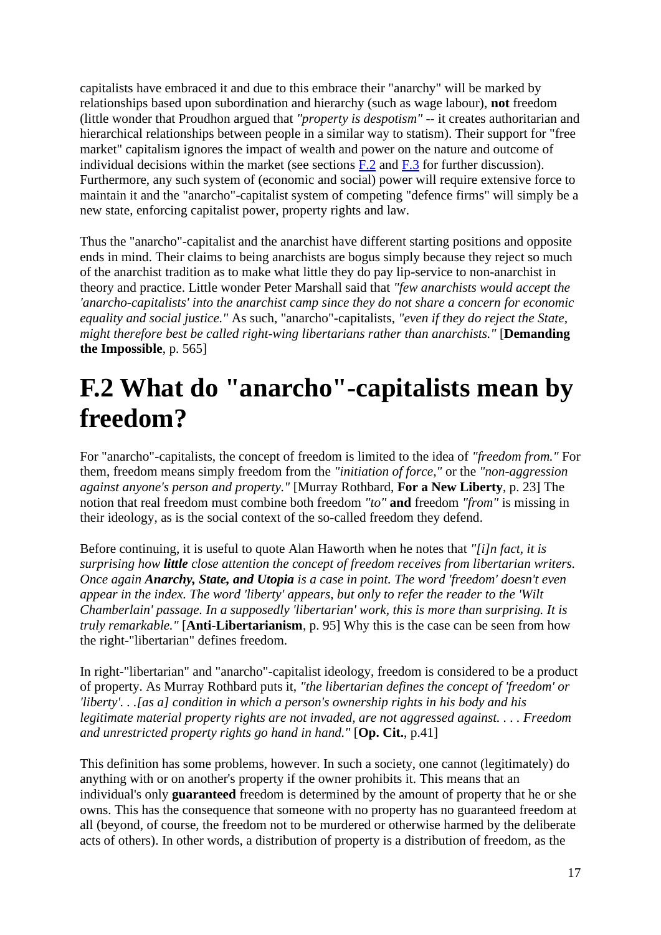capitalists have embraced it and due to this embrace their "anarchy" will be marked by relationships based upon subordination and hierarchy (such as wage labour), **not** freedom (little wonder that Proudhon argued that *"property is despotism"* -- it creates authoritarian and hierarchical relationships between people in a similar way to statism). Their support for "free market" capitalism ignores the impact of wealth and power on the nature and outcome of individual decisions within the market (see sections [F.2](sectionF.html#secf2) and [F.3](sectionF.html#secf3) for further discussion). Furthermore, any such system of (economic and social) power will require extensive force to maintain it and the "anarcho"-capitalist system of competing "defence firms" will simply be a new state, enforcing capitalist power, property rights and law.

Thus the "anarcho"-capitalist and the anarchist have different starting positions and opposite ends in mind. Their claims to being anarchists are bogus simply because they reject so much of the anarchist tradition as to make what little they do pay lip-service to non-anarchist in theory and practice. Little wonder Peter Marshall said that *"few anarchists would accept the 'anarcho-capitalists' into the anarchist camp since they do not share a concern for economic equality and social justice."* As such, "anarcho"-capitalists, *"even if they do reject the State, might therefore best be called right-wing libertarians rather than anarchists."* [**Demanding the Impossible**, p. 565]

## <span id="page-16-0"></span>**F.2 What do "anarcho"-capitalists mean by freedom?**

For "anarcho"-capitalists, the concept of freedom is limited to the idea of *"freedom from."* For them, freedom means simply freedom from the *"initiation of force,"* or the *"non-aggression against anyone's person and property."* [Murray Rothbard, **For a New Liberty**, p. 23] The notion that real freedom must combine both freedom *"to"* **and** freedom *"from"* is missing in their ideology, as is the social context of the so-called freedom they defend.

Before continuing, it is useful to quote Alan Haworth when he notes that *"[i]n fact, it is surprising how little close attention the concept of freedom receives from libertarian writers. Once again Anarchy, State, and Utopia is a case in point. The word 'freedom' doesn't even appear in the index. The word 'liberty' appears, but only to refer the reader to the 'Wilt Chamberlain' passage. In a supposedly 'libertarian' work, this is more than surprising. It is truly remarkable."* [**Anti-Libertarianism**, p. 95] Why this is the case can be seen from how the right-"libertarian" defines freedom.

In right-"libertarian" and "anarcho"-capitalist ideology, freedom is considered to be a product of property. As Murray Rothbard puts it, *"the libertarian defines the concept of 'freedom' or 'liberty'. . .[as a] condition in which a person's ownership rights in his body and his legitimate material property rights are not invaded, are not aggressed against. . . . Freedom and unrestricted property rights go hand in hand."* [**Op. Cit.**, p.41]

This definition has some problems, however. In such a society, one cannot (legitimately) do anything with or on another's property if the owner prohibits it. This means that an individual's only **guaranteed** freedom is determined by the amount of property that he or she owns. This has the consequence that someone with no property has no guaranteed freedom at all (beyond, of course, the freedom not to be murdered or otherwise harmed by the deliberate acts of others). In other words, a distribution of property is a distribution of freedom, as the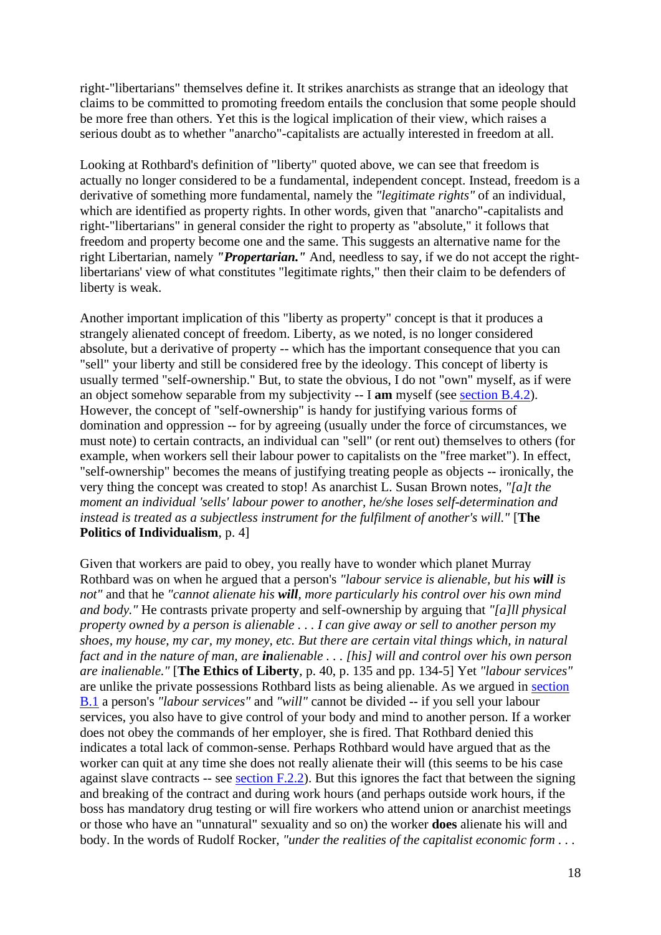right-"libertarians" themselves define it. It strikes anarchists as strange that an ideology that claims to be committed to promoting freedom entails the conclusion that some people should be more free than others. Yet this is the logical implication of their view, which raises a serious doubt as to whether "anarcho"-capitalists are actually interested in freedom at all.

Looking at Rothbard's definition of "liberty" quoted above, we can see that freedom is actually no longer considered to be a fundamental, independent concept. Instead, freedom is a derivative of something more fundamental, namely the *"legitimate rights"* of an individual, which are identified as property rights. In other words, given that "anarcho"-capitalists and right-"libertarians" in general consider the right to property as "absolute," it follows that freedom and property become one and the same. This suggests an alternative name for the right Libertarian, namely *"Propertarian."* And, needless to say, if we do not accept the rightlibertarians' view of what constitutes "legitimate rights," then their claim to be defenders of liberty is weak.

Another important implication of this "liberty as property" concept is that it produces a strangely alienated concept of freedom. Liberty, as we noted, is no longer considered absolute, but a derivative of property -- which has the important consequence that you can "sell" your liberty and still be considered free by the ideology. This concept of liberty is usually termed "self-ownership." But, to state the obvious, I do not "own" myself, as if were an object somehow separable from my subjectivity -- I **am** myself (see [section B.4.2\)](sectionB.html#secb42). However, the concept of "self-ownership" is handy for justifying various forms of domination and oppression -- for by agreeing (usually under the force of circumstances, we must note) to certain contracts, an individual can "sell" (or rent out) themselves to others (for example, when workers sell their labour power to capitalists on the "free market"). In effect, "self-ownership" becomes the means of justifying treating people as objects -- ironically, the very thing the concept was created to stop! As anarchist L. Susan Brown notes, *"[a]t the moment an individual 'sells' labour power to another, he/she loses self-determination and instead is treated as a subjectless instrument for the fulfilment of another's will."* [**The Politics of Individualism**, p. 4]

Given that workers are paid to obey, you really have to wonder which planet Murray Rothbard was on when he argued that a person's *"labour service is alienable, but his will is not"* and that he *"cannot alienate his will, more particularly his control over his own mind and body."* He contrasts private property and self-ownership by arguing that *"[a]ll physical property owned by a person is alienable . . . I can give away or sell to another person my shoes, my house, my car, my money, etc. But there are certain vital things which, in natural fact and in the nature of man, are inalienable . . . [his] will and control over his own person are inalienable."* [**The Ethics of Liberty**, p. 40, p. 135 and pp. 134-5] Yet *"labour services"* are unlike the private possessions Rothbard lists as being alienable. As we argued in [section](sectionB.html#secb1)  [B.1](sectionB.html#secb1) a person's *"labour services"* and *"will"* cannot be divided -- if you sell your labour services, you also have to give control of your body and mind to another person. If a worker does not obey the commands of her employer, she is fired. That Rothbard denied this indicates a total lack of common-sense. Perhaps Rothbard would have argued that as the worker can quit at any time she does not really alienate their will (this seems to be his case against slave contracts -- see [section F.2.2\)](sectionF.html#secf22). But this ignores the fact that between the signing and breaking of the contract and during work hours (and perhaps outside work hours, if the boss has mandatory drug testing or will fire workers who attend union or anarchist meetings or those who have an "unnatural" sexuality and so on) the worker **does** alienate his will and body. In the words of Rudolf Rocker, *"under the realities of the capitalist economic form . . .*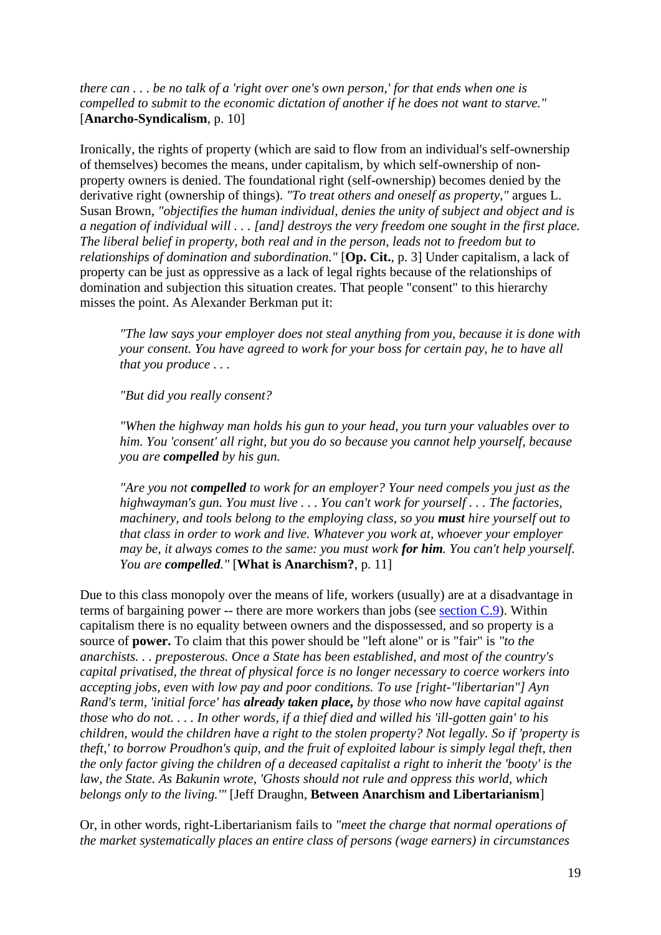*there can . . . be no talk of a 'right over one's own person,' for that ends when one is compelled to submit to the economic dictation of another if he does not want to starve."* [**Anarcho-Syndicalism**, p. 10]

Ironically, the rights of property (which are said to flow from an individual's self-ownership of themselves) becomes the means, under capitalism, by which self-ownership of nonproperty owners is denied. The foundational right (self-ownership) becomes denied by the derivative right (ownership of things). *"To treat others and oneself as property,"* argues L. Susan Brown, *"objectifies the human individual, denies the unity of subject and object and is a negation of individual will . . . [and] destroys the very freedom one sought in the first place. The liberal belief in property, both real and in the person, leads not to freedom but to relationships of domination and subordination."* [**Op. Cit.**, p. 3] Under capitalism, a lack of property can be just as oppressive as a lack of legal rights because of the relationships of domination and subjection this situation creates. That people "consent" to this hierarchy misses the point. As Alexander Berkman put it:

*"The law says your employer does not steal anything from you, because it is done with your consent. You have agreed to work for your boss for certain pay, he to have all that you produce . . .*

*"But did you really consent?*

*"When the highway man holds his gun to your head, you turn your valuables over to him. You 'consent' all right, but you do so because you cannot help yourself, because you are compelled by his gun.*

*"Are you not compelled to work for an employer? Your need compels you just as the highwayman's gun. You must live . . . You can't work for yourself . . . The factories, machinery, and tools belong to the employing class, so you must hire yourself out to that class in order to work and live. Whatever you work at, whoever your employer may be, it always comes to the same: you must work for him. You can't help yourself. You are compelled."* [**What is Anarchism?**, p. 11]

Due to this class monopoly over the means of life, workers (usually) are at a disadvantage in terms of bargaining power -- there are more workers than jobs (see [section C.9\)](sectionC.html#secc9). Within capitalism there is no equality between owners and the dispossessed, and so property is a source of **power.** To claim that this power should be "left alone" or is "fair" is *"to the anarchists. . . preposterous. Once a State has been established, and most of the country's capital privatised, the threat of physical force is no longer necessary to coerce workers into accepting jobs, even with low pay and poor conditions. To use [right-"libertarian"] Ayn Rand's term, 'initial force' has already taken place, by those who now have capital against those who do not. . . . In other words, if a thief died and willed his 'ill-gotten gain' to his children, would the children have a right to the stolen property? Not legally. So if 'property is theft,' to borrow Proudhon's quip, and the fruit of exploited labour is simply legal theft, then the only factor giving the children of a deceased capitalist a right to inherit the 'booty' is the law, the State. As Bakunin wrote, 'Ghosts should not rule and oppress this world, which belongs only to the living.'"* [Jeff Draughn, **Between Anarchism and Libertarianism**]

Or, in other words, right-Libertarianism fails to *"meet the charge that normal operations of the market systematically places an entire class of persons (wage earners) in circumstances*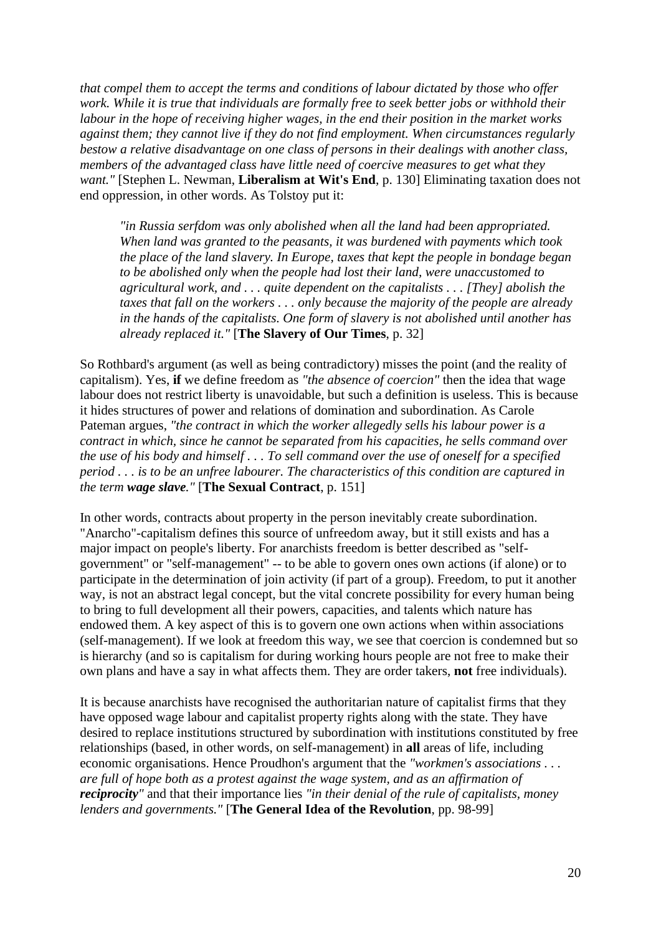*that compel them to accept the terms and conditions of labour dictated by those who offer work. While it is true that individuals are formally free to seek better jobs or withhold their labour in the hope of receiving higher wages, in the end their position in the market works against them; they cannot live if they do not find employment. When circumstances regularly bestow a relative disadvantage on one class of persons in their dealings with another class, members of the advantaged class have little need of coercive measures to get what they want."* [Stephen L. Newman, **Liberalism at Wit's End**, p. 130] Eliminating taxation does not end oppression, in other words. As Tolstoy put it:

*"in Russia serfdom was only abolished when all the land had been appropriated. When land was granted to the peasants, it was burdened with payments which took the place of the land slavery. In Europe, taxes that kept the people in bondage began to be abolished only when the people had lost their land, were unaccustomed to agricultural work, and . . . quite dependent on the capitalists . . . [They] abolish the taxes that fall on the workers . . . only because the majority of the people are already in the hands of the capitalists. One form of slavery is not abolished until another has already replaced it."* [**The Slavery of Our Times**, p. 32]

So Rothbard's argument (as well as being contradictory) misses the point (and the reality of capitalism). Yes, **if** we define freedom as *"the absence of coercion"* then the idea that wage labour does not restrict liberty is unavoidable, but such a definition is useless. This is because it hides structures of power and relations of domination and subordination. As Carole Pateman argues, *"the contract in which the worker allegedly sells his labour power is a contract in which, since he cannot be separated from his capacities, he sells command over the use of his body and himself . . . To sell command over the use of oneself for a specified period . . . is to be an unfree labourer. The characteristics of this condition are captured in the term wage slave."* [**The Sexual Contract**, p. 151]

In other words, contracts about property in the person inevitably create subordination. "Anarcho"-capitalism defines this source of unfreedom away, but it still exists and has a major impact on people's liberty. For anarchists freedom is better described as "selfgovernment" or "self-management" -- to be able to govern ones own actions (if alone) or to participate in the determination of join activity (if part of a group). Freedom, to put it another way, is not an abstract legal concept, but the vital concrete possibility for every human being to bring to full development all their powers, capacities, and talents which nature has endowed them. A key aspect of this is to govern one own actions when within associations (self-management). If we look at freedom this way, we see that coercion is condemned but so is hierarchy (and so is capitalism for during working hours people are not free to make their own plans and have a say in what affects them. They are order takers, **not** free individuals).

It is because anarchists have recognised the authoritarian nature of capitalist firms that they have opposed wage labour and capitalist property rights along with the state. They have desired to replace institutions structured by subordination with institutions constituted by free relationships (based, in other words, on self-management) in **all** areas of life, including economic organisations. Hence Proudhon's argument that the *"workmen's associations . . . are full of hope both as a protest against the wage system, and as an affirmation of reciprocity"* and that their importance lies *"in their denial of the rule of capitalists, money lenders and governments."* [**The General Idea of the Revolution**, pp. 98-99]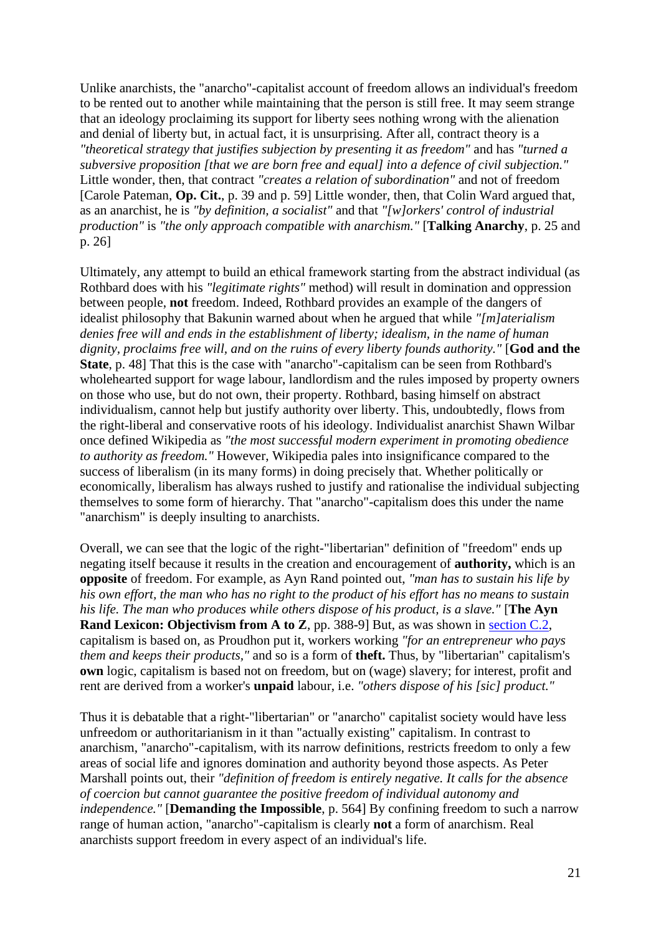Unlike anarchists, the "anarcho"-capitalist account of freedom allows an individual's freedom to be rented out to another while maintaining that the person is still free. It may seem strange that an ideology proclaiming its support for liberty sees nothing wrong with the alienation and denial of liberty but, in actual fact, it is unsurprising. After all, contract theory is a *"theoretical strategy that justifies subjection by presenting it as freedom"* and has *"turned a subversive proposition [that we are born free and equal] into a defence of civil subjection."* Little wonder, then, that contract *"creates a relation of subordination"* and not of freedom [Carole Pateman, **Op. Cit.**, p. 39 and p. 59] Little wonder, then, that Colin Ward argued that, as an anarchist, he is *"by definition, a socialist"* and that *"[w]orkers' control of industrial production"* is *"the only approach compatible with anarchism."* [**Talking Anarchy**, p. 25 and p. 26]

Ultimately, any attempt to build an ethical framework starting from the abstract individual (as Rothbard does with his *"legitimate rights"* method) will result in domination and oppression between people, **not** freedom. Indeed, Rothbard provides an example of the dangers of idealist philosophy that Bakunin warned about when he argued that while *"[m]aterialism denies free will and ends in the establishment of liberty; idealism, in the name of human dignity, proclaims free will, and on the ruins of every liberty founds authority."* [**God and the State**, p. 48] That this is the case with "anarcho"-capitalism can be seen from Rothbard's wholehearted support for wage labour, landlordism and the rules imposed by property owners on those who use, but do not own, their property. Rothbard, basing himself on abstract individualism, cannot help but justify authority over liberty. This, undoubtedly, flows from the right-liberal and conservative roots of his ideology. Individualist anarchist Shawn Wilbar once defined Wikipedia as *"the most successful modern experiment in promoting obedience to authority as freedom."* However, Wikipedia pales into insignificance compared to the success of liberalism (in its many forms) in doing precisely that. Whether politically or economically, liberalism has always rushed to justify and rationalise the individual subjecting themselves to some form of hierarchy. That "anarcho"-capitalism does this under the name "anarchism" is deeply insulting to anarchists.

Overall, we can see that the logic of the right-"libertarian" definition of "freedom" ends up negating itself because it results in the creation and encouragement of **authority,** which is an **opposite** of freedom. For example, as Ayn Rand pointed out, *"man has to sustain his life by his own effort, the man who has no right to the product of his effort has no means to sustain his life. The man who produces while others dispose of his product, is a slave."* [**The Ayn Rand Lexicon: Objectivism from A to Z**, pp. 388-9] But, as was shown in [section C.2,](sectionC.html#secc2) capitalism is based on, as Proudhon put it, workers working *"for an entrepreneur who pays them and keeps their products,"* and so is a form of **theft.** Thus, by "libertarian" capitalism's **own** logic, capitalism is based not on freedom, but on (wage) slavery; for interest, profit and rent are derived from a worker's **unpaid** labour, i.e. *"others dispose of his [sic] product."*

Thus it is debatable that a right-"libertarian" or "anarcho" capitalist society would have less unfreedom or authoritarianism in it than "actually existing" capitalism. In contrast to anarchism, "anarcho"-capitalism, with its narrow definitions, restricts freedom to only a few areas of social life and ignores domination and authority beyond those aspects. As Peter Marshall points out, their *"definition of freedom is entirely negative. It calls for the absence of coercion but cannot guarantee the positive freedom of individual autonomy and independence."* [**Demanding the Impossible**, p. 564] By confining freedom to such a narrow range of human action, "anarcho"-capitalism is clearly **not** a form of anarchism. Real anarchists support freedom in every aspect of an individual's life.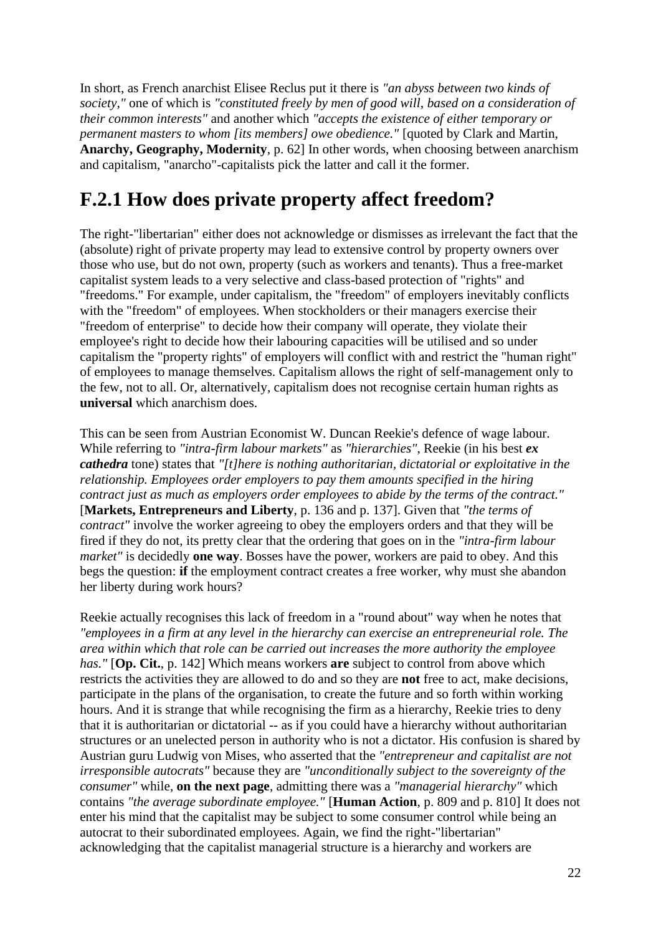In short, as French anarchist Elisee Reclus put it there is *"an abyss between two kinds of society,"* one of which is *"constituted freely by men of good will, based on a consideration of their common interests"* and another which *"accepts the existence of either temporary or permanent masters to whom [its members] owe obedience."* [quoted by Clark and Martin, **Anarchy, Geography, Modernity**, p. 62] In other words, when choosing between anarchism and capitalism, "anarcho"-capitalists pick the latter and call it the former.

### <span id="page-21-0"></span>**F.2.1 How does private property affect freedom?**

The right-"libertarian" either does not acknowledge or dismisses as irrelevant the fact that the (absolute) right of private property may lead to extensive control by property owners over those who use, but do not own, property (such as workers and tenants). Thus a free-market capitalist system leads to a very selective and class-based protection of "rights" and "freedoms." For example, under capitalism, the "freedom" of employers inevitably conflicts with the "freedom" of employees. When stockholders or their managers exercise their "freedom of enterprise" to decide how their company will operate, they violate their employee's right to decide how their labouring capacities will be utilised and so under capitalism the "property rights" of employers will conflict with and restrict the "human right" of employees to manage themselves. Capitalism allows the right of self-management only to the few, not to all. Or, alternatively, capitalism does not recognise certain human rights as **universal** which anarchism does.

This can be seen from Austrian Economist W. Duncan Reekie's defence of wage labour. While referring to *"intra-firm labour markets"* as *"hierarchies"*, Reekie (in his best *ex cathedra* tone) states that *"[t]here is nothing authoritarian, dictatorial or exploitative in the relationship. Employees order employers to pay them amounts specified in the hiring contract just as much as employers order employees to abide by the terms of the contract."* [**Markets, Entrepreneurs and Liberty**, p. 136 and p. 137]. Given that *"the terms of contract*" involve the worker agreeing to obey the employers orders and that they will be fired if they do not, its pretty clear that the ordering that goes on in the *"intra-firm labour market"* is decidedly **one way**. Bosses have the power, workers are paid to obey. And this begs the question: **if** the employment contract creates a free worker, why must she abandon her liberty during work hours?

Reekie actually recognises this lack of freedom in a "round about" way when he notes that *"employees in a firm at any level in the hierarchy can exercise an entrepreneurial role. The area within which that role can be carried out increases the more authority the employee has."* [**Op. Cit.**, p. 142] Which means workers **are** subject to control from above which restricts the activities they are allowed to do and so they are **not** free to act, make decisions, participate in the plans of the organisation, to create the future and so forth within working hours. And it is strange that while recognising the firm as a hierarchy, Reekie tries to deny that it is authoritarian or dictatorial -- as if you could have a hierarchy without authoritarian structures or an unelected person in authority who is not a dictator. His confusion is shared by Austrian guru Ludwig von Mises, who asserted that the *"entrepreneur and capitalist are not irresponsible autocrats"* because they are *"unconditionally subject to the sovereignty of the consumer"* while, **on the next page**, admitting there was a *"managerial hierarchy"* which contains *"the average subordinate employee."* [**Human Action**, p. 809 and p. 810] It does not enter his mind that the capitalist may be subject to some consumer control while being an autocrat to their subordinated employees. Again, we find the right-"libertarian" acknowledging that the capitalist managerial structure is a hierarchy and workers are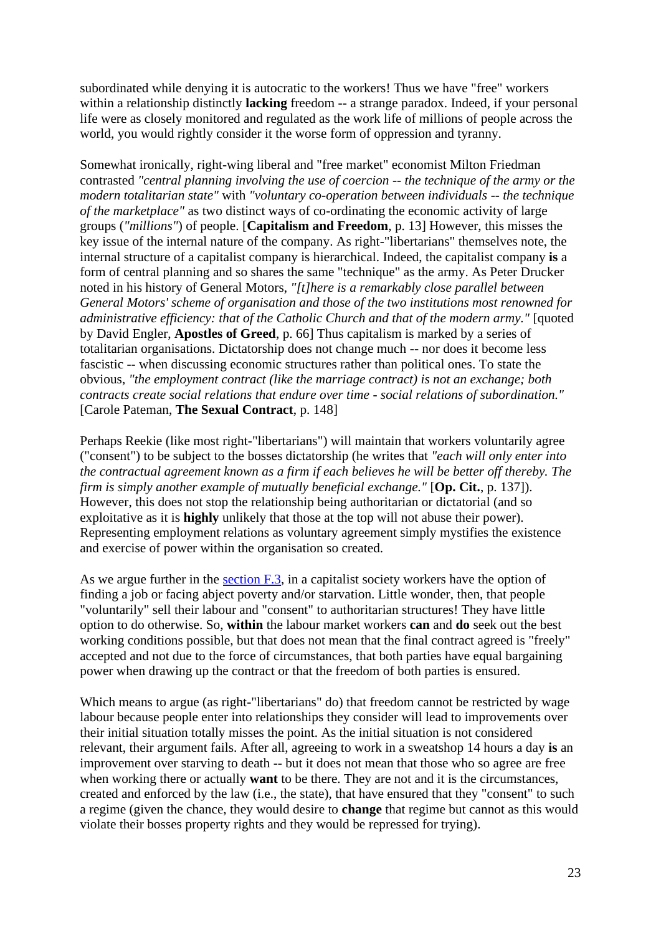subordinated while denying it is autocratic to the workers! Thus we have "free" workers within a relationship distinctly **lacking** freedom -- a strange paradox. Indeed, if your personal life were as closely monitored and regulated as the work life of millions of people across the world, you would rightly consider it the worse form of oppression and tyranny.

Somewhat ironically, right-wing liberal and "free market" economist Milton Friedman contrasted *"central planning involving the use of coercion -- the technique of the army or the modern totalitarian state"* with *"voluntary co-operation between individuals -- the technique of the marketplace"* as two distinct ways of co-ordinating the economic activity of large groups (*"millions"*) of people. [**Capitalism and Freedom**, p. 13] However, this misses the key issue of the internal nature of the company. As right-"libertarians" themselves note, the internal structure of a capitalist company is hierarchical. Indeed, the capitalist company **is** a form of central planning and so shares the same "technique" as the army. As Peter Drucker noted in his history of General Motors, *"[t]here is a remarkably close parallel between General Motors' scheme of organisation and those of the two institutions most renowned for administrative efficiency: that of the Catholic Church and that of the modern army."* [quoted by David Engler, **Apostles of Greed**, p. 66] Thus capitalism is marked by a series of totalitarian organisations. Dictatorship does not change much -- nor does it become less fascistic -- when discussing economic structures rather than political ones. To state the obvious, *"the employment contract (like the marriage contract) is not an exchange; both contracts create social relations that endure over time - social relations of subordination."* [Carole Pateman, **The Sexual Contract**, p. 148]

Perhaps Reekie (like most right-"libertarians") will maintain that workers voluntarily agree ("consent") to be subject to the bosses dictatorship (he writes that *"each will only enter into the contractual agreement known as a firm if each believes he will be better off thereby. The firm is simply another example of mutually beneficial exchange."* [**Op. Cit.**, p. 137]). However, this does not stop the relationship being authoritarian or dictatorial (and so exploitative as it is **highly** unlikely that those at the top will not abuse their power). Representing employment relations as voluntary agreement simply mystifies the existence and exercise of power within the organisation so created.

As we argue further in the [section F.3,](sectionF.html#secf3) in a capitalist society workers have the option of finding a job or facing abject poverty and/or starvation. Little wonder, then, that people "voluntarily" sell their labour and "consent" to authoritarian structures! They have little option to do otherwise. So, **within** the labour market workers **can** and **do** seek out the best working conditions possible, but that does not mean that the final contract agreed is "freely" accepted and not due to the force of circumstances, that both parties have equal bargaining power when drawing up the contract or that the freedom of both parties is ensured.

Which means to argue (as right-"libertarians" do) that freedom cannot be restricted by wage labour because people enter into relationships they consider will lead to improvements over their initial situation totally misses the point. As the initial situation is not considered relevant, their argument fails. After all, agreeing to work in a sweatshop 14 hours a day **is** an improvement over starving to death -- but it does not mean that those who so agree are free when working there or actually **want** to be there. They are not and it is the circumstances, created and enforced by the law (i.e., the state), that have ensured that they "consent" to such a regime (given the chance, they would desire to **change** that regime but cannot as this would violate their bosses property rights and they would be repressed for trying).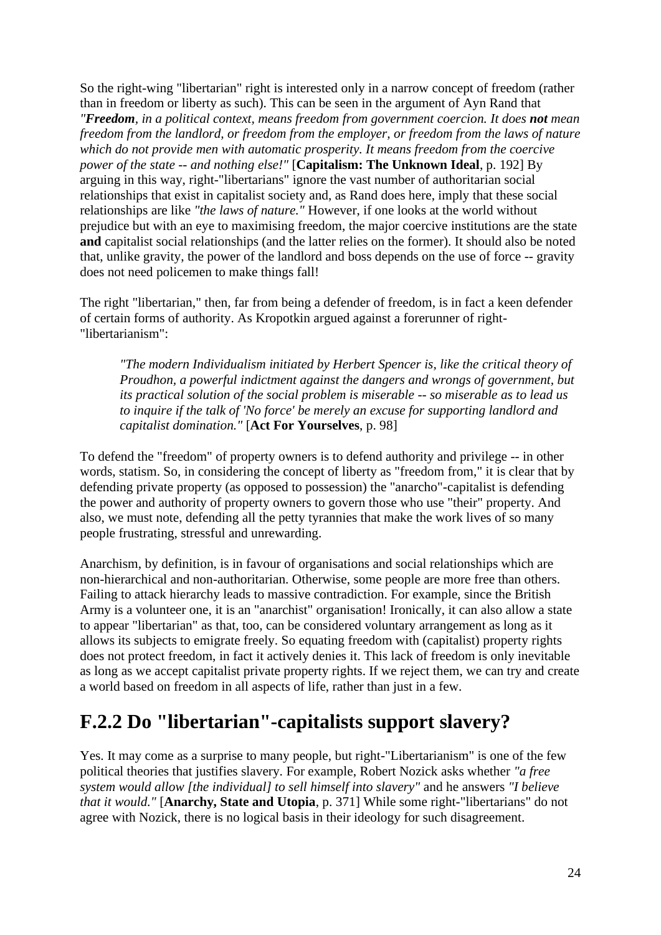So the right-wing "libertarian" right is interested only in a narrow concept of freedom (rather than in freedom or liberty as such). This can be seen in the argument of Ayn Rand that *"Freedom, in a political context, means freedom from government coercion. It does not mean freedom from the landlord, or freedom from the employer, or freedom from the laws of nature which do not provide men with automatic prosperity. It means freedom from the coercive power of the state -- and nothing else!"* [**Capitalism: The Unknown Ideal**, p. 192] By arguing in this way, right-"libertarians" ignore the vast number of authoritarian social relationships that exist in capitalist society and, as Rand does here, imply that these social relationships are like *"the laws of nature."* However, if one looks at the world without prejudice but with an eye to maximising freedom, the major coercive institutions are the state **and** capitalist social relationships (and the latter relies on the former). It should also be noted that, unlike gravity, the power of the landlord and boss depends on the use of force -- gravity does not need policemen to make things fall!

The right "libertarian," then, far from being a defender of freedom, is in fact a keen defender of certain forms of authority. As Kropotkin argued against a forerunner of right- "libertarianism":

*"The modern Individualism initiated by Herbert Spencer is, like the critical theory of Proudhon, a powerful indictment against the dangers and wrongs of government, but its practical solution of the social problem is miserable -- so miserable as to lead us to inquire if the talk of 'No force' be merely an excuse for supporting landlord and capitalist domination."* [**Act For Yourselves**, p. 98]

To defend the "freedom" of property owners is to defend authority and privilege -- in other words, statism. So, in considering the concept of liberty as "freedom from," it is clear that by defending private property (as opposed to possession) the "anarcho"-capitalist is defending the power and authority of property owners to govern those who use "their" property. And also, we must note, defending all the petty tyrannies that make the work lives of so many people frustrating, stressful and unrewarding.

Anarchism, by definition, is in favour of organisations and social relationships which are non-hierarchical and non-authoritarian. Otherwise, some people are more free than others. Failing to attack hierarchy leads to massive contradiction. For example, since the British Army is a volunteer one, it is an "anarchist" organisation! Ironically, it can also allow a state to appear "libertarian" as that, too, can be considered voluntary arrangement as long as it allows its subjects to emigrate freely. So equating freedom with (capitalist) property rights does not protect freedom, in fact it actively denies it. This lack of freedom is only inevitable as long as we accept capitalist private property rights. If we reject them, we can try and create a world based on freedom in all aspects of life, rather than just in a few.

#### <span id="page-23-0"></span>**F.2.2 Do "libertarian"-capitalists support slavery?**

Yes. It may come as a surprise to many people, but right-"Libertarianism" is one of the few political theories that justifies slavery. For example, Robert Nozick asks whether *"a free system would allow [the individual] to sell himself into slavery"* and he answers *"I believe that it would."* [**Anarchy, State and Utopia**, p. 371] While some right-"libertarians" do not agree with Nozick, there is no logical basis in their ideology for such disagreement.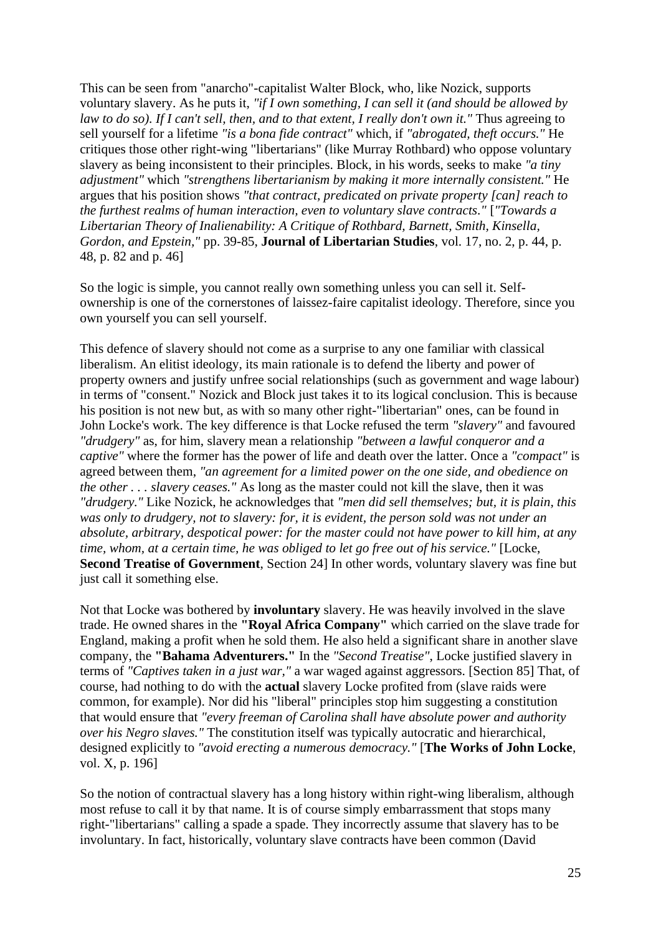This can be seen from "anarcho"-capitalist Walter Block, who, like Nozick, supports voluntary slavery. As he puts it, *"if I own something, I can sell it (and should be allowed by law to do so). If I can't sell, then, and to that extent, I really don't own it."* Thus agreeing to sell yourself for a lifetime *"is a bona fide contract"* which, if *"abrogated, theft occurs."* He critiques those other right-wing "libertarians" (like Murray Rothbard) who oppose voluntary slavery as being inconsistent to their principles. Block, in his words, seeks to make *"a tiny adjustment"* which *"strengthens libertarianism by making it more internally consistent."* He argues that his position shows *"that contract, predicated on private property [can] reach to the furthest realms of human interaction, even to voluntary slave contracts."* [*"Towards a Libertarian Theory of Inalienability: A Critique of Rothbard, Barnett, Smith, Kinsella, Gordon, and Epstein,"* pp. 39-85, **Journal of Libertarian Studies**, vol. 17, no. 2, p. 44, p. 48, p. 82 and p. 46]

So the logic is simple, you cannot really own something unless you can sell it. Selfownership is one of the cornerstones of laissez-faire capitalist ideology. Therefore, since you own yourself you can sell yourself.

This defence of slavery should not come as a surprise to any one familiar with classical liberalism. An elitist ideology, its main rationale is to defend the liberty and power of property owners and justify unfree social relationships (such as government and wage labour) in terms of "consent." Nozick and Block just takes it to its logical conclusion. This is because his position is not new but, as with so many other right-"libertarian" ones, can be found in John Locke's work. The key difference is that Locke refused the term *"slavery"* and favoured *"drudgery"* as, for him, slavery mean a relationship *"between a lawful conqueror and a captive"* where the former has the power of life and death over the latter. Once a *"compact"* is agreed between them, *"an agreement for a limited power on the one side, and obedience on the other . . . slavery ceases."* As long as the master could not kill the slave, then it was *"drudgery."* Like Nozick, he acknowledges that *"men did sell themselves; but, it is plain, this was only to drudgery, not to slavery: for, it is evident, the person sold was not under an absolute, arbitrary, despotical power: for the master could not have power to kill him, at any time, whom, at a certain time, he was obliged to let go free out of his service."* [Locke, **Second Treatise of Government**, Section 24] In other words, voluntary slavery was fine but just call it something else.

Not that Locke was bothered by **involuntary** slavery. He was heavily involved in the slave trade. He owned shares in the **"Royal Africa Company"** which carried on the slave trade for England, making a profit when he sold them. He also held a significant share in another slave company, the **"Bahama Adventurers."** In the *"Second Treatise"*, Locke justified slavery in terms of *"Captives taken in a just war,"* a war waged against aggressors. [Section 85] That, of course, had nothing to do with the **actual** slavery Locke profited from (slave raids were common, for example). Nor did his "liberal" principles stop him suggesting a constitution that would ensure that *"every freeman of Carolina shall have absolute power and authority over his Negro slaves."* The constitution itself was typically autocratic and hierarchical, designed explicitly to *"avoid erecting a numerous democracy."* [**The Works of John Locke**, vol. X, p. 196]

So the notion of contractual slavery has a long history within right-wing liberalism, although most refuse to call it by that name. It is of course simply embarrassment that stops many right-"libertarians" calling a spade a spade. They incorrectly assume that slavery has to be involuntary. In fact, historically, voluntary slave contracts have been common (David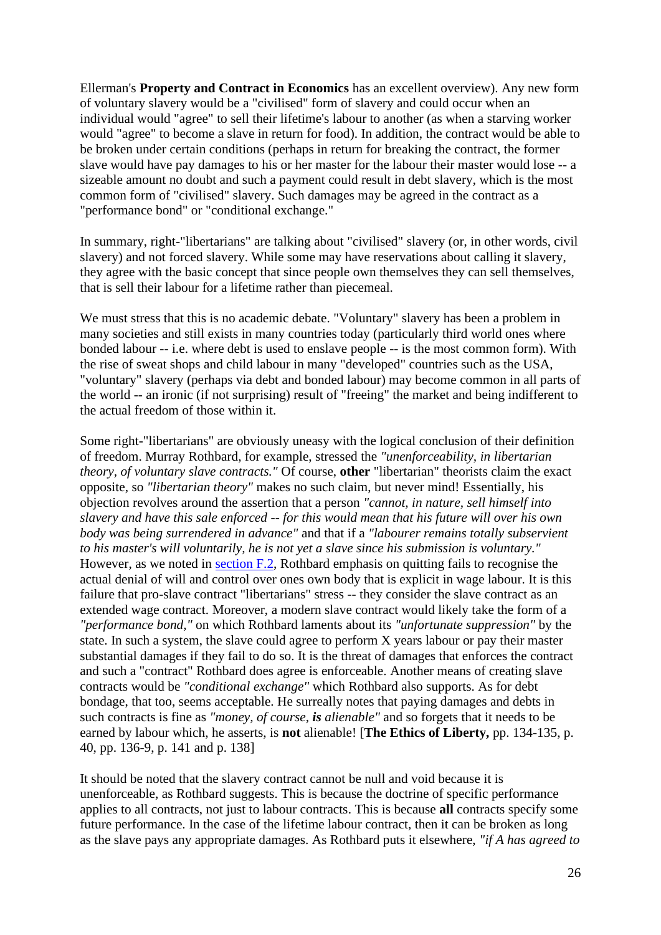Ellerman's **Property and Contract in Economics** has an excellent overview). Any new form of voluntary slavery would be a "civilised" form of slavery and could occur when an individual would "agree" to sell their lifetime's labour to another (as when a starving worker would "agree" to become a slave in return for food). In addition, the contract would be able to be broken under certain conditions (perhaps in return for breaking the contract, the former slave would have pay damages to his or her master for the labour their master would lose -- a sizeable amount no doubt and such a payment could result in debt slavery, which is the most common form of "civilised" slavery. Such damages may be agreed in the contract as a "performance bond" or "conditional exchange."

In summary, right-"libertarians" are talking about "civilised" slavery (or, in other words, civil slavery) and not forced slavery. While some may have reservations about calling it slavery, they agree with the basic concept that since people own themselves they can sell themselves, that is sell their labour for a lifetime rather than piecemeal.

We must stress that this is no academic debate. "Voluntary" slavery has been a problem in many societies and still exists in many countries today (particularly third world ones where bonded labour -- i.e. where debt is used to enslave people -- is the most common form). With the rise of sweat shops and child labour in many "developed" countries such as the USA, "voluntary" slavery (perhaps via debt and bonded labour) may become common in all parts of the world -- an ironic (if not surprising) result of "freeing" the market and being indifferent to the actual freedom of those within it.

Some right-"libertarians" are obviously uneasy with the logical conclusion of their definition of freedom. Murray Rothbard, for example, stressed the *"unenforceability, in libertarian theory, of voluntary slave contracts."* Of course, **other** "libertarian" theorists claim the exact opposite, so *"libertarian theory"* makes no such claim, but never mind! Essentially, his objection revolves around the assertion that a person *"cannot, in nature, sell himself into slavery and have this sale enforced -- for this would mean that his future will over his own body was being surrendered in advance"* and that if a *"labourer remains totally subservient to his master's will voluntarily, he is not yet a slave since his submission is voluntary."* However, as we noted in [section F.2,](sectionF.html#secf2) Rothbard emphasis on quitting fails to recognise the actual denial of will and control over ones own body that is explicit in wage labour. It is this failure that pro-slave contract "libertarians" stress -- they consider the slave contract as an extended wage contract. Moreover, a modern slave contract would likely take the form of a *"performance bond,"* on which Rothbard laments about its *"unfortunate suppression"* by the state. In such a system, the slave could agree to perform X years labour or pay their master substantial damages if they fail to do so. It is the threat of damages that enforces the contract and such a "contract" Rothbard does agree is enforceable. Another means of creating slave contracts would be *"conditional exchange"* which Rothbard also supports. As for debt bondage, that too, seems acceptable. He surreally notes that paying damages and debts in such contracts is fine as *"money, of course, is alienable"* and so forgets that it needs to be earned by labour which, he asserts, is **not** alienable! [**The Ethics of Liberty,** pp. 134-135, p. 40, pp. 136-9, p. 141 and p. 138]

It should be noted that the slavery contract cannot be null and void because it is unenforceable, as Rothbard suggests. This is because the doctrine of specific performance applies to all contracts, not just to labour contracts. This is because **all** contracts specify some future performance. In the case of the lifetime labour contract, then it can be broken as long as the slave pays any appropriate damages. As Rothbard puts it elsewhere, *"if A has agreed to*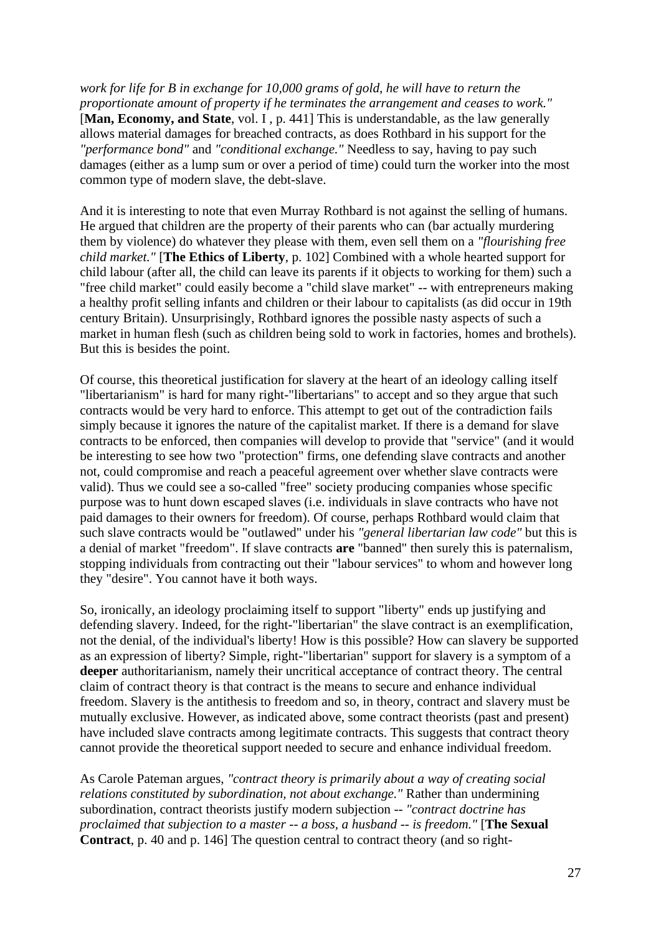*work for life for B in exchange for 10,000 grams of gold, he will have to return the proportionate amount of property if he terminates the arrangement and ceases to work."* [**Man, Economy, and State**, vol. I , p. 441] This is understandable, as the law generally allows material damages for breached contracts, as does Rothbard in his support for the *"performance bond"* and *"conditional exchange."* Needless to say, having to pay such damages (either as a lump sum or over a period of time) could turn the worker into the most common type of modern slave, the debt-slave.

And it is interesting to note that even Murray Rothbard is not against the selling of humans. He argued that children are the property of their parents who can (bar actually murdering them by violence) do whatever they please with them, even sell them on a *"flourishing free child market."* [**The Ethics of Liberty**, p. 102] Combined with a whole hearted support for child labour (after all, the child can leave its parents if it objects to working for them) such a "free child market" could easily become a "child slave market" -- with entrepreneurs making a healthy profit selling infants and children or their labour to capitalists (as did occur in 19th century Britain). Unsurprisingly, Rothbard ignores the possible nasty aspects of such a market in human flesh (such as children being sold to work in factories, homes and brothels). But this is besides the point.

Of course, this theoretical justification for slavery at the heart of an ideology calling itself "libertarianism" is hard for many right-"libertarians" to accept and so they argue that such contracts would be very hard to enforce. This attempt to get out of the contradiction fails simply because it ignores the nature of the capitalist market. If there is a demand for slave contracts to be enforced, then companies will develop to provide that "service" (and it would be interesting to see how two "protection" firms, one defending slave contracts and another not, could compromise and reach a peaceful agreement over whether slave contracts were valid). Thus we could see a so-called "free" society producing companies whose specific purpose was to hunt down escaped slaves (i.e. individuals in slave contracts who have not paid damages to their owners for freedom). Of course, perhaps Rothbard would claim that such slave contracts would be "outlawed" under his *"general libertarian law code"* but this is a denial of market "freedom". If slave contracts **are** "banned" then surely this is paternalism, stopping individuals from contracting out their "labour services" to whom and however long they "desire". You cannot have it both ways.

So, ironically, an ideology proclaiming itself to support "liberty" ends up justifying and defending slavery. Indeed, for the right-"libertarian" the slave contract is an exemplification, not the denial, of the individual's liberty! How is this possible? How can slavery be supported as an expression of liberty? Simple, right-"libertarian" support for slavery is a symptom of a **deeper** authoritarianism, namely their uncritical acceptance of contract theory. The central claim of contract theory is that contract is the means to secure and enhance individual freedom. Slavery is the antithesis to freedom and so, in theory, contract and slavery must be mutually exclusive. However, as indicated above, some contract theorists (past and present) have included slave contracts among legitimate contracts. This suggests that contract theory cannot provide the theoretical support needed to secure and enhance individual freedom.

As Carole Pateman argues, *"contract theory is primarily about a way of creating social relations constituted by subordination, not about exchange."* Rather than undermining subordination, contract theorists justify modern subjection -- *"contract doctrine has proclaimed that subjection to a master -- a boss, a husband -- is freedom."* [**The Sexual Contract**, p. 40 and p. 146] The question central to contract theory (and so right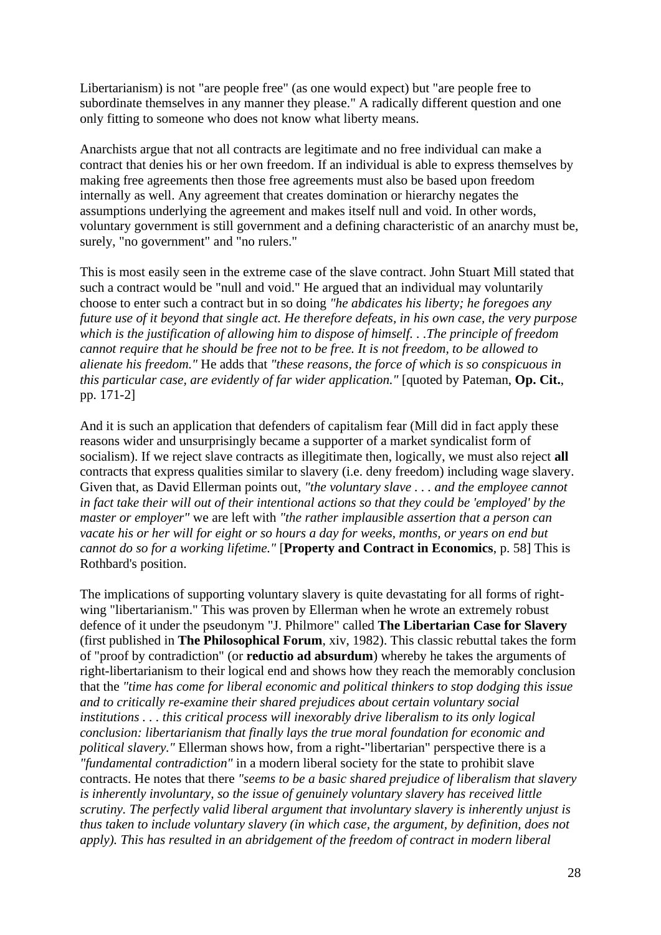Libertarianism) is not "are people free" (as one would expect) but "are people free to subordinate themselves in any manner they please." A radically different question and one only fitting to someone who does not know what liberty means.

Anarchists argue that not all contracts are legitimate and no free individual can make a contract that denies his or her own freedom. If an individual is able to express themselves by making free agreements then those free agreements must also be based upon freedom internally as well. Any agreement that creates domination or hierarchy negates the assumptions underlying the agreement and makes itself null and void. In other words, voluntary government is still government and a defining characteristic of an anarchy must be, surely, "no government" and "no rulers."

This is most easily seen in the extreme case of the slave contract. John Stuart Mill stated that such a contract would be "null and void." He argued that an individual may voluntarily choose to enter such a contract but in so doing *"he abdicates his liberty; he foregoes any future use of it beyond that single act. He therefore defeats, in his own case, the very purpose which is the justification of allowing him to dispose of himself. . .The principle of freedom cannot require that he should be free not to be free. It is not freedom, to be allowed to alienate his freedom."* He adds that *"these reasons, the force of which is so conspicuous in this particular case, are evidently of far wider application."* [quoted by Pateman, **Op. Cit.**, pp. 171-2]

And it is such an application that defenders of capitalism fear (Mill did in fact apply these reasons wider and unsurprisingly became a supporter of a market syndicalist form of socialism). If we reject slave contracts as illegitimate then, logically, we must also reject **all** contracts that express qualities similar to slavery (i.e. deny freedom) including wage slavery. Given that, as David Ellerman points out, *"the voluntary slave . . . and the employee cannot in fact take their will out of their intentional actions so that they could be 'employed' by the master or employer"* we are left with *"the rather implausible assertion that a person can vacate his or her will for eight or so hours a day for weeks, months, or years on end but cannot do so for a working lifetime."* [**Property and Contract in Economics**, p. 58] This is Rothbard's position.

The implications of supporting voluntary slavery is quite devastating for all forms of rightwing "libertarianism." This was proven by Ellerman when he wrote an extremely robust defence of it under the pseudonym "J. Philmore" called **The Libertarian Case for Slavery** (first published in **The Philosophical Forum**, xiv, 1982). This classic rebuttal takes the form of "proof by contradiction" (or **reductio ad absurdum**) whereby he takes the arguments of right-libertarianism to their logical end and shows how they reach the memorably conclusion that the *"time has come for liberal economic and political thinkers to stop dodging this issue and to critically re-examine their shared prejudices about certain voluntary social institutions . . . this critical process will inexorably drive liberalism to its only logical conclusion: libertarianism that finally lays the true moral foundation for economic and political slavery."* Ellerman shows how, from a right-"libertarian" perspective there is a *"fundamental contradiction"* in a modern liberal society for the state to prohibit slave contracts. He notes that there *"seems to be a basic shared prejudice of liberalism that slavery is inherently involuntary, so the issue of genuinely voluntary slavery has received little scrutiny. The perfectly valid liberal argument that involuntary slavery is inherently unjust is thus taken to include voluntary slavery (in which case, the argument, by definition, does not apply). This has resulted in an abridgement of the freedom of contract in modern liberal*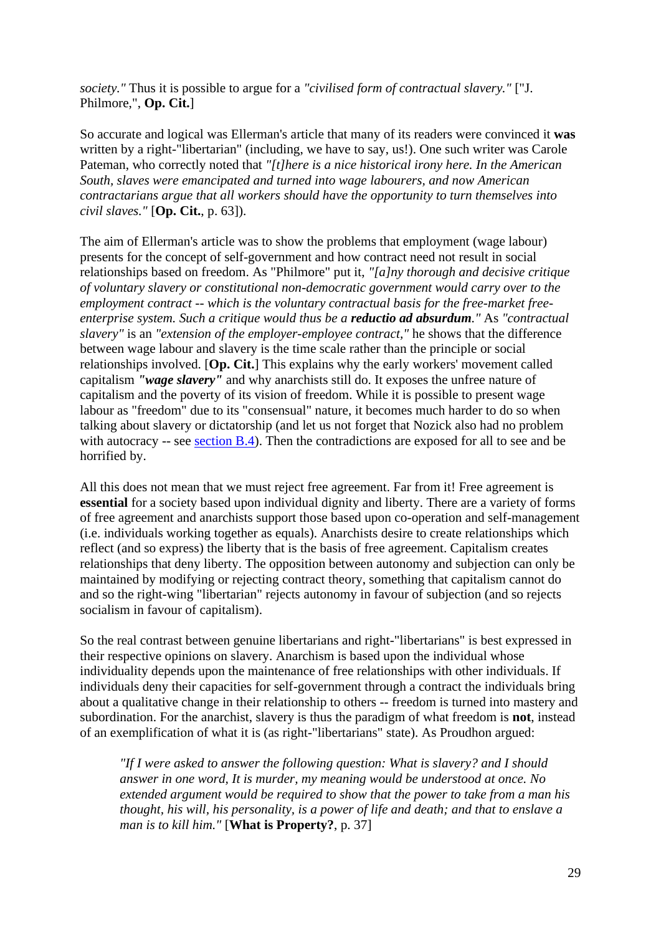*society."* Thus it is possible to argue for a *"civilised form of contractual slavery."* ["J. Philmore,", **Op. Cit.**]

So accurate and logical was Ellerman's article that many of its readers were convinced it **was** written by a right-"libertarian" (including, we have to say, us!). One such writer was Carole Pateman, who correctly noted that *"[t]here is a nice historical irony here. In the American South, slaves were emancipated and turned into wage labourers, and now American contractarians argue that all workers should have the opportunity to turn themselves into civil slaves."* [**Op. Cit.**, p. 63]).

The aim of Ellerman's article was to show the problems that employment (wage labour) presents for the concept of self-government and how contract need not result in social relationships based on freedom. As "Philmore" put it, *"[a]ny thorough and decisive critique of voluntary slavery or constitutional non-democratic government would carry over to the employment contract -- which is the voluntary contractual basis for the free-market freeenterprise system. Such a critique would thus be a reductio ad absurdum."* As *"contractual slavery"* is an *"extension of the employer-employee contract,"* he shows that the difference between wage labour and slavery is the time scale rather than the principle or social relationships involved. [**Op. Cit.**] This explains why the early workers' movement called capitalism *"wage slavery"* and why anarchists still do. It exposes the unfree nature of capitalism and the poverty of its vision of freedom. While it is possible to present wage labour as "freedom" due to its "consensual" nature, it becomes much harder to do so when talking about slavery or dictatorship (and let us not forget that Nozick also had no problem with autocracy -- see [section B.4\)](sectionB.html#secb4). Then the contradictions are exposed for all to see and be horrified by.

All this does not mean that we must reject free agreement. Far from it! Free agreement is **essential** for a society based upon individual dignity and liberty. There are a variety of forms of free agreement and anarchists support those based upon co-operation and self-management (i.e. individuals working together as equals). Anarchists desire to create relationships which reflect (and so express) the liberty that is the basis of free agreement. Capitalism creates relationships that deny liberty. The opposition between autonomy and subjection can only be maintained by modifying or rejecting contract theory, something that capitalism cannot do and so the right-wing "libertarian" rejects autonomy in favour of subjection (and so rejects socialism in favour of capitalism).

So the real contrast between genuine libertarians and right-"libertarians" is best expressed in their respective opinions on slavery. Anarchism is based upon the individual whose individuality depends upon the maintenance of free relationships with other individuals. If individuals deny their capacities for self-government through a contract the individuals bring about a qualitative change in their relationship to others -- freedom is turned into mastery and subordination. For the anarchist, slavery is thus the paradigm of what freedom is **not**, instead of an exemplification of what it is (as right-"libertarians" state). As Proudhon argued:

*"If I were asked to answer the following question: What is slavery? and I should answer in one word, It is murder, my meaning would be understood at once. No extended argument would be required to show that the power to take from a man his thought, his will, his personality, is a power of life and death; and that to enslave a man is to kill him."* [**What is Property?**, p. 37]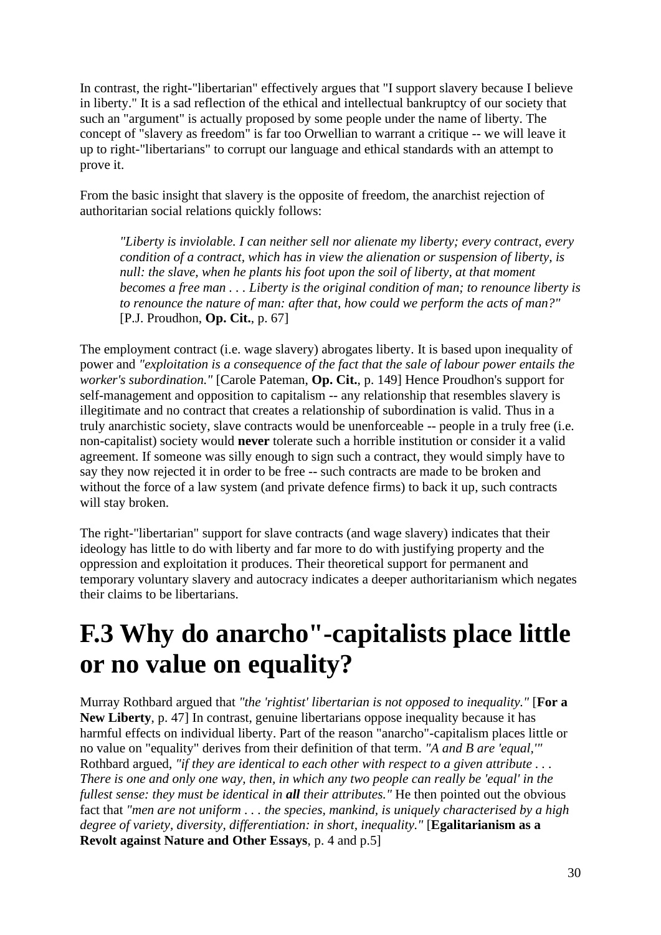In contrast, the right-"libertarian" effectively argues that "I support slavery because I believe in liberty." It is a sad reflection of the ethical and intellectual bankruptcy of our society that such an "argument" is actually proposed by some people under the name of liberty. The concept of "slavery as freedom" is far too Orwellian to warrant a critique -- we will leave it up to right-"libertarians" to corrupt our language and ethical standards with an attempt to prove it.

From the basic insight that slavery is the opposite of freedom, the anarchist rejection of authoritarian social relations quickly follows:

*"Liberty is inviolable. I can neither sell nor alienate my liberty; every contract, every condition of a contract, which has in view the alienation or suspension of liberty, is null: the slave, when he plants his foot upon the soil of liberty, at that moment becomes a free man . . . Liberty is the original condition of man; to renounce liberty is to renounce the nature of man: after that, how could we perform the acts of man?"* [P.J. Proudhon, **Op. Cit.**, p. 67]

The employment contract (i.e. wage slavery) abrogates liberty. It is based upon inequality of power and *"exploitation is a consequence of the fact that the sale of labour power entails the worker's subordination."* [Carole Pateman, **Op. Cit.**, p. 149] Hence Proudhon's support for self-management and opposition to capitalism -- any relationship that resembles slavery is illegitimate and no contract that creates a relationship of subordination is valid. Thus in a truly anarchistic society, slave contracts would be unenforceable -- people in a truly free (i.e. non-capitalist) society would **never** tolerate such a horrible institution or consider it a valid agreement. If someone was silly enough to sign such a contract, they would simply have to say they now rejected it in order to be free -- such contracts are made to be broken and without the force of a law system (and private defence firms) to back it up, such contracts will stay broken.

The right-"libertarian" support for slave contracts (and wage slavery) indicates that their ideology has little to do with liberty and far more to do with justifying property and the oppression and exploitation it produces. Their theoretical support for permanent and temporary voluntary slavery and autocracy indicates a deeper authoritarianism which negates their claims to be libertarians.

# <span id="page-29-0"></span>**F.3 Why do anarcho"-capitalists place little or no value on equality?**

Murray Rothbard argued that *"the 'rightist' libertarian is not opposed to inequality."* [**For a New Liberty**, p. 47] In contrast, genuine libertarians oppose inequality because it has harmful effects on individual liberty. Part of the reason "anarcho"-capitalism places little or no value on "equality" derives from their definition of that term. *"A and B are 'equal,'"* Rothbard argued, *"if they are identical to each other with respect to a given attribute . . . There is one and only one way, then, in which any two people can really be 'equal' in the fullest sense: they must be identical in all their attributes."* He then pointed out the obvious fact that *"men are not uniform . . . the species, mankind, is uniquely characterised by a high degree of variety, diversity, differentiation: in short, inequality."* [**Egalitarianism as a Revolt against Nature and Other Essays**, p. 4 and p.5]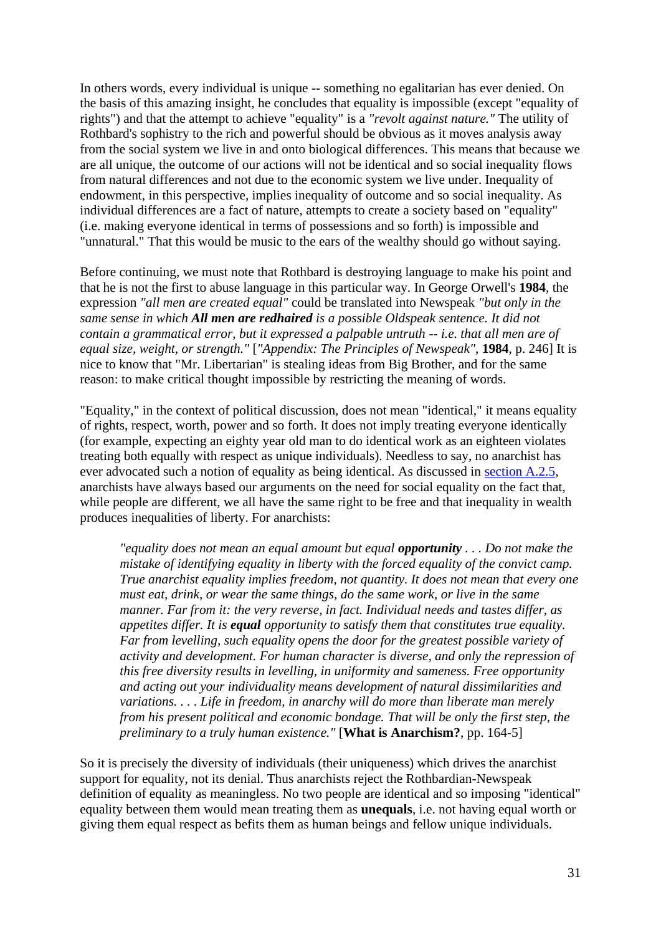In others words, every individual is unique -- something no egalitarian has ever denied. On the basis of this amazing insight, he concludes that equality is impossible (except "equality of rights") and that the attempt to achieve "equality" is a *"revolt against nature."* The utility of Rothbard's sophistry to the rich and powerful should be obvious as it moves analysis away from the social system we live in and onto biological differences. This means that because we are all unique, the outcome of our actions will not be identical and so social inequality flows from natural differences and not due to the economic system we live under. Inequality of endowment, in this perspective, implies inequality of outcome and so social inequality. As individual differences are a fact of nature, attempts to create a society based on "equality" (i.e. making everyone identical in terms of possessions and so forth) is impossible and "unnatural." That this would be music to the ears of the wealthy should go without saying.

Before continuing, we must note that Rothbard is destroying language to make his point and that he is not the first to abuse language in this particular way. In George Orwell's **1984**, the expression *"all men are created equal"* could be translated into Newspeak *"but only in the same sense in which All men are redhaired is a possible Oldspeak sentence. It did not contain a grammatical error, but it expressed a palpable untruth -- i.e. that all men are of equal size, weight, or strength."* [*"Appendix: The Principles of Newspeak"*, **1984**, p. 246] It is nice to know that "Mr. Libertarian" is stealing ideas from Big Brother, and for the same reason: to make critical thought impossible by restricting the meaning of words.

"Equality," in the context of political discussion, does not mean "identical," it means equality of rights, respect, worth, power and so forth. It does not imply treating everyone identically (for example, expecting an eighty year old man to do identical work as an eighteen violates treating both equally with respect as unique individuals). Needless to say, no anarchist has ever advocated such a notion of equality as being identical. As discussed in [section A.2.5,](sectionA.html#seca25) anarchists have always based our arguments on the need for social equality on the fact that, while people are different, we all have the same right to be free and that inequality in wealth produces inequalities of liberty. For anarchists:

*"equality does not mean an equal amount but equal opportunity . . . Do not make the mistake of identifying equality in liberty with the forced equality of the convict camp. True anarchist equality implies freedom, not quantity. It does not mean that every one must eat, drink, or wear the same things, do the same work, or live in the same manner. Far from it: the very reverse, in fact. Individual needs and tastes differ, as appetites differ. It is equal opportunity to satisfy them that constitutes true equality. Far from levelling, such equality opens the door for the greatest possible variety of activity and development. For human character is diverse, and only the repression of this free diversity results in levelling, in uniformity and sameness. Free opportunity and acting out your individuality means development of natural dissimilarities and variations. . . . Life in freedom, in anarchy will do more than liberate man merely from his present political and economic bondage. That will be only the first step, the preliminary to a truly human existence."* [**What is Anarchism?**, pp. 164-5]

So it is precisely the diversity of individuals (their uniqueness) which drives the anarchist support for equality, not its denial. Thus anarchists reject the Rothbardian-Newspeak definition of equality as meaningless. No two people are identical and so imposing "identical" equality between them would mean treating them as **unequals**, i.e. not having equal worth or giving them equal respect as befits them as human beings and fellow unique individuals.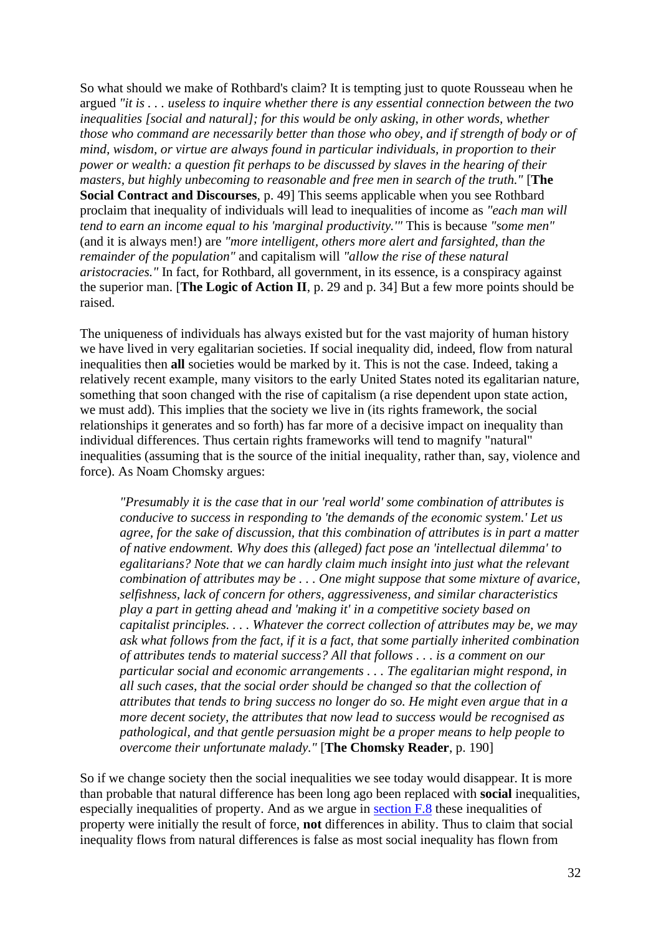So what should we make of Rothbard's claim? It is tempting just to quote Rousseau when he argued *"it is . . . useless to inquire whether there is any essential connection between the two inequalities [social and natural]; for this would be only asking, in other words, whether those who command are necessarily better than those who obey, and if strength of body or of mind, wisdom, or virtue are always found in particular individuals, in proportion to their power or wealth: a question fit perhaps to be discussed by slaves in the hearing of their masters, but highly unbecoming to reasonable and free men in search of the truth."* [**The Social Contract and Discourses**, p. 49] This seems applicable when you see Rothbard proclaim that inequality of individuals will lead to inequalities of income as *"each man will tend to earn an income equal to his 'marginal productivity.'"* This is because *"some men"* (and it is always men!) are *"more intelligent, others more alert and farsighted, than the remainder of the population"* and capitalism will *"allow the rise of these natural aristocracies."* In fact, for Rothbard, all government, in its essence, is a conspiracy against the superior man. [**The Logic of Action II**, p. 29 and p. 34] But a few more points should be raised.

The uniqueness of individuals has always existed but for the vast majority of human history we have lived in very egalitarian societies. If social inequality did, indeed, flow from natural inequalities then **all** societies would be marked by it. This is not the case. Indeed, taking a relatively recent example, many visitors to the early United States noted its egalitarian nature, something that soon changed with the rise of capitalism (a rise dependent upon state action, we must add). This implies that the society we live in (its rights framework, the social relationships it generates and so forth) has far more of a decisive impact on inequality than individual differences. Thus certain rights frameworks will tend to magnify "natural" inequalities (assuming that is the source of the initial inequality, rather than, say, violence and force). As Noam Chomsky argues:

*"Presumably it is the case that in our 'real world' some combination of attributes is conducive to success in responding to 'the demands of the economic system.' Let us agree, for the sake of discussion, that this combination of attributes is in part a matter of native endowment. Why does this (alleged) fact pose an 'intellectual dilemma' to egalitarians? Note that we can hardly claim much insight into just what the relevant combination of attributes may be . . . One might suppose that some mixture of avarice, selfishness, lack of concern for others, aggressiveness, and similar characteristics play a part in getting ahead and 'making it' in a competitive society based on capitalist principles. . . . Whatever the correct collection of attributes may be, we may ask what follows from the fact, if it is a fact, that some partially inherited combination of attributes tends to material success? All that follows . . . is a comment on our particular social and economic arrangements . . . The egalitarian might respond, in all such cases, that the social order should be changed so that the collection of attributes that tends to bring success no longer do so. He might even argue that in a more decent society, the attributes that now lead to success would be recognised as pathological, and that gentle persuasion might be a proper means to help people to overcome their unfortunate malady."* [**The Chomsky Reader**, p. 190]

So if we change society then the social inequalities we see today would disappear. It is more than probable that natural difference has been long ago been replaced with **social** inequalities, especially inequalities of property. And as we argue in [section F.8](sectionF.html#secf8) these inequalities of property were initially the result of force, **not** differences in ability. Thus to claim that social inequality flows from natural differences is false as most social inequality has flown from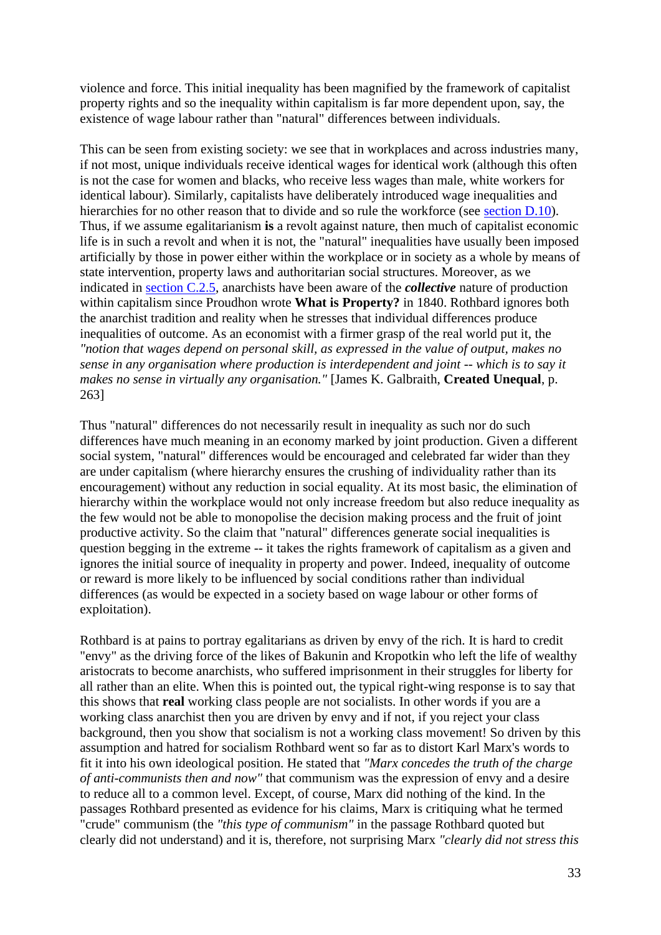violence and force. This initial inequality has been magnified by the framework of capitalist property rights and so the inequality within capitalism is far more dependent upon, say, the existence of wage labour rather than "natural" differences between individuals.

This can be seen from existing society: we see that in workplaces and across industries many, if not most, unique individuals receive identical wages for identical work (although this often is not the case for women and blacks, who receive less wages than male, white workers for identical labour). Similarly, capitalists have deliberately introduced wage inequalities and hierarchies for no other reason that to divide and so rule the workforce (see [section D.10\)](sectionD.html#secd10). Thus, if we assume egalitarianism **is** a revolt against nature, then much of capitalist economic life is in such a revolt and when it is not, the "natural" inequalities have usually been imposed artificially by those in power either within the workplace or in society as a whole by means of state intervention, property laws and authoritarian social structures. Moreover, as we indicated in [section C.2.5,](sectionC.html#secc25) anarchists have been aware of the *collective* nature of production within capitalism since Proudhon wrote **What is Property?** in 1840. Rothbard ignores both the anarchist tradition and reality when he stresses that individual differences produce inequalities of outcome. As an economist with a firmer grasp of the real world put it, the *"notion that wages depend on personal skill, as expressed in the value of output, makes no sense in any organisation where production is interdependent and joint -- which is to say it makes no sense in virtually any organisation."* [James K. Galbraith, **Created Unequal**, p. 263]

Thus "natural" differences do not necessarily result in inequality as such nor do such differences have much meaning in an economy marked by joint production. Given a different social system, "natural" differences would be encouraged and celebrated far wider than they are under capitalism (where hierarchy ensures the crushing of individuality rather than its encouragement) without any reduction in social equality. At its most basic, the elimination of hierarchy within the workplace would not only increase freedom but also reduce inequality as the few would not be able to monopolise the decision making process and the fruit of joint productive activity. So the claim that "natural" differences generate social inequalities is question begging in the extreme -- it takes the rights framework of capitalism as a given and ignores the initial source of inequality in property and power. Indeed, inequality of outcome or reward is more likely to be influenced by social conditions rather than individual differences (as would be expected in a society based on wage labour or other forms of exploitation).

Rothbard is at pains to portray egalitarians as driven by envy of the rich. It is hard to credit "envy" as the driving force of the likes of Bakunin and Kropotkin who left the life of wealthy aristocrats to become anarchists, who suffered imprisonment in their struggles for liberty for all rather than an elite. When this is pointed out, the typical right-wing response is to say that this shows that **real** working class people are not socialists. In other words if you are a working class anarchist then you are driven by envy and if not, if you reject your class background, then you show that socialism is not a working class movement! So driven by this assumption and hatred for socialism Rothbard went so far as to distort Karl Marx's words to fit it into his own ideological position. He stated that *"Marx concedes the truth of the charge of anti-communists then and now"* that communism was the expression of envy and a desire to reduce all to a common level. Except, of course, Marx did nothing of the kind. In the passages Rothbard presented as evidence for his claims, Marx is critiquing what he termed "crude" communism (the *"this type of communism"* in the passage Rothbard quoted but clearly did not understand) and it is, therefore, not surprising Marx *"clearly did not stress this*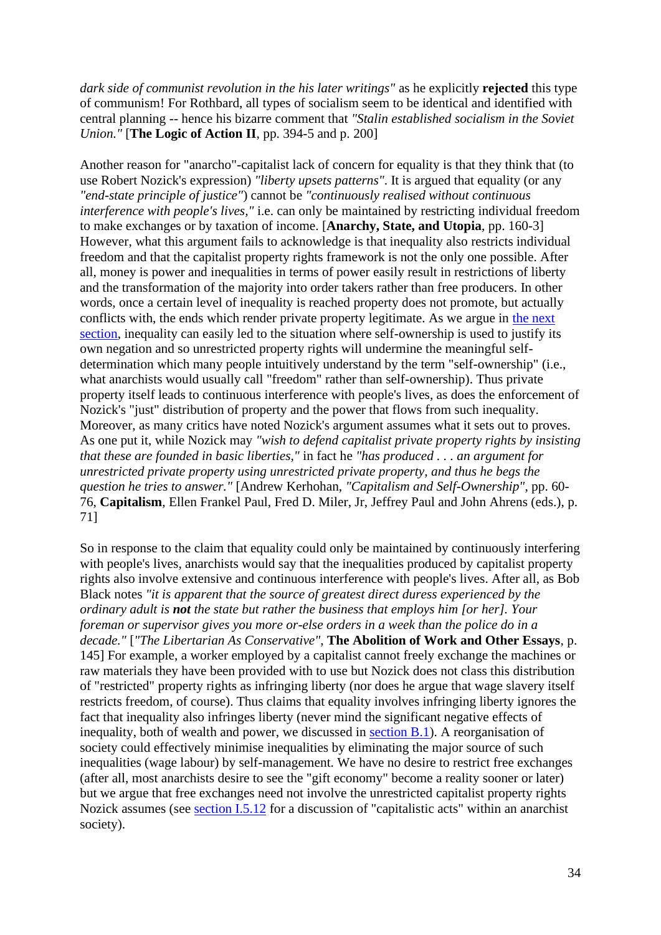*dark side of communist revolution in the his later writings"* as he explicitly **rejected** this type of communism! For Rothbard, all types of socialism seem to be identical and identified with central planning -- hence his bizarre comment that *"Stalin established socialism in the Soviet Union."* [**The Logic of Action II**, pp. 394-5 and p. 200]

Another reason for "anarcho"-capitalist lack of concern for equality is that they think that (to use Robert Nozick's expression) *"liberty upsets patterns"*. It is argued that equality (or any *"end-state principle of justice"*) cannot be *"continuously realised without continuous interference with people's lives,"* i.e. can only be maintained by restricting individual freedom to make exchanges or by taxation of income. [**Anarchy, State, and Utopia**, pp. 160-3] However, what this argument fails to acknowledge is that inequality also restricts individual freedom and that the capitalist property rights framework is not the only one possible. After all, money is power and inequalities in terms of power easily result in restrictions of liberty and the transformation of the majority into order takers rather than free producers. In other words, once a certain level of inequality is reached property does not promote, but actually conflicts with, the ends which render private property legitimate. As we argue in [the next](sectionF.html#secf31)  [section,](sectionF.html#secf31) inequality can easily led to the situation where self-ownership is used to justify its own negation and so unrestricted property rights will undermine the meaningful selfdetermination which many people intuitively understand by the term "self-ownership" (i.e., what anarchists would usually call "freedom" rather than self-ownership). Thus private property itself leads to continuous interference with people's lives, as does the enforcement of Nozick's "just" distribution of property and the power that flows from such inequality. Moreover, as many critics have noted Nozick's argument assumes what it sets out to proves. As one put it, while Nozick may *"wish to defend capitalist private property rights by insisting that these are founded in basic liberties,"* in fact he *"has produced . . . an argument for unrestricted private property using unrestricted private property, and thus he begs the question he tries to answer."* [Andrew Kerhohan, *"Capitalism and Self-Ownership"*, pp. 60- 76, **Capitalism**, Ellen Frankel Paul, Fred D. Miler, Jr, Jeffrey Paul and John Ahrens (eds.), p. 71]

So in response to the claim that equality could only be maintained by continuously interfering with people's lives, anarchists would say that the inequalities produced by capitalist property rights also involve extensive and continuous interference with people's lives. After all, as Bob Black notes *"it is apparent that the source of greatest direct duress experienced by the ordinary adult is not the state but rather the business that employs him [or her]. Your foreman or supervisor gives you more or-else orders in a week than the police do in a decade."* [*"The Libertarian As Conservative"*, **The Abolition of Work and Other Essays**, p. 145] For example, a worker employed by a capitalist cannot freely exchange the machines or raw materials they have been provided with to use but Nozick does not class this distribution of "restricted" property rights as infringing liberty (nor does he argue that wage slavery itself restricts freedom, of course). Thus claims that equality involves infringing liberty ignores the fact that inequality also infringes liberty (never mind the significant negative effects of inequality, both of wealth and power, we discussed in [section B.1\)](sectionB.html#secb1). A reorganisation of society could effectively minimise inequalities by eliminating the major source of such inequalities (wage labour) by self-management. We have no desire to restrict free exchanges (after all, most anarchists desire to see the "gift economy" become a reality sooner or later) but we argue that free exchanges need not involve the unrestricted capitalist property rights Nozick assumes (see [section I.5.12](sectionI.html#seci512) for a discussion of "capitalistic acts" within an anarchist society).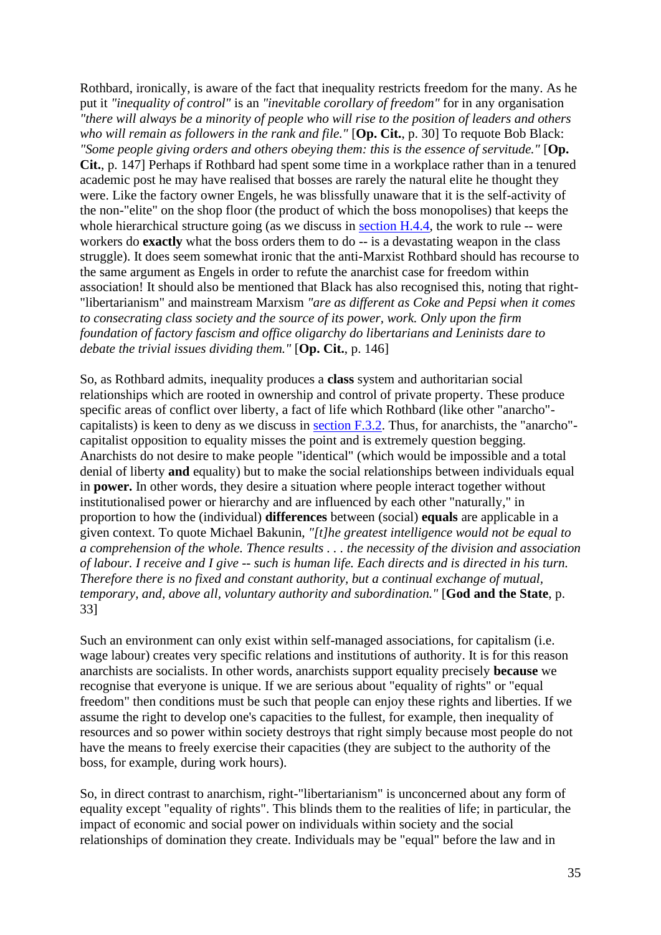Rothbard, ironically, is aware of the fact that inequality restricts freedom for the many. As he put it *"inequality of control"* is an *"inevitable corollary of freedom"* for in any organisation *"there will always be a minority of people who will rise to the position of leaders and others who will remain as followers in the rank and file."* [**Op. Cit.**, p. 30] To requote Bob Black: *"Some people giving orders and others obeying them: this is the essence of servitude."* [**Op. Cit.**, p. 147] Perhaps if Rothbard had spent some time in a workplace rather than in a tenured academic post he may have realised that bosses are rarely the natural elite he thought they were. Like the factory owner Engels, he was blissfully unaware that it is the self-activity of the non-"elite" on the shop floor (the product of which the boss monopolises) that keeps the whole hierarchical structure going (as we discuss in [section H.4.4,](sectionH.html#sech44) the work to rule -- were workers do **exactly** what the boss orders them to do -- is a devastating weapon in the class struggle). It does seem somewhat ironic that the anti-Marxist Rothbard should has recourse to the same argument as Engels in order to refute the anarchist case for freedom within association! It should also be mentioned that Black has also recognised this, noting that right- "libertarianism" and mainstream Marxism *"are as different as Coke and Pepsi when it comes to consecrating class society and the source of its power, work. Only upon the firm foundation of factory fascism and office oligarchy do libertarians and Leninists dare to debate the trivial issues dividing them."* [**Op. Cit.**, p. 146]

So, as Rothbard admits, inequality produces a **class** system and authoritarian social relationships which are rooted in ownership and control of private property. These produce specific areas of conflict over liberty, a fact of life which Rothbard (like other "anarcho" capitalists) is keen to deny as we discuss in [section F.3.2.](sectionF.html#secf32) Thus, for anarchists, the "anarcho" capitalist opposition to equality misses the point and is extremely question begging. Anarchists do not desire to make people "identical" (which would be impossible and a total denial of liberty **and** equality) but to make the social relationships between individuals equal in **power.** In other words, they desire a situation where people interact together without institutionalised power or hierarchy and are influenced by each other "naturally," in proportion to how the (individual) **differences** between (social) **equals** are applicable in a given context. To quote Michael Bakunin, *"[t]he greatest intelligence would not be equal to a comprehension of the whole. Thence results . . . the necessity of the division and association of labour. I receive and I give -- such is human life. Each directs and is directed in his turn. Therefore there is no fixed and constant authority, but a continual exchange of mutual, temporary, and, above all, voluntary authority and subordination."* [**God and the State**, p. 33]

Such an environment can only exist within self-managed associations, for capitalism (i.e. wage labour) creates very specific relations and institutions of authority. It is for this reason anarchists are socialists. In other words, anarchists support equality precisely **because** we recognise that everyone is unique. If we are serious about "equality of rights" or "equal freedom" then conditions must be such that people can enjoy these rights and liberties. If we assume the right to develop one's capacities to the fullest, for example, then inequality of resources and so power within society destroys that right simply because most people do not have the means to freely exercise their capacities (they are subject to the authority of the boss, for example, during work hours).

So, in direct contrast to anarchism, right-"libertarianism" is unconcerned about any form of equality except "equality of rights". This blinds them to the realities of life; in particular, the impact of economic and social power on individuals within society and the social relationships of domination they create. Individuals may be "equal" before the law and in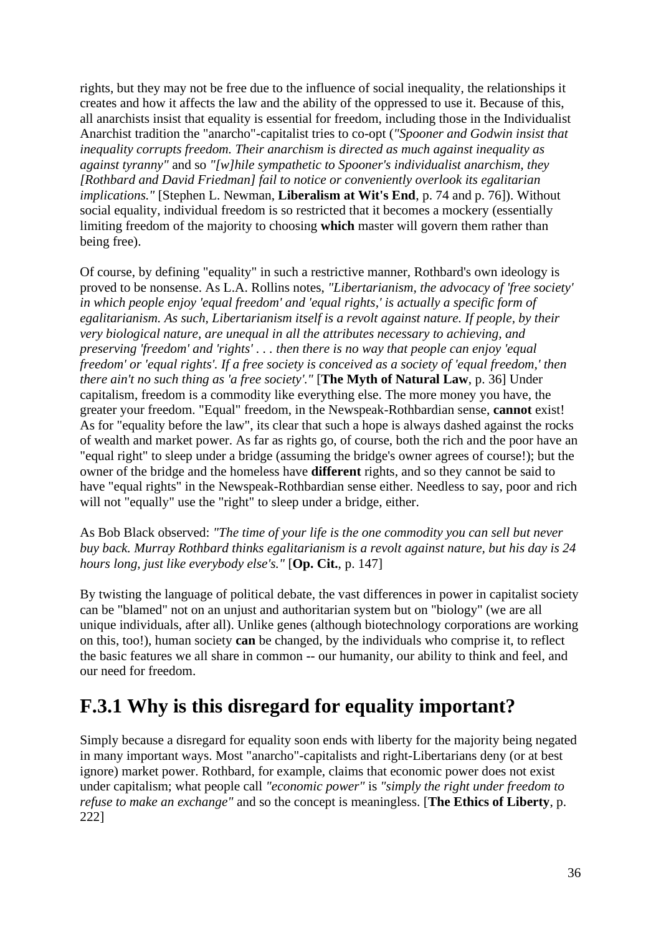rights, but they may not be free due to the influence of social inequality, the relationships it creates and how it affects the law and the ability of the oppressed to use it. Because of this, all anarchists insist that equality is essential for freedom, including those in the Individualist Anarchist tradition the "anarcho"-capitalist tries to co-opt (*"Spooner and Godwin insist that inequality corrupts freedom. Their anarchism is directed as much against inequality as against tyranny"* and so *"[w]hile sympathetic to Spooner's individualist anarchism, they [Rothbard and David Friedman] fail to notice or conveniently overlook its egalitarian implications."* [Stephen L. Newman, **Liberalism at Wit's End**, p. 74 and p. 76]). Without social equality, individual freedom is so restricted that it becomes a mockery (essentially limiting freedom of the majority to choosing **which** master will govern them rather than being free).

Of course, by defining "equality" in such a restrictive manner, Rothbard's own ideology is proved to be nonsense. As L.A. Rollins notes, *"Libertarianism, the advocacy of 'free society' in which people enjoy 'equal freedom' and 'equal rights,' is actually a specific form of egalitarianism. As such, Libertarianism itself is a revolt against nature. If people, by their very biological nature, are unequal in all the attributes necessary to achieving, and preserving 'freedom' and 'rights' . . . then there is no way that people can enjoy 'equal freedom' or 'equal rights'. If a free society is conceived as a society of 'equal freedom,' then there ain't no such thing as 'a free society'."* [**The Myth of Natural Law**, p. 36] Under capitalism, freedom is a commodity like everything else. The more money you have, the greater your freedom. "Equal" freedom, in the Newspeak-Rothbardian sense, **cannot** exist! As for "equality before the law", its clear that such a hope is always dashed against the rocks of wealth and market power. As far as rights go, of course, both the rich and the poor have an "equal right" to sleep under a bridge (assuming the bridge's owner agrees of course!); but the owner of the bridge and the homeless have **different** rights, and so they cannot be said to have "equal rights" in the Newspeak-Rothbardian sense either. Needless to say, poor and rich will not "equally" use the "right" to sleep under a bridge, either.

As Bob Black observed: *"The time of your life is the one commodity you can sell but never buy back. Murray Rothbard thinks egalitarianism is a revolt against nature, but his day is 24 hours long, just like everybody else's."* [**Op. Cit.**, p. 147]

By twisting the language of political debate, the vast differences in power in capitalist society can be "blamed" not on an unjust and authoritarian system but on "biology" (we are all unique individuals, after all). Unlike genes (although biotechnology corporations are working on this, too!), human society **can** be changed, by the individuals who comprise it, to reflect the basic features we all share in common -- our humanity, our ability to think and feel, and our need for freedom.

#### <span id="page-35-0"></span>**F.3.1 Why is this disregard for equality important?**

Simply because a disregard for equality soon ends with liberty for the majority being negated in many important ways. Most "anarcho"-capitalists and right-Libertarians deny (or at best ignore) market power. Rothbard, for example, claims that economic power does not exist under capitalism; what people call *"economic power"* is *"simply the right under freedom to refuse to make an exchange"* and so the concept is meaningless. [**The Ethics of Liberty**, p. 222]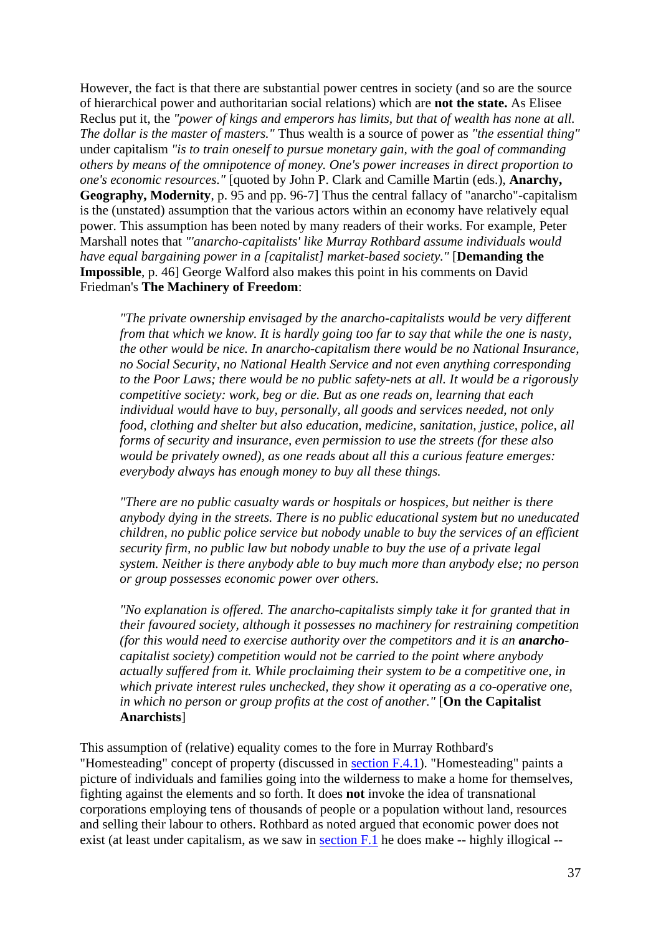However, the fact is that there are substantial power centres in society (and so are the source of hierarchical power and authoritarian social relations) which are **not the state.** As Elisee Reclus put it, the *"power of kings and emperors has limits, but that of wealth has none at all. The dollar is the master of masters."* Thus wealth is a source of power as *"the essential thing"* under capitalism *"is to train oneself to pursue monetary gain, with the goal of commanding others by means of the omnipotence of money. One's power increases in direct proportion to one's economic resources."* [quoted by John P. Clark and Camille Martin (eds.), **Anarchy, Geography, Modernity**, p. 95 and pp. 96-7] Thus the central fallacy of "anarcho"-capitalism is the (unstated) assumption that the various actors within an economy have relatively equal power. This assumption has been noted by many readers of their works. For example, Peter Marshall notes that *"'anarcho-capitalists' like Murray Rothbard assume individuals would have equal bargaining power in a [capitalist] market-based society."* [**Demanding the Impossible**, p. 46] George Walford also makes this point in his comments on David Friedman's **The Machinery of Freedom**:

*"The private ownership envisaged by the anarcho-capitalists would be very different from that which we know. It is hardly going too far to say that while the one is nasty, the other would be nice. In anarcho-capitalism there would be no National Insurance, no Social Security, no National Health Service and not even anything corresponding to the Poor Laws; there would be no public safety-nets at all. It would be a rigorously competitive society: work, beg or die. But as one reads on, learning that each individual would have to buy, personally, all goods and services needed, not only food, clothing and shelter but also education, medicine, sanitation, justice, police, all forms of security and insurance, even permission to use the streets (for these also would be privately owned), as one reads about all this a curious feature emerges: everybody always has enough money to buy all these things.*

*"There are no public casualty wards or hospitals or hospices, but neither is there anybody dying in the streets. There is no public educational system but no uneducated children, no public police service but nobody unable to buy the services of an efficient security firm, no public law but nobody unable to buy the use of a private legal system. Neither is there anybody able to buy much more than anybody else; no person or group possesses economic power over others.*

*"No explanation is offered. The anarcho-capitalists simply take it for granted that in their favoured society, although it possesses no machinery for restraining competition*  (for this would need to exercise authority over the competitors and it is an **anarcho***capitalist society) competition would not be carried to the point where anybody actually suffered from it. While proclaiming their system to be a competitive one, in which private interest rules unchecked, they show it operating as a co-operative one, in which no person or group profits at the cost of another."* [**On the Capitalist Anarchists**]

This assumption of (relative) equality comes to the fore in Murray Rothbard's "Homesteading" concept of property (discussed in [section F.4.1\)](sectionF.html#secf41). "Homesteading" paints a picture of individuals and families going into the wilderness to make a home for themselves, fighting against the elements and so forth. It does **not** invoke the idea of transnational corporations employing tens of thousands of people or a population without land, resources and selling their labour to others. Rothbard as noted argued that economic power does not exist (at least under capitalism, as we saw in [section F.1](sectionF.html#secf1) he does make -- highly illogical --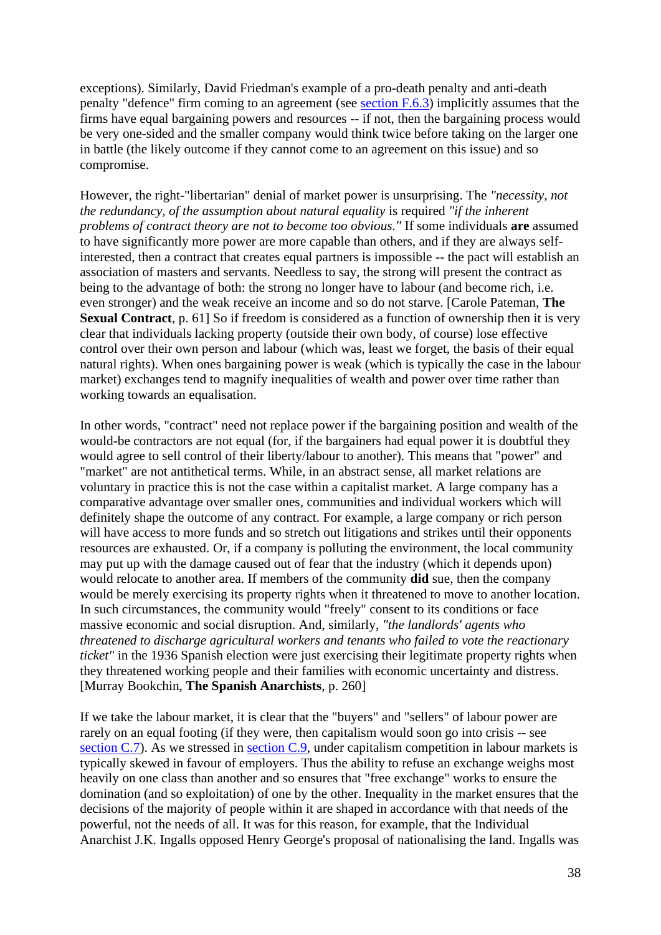exceptions). Similarly, David Friedman's example of a pro-death penalty and anti-death penalty "defence" firm coming to an agreement (see [section F.6.3\)](sectionF.html#secf63) implicitly assumes that the firms have equal bargaining powers and resources -- if not, then the bargaining process would be very one-sided and the smaller company would think twice before taking on the larger one in battle (the likely outcome if they cannot come to an agreement on this issue) and so compromise.

However, the right-"libertarian" denial of market power is unsurprising. The *"necessity, not the redundancy, of the assumption about natural equality* is required *"if the inherent problems of contract theory are not to become too obvious."* If some individuals **are** assumed to have significantly more power are more capable than others, and if they are always selfinterested, then a contract that creates equal partners is impossible -- the pact will establish an association of masters and servants. Needless to say, the strong will present the contract as being to the advantage of both: the strong no longer have to labour (and become rich, i.e. even stronger) and the weak receive an income and so do not starve. [Carole Pateman, **The Sexual Contract**, p. 61] So if freedom is considered as a function of ownership then it is very clear that individuals lacking property (outside their own body, of course) lose effective control over their own person and labour (which was, least we forget, the basis of their equal natural rights). When ones bargaining power is weak (which is typically the case in the labour market) exchanges tend to magnify inequalities of wealth and power over time rather than working towards an equalisation.

In other words, "contract" need not replace power if the bargaining position and wealth of the would-be contractors are not equal (for, if the bargainers had equal power it is doubtful they would agree to sell control of their liberty/labour to another). This means that "power" and "market" are not antithetical terms. While, in an abstract sense, all market relations are voluntary in practice this is not the case within a capitalist market. A large company has a comparative advantage over smaller ones, communities and individual workers which will definitely shape the outcome of any contract. For example, a large company or rich person will have access to more funds and so stretch out litigations and strikes until their opponents resources are exhausted. Or, if a company is polluting the environment, the local community may put up with the damage caused out of fear that the industry (which it depends upon) would relocate to another area. If members of the community **did** sue, then the company would be merely exercising its property rights when it threatened to move to another location. In such circumstances, the community would "freely" consent to its conditions or face massive economic and social disruption. And, similarly, *"the landlords' agents who threatened to discharge agricultural workers and tenants who failed to vote the reactionary ticket"* in the 1936 Spanish election were just exercising their legitimate property rights when they threatened working people and their families with economic uncertainty and distress. [Murray Bookchin, **The Spanish Anarchists**, p. 260]

If we take the labour market, it is clear that the "buyers" and "sellers" of labour power are rarely on an equal footing (if they were, then capitalism would soon go into crisis -- see [section C.7\)](sectionC.html#secc7). As we stressed in [section C.9,](sectionC.html#secc9) under capitalism competition in labour markets is typically skewed in favour of employers. Thus the ability to refuse an exchange weighs most heavily on one class than another and so ensures that "free exchange" works to ensure the domination (and so exploitation) of one by the other. Inequality in the market ensures that the decisions of the majority of people within it are shaped in accordance with that needs of the powerful, not the needs of all. It was for this reason, for example, that the Individual Anarchist J.K. Ingalls opposed Henry George's proposal of nationalising the land. Ingalls was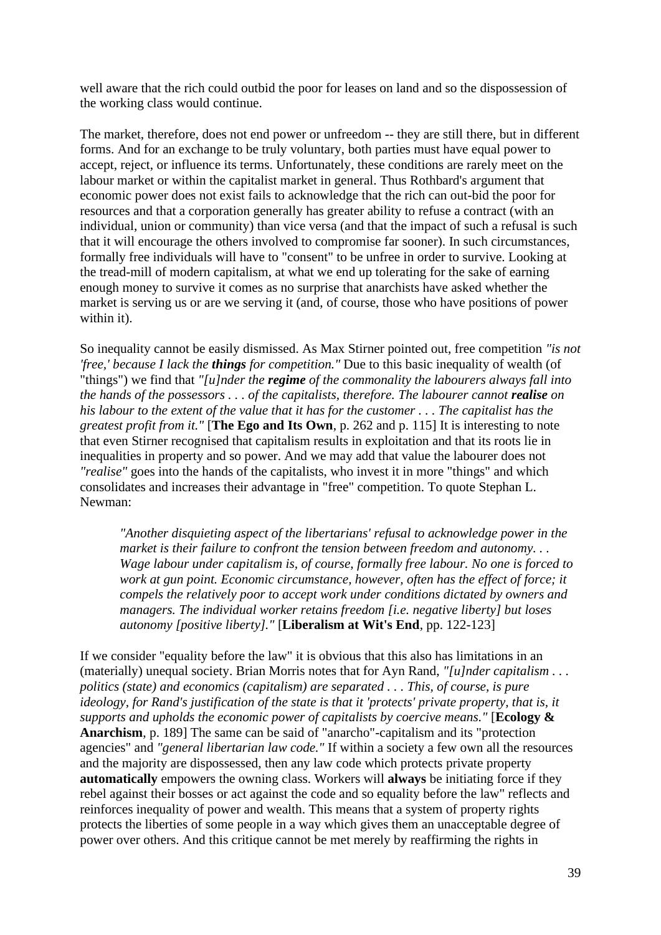well aware that the rich could outbid the poor for leases on land and so the dispossession of the working class would continue.

The market, therefore, does not end power or unfreedom -- they are still there, but in different forms. And for an exchange to be truly voluntary, both parties must have equal power to accept, reject, or influence its terms. Unfortunately, these conditions are rarely meet on the labour market or within the capitalist market in general. Thus Rothbard's argument that economic power does not exist fails to acknowledge that the rich can out-bid the poor for resources and that a corporation generally has greater ability to refuse a contract (with an individual, union or community) than vice versa (and that the impact of such a refusal is such that it will encourage the others involved to compromise far sooner). In such circumstances, formally free individuals will have to "consent" to be unfree in order to survive. Looking at the tread-mill of modern capitalism, at what we end up tolerating for the sake of earning enough money to survive it comes as no surprise that anarchists have asked whether the market is serving us or are we serving it (and, of course, those who have positions of power within it).

So inequality cannot be easily dismissed. As Max Stirner pointed out, free competition *"is not 'free,' because I lack the things for competition."* Due to this basic inequality of wealth (of "things") we find that *"[u]nder the regime of the commonality the labourers always fall into the hands of the possessors ... of the capitalists, therefore. The labourer cannot <i>realise* on *his labour to the extent of the value that it has for the customer . . . The capitalist has the greatest profit from it."* [**The Ego and Its Own**, p. 262 and p. 115] It is interesting to note that even Stirner recognised that capitalism results in exploitation and that its roots lie in inequalities in property and so power. And we may add that value the labourer does not *"realise"* goes into the hands of the capitalists, who invest it in more "things" and which consolidates and increases their advantage in "free" competition. To quote Stephan L. Newman:

*"Another disquieting aspect of the libertarians' refusal to acknowledge power in the market is their failure to confront the tension between freedom and autonomy... Wage labour under capitalism is, of course, formally free labour. No one is forced to work at gun point. Economic circumstance, however, often has the effect of force; it compels the relatively poor to accept work under conditions dictated by owners and managers. The individual worker retains freedom [i.e. negative liberty] but loses autonomy [positive liberty]."* [**Liberalism at Wit's End**, pp. 122-123]

If we consider "equality before the law" it is obvious that this also has limitations in an (materially) unequal society. Brian Morris notes that for Ayn Rand, *"[u]nder capitalism . . . politics (state) and economics (capitalism) are separated . . . This, of course, is pure ideology, for Rand's justification of the state is that it 'protects' private property, that is, it supports and upholds the economic power of capitalists by coercive means."* [**Ecology & Anarchism**, p. 189] The same can be said of "anarcho"-capitalism and its "protection agencies" and *"general libertarian law code."* If within a society a few own all the resources and the majority are dispossessed, then any law code which protects private property **automatically** empowers the owning class. Workers will **always** be initiating force if they rebel against their bosses or act against the code and so equality before the law" reflects and reinforces inequality of power and wealth. This means that a system of property rights protects the liberties of some people in a way which gives them an unacceptable degree of power over others. And this critique cannot be met merely by reaffirming the rights in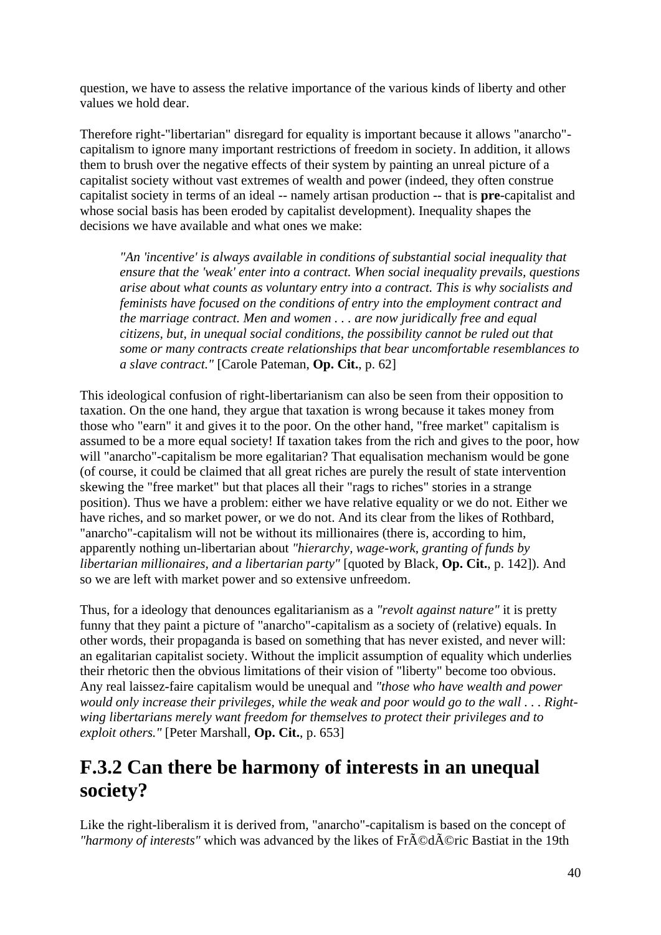question, we have to assess the relative importance of the various kinds of liberty and other values we hold dear.

Therefore right-"libertarian" disregard for equality is important because it allows "anarcho" capitalism to ignore many important restrictions of freedom in society. In addition, it allows them to brush over the negative effects of their system by painting an unreal picture of a capitalist society without vast extremes of wealth and power (indeed, they often construe capitalist society in terms of an ideal -- namely artisan production -- that is **pre**-capitalist and whose social basis has been eroded by capitalist development). Inequality shapes the decisions we have available and what ones we make:

*"An 'incentive' is always available in conditions of substantial social inequality that ensure that the 'weak' enter into a contract. When social inequality prevails, questions arise about what counts as voluntary entry into a contract. This is why socialists and feminists have focused on the conditions of entry into the employment contract and the marriage contract. Men and women . . . are now juridically free and equal citizens, but, in unequal social conditions, the possibility cannot be ruled out that some or many contracts create relationships that bear uncomfortable resemblances to a slave contract."* [Carole Pateman, **Op. Cit.**, p. 62]

This ideological confusion of right-libertarianism can also be seen from their opposition to taxation. On the one hand, they argue that taxation is wrong because it takes money from those who "earn" it and gives it to the poor. On the other hand, "free market" capitalism is assumed to be a more equal society! If taxation takes from the rich and gives to the poor, how will "anarcho"-capitalism be more egalitarian? That equalisation mechanism would be gone (of course, it could be claimed that all great riches are purely the result of state intervention skewing the "free market" but that places all their "rags to riches" stories in a strange position). Thus we have a problem: either we have relative equality or we do not. Either we have riches, and so market power, or we do not. And its clear from the likes of Rothbard, "anarcho"-capitalism will not be without its millionaires (there is, according to him, apparently nothing un-libertarian about *"hierarchy, wage-work, granting of funds by libertarian millionaires, and a libertarian party"* [quoted by Black, **Op. Cit.**, p. 142]). And so we are left with market power and so extensive unfreedom.

Thus, for a ideology that denounces egalitarianism as a *"revolt against nature"* it is pretty funny that they paint a picture of "anarcho"-capitalism as a society of (relative) equals. In other words, their propaganda is based on something that has never existed, and never will: an egalitarian capitalist society. Without the implicit assumption of equality which underlies their rhetoric then the obvious limitations of their vision of "liberty" become too obvious. Any real laissez-faire capitalism would be unequal and *"those who have wealth and power would only increase their privileges, while the weak and poor would go to the wall . . . Rightwing libertarians merely want freedom for themselves to protect their privileges and to exploit others."* [Peter Marshall, **Op. Cit.**, p. 653]

#### **F.3.2 Can there be harmony of interests in an unequal society?**

Like the right-liberalism it is derived from, "anarcho"-capitalism is based on the concept of *"harmony of interests"* which was advanced by the likes of Fr $\tilde{A}$ ©d $\tilde{A}$ ©ric Bastiat in the 19th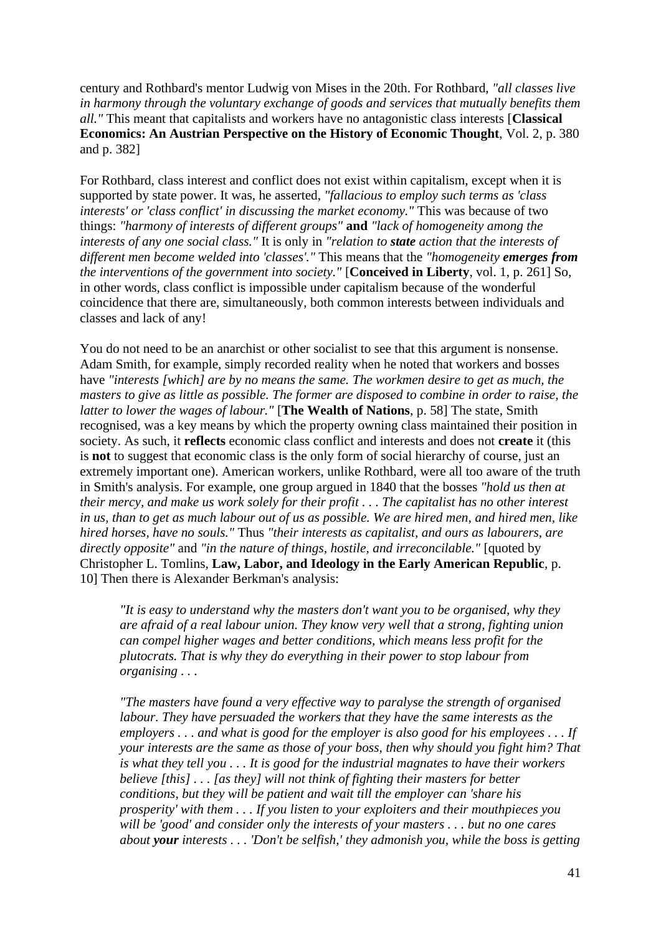century and Rothbard's mentor Ludwig von Mises in the 20th. For Rothbard, *"all classes live in harmony through the voluntary exchange of goods and services that mutually benefits them all."* This meant that capitalists and workers have no antagonistic class interests [**Classical Economics: An Austrian Perspective on the History of Economic Thought**, Vol. 2, p. 380 and p. 382]

For Rothbard, class interest and conflict does not exist within capitalism, except when it is supported by state power. It was, he asserted, *"fallacious to employ such terms as 'class interests' or 'class conflict' in discussing the market economy."* This was because of two things: *"harmony of interests of different groups"* **and** *"lack of homogeneity among the interests of any one social class."* It is only in *"relation to state action that the interests of different men become welded into 'classes'."* This means that the *"homogeneity emerges from the interventions of the government into society."* [**Conceived in Liberty**, vol. 1, p. 261] So, in other words, class conflict is impossible under capitalism because of the wonderful coincidence that there are, simultaneously, both common interests between individuals and classes and lack of any!

You do not need to be an anarchist or other socialist to see that this argument is nonsense. Adam Smith, for example, simply recorded reality when he noted that workers and bosses have *"interests [which] are by no means the same. The workmen desire to get as much, the masters to give as little as possible. The former are disposed to combine in order to raise, the latter to lower the wages of labour."* [**The Wealth of Nations**, p. 58] The state, Smith recognised, was a key means by which the property owning class maintained their position in society. As such, it **reflects** economic class conflict and interests and does not **create** it (this is **not** to suggest that economic class is the only form of social hierarchy of course, just an extremely important one). American workers, unlike Rothbard, were all too aware of the truth in Smith's analysis. For example, one group argued in 1840 that the bosses *"hold us then at their mercy, and make us work solely for their profit . . . The capitalist has no other interest in us, than to get as much labour out of us as possible. We are hired men, and hired men, like hired horses, have no souls."* Thus *"their interests as capitalist, and ours as labourers, are directly opposite"* and *"in the nature of things, hostile, and irreconcilable."* [quoted by Christopher L. Tomlins, **Law, Labor, and Ideology in the Early American Republic**, p. 10] Then there is Alexander Berkman's analysis:

*"It is easy to understand why the masters don't want you to be organised, why they are afraid of a real labour union. They know very well that a strong, fighting union can compel higher wages and better conditions, which means less profit for the plutocrats. That is why they do everything in their power to stop labour from organising . . .*

*"The masters have found a very effective way to paralyse the strength of organised labour. They have persuaded the workers that they have the same interests as the employers . . . and what is good for the employer is also good for his employees . . . If your interests are the same as those of your boss, then why should you fight him? That is what they tell you . . . It is good for the industrial magnates to have their workers believe [this] . . . [as they] will not think of fighting their masters for better conditions, but they will be patient and wait till the employer can 'share his prosperity' with them . . . If you listen to your exploiters and their mouthpieces you will be 'good' and consider only the interests of your masters . . . but no one cares about your interests . . . 'Don't be selfish,' they admonish you, while the boss is getting*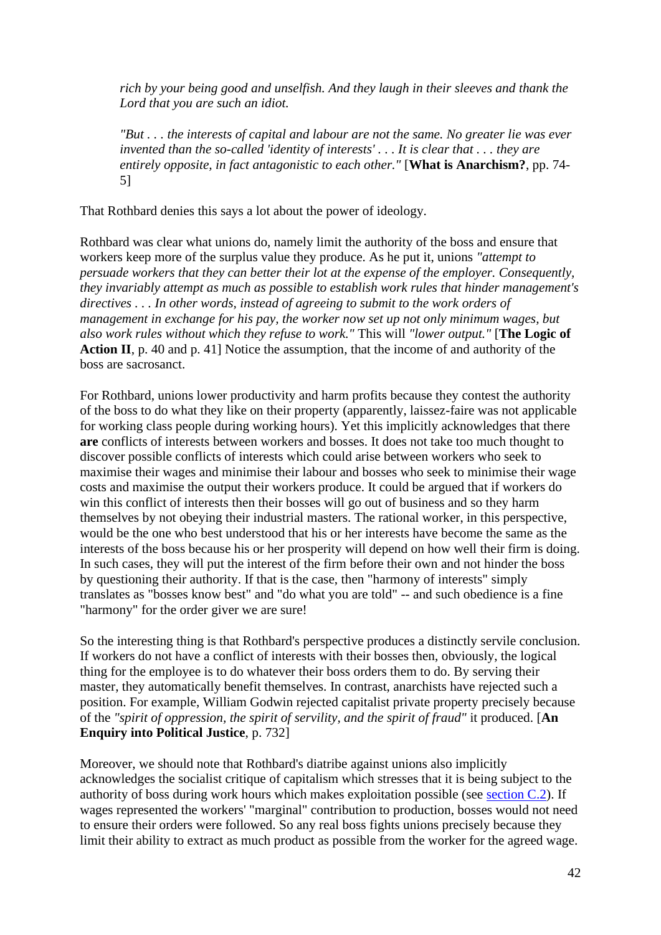*rich by your being good and unselfish. And they laugh in their sleeves and thank the Lord that you are such an idiot.*

*"But . . . the interests of capital and labour are not the same. No greater lie was ever invented than the so-called 'identity of interests' . . . It is clear that . . . they are entirely opposite, in fact antagonistic to each other."* [**What is Anarchism?**, pp. 74- 5]

That Rothbard denies this says a lot about the power of ideology.

Rothbard was clear what unions do, namely limit the authority of the boss and ensure that workers keep more of the surplus value they produce. As he put it, unions *"attempt to persuade workers that they can better their lot at the expense of the employer. Consequently, they invariably attempt as much as possible to establish work rules that hinder management's directives . . . In other words, instead of agreeing to submit to the work orders of management in exchange for his pay, the worker now set up not only minimum wages, but also work rules without which they refuse to work."* This will *"lower output."* [**The Logic of Action II**, p. 40 and p. 41] Notice the assumption, that the income of and authority of the boss are sacrosanct.

For Rothbard, unions lower productivity and harm profits because they contest the authority of the boss to do what they like on their property (apparently, laissez-faire was not applicable for working class people during working hours). Yet this implicitly acknowledges that there **are** conflicts of interests between workers and bosses. It does not take too much thought to discover possible conflicts of interests which could arise between workers who seek to maximise their wages and minimise their labour and bosses who seek to minimise their wage costs and maximise the output their workers produce. It could be argued that if workers do win this conflict of interests then their bosses will go out of business and so they harm themselves by not obeying their industrial masters. The rational worker, in this perspective, would be the one who best understood that his or her interests have become the same as the interests of the boss because his or her prosperity will depend on how well their firm is doing. In such cases, they will put the interest of the firm before their own and not hinder the boss by questioning their authority. If that is the case, then "harmony of interests" simply translates as "bosses know best" and "do what you are told" -- and such obedience is a fine "harmony" for the order giver we are sure!

So the interesting thing is that Rothbard's perspective produces a distinctly servile conclusion. If workers do not have a conflict of interests with their bosses then, obviously, the logical thing for the employee is to do whatever their boss orders them to do. By serving their master, they automatically benefit themselves. In contrast, anarchists have rejected such a position. For example, William Godwin rejected capitalist private property precisely because of the *"spirit of oppression, the spirit of servility, and the spirit of fraud"* it produced. [**An Enquiry into Political Justice**, p. 732]

Moreover, we should note that Rothbard's diatribe against unions also implicitly acknowledges the socialist critique of capitalism which stresses that it is being subject to the authority of boss during work hours which makes exploitation possible (see [section C.2\)](sectionC.html#secc2). If wages represented the workers' "marginal" contribution to production, bosses would not need to ensure their orders were followed. So any real boss fights unions precisely because they limit their ability to extract as much product as possible from the worker for the agreed wage.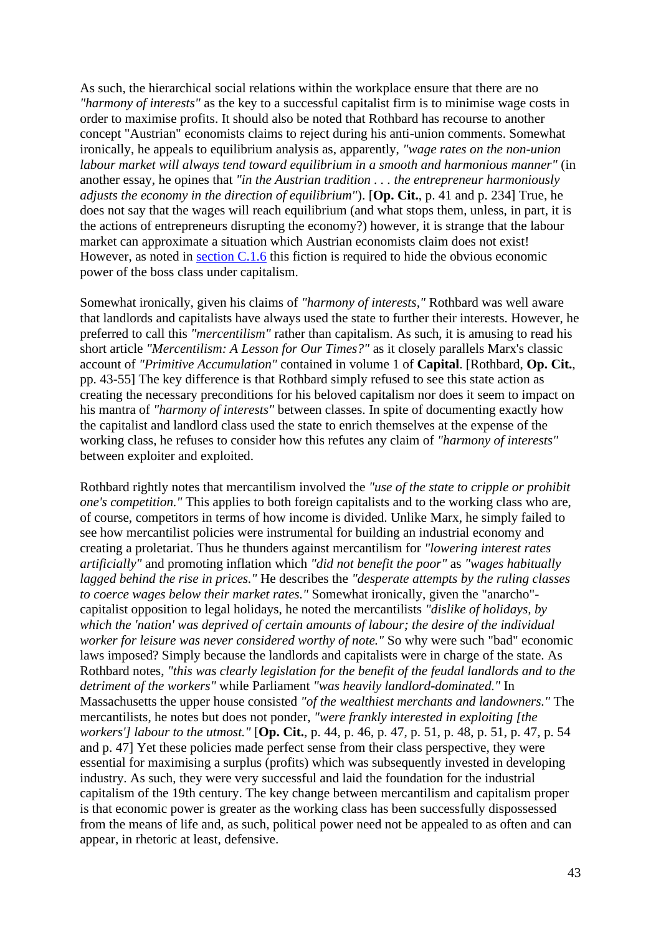As such, the hierarchical social relations within the workplace ensure that there are no *"harmony of interests"* as the key to a successful capitalist firm is to minimise wage costs in order to maximise profits. It should also be noted that Rothbard has recourse to another concept "Austrian" economists claims to reject during his anti-union comments. Somewhat ironically, he appeals to equilibrium analysis as, apparently, *"wage rates on the non-union labour market will always tend toward equilibrium in a smooth and harmonious manner"* (in another essay, he opines that *"in the Austrian tradition . . . the entrepreneur harmoniously adjusts the economy in the direction of equilibrium"*). [**Op. Cit.**, p. 41 and p. 234] True, he does not say that the wages will reach equilibrium (and what stops them, unless, in part, it is the actions of entrepreneurs disrupting the economy?) however, it is strange that the labour market can approximate a situation which Austrian economists claim does not exist! However, as noted in [section C.1.6](sectionC.html#secc16) this fiction is required to hide the obvious economic power of the boss class under capitalism.

Somewhat ironically, given his claims of *"harmony of interests,"* Rothbard was well aware that landlords and capitalists have always used the state to further their interests. However, he preferred to call this *"mercentilism"* rather than capitalism. As such, it is amusing to read his short article *"Mercentilism: A Lesson for Our Times?"* as it closely parallels Marx's classic account of *"Primitive Accumulation"* contained in volume 1 of **Capital**. [Rothbard, **Op. Cit.**, pp. 43-55] The key difference is that Rothbard simply refused to see this state action as creating the necessary preconditions for his beloved capitalism nor does it seem to impact on his mantra of *"harmony of interests"* between classes. In spite of documenting exactly how the capitalist and landlord class used the state to enrich themselves at the expense of the working class, he refuses to consider how this refutes any claim of *"harmony of interests"* between exploiter and exploited.

Rothbard rightly notes that mercantilism involved the *"use of the state to cripple or prohibit one's competition."* This applies to both foreign capitalists and to the working class who are, of course, competitors in terms of how income is divided. Unlike Marx, he simply failed to see how mercantilist policies were instrumental for building an industrial economy and creating a proletariat. Thus he thunders against mercantilism for *"lowering interest rates artificially"* and promoting inflation which *"did not benefit the poor"* as *"wages habitually lagged behind the rise in prices."* He describes the *"desperate attempts by the ruling classes to coerce wages below their market rates."* Somewhat ironically, given the "anarcho" capitalist opposition to legal holidays, he noted the mercantilists *"dislike of holidays, by which the 'nation' was deprived of certain amounts of labour; the desire of the individual worker for leisure was never considered worthy of note."* So why were such "bad" economic laws imposed? Simply because the landlords and capitalists were in charge of the state. As Rothbard notes, *"this was clearly legislation for the benefit of the feudal landlords and to the detriment of the workers"* while Parliament *"was heavily landlord-dominated."* In Massachusetts the upper house consisted *"of the wealthiest merchants and landowners."* The mercantilists, he notes but does not ponder, *"were frankly interested in exploiting [the workers'] labour to the utmost."* [**Op. Cit.**, p. 44, p. 46, p. 47, p. 51, p. 48, p. 51, p. 47, p. 54 and p. 47] Yet these policies made perfect sense from their class perspective, they were essential for maximising a surplus (profits) which was subsequently invested in developing industry. As such, they were very successful and laid the foundation for the industrial capitalism of the 19th century. The key change between mercantilism and capitalism proper is that economic power is greater as the working class has been successfully dispossessed from the means of life and, as such, political power need not be appealed to as often and can appear, in rhetoric at least, defensive.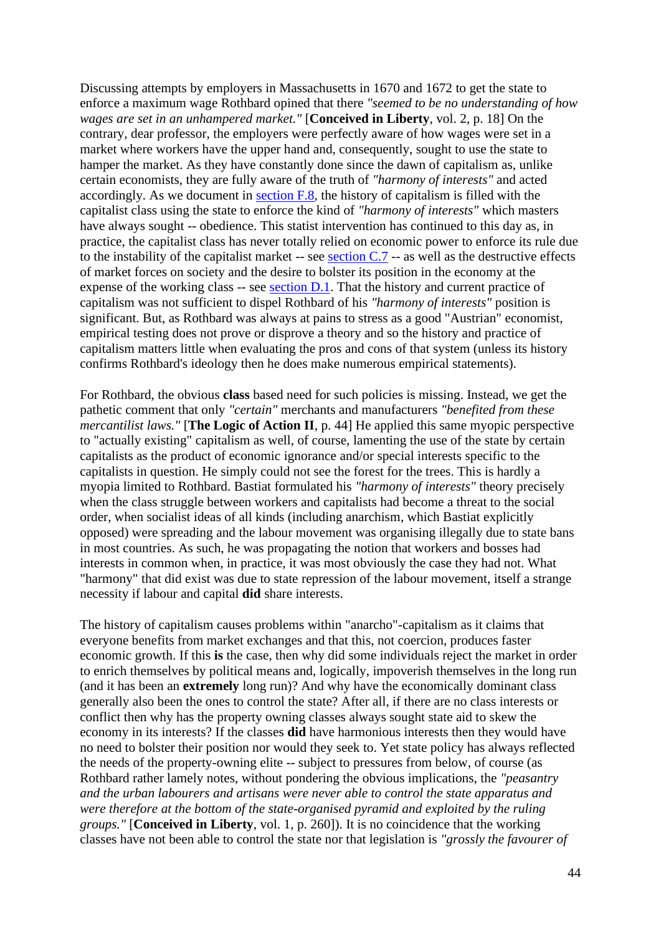Discussing attempts by employers in Massachusetts in 1670 and 1672 to get the state to enforce a maximum wage Rothbard opined that there *"seemed to be no understanding of how wages are set in an unhampered market."* [**Conceived in Liberty**, vol. 2, p. 18] On the contrary, dear professor, the employers were perfectly aware of how wages were set in a market where workers have the upper hand and, consequently, sought to use the state to hamper the market. As they have constantly done since the dawn of capitalism as, unlike certain economists, they are fully aware of the truth of *"harmony of interests"* and acted accordingly. As we document in [section F.8,](sectionF.html#secf8) the history of capitalism is filled with the capitalist class using the state to enforce the kind of *"harmony of interests"* which masters have always sought -- obedience. This statist intervention has continued to this day as, in practice, the capitalist class has never totally relied on economic power to enforce its rule due to the instability of the capitalist market -- see section  $C.7$  -- as well as the destructive effects of market forces on society and the desire to bolster its position in the economy at the expense of the working class -- see [section D.1.](sectionD.html#secd1) That the history and current practice of capitalism was not sufficient to dispel Rothbard of his *"harmony of interests"* position is significant. But, as Rothbard was always at pains to stress as a good "Austrian" economist, empirical testing does not prove or disprove a theory and so the history and practice of capitalism matters little when evaluating the pros and cons of that system (unless its history confirms Rothbard's ideology then he does make numerous empirical statements).

For Rothbard, the obvious **class** based need for such policies is missing. Instead, we get the pathetic comment that only *"certain"* merchants and manufacturers *"benefited from these mercantilist laws."* [**The Logic of Action II**, p. 44] He applied this same myopic perspective to "actually existing" capitalism as well, of course, lamenting the use of the state by certain capitalists as the product of economic ignorance and/or special interests specific to the capitalists in question. He simply could not see the forest for the trees. This is hardly a myopia limited to Rothbard. Bastiat formulated his *"harmony of interests"* theory precisely when the class struggle between workers and capitalists had become a threat to the social order, when socialist ideas of all kinds (including anarchism, which Bastiat explicitly opposed) were spreading and the labour movement was organising illegally due to state bans in most countries. As such, he was propagating the notion that workers and bosses had interests in common when, in practice, it was most obviously the case they had not. What "harmony" that did exist was due to state repression of the labour movement, itself a strange necessity if labour and capital **did** share interests.

The history of capitalism causes problems within "anarcho"-capitalism as it claims that everyone benefits from market exchanges and that this, not coercion, produces faster economic growth. If this **is** the case, then why did some individuals reject the market in order to enrich themselves by political means and, logically, impoverish themselves in the long run (and it has been an **extremely** long run)? And why have the economically dominant class generally also been the ones to control the state? After all, if there are no class interests or conflict then why has the property owning classes always sought state aid to skew the economy in its interests? If the classes **did** have harmonious interests then they would have no need to bolster their position nor would they seek to. Yet state policy has always reflected the needs of the property-owning elite -- subject to pressures from below, of course (as Rothbard rather lamely notes, without pondering the obvious implications, the *"peasantry and the urban labourers and artisans were never able to control the state apparatus and were therefore at the bottom of the state-organised pyramid and exploited by the ruling groups."* [**Conceived in Liberty**, vol. 1, p. 260]). It is no coincidence that the working classes have not been able to control the state nor that legislation is *"grossly the favourer of*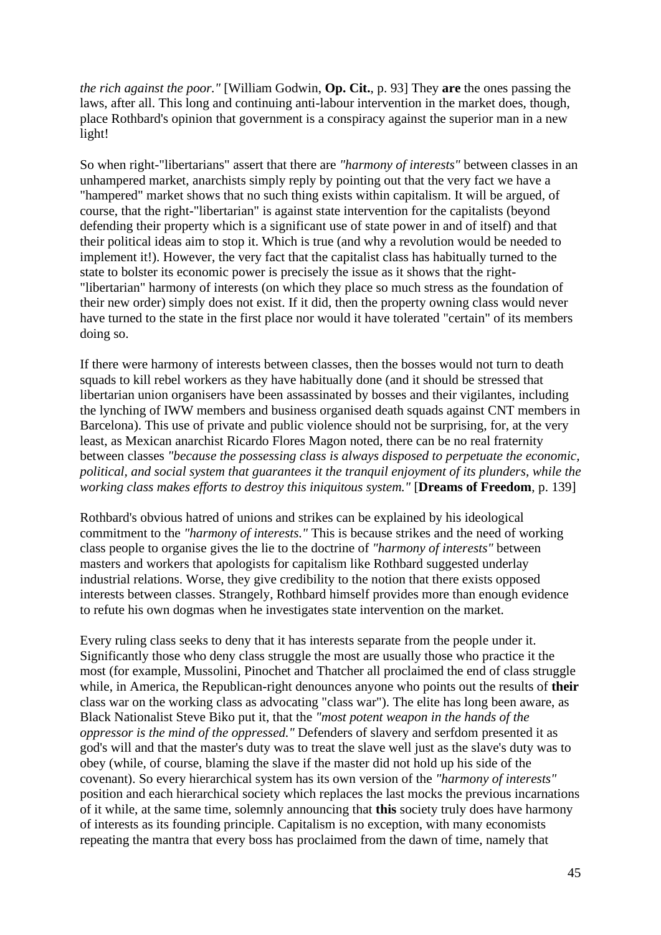*the rich against the poor."* [William Godwin, **Op. Cit.**, p. 93] They **are** the ones passing the laws, after all. This long and continuing anti-labour intervention in the market does, though, place Rothbard's opinion that government is a conspiracy against the superior man in a new light!

So when right-"libertarians" assert that there are *"harmony of interests"* between classes in an unhampered market, anarchists simply reply by pointing out that the very fact we have a "hampered" market shows that no such thing exists within capitalism. It will be argued, of course, that the right-"libertarian" is against state intervention for the capitalists (beyond defending their property which is a significant use of state power in and of itself) and that their political ideas aim to stop it. Which is true (and why a revolution would be needed to implement it!). However, the very fact that the capitalist class has habitually turned to the state to bolster its economic power is precisely the issue as it shows that the right- "libertarian" harmony of interests (on which they place so much stress as the foundation of their new order) simply does not exist. If it did, then the property owning class would never have turned to the state in the first place nor would it have tolerated "certain" of its members doing so.

If there were harmony of interests between classes, then the bosses would not turn to death squads to kill rebel workers as they have habitually done (and it should be stressed that libertarian union organisers have been assassinated by bosses and their vigilantes, including the lynching of IWW members and business organised death squads against CNT members in Barcelona). This use of private and public violence should not be surprising, for, at the very least, as Mexican anarchist Ricardo Flores Magon noted, there can be no real fraternity between classes *"because the possessing class is always disposed to perpetuate the economic, political, and social system that guarantees it the tranquil enjoyment of its plunders, while the working class makes efforts to destroy this iniquitous system."* [**Dreams of Freedom**, p. 139]

Rothbard's obvious hatred of unions and strikes can be explained by his ideological commitment to the *"harmony of interests."* This is because strikes and the need of working class people to organise gives the lie to the doctrine of *"harmony of interests"* between masters and workers that apologists for capitalism like Rothbard suggested underlay industrial relations. Worse, they give credibility to the notion that there exists opposed interests between classes. Strangely, Rothbard himself provides more than enough evidence to refute his own dogmas when he investigates state intervention on the market.

Every ruling class seeks to deny that it has interests separate from the people under it. Significantly those who deny class struggle the most are usually those who practice it the most (for example, Mussolini, Pinochet and Thatcher all proclaimed the end of class struggle while, in America, the Republican-right denounces anyone who points out the results of **their** class war on the working class as advocating "class war"). The elite has long been aware, as Black Nationalist Steve Biko put it, that the *"most potent weapon in the hands of the oppressor is the mind of the oppressed."* Defenders of slavery and serfdom presented it as god's will and that the master's duty was to treat the slave well just as the slave's duty was to obey (while, of course, blaming the slave if the master did not hold up his side of the covenant). So every hierarchical system has its own version of the *"harmony of interests"* position and each hierarchical society which replaces the last mocks the previous incarnations of it while, at the same time, solemnly announcing that **this** society truly does have harmony of interests as its founding principle. Capitalism is no exception, with many economists repeating the mantra that every boss has proclaimed from the dawn of time, namely that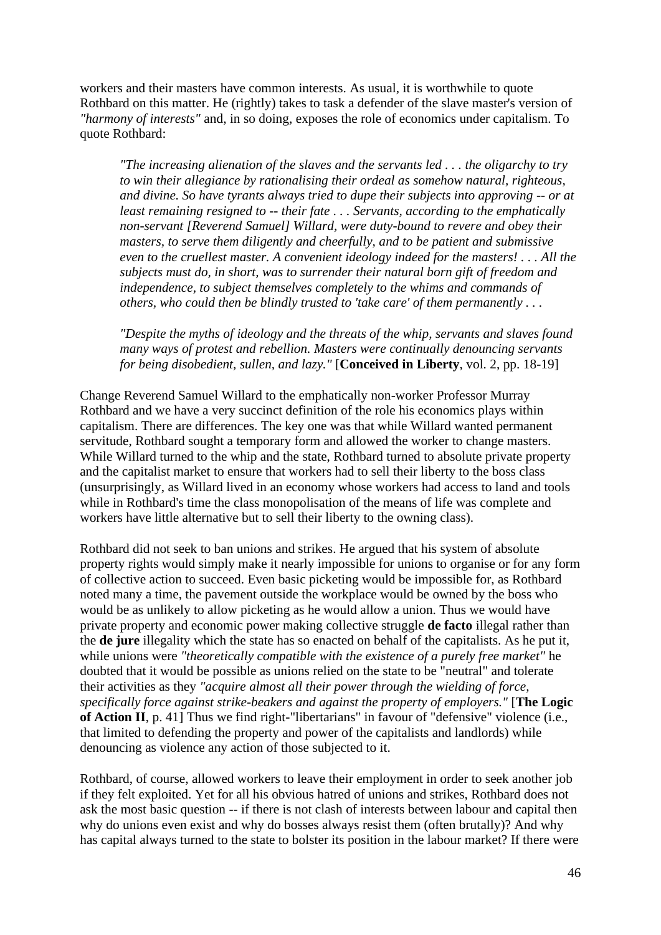workers and their masters have common interests. As usual, it is worthwhile to quote Rothbard on this matter. He (rightly) takes to task a defender of the slave master's version of *"harmony of interests"* and, in so doing, exposes the role of economics under capitalism. To quote Rothbard:

*"The increasing alienation of the slaves and the servants led . . . the oligarchy to try to win their allegiance by rationalising their ordeal as somehow natural, righteous, and divine. So have tyrants always tried to dupe their subjects into approving -- or at least remaining resigned to -- their fate . . . Servants, according to the emphatically non-servant [Reverend Samuel] Willard, were duty-bound to revere and obey their masters, to serve them diligently and cheerfully, and to be patient and submissive even to the cruellest master. A convenient ideology indeed for the masters! . . . All the subjects must do, in short, was to surrender their natural born gift of freedom and independence, to subject themselves completely to the whims and commands of others, who could then be blindly trusted to 'take care' of them permanently . . .* 

*"Despite the myths of ideology and the threats of the whip, servants and slaves found many ways of protest and rebellion. Masters were continually denouncing servants for being disobedient, sullen, and lazy."* [**Conceived in Liberty**, vol. 2, pp. 18-19]

Change Reverend Samuel Willard to the emphatically non-worker Professor Murray Rothbard and we have a very succinct definition of the role his economics plays within capitalism. There are differences. The key one was that while Willard wanted permanent servitude, Rothbard sought a temporary form and allowed the worker to change masters. While Willard turned to the whip and the state, Rothbard turned to absolute private property and the capitalist market to ensure that workers had to sell their liberty to the boss class (unsurprisingly, as Willard lived in an economy whose workers had access to land and tools while in Rothbard's time the class monopolisation of the means of life was complete and workers have little alternative but to sell their liberty to the owning class).

Rothbard did not seek to ban unions and strikes. He argued that his system of absolute property rights would simply make it nearly impossible for unions to organise or for any form of collective action to succeed. Even basic picketing would be impossible for, as Rothbard noted many a time, the pavement outside the workplace would be owned by the boss who would be as unlikely to allow picketing as he would allow a union. Thus we would have private property and economic power making collective struggle **de facto** illegal rather than the **de jure** illegality which the state has so enacted on behalf of the capitalists. As he put it, while unions were *"theoretically compatible with the existence of a purely free market"* he doubted that it would be possible as unions relied on the state to be "neutral" and tolerate their activities as they *"acquire almost all their power through the wielding of force, specifically force against strike-beakers and against the property of employers."* [**The Logic of Action II**, p. 41] Thus we find right-"libertarians" in favour of "defensive" violence (i.e., that limited to defending the property and power of the capitalists and landlords) while denouncing as violence any action of those subjected to it.

Rothbard, of course, allowed workers to leave their employment in order to seek another job if they felt exploited. Yet for all his obvious hatred of unions and strikes, Rothbard does not ask the most basic question -- if there is not clash of interests between labour and capital then why do unions even exist and why do bosses always resist them (often brutally)? And why has capital always turned to the state to bolster its position in the labour market? If there were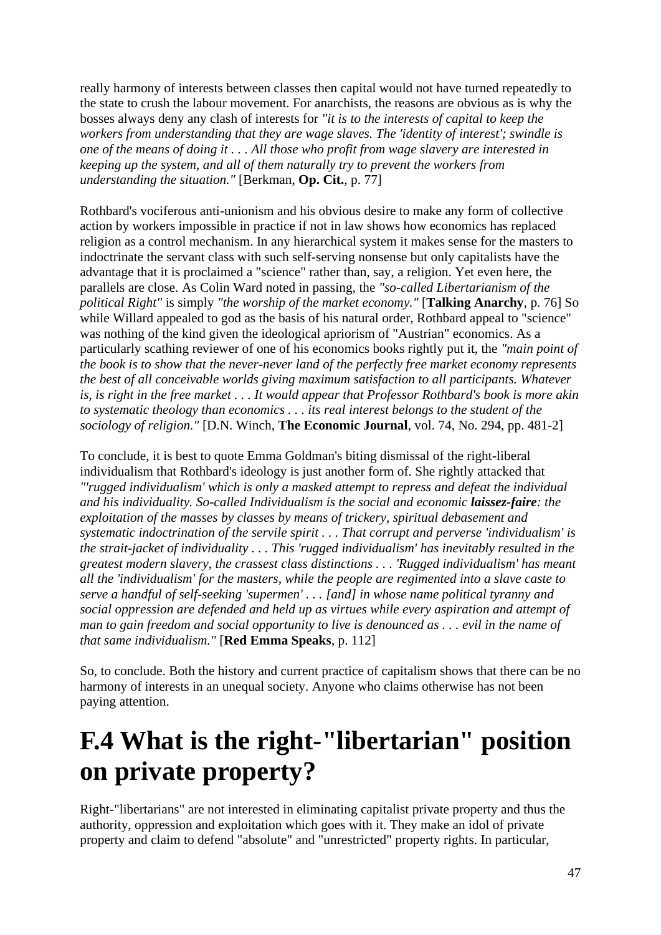really harmony of interests between classes then capital would not have turned repeatedly to the state to crush the labour movement. For anarchists, the reasons are obvious as is why the bosses always deny any clash of interests for *"it is to the interests of capital to keep the workers from understanding that they are wage slaves. The 'identity of interest'; swindle is one of the means of doing it . . . All those who profit from wage slavery are interested in keeping up the system, and all of them naturally try to prevent the workers from understanding the situation."* [Berkman, **Op. Cit.**, p. 77]

Rothbard's vociferous anti-unionism and his obvious desire to make any form of collective action by workers impossible in practice if not in law shows how economics has replaced religion as a control mechanism. In any hierarchical system it makes sense for the masters to indoctrinate the servant class with such self-serving nonsense but only capitalists have the advantage that it is proclaimed a "science" rather than, say, a religion. Yet even here, the parallels are close. As Colin Ward noted in passing, the *"so-called Libertarianism of the political Right"* is simply *"the worship of the market economy."* [**Talking Anarchy**, p. 76] So while Willard appealed to god as the basis of his natural order, Rothbard appeal to "science" was nothing of the kind given the ideological apriorism of "Austrian" economics. As a particularly scathing reviewer of one of his economics books rightly put it, the *"main point of the book is to show that the never-never land of the perfectly free market economy represents the best of all conceivable worlds giving maximum satisfaction to all participants. Whatever is, is right in the free market . . . It would appear that Professor Rothbard's book is more akin to systematic theology than economics . . . its real interest belongs to the student of the sociology of religion."* [D.N. Winch, **The Economic Journal**, vol. 74, No. 294, pp. 481-2]

To conclude, it is best to quote Emma Goldman's biting dismissal of the right-liberal individualism that Rothbard's ideology is just another form of. She rightly attacked that *"'rugged individualism' which is only a masked attempt to repress and defeat the individual and his individuality. So-called Individualism is the social and economic laissez-faire: the exploitation of the masses by classes by means of trickery, spiritual debasement and systematic indoctrination of the servile spirit . . . That corrupt and perverse 'individualism' is the strait-jacket of individuality . . . This 'rugged individualism' has inevitably resulted in the greatest modern slavery, the crassest class distinctions . . . 'Rugged individualism' has meant all the 'individualism' for the masters, while the people are regimented into a slave caste to serve a handful of self-seeking 'supermen' . . . [and] in whose name political tyranny and social oppression are defended and held up as virtues while every aspiration and attempt of man to gain freedom and social opportunity to live is denounced as . . . evil in the name of that same individualism."* [**Red Emma Speaks**, p. 112]

So, to conclude. Both the history and current practice of capitalism shows that there can be no harmony of interests in an unequal society. Anyone who claims otherwise has not been paying attention.

# **F.4 What is the right-"libertarian" position on private property?**

Right-"libertarians" are not interested in eliminating capitalist private property and thus the authority, oppression and exploitation which goes with it. They make an idol of private property and claim to defend "absolute" and "unrestricted" property rights. In particular,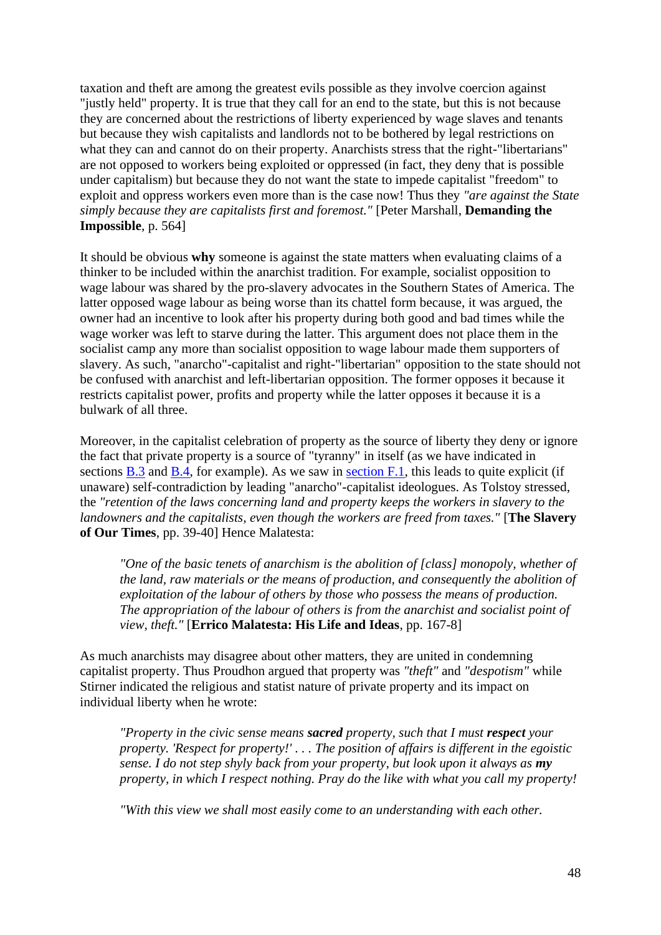taxation and theft are among the greatest evils possible as they involve coercion against "justly held" property. It is true that they call for an end to the state, but this is not because they are concerned about the restrictions of liberty experienced by wage slaves and tenants but because they wish capitalists and landlords not to be bothered by legal restrictions on what they can and cannot do on their property. Anarchists stress that the right-"libertarians" are not opposed to workers being exploited or oppressed (in fact, they deny that is possible under capitalism) but because they do not want the state to impede capitalist "freedom" to exploit and oppress workers even more than is the case now! Thus they *"are against the State simply because they are capitalists first and foremost."* [Peter Marshall, **Demanding the Impossible**, p. 564]

It should be obvious **why** someone is against the state matters when evaluating claims of a thinker to be included within the anarchist tradition. For example, socialist opposition to wage labour was shared by the pro-slavery advocates in the Southern States of America. The latter opposed wage labour as being worse than its chattel form because, it was argued, the owner had an incentive to look after his property during both good and bad times while the wage worker was left to starve during the latter. This argument does not place them in the socialist camp any more than socialist opposition to wage labour made them supporters of slavery. As such, "anarcho"-capitalist and right-"libertarian" opposition to the state should not be confused with anarchist and left-libertarian opposition. The former opposes it because it restricts capitalist power, profits and property while the latter opposes it because it is a bulwark of all three.

Moreover, in the capitalist celebration of property as the source of liberty they deny or ignore the fact that private property is a source of "tyranny" in itself (as we have indicated in sections [B.3](sectionB.html#secb3) and [B.4,](sectionB.html#secb4) for example). As we saw in [section F.1,](sectionF.html#secf1) this leads to quite explicit (if unaware) self-contradiction by leading "anarcho"-capitalist ideologues. As Tolstoy stressed, the *"retention of the laws concerning land and property keeps the workers in slavery to the landowners and the capitalists, even though the workers are freed from taxes."* [**The Slavery of Our Times**, pp. 39-40] Hence Malatesta:

*"One of the basic tenets of anarchism is the abolition of [class] monopoly, whether of the land, raw materials or the means of production, and consequently the abolition of exploitation of the labour of others by those who possess the means of production. The appropriation of the labour of others is from the anarchist and socialist point of view, theft."* [**Errico Malatesta: His Life and Ideas**, pp. 167-8]

As much anarchists may disagree about other matters, they are united in condemning capitalist property. Thus Proudhon argued that property was *"theft"* and *"despotism"* while Stirner indicated the religious and statist nature of private property and its impact on individual liberty when he wrote:

*"Property in the civic sense means sacred property, such that I must respect your property. 'Respect for property!' . . . The position of affairs is different in the egoistic sense. I do not step shyly back from your property, but look upon it always as my property, in which I respect nothing. Pray do the like with what you call my property!* 

*"With this view we shall most easily come to an understanding with each other.*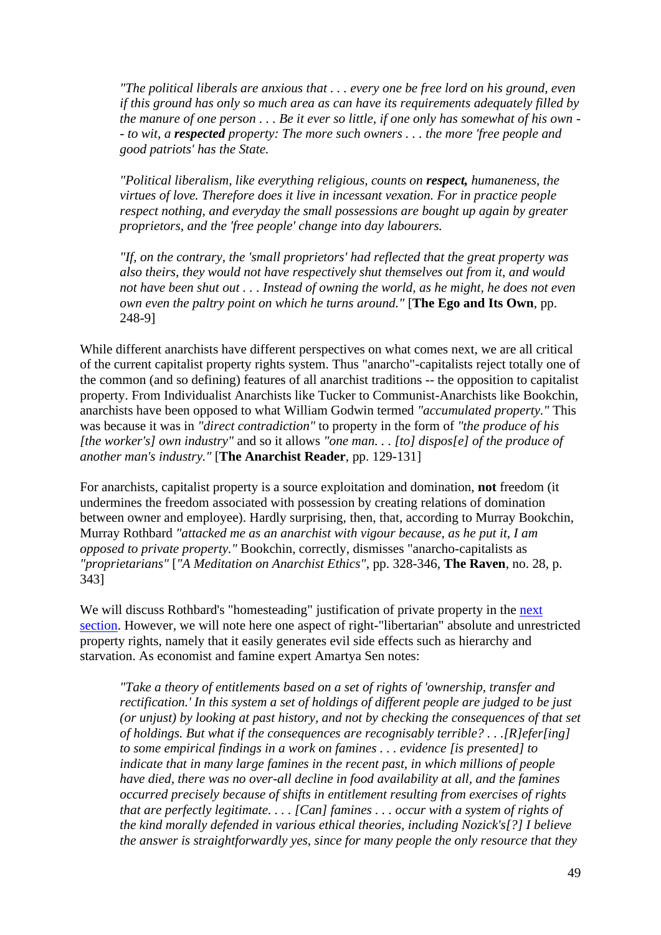*"The political liberals are anxious that . . . every one be free lord on his ground, even if this ground has only so much area as can have its requirements adequately filled by the manure of one person . . . Be it ever so little, if one only has somewhat of his own - - to wit, a respected property: The more such owners . . . the more 'free people and good patriots' has the State.*

*"Political liberalism, like everything religious, counts on respect, humaneness, the virtues of love. Therefore does it live in incessant vexation. For in practice people respect nothing, and everyday the small possessions are bought up again by greater proprietors, and the 'free people' change into day labourers.*

*"If, on the contrary, the 'small proprietors' had reflected that the great property was also theirs, they would not have respectively shut themselves out from it, and would not have been shut out . . . Instead of owning the world, as he might, he does not even own even the paltry point on which he turns around."* [**The Ego and Its Own**, pp. 248-9]

While different anarchists have different perspectives on what comes next, we are all critical of the current capitalist property rights system. Thus "anarcho"-capitalists reject totally one of the common (and so defining) features of all anarchist traditions -- the opposition to capitalist property. From Individualist Anarchists like Tucker to Communist-Anarchists like Bookchin, anarchists have been opposed to what William Godwin termed *"accumulated property."* This was because it was in *"direct contradiction"* to property in the form of *"the produce of his [the worker's] own industry"* and so it allows *"one man. . . [to] dispos[e] of the produce of another man's industry."* [**The Anarchist Reader**, pp. 129-131]

For anarchists, capitalist property is a source exploitation and domination, **not** freedom (it undermines the freedom associated with possession by creating relations of domination between owner and employee). Hardly surprising, then, that, according to Murray Bookchin, Murray Rothbard *"attacked me as an anarchist with vigour because, as he put it, I am opposed to private property."* Bookchin, correctly, dismisses "anarcho-capitalists as *"proprietarians"* [*"A Meditation on Anarchist Ethics"*, pp. 328-346, **The Raven**, no. 28, p. 343]

We will discuss Rothbard's "homesteading" justification of private property in the next [section.](sectionF.html#secf41) However, we will note here one aspect of right-"libertarian" absolute and unrestricted property rights, namely that it easily generates evil side effects such as hierarchy and starvation. As economist and famine expert Amartya Sen notes:

*"Take a theory of entitlements based on a set of rights of 'ownership, transfer and rectification.' In this system a set of holdings of different people are judged to be just (or unjust) by looking at past history, and not by checking the consequences of that set of holdings. But what if the consequences are recognisably terrible? . . .[R]efer[ing] to some empirical findings in a work on famines . . . evidence [is presented] to indicate that in many large famines in the recent past, in which millions of people have died, there was no over-all decline in food availability at all, and the famines occurred precisely because of shifts in entitlement resulting from exercises of rights that are perfectly legitimate. . . . [Can] famines . . . occur with a system of rights of the kind morally defended in various ethical theories, including Nozick's[?] I believe the answer is straightforwardly yes, since for many people the only resource that they*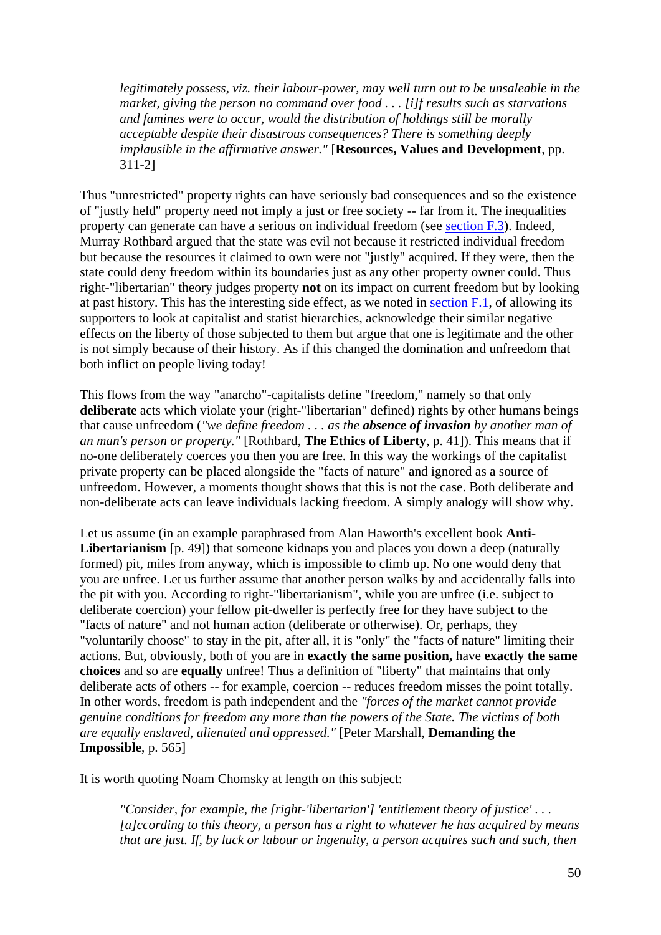*legitimately possess, viz. their labour-power, may well turn out to be unsaleable in the market, giving the person no command over food . . . [i]f results such as starvations and famines were to occur, would the distribution of holdings still be morally acceptable despite their disastrous consequences? There is something deeply implausible in the affirmative answer."* [**Resources, Values and Development**, pp. 311-2]

Thus "unrestricted" property rights can have seriously bad consequences and so the existence of "justly held" property need not imply a just or free society -- far from it. The inequalities property can generate can have a serious on individual freedom (see [section F.3\)](sectionF.html#secf3). Indeed, Murray Rothbard argued that the state was evil not because it restricted individual freedom but because the resources it claimed to own were not "justly" acquired. If they were, then the state could deny freedom within its boundaries just as any other property owner could. Thus right-"libertarian" theory judges property **not** on its impact on current freedom but by looking at past history. This has the interesting side effect, as we noted in [section F.1,](sectionF.html#secf1) of allowing its supporters to look at capitalist and statist hierarchies, acknowledge their similar negative effects on the liberty of those subjected to them but argue that one is legitimate and the other is not simply because of their history. As if this changed the domination and unfreedom that both inflict on people living today!

This flows from the way "anarcho"-capitalists define "freedom," namely so that only **deliberate** acts which violate your (right-"libertarian" defined) rights by other humans beings that cause unfreedom (*"we define freedom . . . as the absence of invasion by another man of an man's person or property."* [Rothbard, **The Ethics of Liberty**, p. 41]). This means that if no-one deliberately coerces you then you are free. In this way the workings of the capitalist private property can be placed alongside the "facts of nature" and ignored as a source of unfreedom. However, a moments thought shows that this is not the case. Both deliberate and non-deliberate acts can leave individuals lacking freedom. A simply analogy will show why.

Let us assume (in an example paraphrased from Alan Haworth's excellent book **Anti-Libertarianism** [p. 49]) that someone kidnaps you and places you down a deep (naturally formed) pit, miles from anyway, which is impossible to climb up. No one would deny that you are unfree. Let us further assume that another person walks by and accidentally falls into the pit with you. According to right-"libertarianism", while you are unfree (i.e. subject to deliberate coercion) your fellow pit-dweller is perfectly free for they have subject to the "facts of nature" and not human action (deliberate or otherwise). Or, perhaps, they "voluntarily choose" to stay in the pit, after all, it is "only" the "facts of nature" limiting their actions. But, obviously, both of you are in **exactly the same position,** have **exactly the same choices** and so are **equally** unfree! Thus a definition of "liberty" that maintains that only deliberate acts of others -- for example, coercion -- reduces freedom misses the point totally. In other words, freedom is path independent and the *"forces of the market cannot provide genuine conditions for freedom any more than the powers of the State. The victims of both are equally enslaved, alienated and oppressed."* [Peter Marshall, **Demanding the Impossible**, p. 565]

It is worth quoting Noam Chomsky at length on this subject:

*"Consider, for example, the [right-'libertarian'] 'entitlement theory of justice' . . . [a]ccording to this theory, a person has a right to whatever he has acquired by means that are just. If, by luck or labour or ingenuity, a person acquires such and such, then*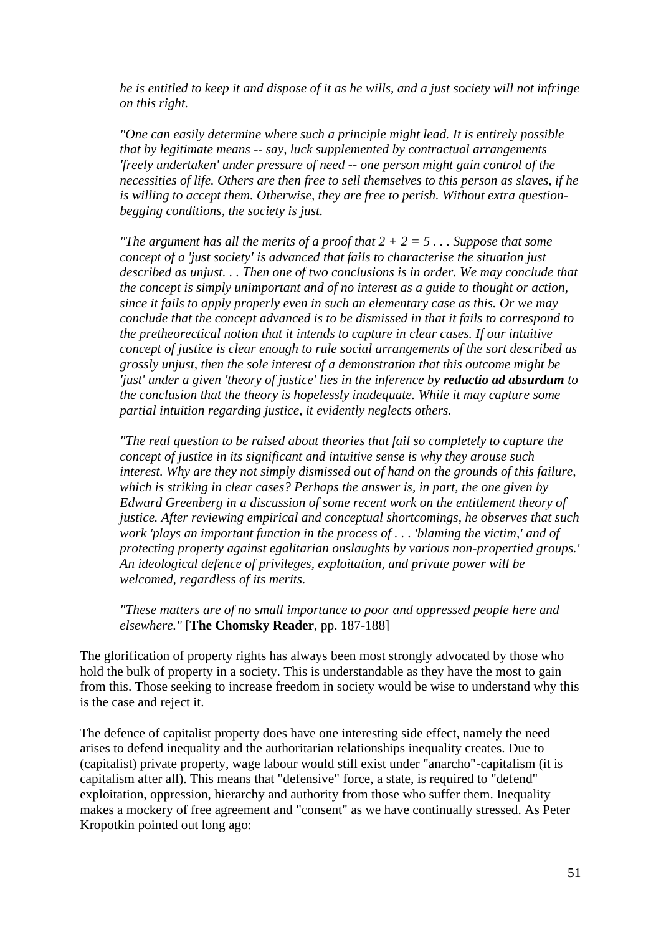*he is entitled to keep it and dispose of it as he wills, and a just society will not infringe on this right.*

*"One can easily determine where such a principle might lead. It is entirely possible that by legitimate means -- say, luck supplemented by contractual arrangements 'freely undertaken' under pressure of need -- one person might gain control of the necessities of life. Others are then free to sell themselves to this person as slaves, if he is willing to accept them. Otherwise, they are free to perish. Without extra questionbegging conditions, the society is just.*

*"The argument has all the merits of a proof that*  $2 + 2 = 5$ ... *Suppose that some concept of a 'just society' is advanced that fails to characterise the situation just described as unjust. . . Then one of two conclusions is in order. We may conclude that the concept is simply unimportant and of no interest as a guide to thought or action, since it fails to apply properly even in such an elementary case as this. Or we may conclude that the concept advanced is to be dismissed in that it fails to correspond to the pretheorectical notion that it intends to capture in clear cases. If our intuitive concept of justice is clear enough to rule social arrangements of the sort described as grossly unjust, then the sole interest of a demonstration that this outcome might be 'just' under a given 'theory of justice' lies in the inference by reductio ad absurdum to the conclusion that the theory is hopelessly inadequate. While it may capture some partial intuition regarding justice, it evidently neglects others.*

*"The real question to be raised about theories that fail so completely to capture the concept of justice in its significant and intuitive sense is why they arouse such interest. Why are they not simply dismissed out of hand on the grounds of this failure, which is striking in clear cases? Perhaps the answer is, in part, the one given by Edward Greenberg in a discussion of some recent work on the entitlement theory of justice. After reviewing empirical and conceptual shortcomings, he observes that such work 'plays an important function in the process of . . . 'blaming the victim,' and of protecting property against egalitarian onslaughts by various non-propertied groups.' An ideological defence of privileges, exploitation, and private power will be welcomed, regardless of its merits.*

*"These matters are of no small importance to poor and oppressed people here and elsewhere."* [**The Chomsky Reader**, pp. 187-188]

The glorification of property rights has always been most strongly advocated by those who hold the bulk of property in a society. This is understandable as they have the most to gain from this. Those seeking to increase freedom in society would be wise to understand why this is the case and reject it.

The defence of capitalist property does have one interesting side effect, namely the need arises to defend inequality and the authoritarian relationships inequality creates. Due to (capitalist) private property, wage labour would still exist under "anarcho"-capitalism (it is capitalism after all). This means that "defensive" force, a state, is required to "defend" exploitation, oppression, hierarchy and authority from those who suffer them. Inequality makes a mockery of free agreement and "consent" as we have continually stressed. As Peter Kropotkin pointed out long ago: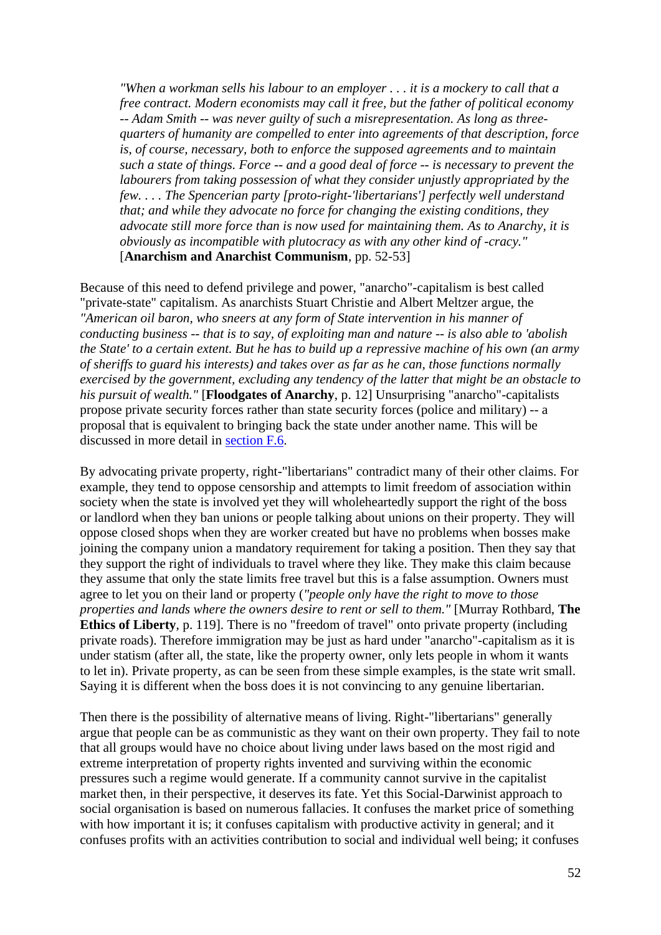*"When a workman sells his labour to an employer . . . it is a mockery to call that a free contract. Modern economists may call it free, but the father of political economy -- Adam Smith -- was never guilty of such a misrepresentation. As long as threequarters of humanity are compelled to enter into agreements of that description, force is, of course, necessary, both to enforce the supposed agreements and to maintain such a state of things. Force -- and a good deal of force -- is necessary to prevent the labourers from taking possession of what they consider unjustly appropriated by the few. . . . The Spencerian party [proto-right-'libertarians'] perfectly well understand that; and while they advocate no force for changing the existing conditions, they advocate still more force than is now used for maintaining them. As to Anarchy, it is obviously as incompatible with plutocracy as with any other kind of -cracy."* [**Anarchism and Anarchist Communism**, pp. 52-53]

Because of this need to defend privilege and power, "anarcho"-capitalism is best called "private-state" capitalism. As anarchists Stuart Christie and Albert Meltzer argue, the *"American oil baron, who sneers at any form of State intervention in his manner of conducting business -- that is to say, of exploiting man and nature -- is also able to 'abolish the State' to a certain extent. But he has to build up a repressive machine of his own (an army of sheriffs to guard his interests) and takes over as far as he can, those functions normally exercised by the government, excluding any tendency of the latter that might be an obstacle to his pursuit of wealth."* [**Floodgates of Anarchy**, p. 12] Unsurprising "anarcho"-capitalists propose private security forces rather than state security forces (police and military) -- a proposal that is equivalent to bringing back the state under another name. This will be discussed in more detail in [section F.6.](sectionF.html#secf6)

By advocating private property, right-"libertarians" contradict many of their other claims. For example, they tend to oppose censorship and attempts to limit freedom of association within society when the state is involved yet they will wholeheartedly support the right of the boss or landlord when they ban unions or people talking about unions on their property. They will oppose closed shops when they are worker created but have no problems when bosses make joining the company union a mandatory requirement for taking a position. Then they say that they support the right of individuals to travel where they like. They make this claim because they assume that only the state limits free travel but this is a false assumption. Owners must agree to let you on their land or property (*"people only have the right to move to those properties and lands where the owners desire to rent or sell to them."* [Murray Rothbard, **The Ethics of Liberty**, p. 119]. There is no "freedom of travel" onto private property (including private roads). Therefore immigration may be just as hard under "anarcho"-capitalism as it is under statism (after all, the state, like the property owner, only lets people in whom it wants to let in). Private property, as can be seen from these simple examples, is the state writ small. Saying it is different when the boss does it is not convincing to any genuine libertarian.

Then there is the possibility of alternative means of living. Right-"libertarians" generally argue that people can be as communistic as they want on their own property. They fail to note that all groups would have no choice about living under laws based on the most rigid and extreme interpretation of property rights invented and surviving within the economic pressures such a regime would generate. If a community cannot survive in the capitalist market then, in their perspective, it deserves its fate. Yet this Social-Darwinist approach to social organisation is based on numerous fallacies. It confuses the market price of something with how important it is; it confuses capitalism with productive activity in general; and it confuses profits with an activities contribution to social and individual well being; it confuses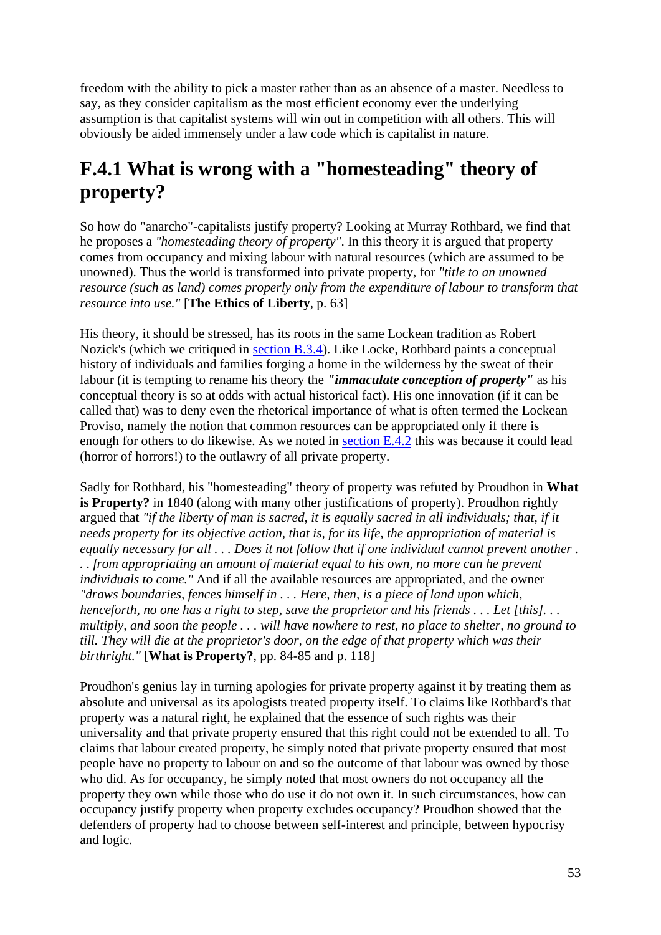freedom with the ability to pick a master rather than as an absence of a master. Needless to say, as they consider capitalism as the most efficient economy ever the underlying assumption is that capitalist systems will win out in competition with all others. This will obviously be aided immensely under a law code which is capitalist in nature.

### **F.4.1 What is wrong with a "homesteading" theory of property?**

So how do "anarcho"-capitalists justify property? Looking at Murray Rothbard, we find that he proposes a *"homesteading theory of property"*. In this theory it is argued that property comes from occupancy and mixing labour with natural resources (which are assumed to be unowned). Thus the world is transformed into private property, for *"title to an unowned resource (such as land) comes properly only from the expenditure of labour to transform that resource into use."* [**The Ethics of Liberty**, p. 63]

His theory, it should be stressed, has its roots in the same Lockean tradition as Robert Nozick's (which we critiqued in [section B.3.4\)](sectionB.html#secb34). Like Locke, Rothbard paints a conceptual history of individuals and families forging a home in the wilderness by the sweat of their labour (it is tempting to rename his theory the *"immaculate conception of property"* as his conceptual theory is so at odds with actual historical fact). His one innovation (if it can be called that) was to deny even the rhetorical importance of what is often termed the Lockean Proviso, namely the notion that common resources can be appropriated only if there is enough for others to do likewise. As we noted in [section E.4.2](sectionE.html#sece42) this was because it could lead (horror of horrors!) to the outlawry of all private property.

Sadly for Rothbard, his "homesteading" theory of property was refuted by Proudhon in **What is Property?** in 1840 (along with many other justifications of property). Proudhon rightly argued that *"if the liberty of man is sacred, it is equally sacred in all individuals; that, if it needs property for its objective action, that is, for its life, the appropriation of material is equally necessary for all . . . Does it not follow that if one individual cannot prevent another . . . from appropriating an amount of material equal to his own, no more can he prevent individuals to come."* And if all the available resources are appropriated, and the owner *"draws boundaries, fences himself in . . . Here, then, is a piece of land upon which, henceforth, no one has a right to step, save the proprietor and his friends . . . Let [this]. . . multiply, and soon the people . . . will have nowhere to rest, no place to shelter, no ground to till. They will die at the proprietor's door, on the edge of that property which was their birthright."* [**What is Property?**, pp. 84-85 and p. 118]

Proudhon's genius lay in turning apologies for private property against it by treating them as absolute and universal as its apologists treated property itself. To claims like Rothbard's that property was a natural right, he explained that the essence of such rights was their universality and that private property ensured that this right could not be extended to all. To claims that labour created property, he simply noted that private property ensured that most people have no property to labour on and so the outcome of that labour was owned by those who did. As for occupancy, he simply noted that most owners do not occupancy all the property they own while those who do use it do not own it. In such circumstances, how can occupancy justify property when property excludes occupancy? Proudhon showed that the defenders of property had to choose between self-interest and principle, between hypocrisy and logic.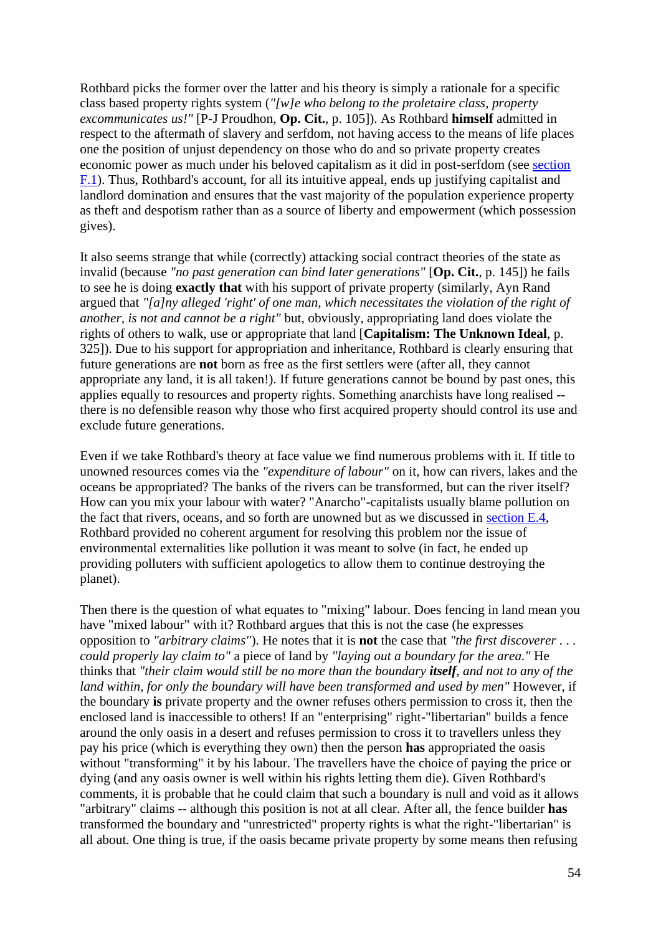Rothbard picks the former over the latter and his theory is simply a rationale for a specific class based property rights system (*"[w]e who belong to the proletaire class, property excommunicates us!"* [P-J Proudhon, **Op. Cit.**, p. 105]). As Rothbard **himself** admitted in respect to the aftermath of slavery and serfdom, not having access to the means of life places one the position of unjust dependency on those who do and so private property creates economic power as much under his beloved capitalism as it did in post-serfdom (see [section](sectionF.html#secf1)  [F.1\)](sectionF.html#secf1). Thus, Rothbard's account, for all its intuitive appeal, ends up justifying capitalist and landlord domination and ensures that the vast majority of the population experience property as theft and despotism rather than as a source of liberty and empowerment (which possession gives).

It also seems strange that while (correctly) attacking social contract theories of the state as invalid (because *"no past generation can bind later generations"* [**Op. Cit.**, p. 145]) he fails to see he is doing **exactly that** with his support of private property (similarly, Ayn Rand argued that *"[a]ny alleged 'right' of one man, which necessitates the violation of the right of another, is not and cannot be a right"* but, obviously, appropriating land does violate the rights of others to walk, use or appropriate that land [**Capitalism: The Unknown Ideal**, p. 325]). Due to his support for appropriation and inheritance, Rothbard is clearly ensuring that future generations are **not** born as free as the first settlers were (after all, they cannot appropriate any land, it is all taken!). If future generations cannot be bound by past ones, this applies equally to resources and property rights. Something anarchists have long realised - there is no defensible reason why those who first acquired property should control its use and exclude future generations.

Even if we take Rothbard's theory at face value we find numerous problems with it. If title to unowned resources comes via the *"expenditure of labour"* on it, how can rivers, lakes and the oceans be appropriated? The banks of the rivers can be transformed, but can the river itself? How can you mix your labour with water? "Anarcho"-capitalists usually blame pollution on the fact that rivers, oceans, and so forth are unowned but as we discussed in [section E.4,](sectionE.html#sece4) Rothbard provided no coherent argument for resolving this problem nor the issue of environmental externalities like pollution it was meant to solve (in fact, he ended up providing polluters with sufficient apologetics to allow them to continue destroying the planet).

Then there is the question of what equates to "mixing" labour. Does fencing in land mean you have "mixed labour" with it? Rothbard argues that this is not the case (he expresses opposition to *"arbitrary claims"*). He notes that it is **not** the case that *"the first discoverer . . . could properly lay claim to"* a piece of land by *"laying out a boundary for the area."* He thinks that *"their claim would still be no more than the boundary itself, and not to any of the land within, for only the boundary will have been transformed and used by men"* However, if the boundary **is** private property and the owner refuses others permission to cross it, then the enclosed land is inaccessible to others! If an "enterprising" right-"libertarian" builds a fence around the only oasis in a desert and refuses permission to cross it to travellers unless they pay his price (which is everything they own) then the person **has** appropriated the oasis without "transforming" it by his labour. The travellers have the choice of paying the price or dying (and any oasis owner is well within his rights letting them die). Given Rothbard's comments, it is probable that he could claim that such a boundary is null and void as it allows "arbitrary" claims -- although this position is not at all clear. After all, the fence builder **has** transformed the boundary and "unrestricted" property rights is what the right-"libertarian" is all about. One thing is true, if the oasis became private property by some means then refusing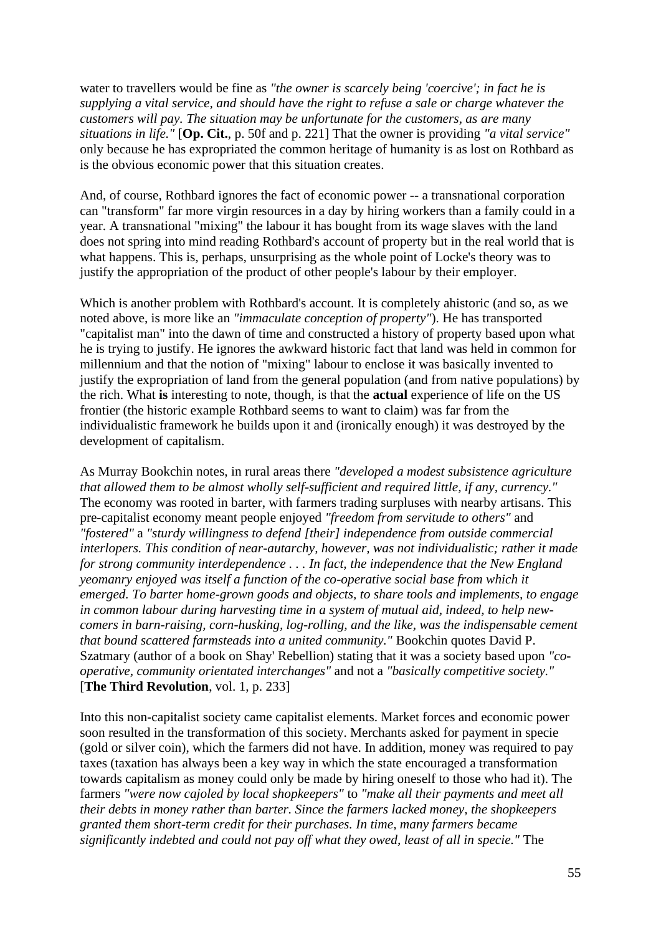water to travellers would be fine as *"the owner is scarcely being 'coercive'; in fact he is supplying a vital service, and should have the right to refuse a sale or charge whatever the customers will pay. The situation may be unfortunate for the customers, as are many situations in life."* [**Op. Cit.**, p. 50f and p. 221] That the owner is providing *"a vital service"* only because he has expropriated the common heritage of humanity is as lost on Rothbard as is the obvious economic power that this situation creates.

And, of course, Rothbard ignores the fact of economic power -- a transnational corporation can "transform" far more virgin resources in a day by hiring workers than a family could in a year. A transnational "mixing" the labour it has bought from its wage slaves with the land does not spring into mind reading Rothbard's account of property but in the real world that is what happens. This is, perhaps, unsurprising as the whole point of Locke's theory was to justify the appropriation of the product of other people's labour by their employer.

Which is another problem with Rothbard's account. It is completely ahistoric (and so, as we noted above, is more like an *"immaculate conception of property"*). He has transported "capitalist man" into the dawn of time and constructed a history of property based upon what he is trying to justify. He ignores the awkward historic fact that land was held in common for millennium and that the notion of "mixing" labour to enclose it was basically invented to justify the expropriation of land from the general population (and from native populations) by the rich. What **is** interesting to note, though, is that the **actual** experience of life on the US frontier (the historic example Rothbard seems to want to claim) was far from the individualistic framework he builds upon it and (ironically enough) it was destroyed by the development of capitalism.

As Murray Bookchin notes, in rural areas there *"developed a modest subsistence agriculture that allowed them to be almost wholly self-sufficient and required little, if any, currency."* The economy was rooted in barter, with farmers trading surpluses with nearby artisans. This pre-capitalist economy meant people enjoyed *"freedom from servitude to others"* and *"fostered"* a *"sturdy willingness to defend [their] independence from outside commercial interlopers. This condition of near-autarchy, however, was not individualistic; rather it made for strong community interdependence . . . In fact, the independence that the New England yeomanry enjoyed was itself a function of the co-operative social base from which it emerged. To barter home-grown goods and objects, to share tools and implements, to engage in common labour during harvesting time in a system of mutual aid, indeed, to help newcomers in barn-raising, corn-husking, log-rolling, and the like, was the indispensable cement that bound scattered farmsteads into a united community."* Bookchin quotes David P. Szatmary (author of a book on Shay' Rebellion) stating that it was a society based upon *"cooperative, community orientated interchanges"* and not a *"basically competitive society."* [**The Third Revolution**, vol. 1, p. 233]

Into this non-capitalist society came capitalist elements. Market forces and economic power soon resulted in the transformation of this society. Merchants asked for payment in specie (gold or silver coin), which the farmers did not have. In addition, money was required to pay taxes (taxation has always been a key way in which the state encouraged a transformation towards capitalism as money could only be made by hiring oneself to those who had it). The farmers *"were now cajoled by local shopkeepers"* to *"make all their payments and meet all their debts in money rather than barter. Since the farmers lacked money, the shopkeepers granted them short-term credit for their purchases. In time, many farmers became significantly indebted and could not pay off what they owed, least of all in specie."* The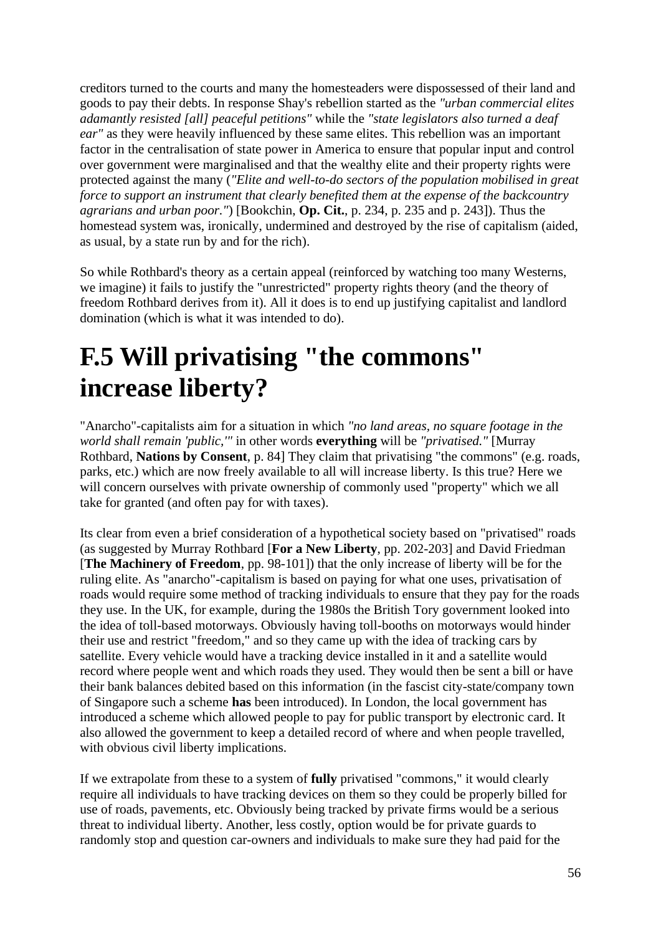creditors turned to the courts and many the homesteaders were dispossessed of their land and goods to pay their debts. In response Shay's rebellion started as the *"urban commercial elites adamantly resisted [all] peaceful petitions"* while the *"state legislators also turned a deaf ear"* as they were heavily influenced by these same elites. This rebellion was an important factor in the centralisation of state power in America to ensure that popular input and control over government were marginalised and that the wealthy elite and their property rights were protected against the many (*"Elite and well-to-do sectors of the population mobilised in great force to support an instrument that clearly benefited them at the expense of the backcountry agrarians and urban poor."*) [Bookchin, **Op. Cit.**, p. 234, p. 235 and p. 243]). Thus the homestead system was, ironically, undermined and destroyed by the rise of capitalism (aided, as usual, by a state run by and for the rich).

So while Rothbard's theory as a certain appeal (reinforced by watching too many Westerns, we imagine) it fails to justify the "unrestricted" property rights theory (and the theory of freedom Rothbard derives from it). All it does is to end up justifying capitalist and landlord domination (which is what it was intended to do).

# **F.5 Will privatising "the commons" increase liberty?**

"Anarcho"-capitalists aim for a situation in which *"no land areas, no square footage in the world shall remain 'public,'"* in other words **everything** will be *"privatised."* [Murray Rothbard, **Nations by Consent**, p. 84] They claim that privatising "the commons" (e.g. roads, parks, etc.) which are now freely available to all will increase liberty. Is this true? Here we will concern ourselves with private ownership of commonly used "property" which we all take for granted (and often pay for with taxes).

Its clear from even a brief consideration of a hypothetical society based on "privatised" roads (as suggested by Murray Rothbard [**For a New Liberty**, pp. 202-203] and David Friedman [**The Machinery of Freedom**, pp. 98-101]) that the only increase of liberty will be for the ruling elite. As "anarcho"-capitalism is based on paying for what one uses, privatisation of roads would require some method of tracking individuals to ensure that they pay for the roads they use. In the UK, for example, during the 1980s the British Tory government looked into the idea of toll-based motorways. Obviously having toll-booths on motorways would hinder their use and restrict "freedom," and so they came up with the idea of tracking cars by satellite. Every vehicle would have a tracking device installed in it and a satellite would record where people went and which roads they used. They would then be sent a bill or have their bank balances debited based on this information (in the fascist city-state/company town of Singapore such a scheme **has** been introduced). In London, the local government has introduced a scheme which allowed people to pay for public transport by electronic card. It also allowed the government to keep a detailed record of where and when people travelled, with obvious civil liberty implications.

If we extrapolate from these to a system of **fully** privatised "commons," it would clearly require all individuals to have tracking devices on them so they could be properly billed for use of roads, pavements, etc. Obviously being tracked by private firms would be a serious threat to individual liberty. Another, less costly, option would be for private guards to randomly stop and question car-owners and individuals to make sure they had paid for the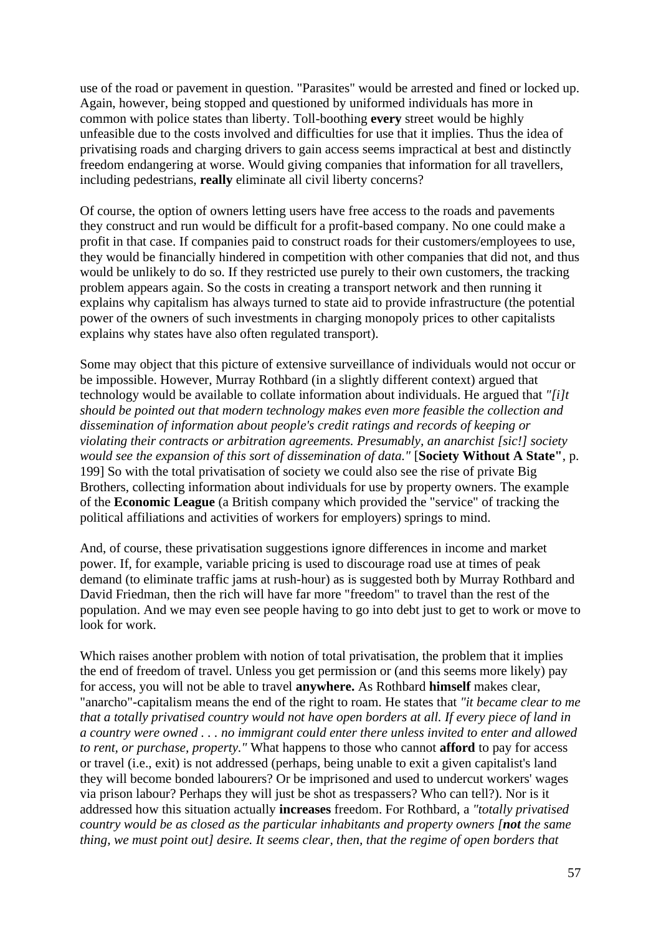use of the road or pavement in question. "Parasites" would be arrested and fined or locked up. Again, however, being stopped and questioned by uniformed individuals has more in common with police states than liberty. Toll-boothing **every** street would be highly unfeasible due to the costs involved and difficulties for use that it implies. Thus the idea of privatising roads and charging drivers to gain access seems impractical at best and distinctly freedom endangering at worse. Would giving companies that information for all travellers, including pedestrians, **really** eliminate all civil liberty concerns?

Of course, the option of owners letting users have free access to the roads and pavements they construct and run would be difficult for a profit-based company. No one could make a profit in that case. If companies paid to construct roads for their customers/employees to use, they would be financially hindered in competition with other companies that did not, and thus would be unlikely to do so. If they restricted use purely to their own customers, the tracking problem appears again. So the costs in creating a transport network and then running it explains why capitalism has always turned to state aid to provide infrastructure (the potential power of the owners of such investments in charging monopoly prices to other capitalists explains why states have also often regulated transport).

Some may object that this picture of extensive surveillance of individuals would not occur or be impossible. However, Murray Rothbard (in a slightly different context) argued that technology would be available to collate information about individuals. He argued that *"[i]t should be pointed out that modern technology makes even more feasible the collection and dissemination of information about people's credit ratings and records of keeping or violating their contracts or arbitration agreements. Presumably, an anarchist [sic!] society would see the expansion of this sort of dissemination of data."* [**Society Without A State"**, p. 199] So with the total privatisation of society we could also see the rise of private Big Brothers, collecting information about individuals for use by property owners. The example of the **Economic League** (a British company which provided the "service" of tracking the political affiliations and activities of workers for employers) springs to mind.

And, of course, these privatisation suggestions ignore differences in income and market power. If, for example, variable pricing is used to discourage road use at times of peak demand (to eliminate traffic jams at rush-hour) as is suggested both by Murray Rothbard and David Friedman, then the rich will have far more "freedom" to travel than the rest of the population. And we may even see people having to go into debt just to get to work or move to look for work.

Which raises another problem with notion of total privatisation, the problem that it implies the end of freedom of travel. Unless you get permission or (and this seems more likely) pay for access, you will not be able to travel **anywhere.** As Rothbard **himself** makes clear, "anarcho"-capitalism means the end of the right to roam. He states that *"it became clear to me that a totally privatised country would not have open borders at all. If every piece of land in a country were owned . . . no immigrant could enter there unless invited to enter and allowed to rent, or purchase, property."* What happens to those who cannot **afford** to pay for access or travel (i.e., exit) is not addressed (perhaps, being unable to exit a given capitalist's land they will become bonded labourers? Or be imprisoned and used to undercut workers' wages via prison labour? Perhaps they will just be shot as trespassers? Who can tell?). Nor is it addressed how this situation actually **increases** freedom. For Rothbard, a *"totally privatised country would be as closed as the particular inhabitants and property owners [not the same thing, we must point out] desire. It seems clear, then, that the regime of open borders that*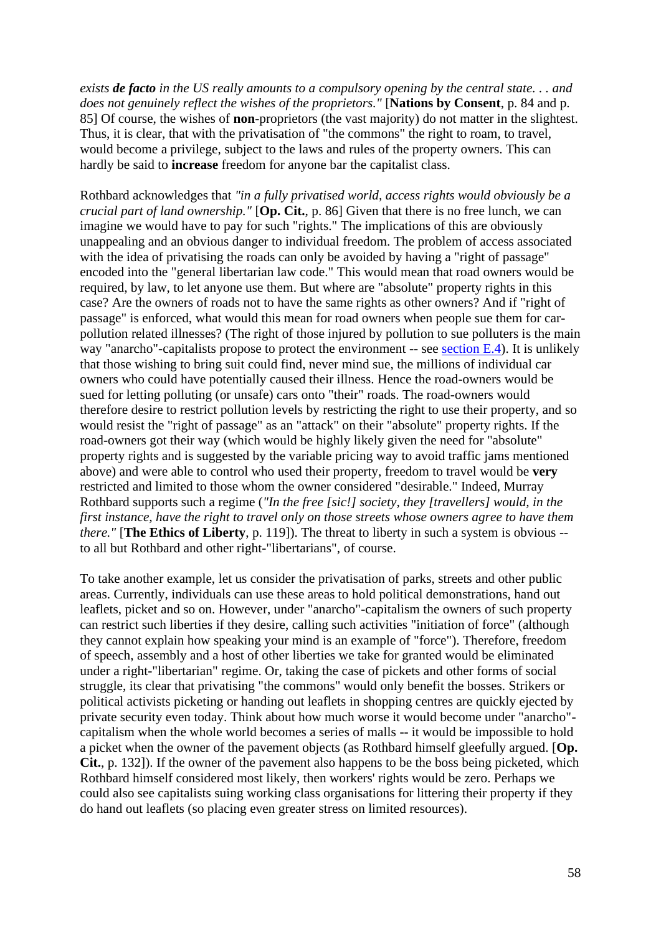*exists de facto in the US really amounts to a compulsory opening by the central state. . . and does not genuinely reflect the wishes of the proprietors."* [**Nations by Consent**, p. 84 and p. 85] Of course, the wishes of **non**-proprietors (the vast majority) do not matter in the slightest. Thus, it is clear, that with the privatisation of "the commons" the right to roam, to travel, would become a privilege, subject to the laws and rules of the property owners. This can hardly be said to **increase** freedom for anyone bar the capitalist class.

Rothbard acknowledges that *"in a fully privatised world, access rights would obviously be a crucial part of land ownership."* [**Op. Cit.**, p. 86] Given that there is no free lunch, we can imagine we would have to pay for such "rights." The implications of this are obviously unappealing and an obvious danger to individual freedom. The problem of access associated with the idea of privatising the roads can only be avoided by having a "right of passage" encoded into the "general libertarian law code." This would mean that road owners would be required, by law, to let anyone use them. But where are "absolute" property rights in this case? Are the owners of roads not to have the same rights as other owners? And if "right of passage" is enforced, what would this mean for road owners when people sue them for carpollution related illnesses? (The right of those injured by pollution to sue polluters is the main way "anarcho"-capitalists propose to protect the environment -- see [section E.4\)](sectionE.html#sece4). It is unlikely that those wishing to bring suit could find, never mind sue, the millions of individual car owners who could have potentially caused their illness. Hence the road-owners would be sued for letting polluting (or unsafe) cars onto "their" roads. The road-owners would therefore desire to restrict pollution levels by restricting the right to use their property, and so would resist the "right of passage" as an "attack" on their "absolute" property rights. If the road-owners got their way (which would be highly likely given the need for "absolute" property rights and is suggested by the variable pricing way to avoid traffic jams mentioned above) and were able to control who used their property, freedom to travel would be **very** restricted and limited to those whom the owner considered "desirable." Indeed, Murray Rothbard supports such a regime (*"In the free [sic!] society, they [travellers] would, in the first instance, have the right to travel only on those streets whose owners agree to have them there."* [**The Ethics of Liberty**, p. 119]). The threat to liberty in such a system is obvious - to all but Rothbard and other right-"libertarians", of course.

To take another example, let us consider the privatisation of parks, streets and other public areas. Currently, individuals can use these areas to hold political demonstrations, hand out leaflets, picket and so on. However, under "anarcho"-capitalism the owners of such property can restrict such liberties if they desire, calling such activities "initiation of force" (although they cannot explain how speaking your mind is an example of "force"). Therefore, freedom of speech, assembly and a host of other liberties we take for granted would be eliminated under a right-"libertarian" regime. Or, taking the case of pickets and other forms of social struggle, its clear that privatising "the commons" would only benefit the bosses. Strikers or political activists picketing or handing out leaflets in shopping centres are quickly ejected by private security even today. Think about how much worse it would become under "anarcho" capitalism when the whole world becomes a series of malls -- it would be impossible to hold a picket when the owner of the pavement objects (as Rothbard himself gleefully argued. [**Op. Cit.**, p. 132]). If the owner of the pavement also happens to be the boss being picketed, which Rothbard himself considered most likely, then workers' rights would be zero. Perhaps we could also see capitalists suing working class organisations for littering their property if they do hand out leaflets (so placing even greater stress on limited resources).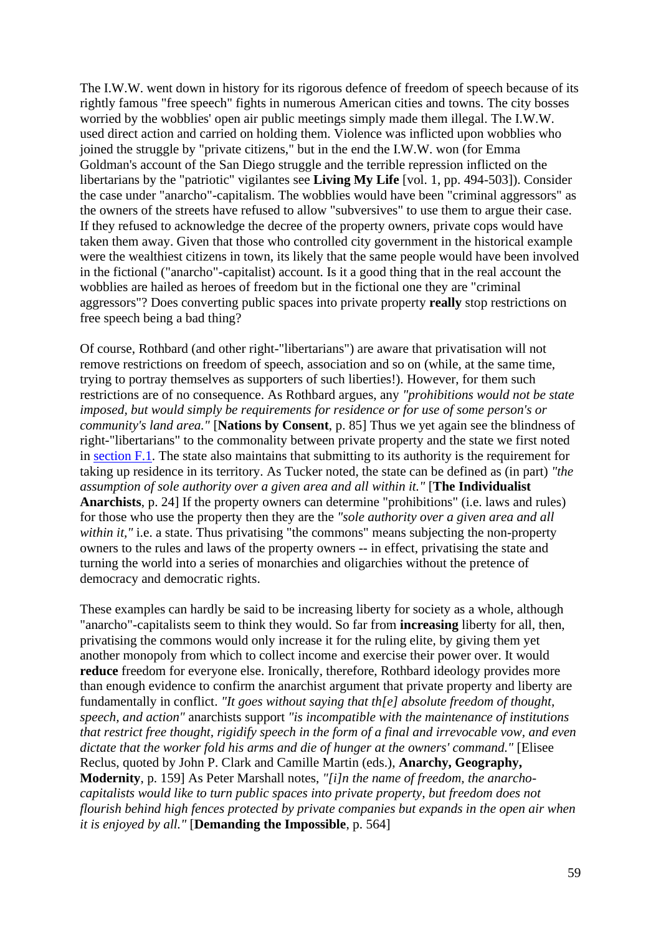The I.W.W. went down in history for its rigorous defence of freedom of speech because of its rightly famous "free speech" fights in numerous American cities and towns. The city bosses worried by the wobblies' open air public meetings simply made them illegal. The I.W.W. used direct action and carried on holding them. Violence was inflicted upon wobblies who joined the struggle by "private citizens," but in the end the I.W.W. won (for Emma Goldman's account of the San Diego struggle and the terrible repression inflicted on the libertarians by the "patriotic" vigilantes see **Living My Life** [vol. 1, pp. 494-503]). Consider the case under "anarcho"-capitalism. The wobblies would have been "criminal aggressors" as the owners of the streets have refused to allow "subversives" to use them to argue their case. If they refused to acknowledge the decree of the property owners, private cops would have taken them away. Given that those who controlled city government in the historical example were the wealthiest citizens in town, its likely that the same people would have been involved in the fictional ("anarcho"-capitalist) account. Is it a good thing that in the real account the wobblies are hailed as heroes of freedom but in the fictional one they are "criminal aggressors"? Does converting public spaces into private property **really** stop restrictions on free speech being a bad thing?

Of course, Rothbard (and other right-"libertarians") are aware that privatisation will not remove restrictions on freedom of speech, association and so on (while, at the same time, trying to portray themselves as supporters of such liberties!). However, for them such restrictions are of no consequence. As Rothbard argues, any *"prohibitions would not be state imposed, but would simply be requirements for residence or for use of some person's or community's land area."* [**Nations by Consent**, p. 85] Thus we yet again see the blindness of right-"libertarians" to the commonality between private property and the state we first noted in [section](sectionF.html#secf1) F.1. The state also maintains that submitting to its authority is the requirement for taking up residence in its territory. As Tucker noted, the state can be defined as (in part) *"the assumption of sole authority over a given area and all within it."* [**The Individualist Anarchists**, p. 24] If the property owners can determine "prohibitions" (i.e. laws and rules) for those who use the property then they are the *"sole authority over a given area and all within it,"* i.e. a state. Thus privatising "the commons" means subjecting the non-property owners to the rules and laws of the property owners -- in effect, privatising the state and turning the world into a series of monarchies and oligarchies without the pretence of democracy and democratic rights.

These examples can hardly be said to be increasing liberty for society as a whole, although "anarcho"-capitalists seem to think they would. So far from **increasing** liberty for all, then, privatising the commons would only increase it for the ruling elite, by giving them yet another monopoly from which to collect income and exercise their power over. It would **reduce** freedom for everyone else. Ironically, therefore, Rothbard ideology provides more than enough evidence to confirm the anarchist argument that private property and liberty are fundamentally in conflict. *"It goes without saying that th[e] absolute freedom of thought, speech, and action"* anarchists support *"is incompatible with the maintenance of institutions that restrict free thought, rigidify speech in the form of a final and irrevocable vow, and even dictate that the worker fold his arms and die of hunger at the owners' command."* [Elisee Reclus, quoted by John P. Clark and Camille Martin (eds.), **Anarchy, Geography, Modernity**, p. 159] As Peter Marshall notes, *"[i]n the name of freedom, the anarchocapitalists would like to turn public spaces into private property, but freedom does not flourish behind high fences protected by private companies but expands in the open air when it is enjoyed by all."* [**Demanding the Impossible**, p. 564]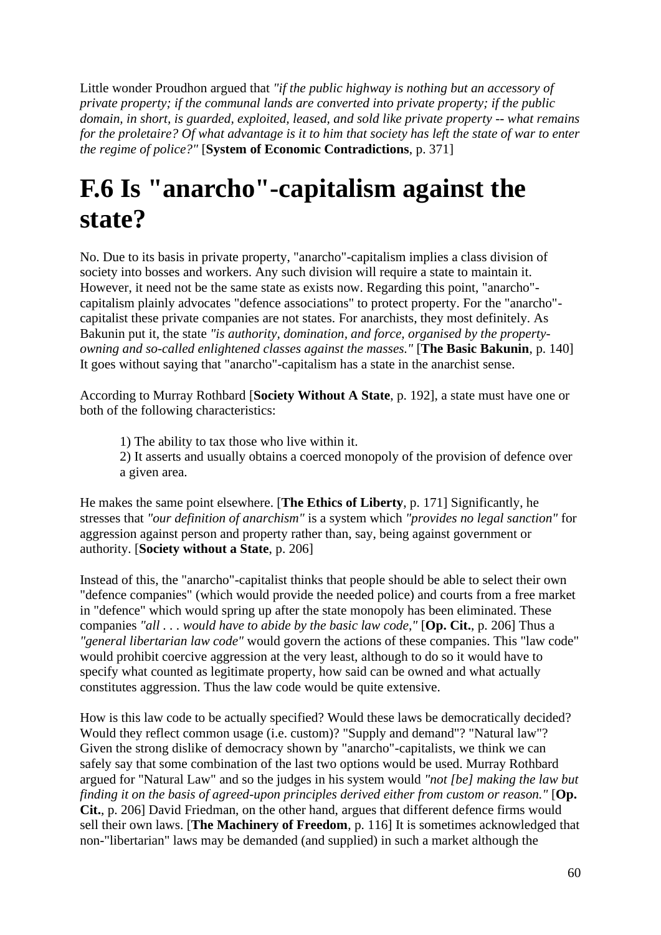Little wonder Proudhon argued that *"if the public highway is nothing but an accessory of private property; if the communal lands are converted into private property; if the public domain, in short, is guarded, exploited, leased, and sold like private property -- what remains for the proletaire? Of what advantage is it to him that society has left the state of war to enter the regime of police?"* [**System of Economic Contradictions**, p. 371]

# **F.6 Is "anarcho"-capitalism against the state?**

No. Due to its basis in private property, "anarcho"-capitalism implies a class division of society into bosses and workers. Any such division will require a state to maintain it. However, it need not be the same state as exists now. Regarding this point, "anarcho" capitalism plainly advocates "defence associations" to protect property. For the "anarcho" capitalist these private companies are not states. For anarchists, they most definitely. As Bakunin put it, the state *"is authority, domination, and force, organised by the propertyowning and so-called enlightened classes against the masses."* [**The Basic Bakunin**, p. 140] It goes without saying that "anarcho"-capitalism has a state in the anarchist sense.

According to Murray Rothbard [**Society Without A State**, p. 192], a state must have one or both of the following characteristics:

1) The ability to tax those who live within it.

2) It asserts and usually obtains a coerced monopoly of the provision of defence over a given area.

He makes the same point elsewhere. [**The Ethics of Liberty**, p. 171] Significantly, he stresses that *"our definition of anarchism"* is a system which *"provides no legal sanction"* for aggression against person and property rather than, say, being against government or authority. [**Society without a State**, p. 206]

Instead of this, the "anarcho"-capitalist thinks that people should be able to select their own "defence companies" (which would provide the needed police) and courts from a free market in "defence" which would spring up after the state monopoly has been eliminated. These companies *"all . . . would have to abide by the basic law code,"* [**Op. Cit.**, p. 206] Thus a *"general libertarian law code"* would govern the actions of these companies. This "law code" would prohibit coercive aggression at the very least, although to do so it would have to specify what counted as legitimate property, how said can be owned and what actually constitutes aggression. Thus the law code would be quite extensive.

How is this law code to be actually specified? Would these laws be democratically decided? Would they reflect common usage (i.e. custom)? "Supply and demand"? "Natural law"? Given the strong dislike of democracy shown by "anarcho"-capitalists, we think we can safely say that some combination of the last two options would be used. Murray Rothbard argued for "Natural Law" and so the judges in his system would *"not [be] making the law but finding it on the basis of agreed-upon principles derived either from custom or reason."* [**Op. Cit.**, p. 206] David Friedman, on the other hand, argues that different defence firms would sell their own laws. [**The Machinery of Freedom**, p. 116] It is sometimes acknowledged that non-"libertarian" laws may be demanded (and supplied) in such a market although the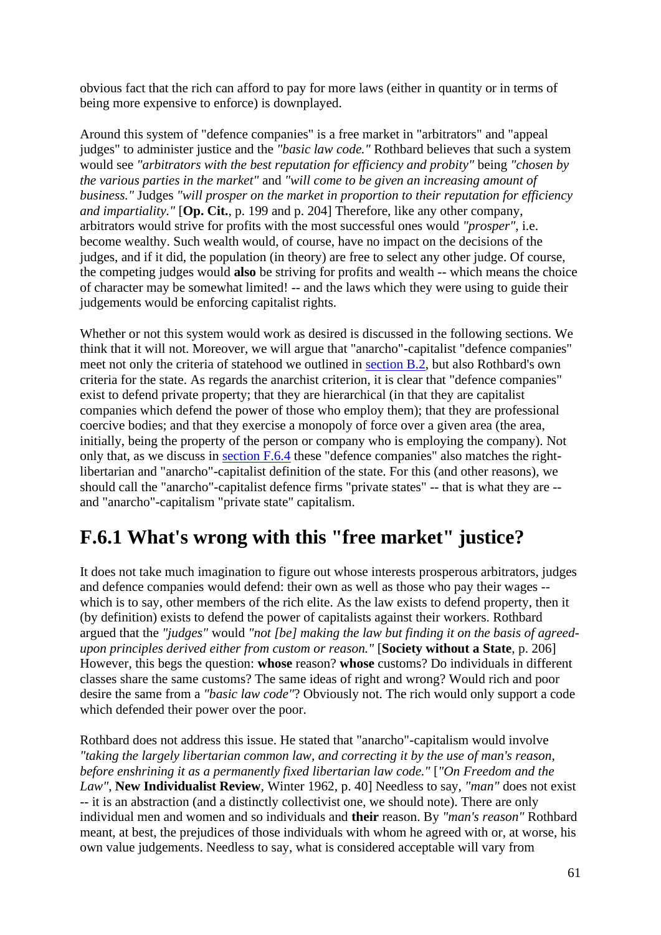obvious fact that the rich can afford to pay for more laws (either in quantity or in terms of being more expensive to enforce) is downplayed.

Around this system of "defence companies" is a free market in "arbitrators" and "appeal judges" to administer justice and the *"basic law code."* Rothbard believes that such a system would see *"arbitrators with the best reputation for efficiency and probity"* being *"chosen by the various parties in the market"* and *"will come to be given an increasing amount of business."* Judges *"will prosper on the market in proportion to their reputation for efficiency and impartiality."* [**Op. Cit.**, p. 199 and p. 204] Therefore, like any other company, arbitrators would strive for profits with the most successful ones would *"prosper"*, i.e. become wealthy. Such wealth would, of course, have no impact on the decisions of the judges, and if it did, the population (in theory) are free to select any other judge. Of course, the competing judges would **also** be striving for profits and wealth -- which means the choice of character may be somewhat limited! -- and the laws which they were using to guide their judgements would be enforcing capitalist rights.

Whether or not this system would work as desired is discussed in the following sections. We think that it will not. Moreover, we will argue that "anarcho"-capitalist "defence companies" meet not only the criteria of statehood we outlined in [section B.2,](sectionB.html#secb2) but also Rothbard's own criteria for the state. As regards the anarchist criterion, it is clear that "defence companies" exist to defend private property; that they are hierarchical (in that they are capitalist companies which defend the power of those who employ them); that they are professional coercive bodies; and that they exercise a monopoly of force over a given area (the area, initially, being the property of the person or company who is employing the company). Not only that, as we discuss in [section F.6.4](sectionF.html#secf64) these "defence companies" also matches the rightlibertarian and "anarcho"-capitalist definition of the state. For this (and other reasons), we should call the "anarcho"-capitalist defence firms "private states" -- that is what they are - and "anarcho"-capitalism "private state" capitalism.

### **F.6.1 What's wrong with this "free market" justice?**

It does not take much imagination to figure out whose interests prosperous arbitrators, judges and defence companies would defend: their own as well as those who pay their wages - which is to say, other members of the rich elite. As the law exists to defend property, then it (by definition) exists to defend the power of capitalists against their workers. Rothbard argued that the *"judges"* would *"not [be] making the law but finding it on the basis of agreedupon principles derived either from custom or reason."* [**Society without a State**, p. 206] However, this begs the question: **whose** reason? **whose** customs? Do individuals in different classes share the same customs? The same ideas of right and wrong? Would rich and poor desire the same from a *"basic law code"*? Obviously not. The rich would only support a code which defended their power over the poor.

Rothbard does not address this issue. He stated that "anarcho"-capitalism would involve *"taking the largely libertarian common law, and correcting it by the use of man's reason, before enshrining it as a permanently fixed libertarian law code."* [*"On Freedom and the Law"*, **New Individualist Review**, Winter 1962, p. 40] Needless to say, *"man"* does not exist -- it is an abstraction (and a distinctly collectivist one, we should note). There are only individual men and women and so individuals and **their** reason. By *"man's reason"* Rothbard meant, at best, the prejudices of those individuals with whom he agreed with or, at worse, his own value judgements. Needless to say, what is considered acceptable will vary from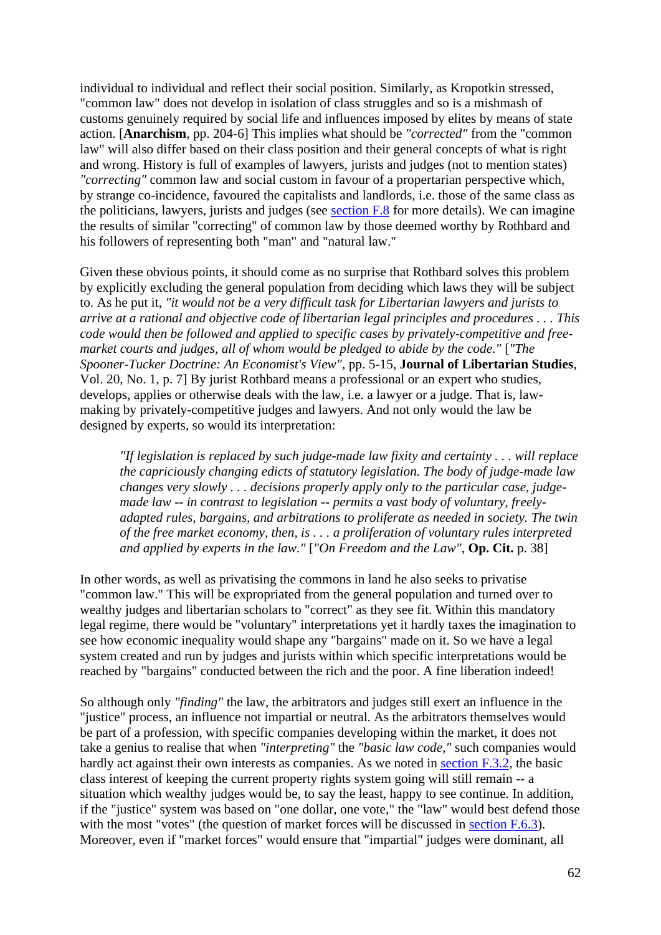individual to individual and reflect their social position. Similarly, as Kropotkin stressed, "common law" does not develop in isolation of class struggles and so is a mishmash of customs genuinely required by social life and influences imposed by elites by means of state action. [**Anarchism**, pp. 204-6] This implies what should be *"corrected"* from the "common law" will also differ based on their class position and their general concepts of what is right and wrong. History is full of examples of lawyers, jurists and judges (not to mention states) *"correcting"* common law and social custom in favour of a propertarian perspective which, by strange co-incidence, favoured the capitalists and landlords, i.e. those of the same class as the politicians, lawyers, jurists and judges (see [section F.8](sectionF.html#secf8) for more details). We can imagine the results of similar "correcting" of common law by those deemed worthy by Rothbard and his followers of representing both "man" and "natural law."

Given these obvious points, it should come as no surprise that Rothbard solves this problem by explicitly excluding the general population from deciding which laws they will be subject to. As he put it, *"it would not be a very difficult task for Libertarian lawyers and jurists to arrive at a rational and objective code of libertarian legal principles and procedures . . . This code would then be followed and applied to specific cases by privately-competitive and freemarket courts and judges, all of whom would be pledged to abide by the code."* [*"The Spooner-Tucker Doctrine: An Economist's View"*, pp. 5-15, **Journal of Libertarian Studies**, Vol. 20, No. 1, p. 7] By jurist Rothbard means a professional or an expert who studies, develops, applies or otherwise deals with the law, i.e. a lawyer or a judge. That is, lawmaking by privately-competitive judges and lawyers. And not only would the law be designed by experts, so would its interpretation:

*"If legislation is replaced by such judge-made law fixity and certainty . . . will replace the capriciously changing edicts of statutory legislation. The body of judge-made law changes very slowly . . . decisions properly apply only to the particular case, judgemade law -- in contrast to legislation -- permits a vast body of voluntary, freelyadapted rules, bargains, and arbitrations to proliferate as needed in society. The twin of the free market economy, then, is . . . a proliferation of voluntary rules interpreted and applied by experts in the law."* [*"On Freedom and the Law"*, **Op. Cit.** p. 38]

In other words, as well as privatising the commons in land he also seeks to privatise "common law." This will be expropriated from the general population and turned over to wealthy judges and libertarian scholars to "correct" as they see fit. Within this mandatory legal regime, there would be "voluntary" interpretations yet it hardly taxes the imagination to see how economic inequality would shape any "bargains" made on it. So we have a legal system created and run by judges and jurists within which specific interpretations would be reached by "bargains" conducted between the rich and the poor. A fine liberation indeed!

So although only *"finding"* the law, the arbitrators and judges still exert an influence in the "justice" process, an influence not impartial or neutral. As the arbitrators themselves would be part of a profession, with specific companies developing within the market, it does not take a genius to realise that when *"interpreting"* the *"basic law code,"* such companies would hardly act against their own interests as companies. As we noted in [section F.3.2,](sectionF.html#secf32) the basic class interest of keeping the current property rights system going will still remain -- a situation which wealthy judges would be, to say the least, happy to see continue. In addition, if the "justice" system was based on "one dollar, one vote," the "law" would best defend those with the most "votes" (the question of market forces will be discussed in [section F.6.3\)](sectionF.html#secf63). Moreover, even if "market forces" would ensure that "impartial" judges were dominant, all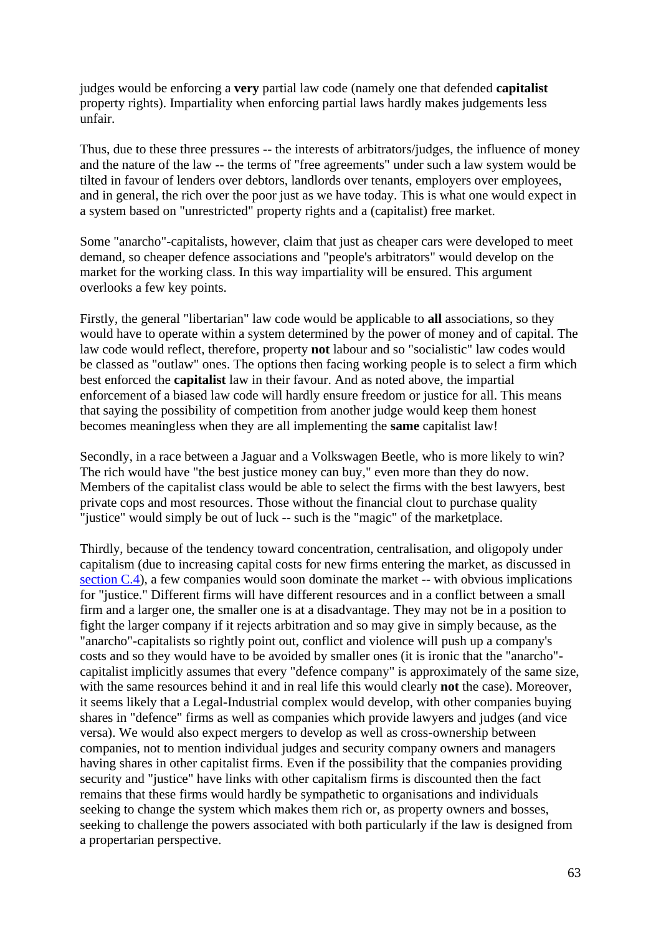judges would be enforcing a **very** partial law code (namely one that defended **capitalist** property rights). Impartiality when enforcing partial laws hardly makes judgements less unfair.

Thus, due to these three pressures -- the interests of arbitrators/judges, the influence of money and the nature of the law -- the terms of "free agreements" under such a law system would be tilted in favour of lenders over debtors, landlords over tenants, employers over employees, and in general, the rich over the poor just as we have today. This is what one would expect in a system based on "unrestricted" property rights and a (capitalist) free market.

Some "anarcho"-capitalists, however, claim that just as cheaper cars were developed to meet demand, so cheaper defence associations and "people's arbitrators" would develop on the market for the working class. In this way impartiality will be ensured. This argument overlooks a few key points.

Firstly, the general "libertarian" law code would be applicable to **all** associations, so they would have to operate within a system determined by the power of money and of capital. The law code would reflect, therefore, property **not** labour and so "socialistic" law codes would be classed as "outlaw" ones. The options then facing working people is to select a firm which best enforced the **capitalist** law in their favour. And as noted above, the impartial enforcement of a biased law code will hardly ensure freedom or justice for all. This means that saying the possibility of competition from another judge would keep them honest becomes meaningless when they are all implementing the **same** capitalist law!

Secondly, in a race between a Jaguar and a Volkswagen Beetle, who is more likely to win? The rich would have "the best justice money can buy," even more than they do now. Members of the capitalist class would be able to select the firms with the best lawyers, best private cops and most resources. Those without the financial clout to purchase quality "justice" would simply be out of luck -- such is the "magic" of the marketplace.

Thirdly, because of the tendency toward concentration, centralisation, and oligopoly under capitalism (due to increasing capital costs for new firms entering the market, as discussed in [section C.4\)](sectionC.html#secc4), a few companies would soon dominate the market -- with obvious implications for "justice." Different firms will have different resources and in a conflict between a small firm and a larger one, the smaller one is at a disadvantage. They may not be in a position to fight the larger company if it rejects arbitration and so may give in simply because, as the "anarcho"-capitalists so rightly point out, conflict and violence will push up a company's costs and so they would have to be avoided by smaller ones (it is ironic that the "anarcho" capitalist implicitly assumes that every "defence company" is approximately of the same size, with the same resources behind it and in real life this would clearly **not** the case). Moreover, it seems likely that a Legal-Industrial complex would develop, with other companies buying shares in "defence" firms as well as companies which provide lawyers and judges (and vice versa). We would also expect mergers to develop as well as cross-ownership between companies, not to mention individual judges and security company owners and managers having shares in other capitalist firms. Even if the possibility that the companies providing security and "justice" have links with other capitalism firms is discounted then the fact remains that these firms would hardly be sympathetic to organisations and individuals seeking to change the system which makes them rich or, as property owners and bosses. seeking to challenge the powers associated with both particularly if the law is designed from a propertarian perspective.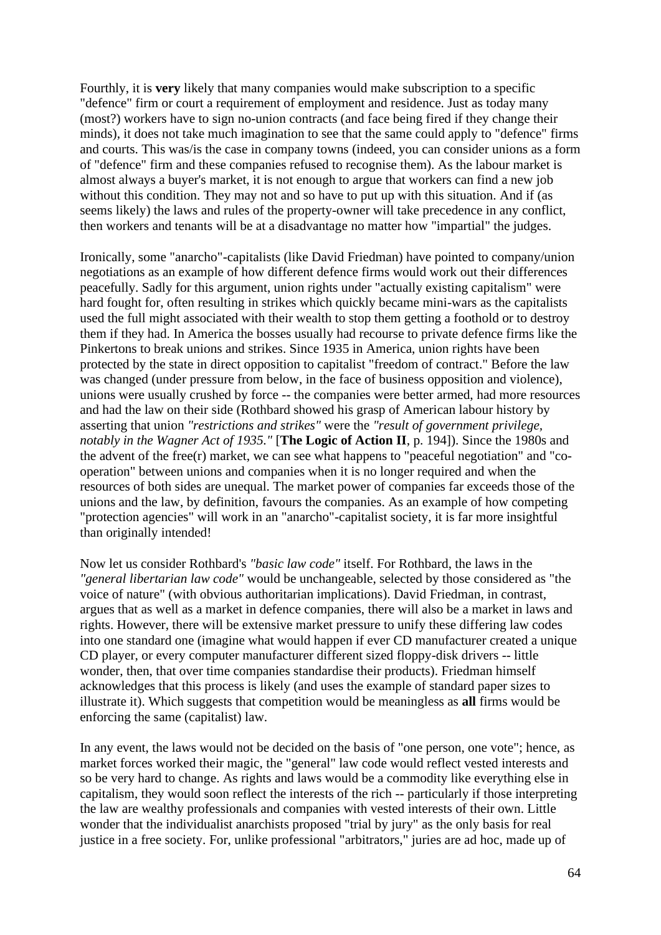Fourthly, it is **very** likely that many companies would make subscription to a specific "defence" firm or court a requirement of employment and residence. Just as today many (most?) workers have to sign no-union contracts (and face being fired if they change their minds), it does not take much imagination to see that the same could apply to "defence" firms and courts. This was/is the case in company towns (indeed, you can consider unions as a form of "defence" firm and these companies refused to recognise them). As the labour market is almost always a buyer's market, it is not enough to argue that workers can find a new job without this condition. They may not and so have to put up with this situation. And if (as seems likely) the laws and rules of the property-owner will take precedence in any conflict, then workers and tenants will be at a disadvantage no matter how "impartial" the judges.

Ironically, some "anarcho"-capitalists (like David Friedman) have pointed to company/union negotiations as an example of how different defence firms would work out their differences peacefully. Sadly for this argument, union rights under "actually existing capitalism" were hard fought for, often resulting in strikes which quickly became mini-wars as the capitalists used the full might associated with their wealth to stop them getting a foothold or to destroy them if they had. In America the bosses usually had recourse to private defence firms like the Pinkertons to break unions and strikes. Since 1935 in America, union rights have been protected by the state in direct opposition to capitalist "freedom of contract." Before the law was changed (under pressure from below, in the face of business opposition and violence), unions were usually crushed by force -- the companies were better armed, had more resources and had the law on their side (Rothbard showed his grasp of American labour history by asserting that union *"restrictions and strikes"* were the *"result of government privilege, notably in the Wagner Act of 1935."* [**The Logic of Action II**, p. 194]). Since the 1980s and the advent of the free(r) market, we can see what happens to "peaceful negotiation" and "cooperation" between unions and companies when it is no longer required and when the resources of both sides are unequal. The market power of companies far exceeds those of the unions and the law, by definition, favours the companies. As an example of how competing "protection agencies" will work in an "anarcho"-capitalist society, it is far more insightful than originally intended!

Now let us consider Rothbard's *"basic law code"* itself. For Rothbard, the laws in the *"general libertarian law code"* would be unchangeable, selected by those considered as "the voice of nature" (with obvious authoritarian implications). David Friedman, in contrast, argues that as well as a market in defence companies, there will also be a market in laws and rights. However, there will be extensive market pressure to unify these differing law codes into one standard one (imagine what would happen if ever CD manufacturer created a unique CD player, or every computer manufacturer different sized floppy-disk drivers -- little wonder, then, that over time companies standardise their products). Friedman himself acknowledges that this process is likely (and uses the example of standard paper sizes to illustrate it). Which suggests that competition would be meaningless as **all** firms would be enforcing the same (capitalist) law.

In any event, the laws would not be decided on the basis of "one person, one vote"; hence, as market forces worked their magic, the "general" law code would reflect vested interests and so be very hard to change. As rights and laws would be a commodity like everything else in capitalism, they would soon reflect the interests of the rich -- particularly if those interpreting the law are wealthy professionals and companies with vested interests of their own. Little wonder that the individualist anarchists proposed "trial by jury" as the only basis for real justice in a free society. For, unlike professional "arbitrators," juries are ad hoc, made up of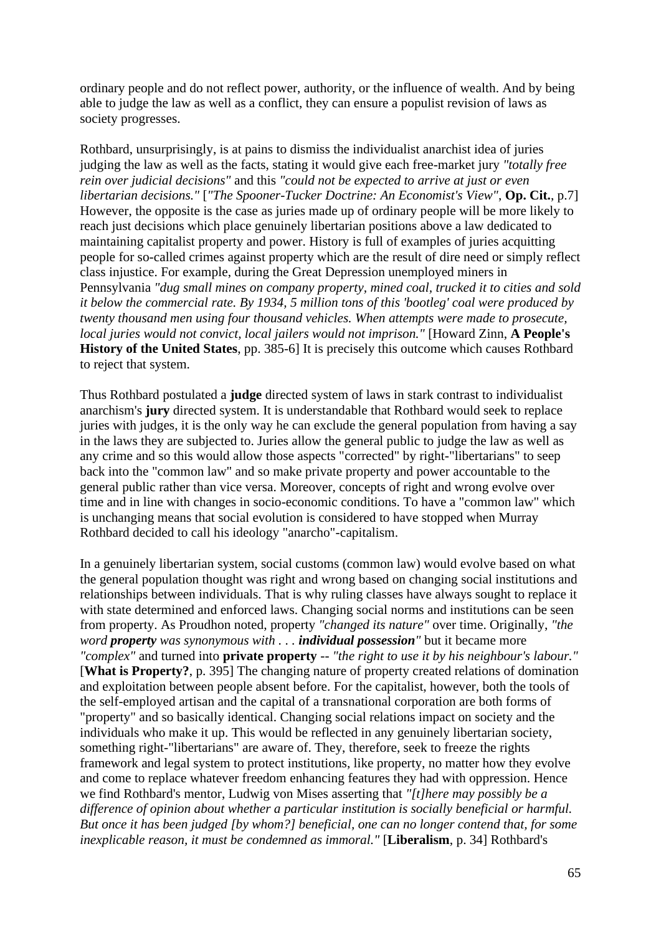ordinary people and do not reflect power, authority, or the influence of wealth. And by being able to judge the law as well as a conflict, they can ensure a populist revision of laws as society progresses.

Rothbard, unsurprisingly, is at pains to dismiss the individualist anarchist idea of juries judging the law as well as the facts, stating it would give each free-market jury *"totally free rein over judicial decisions"* and this *"could not be expected to arrive at just or even libertarian decisions."* [*"The Spooner-Tucker Doctrine: An Economist's View"*, **Op. Cit.**, p.7] However, the opposite is the case as juries made up of ordinary people will be more likely to reach just decisions which place genuinely libertarian positions above a law dedicated to maintaining capitalist property and power. History is full of examples of juries acquitting people for so-called crimes against property which are the result of dire need or simply reflect class injustice. For example, during the Great Depression unemployed miners in Pennsylvania *"dug small mines on company property, mined coal, trucked it to cities and sold it below the commercial rate. By 1934, 5 million tons of this 'bootleg' coal were produced by twenty thousand men using four thousand vehicles. When attempts were made to prosecute, local juries would not convict, local jailers would not imprison."* [Howard Zinn, **A People's History of the United States**, pp. 385-6] It is precisely this outcome which causes Rothbard to reject that system.

Thus Rothbard postulated a **judge** directed system of laws in stark contrast to individualist anarchism's **jury** directed system. It is understandable that Rothbard would seek to replace juries with judges, it is the only way he can exclude the general population from having a say in the laws they are subjected to. Juries allow the general public to judge the law as well as any crime and so this would allow those aspects "corrected" by right-"libertarians" to seep back into the "common law" and so make private property and power accountable to the general public rather than vice versa. Moreover, concepts of right and wrong evolve over time and in line with changes in socio-economic conditions. To have a "common law" which is unchanging means that social evolution is considered to have stopped when Murray Rothbard decided to call his ideology "anarcho"-capitalism.

In a genuinely libertarian system, social customs (common law) would evolve based on what the general population thought was right and wrong based on changing social institutions and relationships between individuals. That is why ruling classes have always sought to replace it with state determined and enforced laws. Changing social norms and institutions can be seen from property. As Proudhon noted, property *"changed its nature"* over time. Originally, *"the word property was synonymous with . . . individual possession"* but it became more *"complex"* and turned into **private property** -- *"the right to use it by his neighbour's labour."* [**What is Property?**, p. 395] The changing nature of property created relations of domination and exploitation between people absent before. For the capitalist, however, both the tools of the self-employed artisan and the capital of a transnational corporation are both forms of "property" and so basically identical. Changing social relations impact on society and the individuals who make it up. This would be reflected in any genuinely libertarian society, something right-"libertarians" are aware of. They, therefore, seek to freeze the rights framework and legal system to protect institutions, like property, no matter how they evolve and come to replace whatever freedom enhancing features they had with oppression. Hence we find Rothbard's mentor, Ludwig von Mises asserting that *"[t]here may possibly be a difference of opinion about whether a particular institution is socially beneficial or harmful. But once it has been judged [by whom?] beneficial, one can no longer contend that, for some inexplicable reason, it must be condemned as immoral."* [**Liberalism**, p. 34] Rothbard's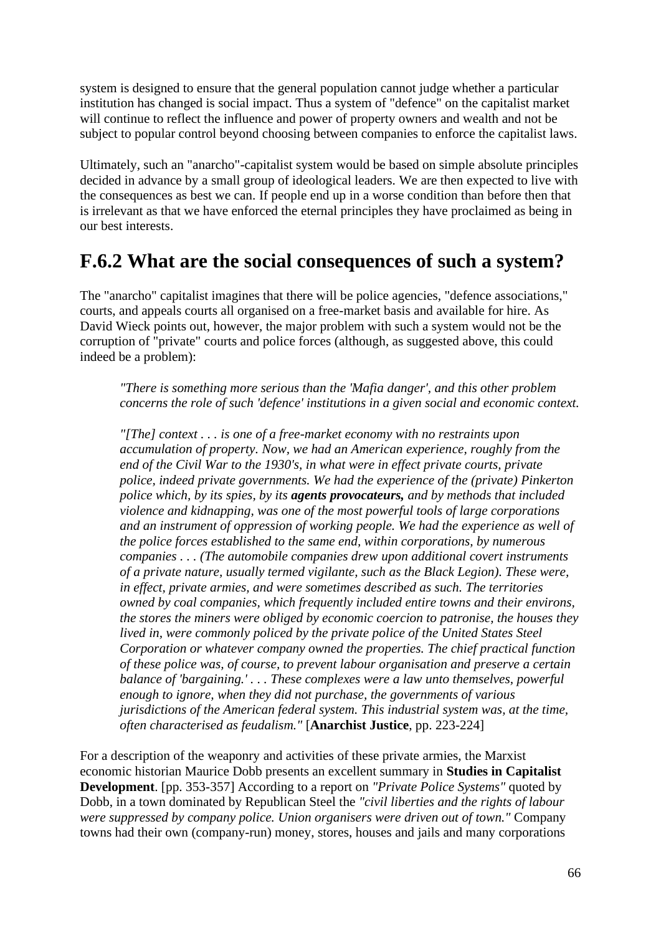system is designed to ensure that the general population cannot judge whether a particular institution has changed is social impact. Thus a system of "defence" on the capitalist market will continue to reflect the influence and power of property owners and wealth and not be subject to popular control beyond choosing between companies to enforce the capitalist laws.

Ultimately, such an "anarcho"-capitalist system would be based on simple absolute principles decided in advance by a small group of ideological leaders. We are then expected to live with the consequences as best we can. If people end up in a worse condition than before then that is irrelevant as that we have enforced the eternal principles they have proclaimed as being in our best interests.

#### **F.6.2 What are the social consequences of such a system?**

The "anarcho" capitalist imagines that there will be police agencies, "defence associations," courts, and appeals courts all organised on a free-market basis and available for hire. As David Wieck points out, however, the major problem with such a system would not be the corruption of "private" courts and police forces (although, as suggested above, this could indeed be a problem):

*"There is something more serious than the 'Mafia danger', and this other problem concerns the role of such 'defence' institutions in a given social and economic context.*

*"[The] context . . . is one of a free-market economy with no restraints upon accumulation of property. Now, we had an American experience, roughly from the end of the Civil War to the 1930's, in what were in effect private courts, private police, indeed private governments. We had the experience of the (private) Pinkerton police which, by its spies, by its agents provocateurs, and by methods that included violence and kidnapping, was one of the most powerful tools of large corporations and an instrument of oppression of working people. We had the experience as well of the police forces established to the same end, within corporations, by numerous companies . . . (The automobile companies drew upon additional covert instruments of a private nature, usually termed vigilante, such as the Black Legion). These were, in effect, private armies, and were sometimes described as such. The territories owned by coal companies, which frequently included entire towns and their environs, the stores the miners were obliged by economic coercion to patronise, the houses they lived in, were commonly policed by the private police of the United States Steel Corporation or whatever company owned the properties. The chief practical function of these police was, of course, to prevent labour organisation and preserve a certain balance of 'bargaining.' . . . These complexes were a law unto themselves, powerful enough to ignore, when they did not purchase, the governments of various jurisdictions of the American federal system. This industrial system was, at the time, often characterised as feudalism."* [**Anarchist Justice**, pp. 223-224]

For a description of the weaponry and activities of these private armies, the Marxist economic historian Maurice Dobb presents an excellent summary in **Studies in Capitalist Development**. [pp. 353-357] According to a report on *"Private Police Systems"* quoted by Dobb, in a town dominated by Republican Steel the *"civil liberties and the rights of labour were suppressed by company police. Union organisers were driven out of town."* Company towns had their own (company-run) money, stores, houses and jails and many corporations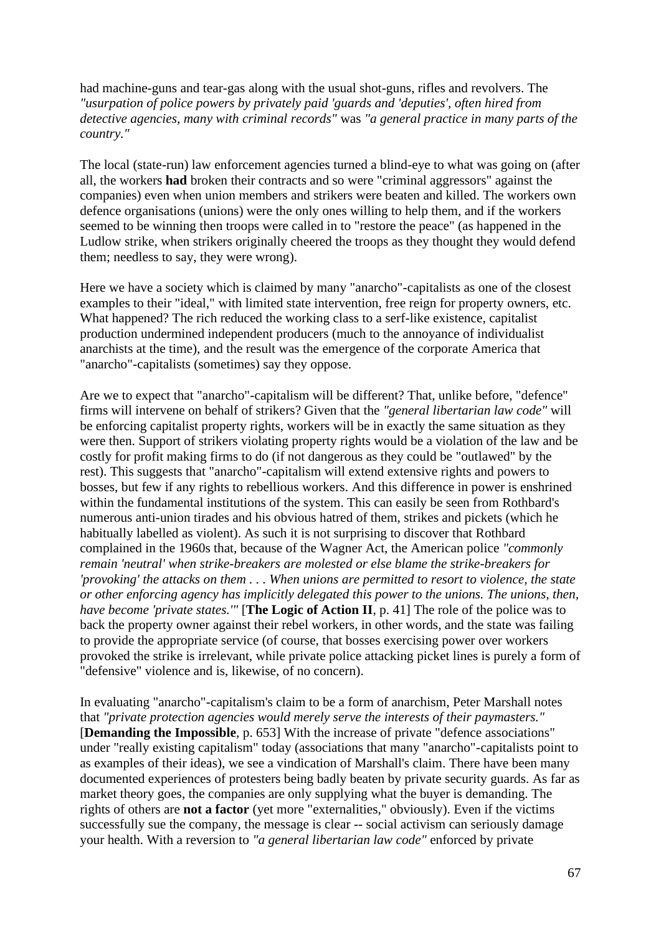had machine-guns and tear-gas along with the usual shot-guns, rifles and revolvers. The *"usurpation of police powers by privately paid 'guards and 'deputies', often hired from detective agencies, many with criminal records"* was *"a general practice in many parts of the country."*

The local (state-run) law enforcement agencies turned a blind-eye to what was going on (after all, the workers **had** broken their contracts and so were "criminal aggressors" against the companies) even when union members and strikers were beaten and killed. The workers own defence organisations (unions) were the only ones willing to help them, and if the workers seemed to be winning then troops were called in to "restore the peace" (as happened in the Ludlow strike, when strikers originally cheered the troops as they thought they would defend them; needless to say, they were wrong).

Here we have a society which is claimed by many "anarcho"-capitalists as one of the closest examples to their "ideal," with limited state intervention, free reign for property owners, etc. What happened? The rich reduced the working class to a serf-like existence, capitalist production undermined independent producers (much to the annoyance of individualist anarchists at the time), and the result was the emergence of the corporate America that "anarcho"-capitalists (sometimes) say they oppose.

Are we to expect that "anarcho"-capitalism will be different? That, unlike before, "defence" firms will intervene on behalf of strikers? Given that the *"general libertarian law code"* will be enforcing capitalist property rights, workers will be in exactly the same situation as they were then. Support of strikers violating property rights would be a violation of the law and be costly for profit making firms to do (if not dangerous as they could be "outlawed" by the rest). This suggests that "anarcho"-capitalism will extend extensive rights and powers to bosses, but few if any rights to rebellious workers. And this difference in power is enshrined within the fundamental institutions of the system. This can easily be seen from Rothbard's numerous anti-union tirades and his obvious hatred of them, strikes and pickets (which he habitually labelled as violent). As such it is not surprising to discover that Rothbard complained in the 1960s that, because of the Wagner Act, the American police *"commonly remain 'neutral' when strike-breakers are molested or else blame the strike-breakers for 'provoking' the attacks on them . . . When unions are permitted to resort to violence, the state or other enforcing agency has implicitly delegated this power to the unions. The unions, then, have become 'private states.'"* [**The Logic of Action II**, p. 41] The role of the police was to back the property owner against their rebel workers, in other words, and the state was failing to provide the appropriate service (of course, that bosses exercising power over workers provoked the strike is irrelevant, while private police attacking picket lines is purely a form of "defensive" violence and is, likewise, of no concern).

In evaluating "anarcho"-capitalism's claim to be a form of anarchism, Peter Marshall notes that *"private protection agencies would merely serve the interests of their paymasters."* [**Demanding the Impossible**, p. 653] With the increase of private "defence associations" under "really existing capitalism" today (associations that many "anarcho"-capitalists point to as examples of their ideas), we see a vindication of Marshall's claim. There have been many documented experiences of protesters being badly beaten by private security guards. As far as market theory goes, the companies are only supplying what the buyer is demanding. The rights of others are **not a factor** (yet more "externalities," obviously). Even if the victims successfully sue the company, the message is clear -- social activism can seriously damage your health. With a reversion to *"a general libertarian law code"* enforced by private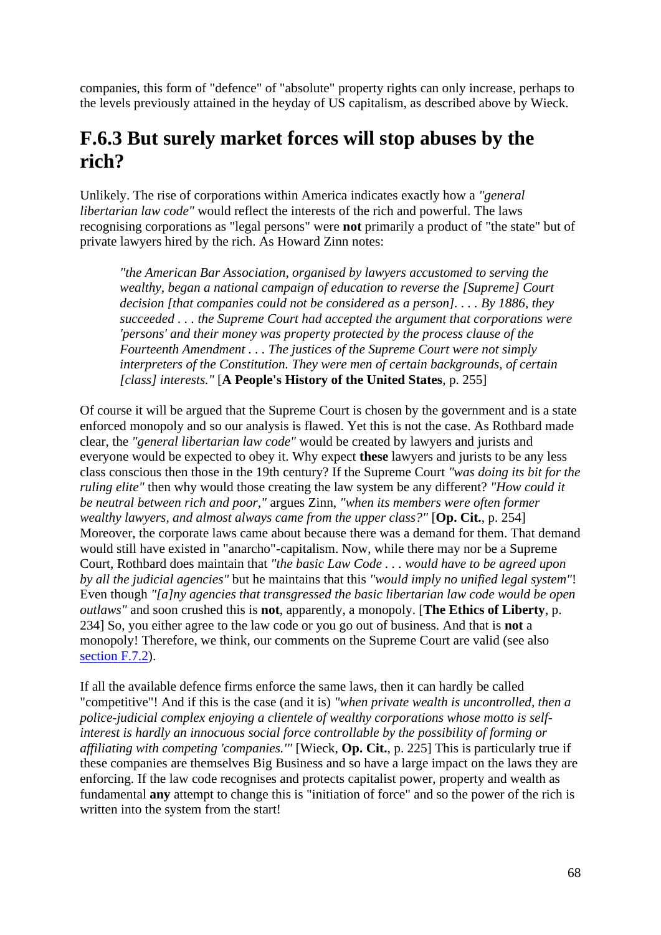companies, this form of "defence" of "absolute" property rights can only increase, perhaps to the levels previously attained in the heyday of US capitalism, as described above by Wieck.

### **F.6.3 But surely market forces will stop abuses by the rich?**

Unlikely. The rise of corporations within America indicates exactly how a *"general libertarian law code"* would reflect the interests of the rich and powerful. The laws recognising corporations as "legal persons" were **not** primarily a product of "the state" but of private lawyers hired by the rich. As Howard Zinn notes:

*"the American Bar Association, organised by lawyers accustomed to serving the wealthy, began a national campaign of education to reverse the [Supreme] Court decision [that companies could not be considered as a person]. . . . By 1886, they succeeded . . . the Supreme Court had accepted the argument that corporations were 'persons' and their money was property protected by the process clause of the Fourteenth Amendment . . . The justices of the Supreme Court were not simply interpreters of the Constitution. They were men of certain backgrounds, of certain [class] interests."* [**A People's History of the United States**, p. 255]

Of course it will be argued that the Supreme Court is chosen by the government and is a state enforced monopoly and so our analysis is flawed. Yet this is not the case. As Rothbard made clear, the *"general libertarian law code"* would be created by lawyers and jurists and everyone would be expected to obey it. Why expect **these** lawyers and jurists to be any less class conscious then those in the 19th century? If the Supreme Court *"was doing its bit for the ruling elite"* then why would those creating the law system be any different? *"How could it be neutral between rich and poor,"* argues Zinn, *"when its members were often former wealthy lawyers, and almost always came from the upper class?"* [**Op. Cit.**, p. 254] Moreover, the corporate laws came about because there was a demand for them. That demand would still have existed in "anarcho"-capitalism. Now, while there may nor be a Supreme Court, Rothbard does maintain that *"the basic Law Code . . . would have to be agreed upon by all the judicial agencies"* but he maintains that this *"would imply no unified legal system"*! Even though *"[a]ny agencies that transgressed the basic libertarian law code would be open outlaws"* and soon crushed this is **not**, apparently, a monopoly. [**The Ethics of Liberty**, p. 234] So, you either agree to the law code or you go out of business. And that is **not** a monopoly! Therefore, we think, our comments on the Supreme Court are valid (see also [section F.7.2\)](sectionF.html#secf72).

If all the available defence firms enforce the same laws, then it can hardly be called "competitive"! And if this is the case (and it is) *"when private wealth is uncontrolled, then a police-judicial complex enjoying a clientele of wealthy corporations whose motto is selfinterest is hardly an innocuous social force controllable by the possibility of forming or affiliating with competing 'companies.'"* [Wieck, **Op. Cit.**, p. 225] This is particularly true if these companies are themselves Big Business and so have a large impact on the laws they are enforcing. If the law code recognises and protects capitalist power, property and wealth as fundamental **any** attempt to change this is "initiation of force" and so the power of the rich is written into the system from the start!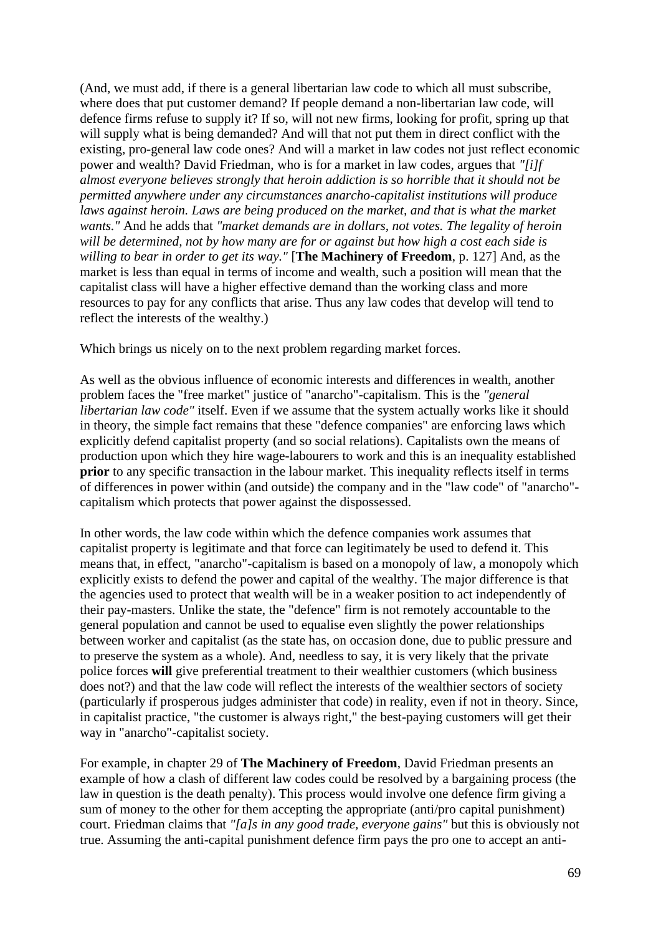(And, we must add, if there is a general libertarian law code to which all must subscribe, where does that put customer demand? If people demand a non-libertarian law code, will defence firms refuse to supply it? If so, will not new firms, looking for profit, spring up that will supply what is being demanded? And will that not put them in direct conflict with the existing, pro-general law code ones? And will a market in law codes not just reflect economic power and wealth? David Friedman, who is for a market in law codes, argues that *"[i]f almost everyone believes strongly that heroin addiction is so horrible that it should not be permitted anywhere under any circumstances anarcho-capitalist institutions will produce*  laws against heroin. Laws are being produced on the market, and that is what the market *wants."* And he adds that *"market demands are in dollars, not votes. The legality of heroin will be determined, not by how many are for or against but how high a cost each side is willing to bear in order to get its way."* [**The Machinery of Freedom**, p. 127] And, as the market is less than equal in terms of income and wealth, such a position will mean that the capitalist class will have a higher effective demand than the working class and more resources to pay for any conflicts that arise. Thus any law codes that develop will tend to reflect the interests of the wealthy.)

Which brings us nicely on to the next problem regarding market forces.

As well as the obvious influence of economic interests and differences in wealth, another problem faces the "free market" justice of "anarcho"-capitalism. This is the *"general libertarian law code"* itself. Even if we assume that the system actually works like it should in theory, the simple fact remains that these "defence companies" are enforcing laws which explicitly defend capitalist property (and so social relations). Capitalists own the means of production upon which they hire wage-labourers to work and this is an inequality established **prior** to any specific transaction in the labour market. This inequality reflects itself in terms of differences in power within (and outside) the company and in the "law code" of "anarcho" capitalism which protects that power against the dispossessed.

In other words, the law code within which the defence companies work assumes that capitalist property is legitimate and that force can legitimately be used to defend it. This means that, in effect, "anarcho"-capitalism is based on a monopoly of law, a monopoly which explicitly exists to defend the power and capital of the wealthy. The major difference is that the agencies used to protect that wealth will be in a weaker position to act independently of their pay-masters. Unlike the state, the "defence" firm is not remotely accountable to the general population and cannot be used to equalise even slightly the power relationships between worker and capitalist (as the state has, on occasion done, due to public pressure and to preserve the system as a whole). And, needless to say, it is very likely that the private police forces **will** give preferential treatment to their wealthier customers (which business does not?) and that the law code will reflect the interests of the wealthier sectors of society (particularly if prosperous judges administer that code) in reality, even if not in theory. Since, in capitalist practice, "the customer is always right," the best-paying customers will get their way in "anarcho"-capitalist society.

For example, in chapter 29 of **The Machinery of Freedom**, David Friedman presents an example of how a clash of different law codes could be resolved by a bargaining process (the law in question is the death penalty). This process would involve one defence firm giving a sum of money to the other for them accepting the appropriate (anti/pro capital punishment) court. Friedman claims that *"[a]s in any good trade, everyone gains"* but this is obviously not true. Assuming the anti-capital punishment defence firm pays the pro one to accept an anti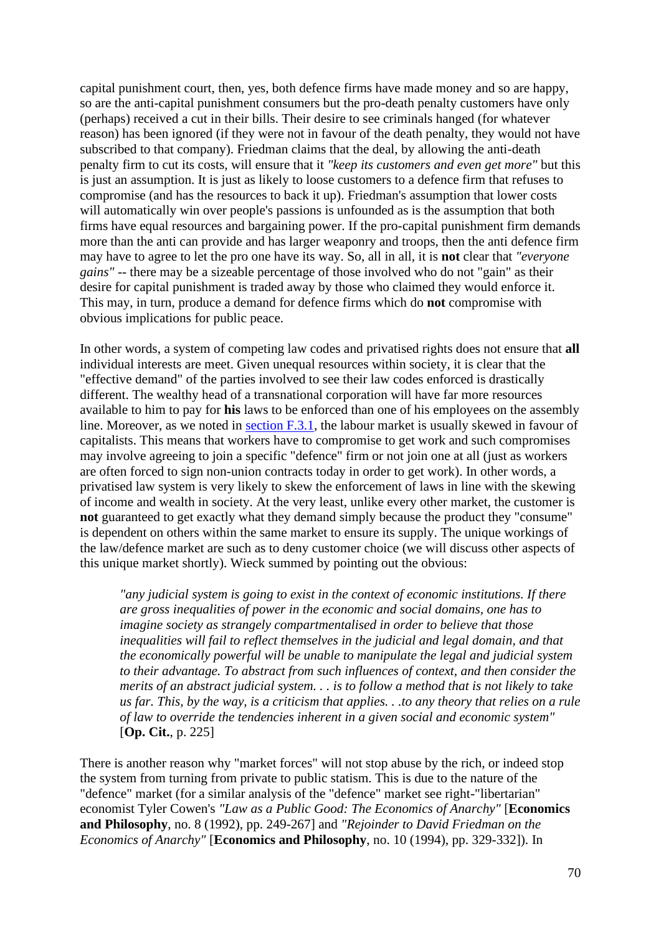capital punishment court, then, yes, both defence firms have made money and so are happy, so are the anti-capital punishment consumers but the pro-death penalty customers have only (perhaps) received a cut in their bills. Their desire to see criminals hanged (for whatever reason) has been ignored (if they were not in favour of the death penalty, they would not have subscribed to that company). Friedman claims that the deal, by allowing the anti-death penalty firm to cut its costs, will ensure that it *"keep its customers and even get more"* but this is just an assumption. It is just as likely to loose customers to a defence firm that refuses to compromise (and has the resources to back it up). Friedman's assumption that lower costs will automatically win over people's passions is unfounded as is the assumption that both firms have equal resources and bargaining power. If the pro-capital punishment firm demands more than the anti can provide and has larger weaponry and troops, then the anti defence firm may have to agree to let the pro one have its way. So, all in all, it is **not** clear that *"everyone gains"* -- there may be a sizeable percentage of those involved who do not "gain" as their desire for capital punishment is traded away by those who claimed they would enforce it. This may, in turn, produce a demand for defence firms which do **not** compromise with obvious implications for public peace.

In other words, a system of competing law codes and privatised rights does not ensure that **all** individual interests are meet. Given unequal resources within society, it is clear that the "effective demand" of the parties involved to see their law codes enforced is drastically different. The wealthy head of a transnational corporation will have far more resources available to him to pay for **his** laws to be enforced than one of his employees on the assembly line. Moreover, as we noted in [section F.3.1,](sectionF.html#secf31) the labour market is usually skewed in favour of capitalists. This means that workers have to compromise to get work and such compromises may involve agreeing to join a specific "defence" firm or not join one at all (just as workers are often forced to sign non-union contracts today in order to get work). In other words, a privatised law system is very likely to skew the enforcement of laws in line with the skewing of income and wealth in society. At the very least, unlike every other market, the customer is **not** guaranteed to get exactly what they demand simply because the product they "consume" is dependent on others within the same market to ensure its supply. The unique workings of the law/defence market are such as to deny customer choice (we will discuss other aspects of this unique market shortly). Wieck summed by pointing out the obvious:

*"any judicial system is going to exist in the context of economic institutions. If there are gross inequalities of power in the economic and social domains, one has to imagine society as strangely compartmentalised in order to believe that those inequalities will fail to reflect themselves in the judicial and legal domain, and that the economically powerful will be unable to manipulate the legal and judicial system to their advantage. To abstract from such influences of context, and then consider the merits of an abstract judicial system. . . is to follow a method that is not likely to take us far. This, by the way, is a criticism that applies. . .to any theory that relies on a rule of law to override the tendencies inherent in a given social and economic system"* [**Op. Cit.**, p. 225]

There is another reason why "market forces" will not stop abuse by the rich, or indeed stop the system from turning from private to public statism. This is due to the nature of the "defence" market (for a similar analysis of the "defence" market see right-"libertarian" economist Tyler Cowen's *"Law as a Public Good: The Economics of Anarchy"* [**Economics and Philosophy**, no. 8 (1992), pp. 249-267] and *"Rejoinder to David Friedman on the Economics of Anarchy"* [**Economics and Philosophy**, no. 10 (1994), pp. 329-332]). In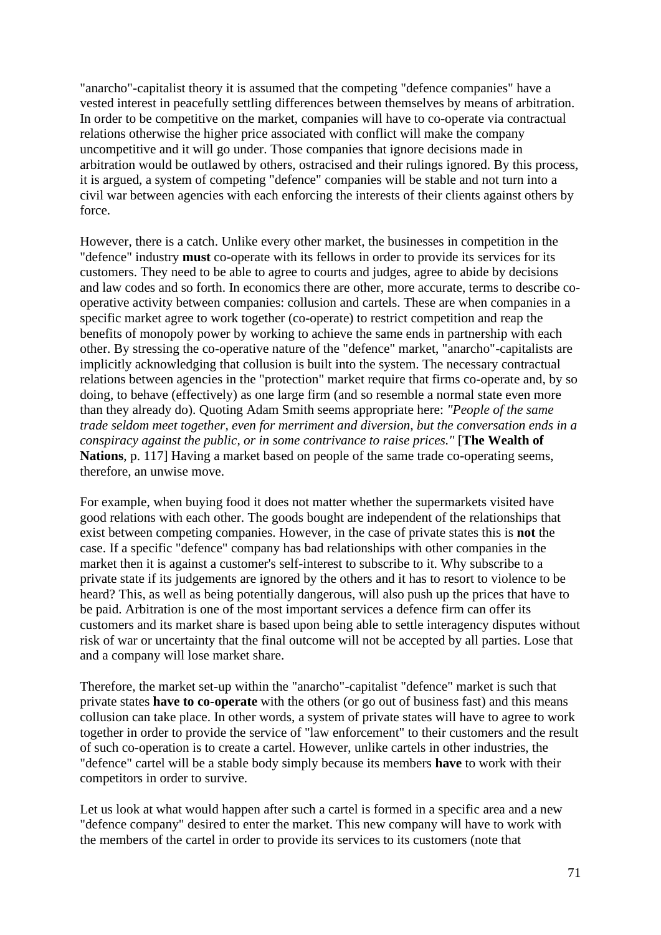"anarcho"-capitalist theory it is assumed that the competing "defence companies" have a vested interest in peacefully settling differences between themselves by means of arbitration. In order to be competitive on the market, companies will have to co-operate via contractual relations otherwise the higher price associated with conflict will make the company uncompetitive and it will go under. Those companies that ignore decisions made in arbitration would be outlawed by others, ostracised and their rulings ignored. By this process, it is argued, a system of competing "defence" companies will be stable and not turn into a civil war between agencies with each enforcing the interests of their clients against others by force.

However, there is a catch. Unlike every other market, the businesses in competition in the "defence" industry **must** co-operate with its fellows in order to provide its services for its customers. They need to be able to agree to courts and judges, agree to abide by decisions and law codes and so forth. In economics there are other, more accurate, terms to describe cooperative activity between companies: collusion and cartels. These are when companies in a specific market agree to work together (co-operate) to restrict competition and reap the benefits of monopoly power by working to achieve the same ends in partnership with each other. By stressing the co-operative nature of the "defence" market, "anarcho"-capitalists are implicitly acknowledging that collusion is built into the system. The necessary contractual relations between agencies in the "protection" market require that firms co-operate and, by so doing, to behave (effectively) as one large firm (and so resemble a normal state even more than they already do). Quoting Adam Smith seems appropriate here: *"People of the same trade seldom meet together, even for merriment and diversion, but the conversation ends in a conspiracy against the public, or in some contrivance to raise prices."* [**The Wealth of Nations**, p. 117] Having a market based on people of the same trade co-operating seems, therefore, an unwise move.

For example, when buying food it does not matter whether the supermarkets visited have good relations with each other. The goods bought are independent of the relationships that exist between competing companies. However, in the case of private states this is **not** the case. If a specific "defence" company has bad relationships with other companies in the market then it is against a customer's self-interest to subscribe to it. Why subscribe to a private state if its judgements are ignored by the others and it has to resort to violence to be heard? This, as well as being potentially dangerous, will also push up the prices that have to be paid. Arbitration is one of the most important services a defence firm can offer its customers and its market share is based upon being able to settle interagency disputes without risk of war or uncertainty that the final outcome will not be accepted by all parties. Lose that and a company will lose market share.

Therefore, the market set-up within the "anarcho"-capitalist "defence" market is such that private states **have to co-operate** with the others (or go out of business fast) and this means collusion can take place. In other words, a system of private states will have to agree to work together in order to provide the service of "law enforcement" to their customers and the result of such co-operation is to create a cartel. However, unlike cartels in other industries, the "defence" cartel will be a stable body simply because its members **have** to work with their competitors in order to survive.

Let us look at what would happen after such a cartel is formed in a specific area and a new "defence company" desired to enter the market. This new company will have to work with the members of the cartel in order to provide its services to its customers (note that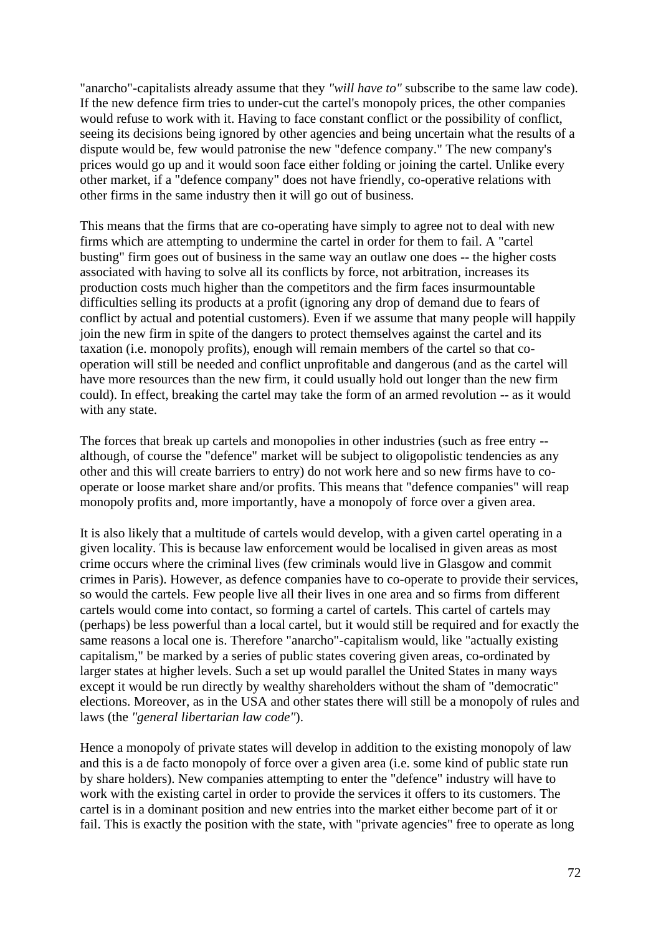"anarcho"-capitalists already assume that they *"will have to"* subscribe to the same law code). If the new defence firm tries to under-cut the cartel's monopoly prices, the other companies would refuse to work with it. Having to face constant conflict or the possibility of conflict, seeing its decisions being ignored by other agencies and being uncertain what the results of a dispute would be, few would patronise the new "defence company." The new company's prices would go up and it would soon face either folding or joining the cartel. Unlike every other market, if a "defence company" does not have friendly, co-operative relations with other firms in the same industry then it will go out of business.

This means that the firms that are co-operating have simply to agree not to deal with new firms which are attempting to undermine the cartel in order for them to fail. A "cartel busting" firm goes out of business in the same way an outlaw one does -- the higher costs associated with having to solve all its conflicts by force, not arbitration, increases its production costs much higher than the competitors and the firm faces insurmountable difficulties selling its products at a profit (ignoring any drop of demand due to fears of conflict by actual and potential customers). Even if we assume that many people will happily join the new firm in spite of the dangers to protect themselves against the cartel and its taxation (i.e. monopoly profits), enough will remain members of the cartel so that cooperation will still be needed and conflict unprofitable and dangerous (and as the cartel will have more resources than the new firm, it could usually hold out longer than the new firm could). In effect, breaking the cartel may take the form of an armed revolution -- as it would with any state.

The forces that break up cartels and monopolies in other industries (such as free entry - although, of course the "defence" market will be subject to oligopolistic tendencies as any other and this will create barriers to entry) do not work here and so new firms have to cooperate or loose market share and/or profits. This means that "defence companies" will reap monopoly profits and, more importantly, have a monopoly of force over a given area.

It is also likely that a multitude of cartels would develop, with a given cartel operating in a given locality. This is because law enforcement would be localised in given areas as most crime occurs where the criminal lives (few criminals would live in Glasgow and commit crimes in Paris). However, as defence companies have to co-operate to provide their services, so would the cartels. Few people live all their lives in one area and so firms from different cartels would come into contact, so forming a cartel of cartels. This cartel of cartels may (perhaps) be less powerful than a local cartel, but it would still be required and for exactly the same reasons a local one is. Therefore "anarcho"-capitalism would, like "actually existing capitalism," be marked by a series of public states covering given areas, co-ordinated by larger states at higher levels. Such a set up would parallel the United States in many ways except it would be run directly by wealthy shareholders without the sham of "democratic" elections. Moreover, as in the USA and other states there will still be a monopoly of rules and laws (the *"general libertarian law code"*).

Hence a monopoly of private states will develop in addition to the existing monopoly of law and this is a de facto monopoly of force over a given area (i.e. some kind of public state run by share holders). New companies attempting to enter the "defence" industry will have to work with the existing cartel in order to provide the services it offers to its customers. The cartel is in a dominant position and new entries into the market either become part of it or fail. This is exactly the position with the state, with "private agencies" free to operate as long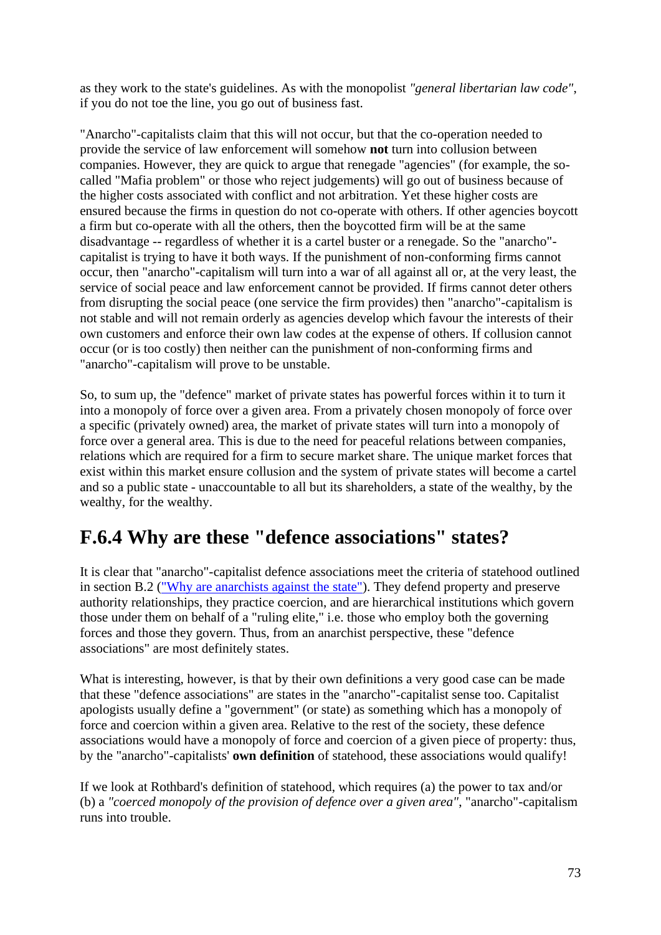as they work to the state's guidelines. As with the monopolist *"general libertarian law code"*, if you do not toe the line, you go out of business fast.

"Anarcho"-capitalists claim that this will not occur, but that the co-operation needed to provide the service of law enforcement will somehow **not** turn into collusion between companies. However, they are quick to argue that renegade "agencies" (for example, the socalled "Mafia problem" or those who reject judgements) will go out of business because of the higher costs associated with conflict and not arbitration. Yet these higher costs are ensured because the firms in question do not co-operate with others. If other agencies boycott a firm but co-operate with all the others, then the boycotted firm will be at the same disadvantage -- regardless of whether it is a cartel buster or a renegade. So the "anarcho" capitalist is trying to have it both ways. If the punishment of non-conforming firms cannot occur, then "anarcho"-capitalism will turn into a war of all against all or, at the very least, the service of social peace and law enforcement cannot be provided. If firms cannot deter others from disrupting the social peace (one service the firm provides) then "anarcho"-capitalism is not stable and will not remain orderly as agencies develop which favour the interests of their own customers and enforce their own law codes at the expense of others. If collusion cannot occur (or is too costly) then neither can the punishment of non-conforming firms and "anarcho"-capitalism will prove to be unstable.

So, to sum up, the "defence" market of private states has powerful forces within it to turn it into a monopoly of force over a given area. From a privately chosen monopoly of force over a specific (privately owned) area, the market of private states will turn into a monopoly of force over a general area. This is due to the need for peaceful relations between companies, relations which are required for a firm to secure market share. The unique market forces that exist within this market ensure collusion and the system of private states will become a cartel and so a public state - unaccountable to all but its shareholders, a state of the wealthy, by the wealthy, for the wealthy.

## **F.6.4 Why are these "defence associations" states?**

It is clear that "anarcho"-capitalist defence associations meet the criteria of statehood outlined in section B.2 [\("Why are anarchists against the state"\)](sectionB.html#secb2). They defend property and preserve authority relationships, they practice coercion, and are hierarchical institutions which govern those under them on behalf of a "ruling elite," i.e. those who employ both the governing forces and those they govern. Thus, from an anarchist perspective, these "defence associations" are most definitely states.

What is interesting, however, is that by their own definitions a very good case can be made that these "defence associations" are states in the "anarcho"-capitalist sense too. Capitalist apologists usually define a "government" (or state) as something which has a monopoly of force and coercion within a given area. Relative to the rest of the society, these defence associations would have a monopoly of force and coercion of a given piece of property: thus, by the "anarcho"-capitalists' **own definition** of statehood, these associations would qualify!

If we look at Rothbard's definition of statehood, which requires (a) the power to tax and/or (b) a *"coerced monopoly of the provision of defence over a given area"*, "anarcho"-capitalism runs into trouble.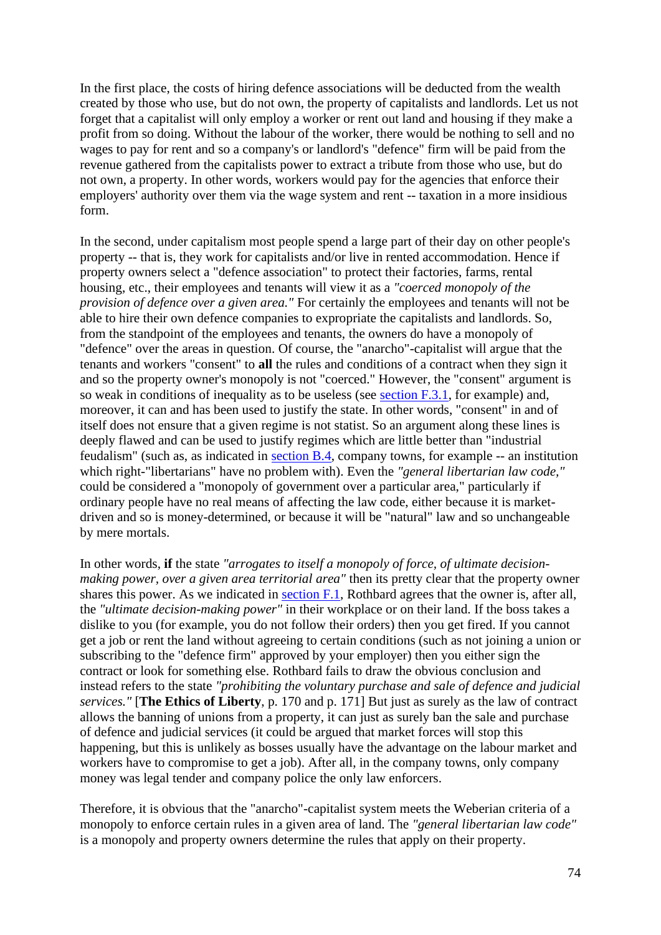In the first place, the costs of hiring defence associations will be deducted from the wealth created by those who use, but do not own, the property of capitalists and landlords. Let us not forget that a capitalist will only employ a worker or rent out land and housing if they make a profit from so doing. Without the labour of the worker, there would be nothing to sell and no wages to pay for rent and so a company's or landlord's "defence" firm will be paid from the revenue gathered from the capitalists power to extract a tribute from those who use, but do not own, a property. In other words, workers would pay for the agencies that enforce their employers' authority over them via the wage system and rent -- taxation in a more insidious form.

In the second, under capitalism most people spend a large part of their day on other people's property -- that is, they work for capitalists and/or live in rented accommodation. Hence if property owners select a "defence association" to protect their factories, farms, rental housing, etc., their employees and tenants will view it as a *"coerced monopoly of the provision of defence over a given area."* For certainly the employees and tenants will not be able to hire their own defence companies to expropriate the capitalists and landlords. So, from the standpoint of the employees and tenants, the owners do have a monopoly of "defence" over the areas in question. Of course, the "anarcho"-capitalist will argue that the tenants and workers "consent" to **all** the rules and conditions of a contract when they sign it and so the property owner's monopoly is not "coerced." However, the "consent" argument is so weak in conditions of inequality as to be useless (see [section F.3.1,](sectionF.html#secf31) for example) and, moreover, it can and has been used to justify the state. In other words, "consent" in and of itself does not ensure that a given regime is not statist. So an argument along these lines is deeply flawed and can be used to justify regimes which are little better than "industrial feudalism" (such as, as indicated in [section B.4,](sectionB.html#secb4) company towns, for example -- an institution which right-"libertarians" have no problem with). Even the *"general libertarian law code,"* could be considered a "monopoly of government over a particular area," particularly if ordinary people have no real means of affecting the law code, either because it is marketdriven and so is money-determined, or because it will be "natural" law and so unchangeable by mere mortals.

In other words, **if** the state *"arrogates to itself a monopoly of force, of ultimate decisionmaking power, over a given area territorial area"* then its pretty clear that the property owner shares this power. As we indicated in [section F.1,](sectionF.html#secf1) Rothbard agrees that the owner is, after all, the *"ultimate decision-making power"* in their workplace or on their land. If the boss takes a dislike to you (for example, you do not follow their orders) then you get fired. If you cannot get a job or rent the land without agreeing to certain conditions (such as not joining a union or subscribing to the "defence firm" approved by your employer) then you either sign the contract or look for something else. Rothbard fails to draw the obvious conclusion and instead refers to the state *"prohibiting the voluntary purchase and sale of defence and judicial services."* [**The Ethics of Liberty**, p. 170 and p. 171] But just as surely as the law of contract allows the banning of unions from a property, it can just as surely ban the sale and purchase of defence and judicial services (it could be argued that market forces will stop this happening, but this is unlikely as bosses usually have the advantage on the labour market and workers have to compromise to get a job). After all, in the company towns, only company money was legal tender and company police the only law enforcers.

Therefore, it is obvious that the "anarcho"-capitalist system meets the Weberian criteria of a monopoly to enforce certain rules in a given area of land. The *"general libertarian law code"* is a monopoly and property owners determine the rules that apply on their property.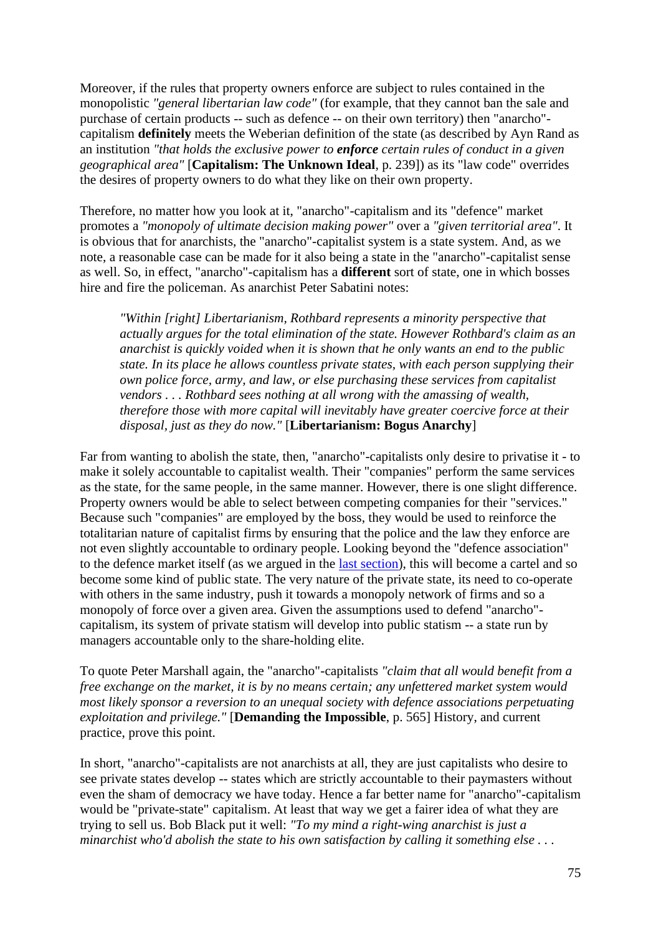Moreover, if the rules that property owners enforce are subject to rules contained in the monopolistic *"general libertarian law code"* (for example, that they cannot ban the sale and purchase of certain products -- such as defence -- on their own territory) then "anarcho" capitalism **definitely** meets the Weberian definition of the state (as described by Ayn Rand as an institution *"that holds the exclusive power to enforce certain rules of conduct in a given geographical area"* [**Capitalism: The Unknown Ideal**, p. 239]) as its "law code" overrides the desires of property owners to do what they like on their own property.

Therefore, no matter how you look at it, "anarcho"-capitalism and its "defence" market promotes a *"monopoly of ultimate decision making power"* over a *"given territorial area"*. It is obvious that for anarchists, the "anarcho"-capitalist system is a state system. And, as we note, a reasonable case can be made for it also being a state in the "anarcho"-capitalist sense as well. So, in effect, "anarcho"-capitalism has a **different** sort of state, one in which bosses hire and fire the policeman. As anarchist Peter Sabatini notes:

*"Within [right] Libertarianism, Rothbard represents a minority perspective that actually argues for the total elimination of the state. However Rothbard's claim as an anarchist is quickly voided when it is shown that he only wants an end to the public state. In its place he allows countless private states, with each person supplying their own police force, army, and law, or else purchasing these services from capitalist vendors . . . Rothbard sees nothing at all wrong with the amassing of wealth, therefore those with more capital will inevitably have greater coercive force at their disposal, just as they do now."* [**Libertarianism: Bogus Anarchy**]

Far from wanting to abolish the state, then, "anarcho"-capitalists only desire to privatise it - to make it solely accountable to capitalist wealth. Their "companies" perform the same services as the state, for the same people, in the same manner. However, there is one slight difference. Property owners would be able to select between competing companies for their "services." Because such "companies" are employed by the boss, they would be used to reinforce the totalitarian nature of capitalist firms by ensuring that the police and the law they enforce are not even slightly accountable to ordinary people. Looking beyond the "defence association" to the defence market itself (as we argued in the [last section\)](sectionF.html#secf63), this will become a cartel and so become some kind of public state. The very nature of the private state, its need to co-operate with others in the same industry, push it towards a monopoly network of firms and so a monopoly of force over a given area. Given the assumptions used to defend "anarcho" capitalism, its system of private statism will develop into public statism -- a state run by managers accountable only to the share-holding elite.

To quote Peter Marshall again, the "anarcho"-capitalists *"claim that all would benefit from a free exchange on the market, it is by no means certain; any unfettered market system would most likely sponsor a reversion to an unequal society with defence associations perpetuating exploitation and privilege."* [**Demanding the Impossible**, p. 565] History, and current practice, prove this point.

In short, "anarcho"-capitalists are not anarchists at all, they are just capitalists who desire to see private states develop -- states which are strictly accountable to their paymasters without even the sham of democracy we have today. Hence a far better name for "anarcho"-capitalism would be "private-state" capitalism. At least that way we get a fairer idea of what they are trying to sell us. Bob Black put it well: *"To my mind a right-wing anarchist is just a minarchist who'd abolish the state to his own satisfaction by calling it something else . . .*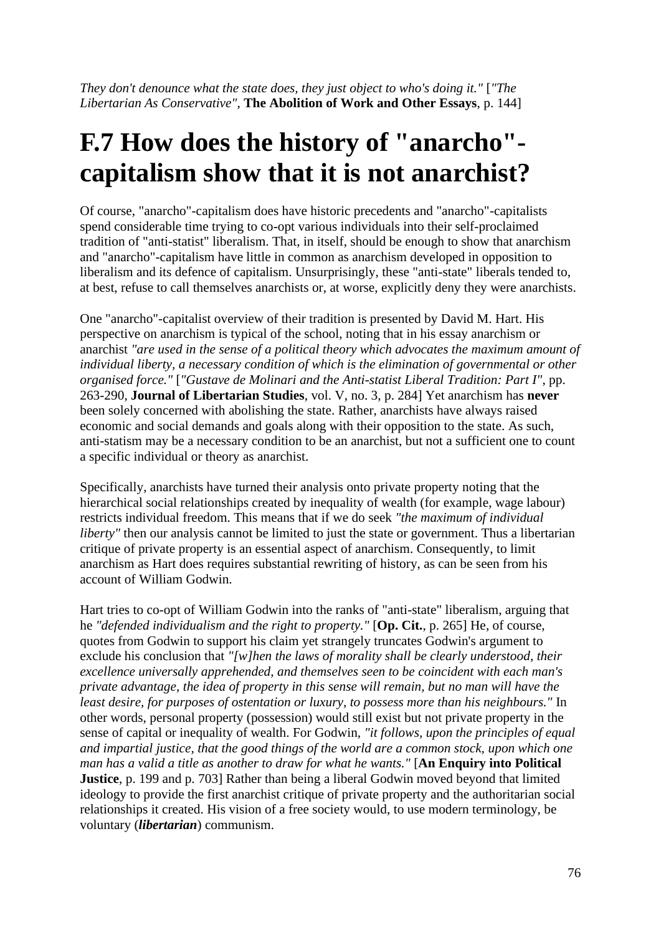*They don't denounce what the state does, they just object to who's doing it."* [*"The Libertarian As Conservative"*, **The Abolition of Work and Other Essays**, p. 144]

# **F.7 How does the history of "anarcho" capitalism show that it is not anarchist?**

Of course, "anarcho"-capitalism does have historic precedents and "anarcho"-capitalists spend considerable time trying to co-opt various individuals into their self-proclaimed tradition of "anti-statist" liberalism. That, in itself, should be enough to show that anarchism and "anarcho"-capitalism have little in common as anarchism developed in opposition to liberalism and its defence of capitalism. Unsurprisingly, these "anti-state" liberals tended to, at best, refuse to call themselves anarchists or, at worse, explicitly deny they were anarchists.

One "anarcho"-capitalist overview of their tradition is presented by David M. Hart. His perspective on anarchism is typical of the school, noting that in his essay anarchism or anarchist *"are used in the sense of a political theory which advocates the maximum amount of individual liberty, a necessary condition of which is the elimination of governmental or other organised force."* [*"Gustave de Molinari and the Anti-statist Liberal Tradition: Part I"*, pp. 263-290, **Journal of Libertarian Studies**, vol. V, no. 3, p. 284] Yet anarchism has **never** been solely concerned with abolishing the state. Rather, anarchists have always raised economic and social demands and goals along with their opposition to the state. As such, anti-statism may be a necessary condition to be an anarchist, but not a sufficient one to count a specific individual or theory as anarchist.

Specifically, anarchists have turned their analysis onto private property noting that the hierarchical social relationships created by inequality of wealth (for example, wage labour) restricts individual freedom. This means that if we do seek *"the maximum of individual liberty*" then our analysis cannot be limited to just the state or government. Thus a libertarian critique of private property is an essential aspect of anarchism. Consequently, to limit anarchism as Hart does requires substantial rewriting of history, as can be seen from his account of William Godwin.

Hart tries to co-opt of William Godwin into the ranks of "anti-state" liberalism, arguing that he *"defended individualism and the right to property."* [**Op. Cit.**, p. 265] He, of course, quotes from Godwin to support his claim yet strangely truncates Godwin's argument to exclude his conclusion that *"[w]hen the laws of morality shall be clearly understood, their excellence universally apprehended, and themselves seen to be coincident with each man's private advantage, the idea of property in this sense will remain, but no man will have the least desire, for purposes of ostentation or luxury, to possess more than his neighbours."* In other words, personal property (possession) would still exist but not private property in the sense of capital or inequality of wealth. For Godwin, *"it follows, upon the principles of equal and impartial justice, that the good things of the world are a common stock, upon which one man has a valid a title as another to draw for what he wants."* [**An Enquiry into Political Justice**, p. 199 and p. 703] Rather than being a liberal Godwin moved beyond that limited ideology to provide the first anarchist critique of private property and the authoritarian social relationships it created. His vision of a free society would, to use modern terminology, be voluntary (*libertarian*) communism.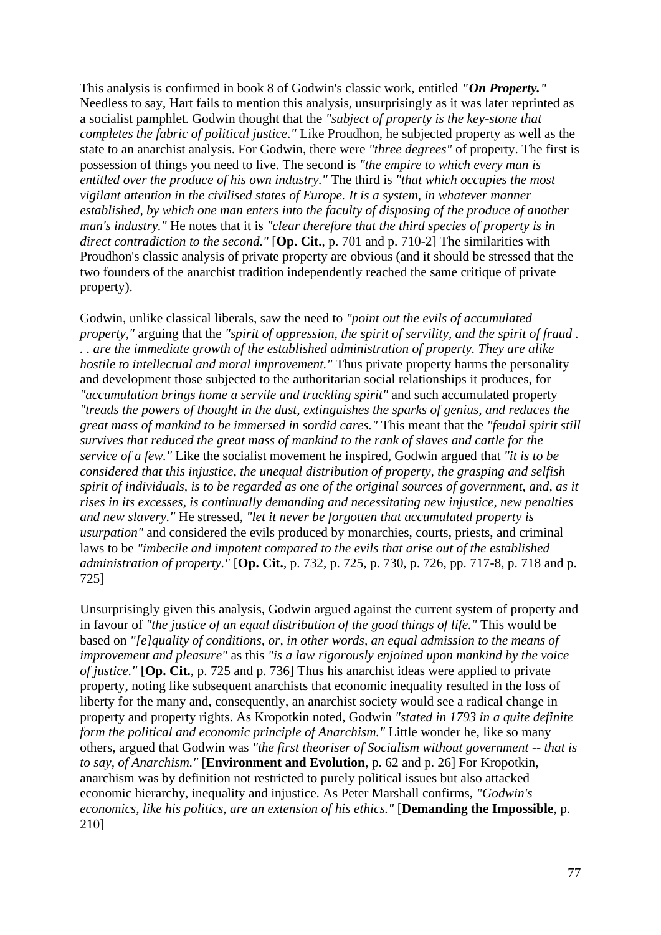This analysis is confirmed in book 8 of Godwin's classic work, entitled *"On Property."* Needless to say, Hart fails to mention this analysis, unsurprisingly as it was later reprinted as a socialist pamphlet. Godwin thought that the *"subject of property is the key-stone that completes the fabric of political justice."* Like Proudhon, he subjected property as well as the state to an anarchist analysis. For Godwin, there were *"three degrees"* of property. The first is possession of things you need to live. The second is *"the empire to which every man is entitled over the produce of his own industry."* The third is *"that which occupies the most vigilant attention in the civilised states of Europe. It is a system, in whatever manner established, by which one man enters into the faculty of disposing of the produce of another man's industry."* He notes that it is *"clear therefore that the third species of property is in direct contradiction to the second."* [**Op. Cit.**, p. 701 and p. 710-2] The similarities with Proudhon's classic analysis of private property are obvious (and it should be stressed that the two founders of the anarchist tradition independently reached the same critique of private property).

Godwin, unlike classical liberals, saw the need to *"point out the evils of accumulated property,"* arguing that the *"spirit of oppression, the spirit of servility, and the spirit of fraud . . . are the immediate growth of the established administration of property. They are alike hostile to intellectual and moral improvement."* Thus private property harms the personality and development those subjected to the authoritarian social relationships it produces, for *"accumulation brings home a servile and truckling spirit"* and such accumulated property *"treads the powers of thought in the dust, extinguishes the sparks of genius, and reduces the great mass of mankind to be immersed in sordid cares."* This meant that the *"feudal spirit still survives that reduced the great mass of mankind to the rank of slaves and cattle for the service of a few."* Like the socialist movement he inspired, Godwin argued that *"it is to be considered that this injustice, the unequal distribution of property, the grasping and selfish spirit of individuals, is to be regarded as one of the original sources of government, and, as it rises in its excesses, is continually demanding and necessitating new injustice, new penalties and new slavery."* He stressed, *"let it never be forgotten that accumulated property is usurpation"* and considered the evils produced by monarchies, courts, priests, and criminal laws to be *"imbecile and impotent compared to the evils that arise out of the established administration of property."* [**Op. Cit.**, p. 732, p. 725, p. 730, p. 726, pp. 717-8, p. 718 and p. 725]

Unsurprisingly given this analysis, Godwin argued against the current system of property and in favour of *"the justice of an equal distribution of the good things of life."* This would be based on *"[e]quality of conditions, or, in other words, an equal admission to the means of improvement and pleasure"* as this *"is a law rigorously enjoined upon mankind by the voice of justice."* [**Op. Cit.**, p. 725 and p. 736] Thus his anarchist ideas were applied to private property, noting like subsequent anarchists that economic inequality resulted in the loss of liberty for the many and, consequently, an anarchist society would see a radical change in property and property rights. As Kropotkin noted, Godwin *"stated in 1793 in a quite definite form the political and economic principle of Anarchism."* Little wonder he, like so many others, argued that Godwin was *"the first theoriser of Socialism without government -- that is to say, of Anarchism."* [**Environment and Evolution**, p. 62 and p. 26] For Kropotkin, anarchism was by definition not restricted to purely political issues but also attacked economic hierarchy, inequality and injustice. As Peter Marshall confirms, *"Godwin's economics, like his politics, are an extension of his ethics."* [**Demanding the Impossible**, p. 210]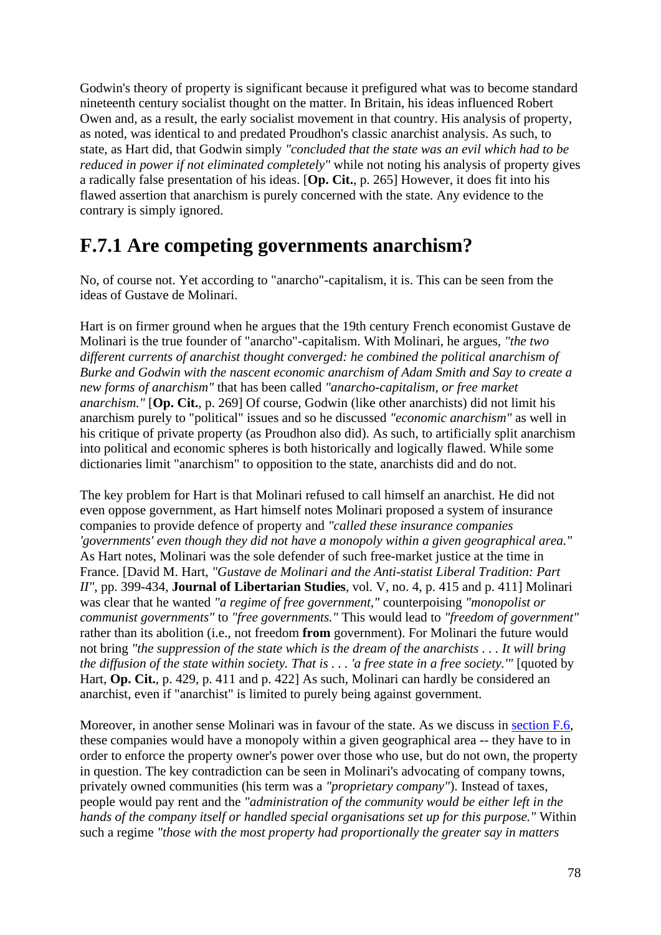Godwin's theory of property is significant because it prefigured what was to become standard nineteenth century socialist thought on the matter. In Britain, his ideas influenced Robert Owen and, as a result, the early socialist movement in that country. His analysis of property, as noted, was identical to and predated Proudhon's classic anarchist analysis. As such, to state, as Hart did, that Godwin simply *"concluded that the state was an evil which had to be reduced in power if not eliminated completely"* while not noting his analysis of property gives a radically false presentation of his ideas. [**Op. Cit.**, p. 265] However, it does fit into his flawed assertion that anarchism is purely concerned with the state. Any evidence to the contrary is simply ignored.

#### **F.7.1 Are competing governments anarchism?**

No, of course not. Yet according to "anarcho"-capitalism, it is. This can be seen from the ideas of Gustave de Molinari.

Hart is on firmer ground when he argues that the 19th century French economist Gustave de Molinari is the true founder of "anarcho"-capitalism. With Molinari, he argues, *"the two different currents of anarchist thought converged: he combined the political anarchism of Burke and Godwin with the nascent economic anarchism of Adam Smith and Say to create a new forms of anarchism"* that has been called *"anarcho-capitalism, or free market anarchism."* [**Op. Cit.**, p. 269] Of course, Godwin (like other anarchists) did not limit his anarchism purely to "political" issues and so he discussed *"economic anarchism"* as well in his critique of private property (as Proudhon also did). As such, to artificially split anarchism into political and economic spheres is both historically and logically flawed. While some dictionaries limit "anarchism" to opposition to the state, anarchists did and do not.

The key problem for Hart is that Molinari refused to call himself an anarchist. He did not even oppose government, as Hart himself notes Molinari proposed a system of insurance companies to provide defence of property and *"called these insurance companies 'governments' even though they did not have a monopoly within a given geographical area."* As Hart notes, Molinari was the sole defender of such free-market justice at the time in France. [David M. Hart, *"Gustave de Molinari and the Anti-statist Liberal Tradition: Part II"*, pp. 399-434, **Journal of Libertarian Studies**, vol. V, no. 4, p. 415 and p. 411] Molinari was clear that he wanted *"a regime of free government,"* counterpoising *"monopolist or communist governments"* to *"free governments."* This would lead to *"freedom of government"* rather than its abolition (i.e., not freedom **from** government). For Molinari the future would not bring *"the suppression of the state which is the dream of the anarchists . . . It will bring the diffusion of the state within society. That is . . . 'a free state in a free society.'"* [quoted by Hart, **Op. Cit.**, p. 429, p. 411 and p. 422] As such, Molinari can hardly be considered an anarchist, even if "anarchist" is limited to purely being against government.

Moreover, in another sense Molinari was in favour of the state. As we discuss in [section F.6,](sectionF.html#secf6) these companies would have a monopoly within a given geographical area -- they have to in order to enforce the property owner's power over those who use, but do not own, the property in question. The key contradiction can be seen in Molinari's advocating of company towns, privately owned communities (his term was a *"proprietary company"*). Instead of taxes, people would pay rent and the *"administration of the community would be either left in the hands of the company itself or handled special organisations set up for this purpose."* Within such a regime *"those with the most property had proportionally the greater say in matters*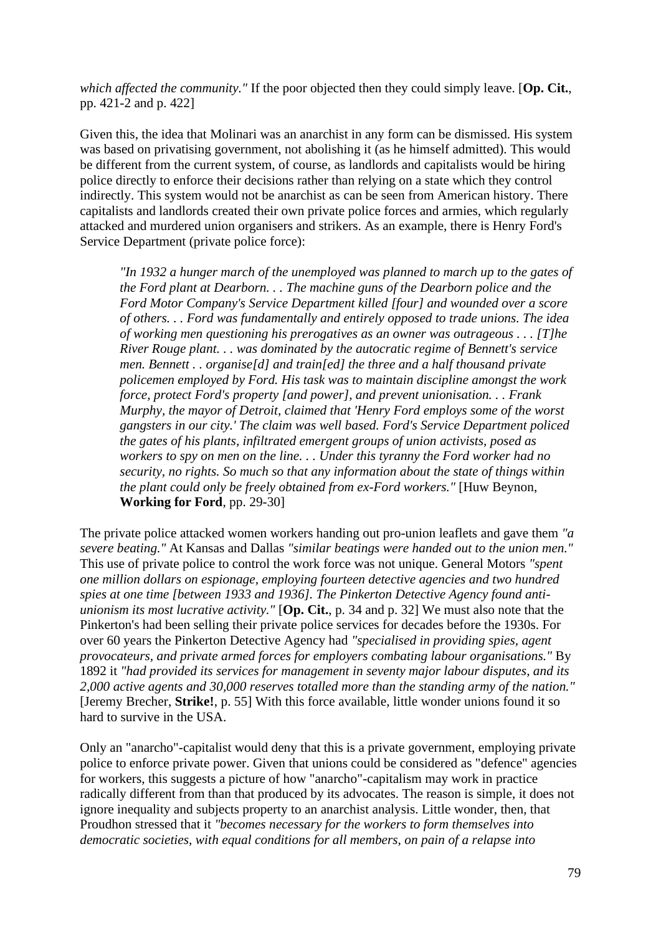*which affected the community."* If the poor objected then they could simply leave. [**Op. Cit.**, pp. 421-2 and p. 422]

Given this, the idea that Molinari was an anarchist in any form can be dismissed. His system was based on privatising government, not abolishing it (as he himself admitted). This would be different from the current system, of course, as landlords and capitalists would be hiring police directly to enforce their decisions rather than relying on a state which they control indirectly. This system would not be anarchist as can be seen from American history. There capitalists and landlords created their own private police forces and armies, which regularly attacked and murdered union organisers and strikers. As an example, there is Henry Ford's Service Department (private police force):

*"In 1932 a hunger march of the unemployed was planned to march up to the gates of the Ford plant at Dearborn. . . The machine guns of the Dearborn police and the Ford Motor Company's Service Department killed [four] and wounded over a score of others. . . Ford was fundamentally and entirely opposed to trade unions. The idea of working men questioning his prerogatives as an owner was outrageous . . . [T]he River Rouge plant. . . was dominated by the autocratic regime of Bennett's service men. Bennett . . organise[d] and train[ed] the three and a half thousand private policemen employed by Ford. His task was to maintain discipline amongst the work force, protect Ford's property [and power], and prevent unionisation. . . Frank Murphy, the mayor of Detroit, claimed that 'Henry Ford employs some of the worst gangsters in our city.' The claim was well based. Ford's Service Department policed the gates of his plants, infiltrated emergent groups of union activists, posed as workers to spy on men on the line. . . Under this tyranny the Ford worker had no security, no rights. So much so that any information about the state of things within the plant could only be freely obtained from ex-Ford workers."* [Huw Beynon, **Working for Ford**, pp. 29-30]

The private police attacked women workers handing out pro-union leaflets and gave them *"a severe beating."* At Kansas and Dallas *"similar beatings were handed out to the union men."* This use of private police to control the work force was not unique. General Motors *"spent one million dollars on espionage, employing fourteen detective agencies and two hundred spies at one time [between 1933 and 1936]. The Pinkerton Detective Agency found antiunionism its most lucrative activity."* [**Op. Cit.**, p. 34 and p. 32] We must also note that the Pinkerton's had been selling their private police services for decades before the 1930s. For over 60 years the Pinkerton Detective Agency had *"specialised in providing spies, agent provocateurs, and private armed forces for employers combating labour organisations."* By 1892 it *"had provided its services for management in seventy major labour disputes, and its 2,000 active agents and 30,000 reserves totalled more than the standing army of the nation."* [Jeremy Brecher, **Strike!**, p. 55] With this force available, little wonder unions found it so hard to survive in the USA.

Only an "anarcho"-capitalist would deny that this is a private government, employing private police to enforce private power. Given that unions could be considered as "defence" agencies for workers, this suggests a picture of how "anarcho"-capitalism may work in practice radically different from than that produced by its advocates. The reason is simple, it does not ignore inequality and subjects property to an anarchist analysis. Little wonder, then, that Proudhon stressed that it *"becomes necessary for the workers to form themselves into democratic societies, with equal conditions for all members, on pain of a relapse into*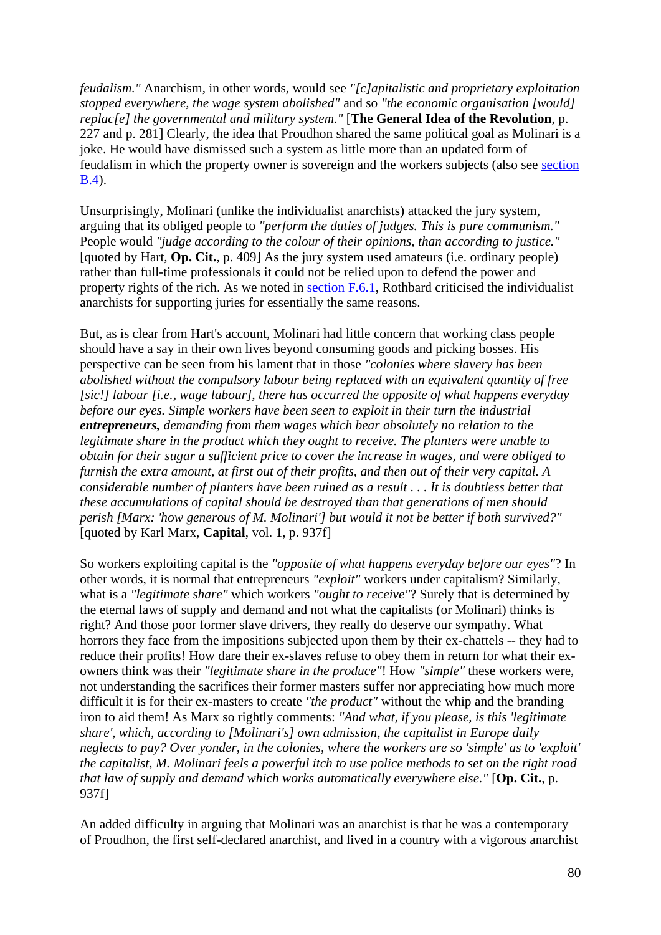*feudalism."* Anarchism, in other words, would see *"[c]apitalistic and proprietary exploitation stopped everywhere, the wage system abolished"* and so *"the economic organisation [would] replac[e] the governmental and military system."* [**The General Idea of the Revolution**, p. 227 and p. 281] Clearly, the idea that Proudhon shared the same political goal as Molinari is a joke. He would have dismissed such a system as little more than an updated form of feudalism in which the property owner is sovereign and the workers subjects (also see [section](sectionB.html#secb4)  [B.4\)](sectionB.html#secb4).

Unsurprisingly, Molinari (unlike the individualist anarchists) attacked the jury system, arguing that its obliged people to *"perform the duties of judges. This is pure communism."* People would *"judge according to the colour of their opinions, than according to justice."* [quoted by Hart, **Op. Cit.**, p. 409] As the jury system used amateurs (i.e. ordinary people) rather than full-time professionals it could not be relied upon to defend the power and property rights of the rich. As we noted in [section F.6.1,](sectionF.html#secf61) Rothbard criticised the individualist anarchists for supporting juries for essentially the same reasons.

But, as is clear from Hart's account, Molinari had little concern that working class people should have a say in their own lives beyond consuming goods and picking bosses. His perspective can be seen from his lament that in those *"colonies where slavery has been abolished without the compulsory labour being replaced with an equivalent quantity of free [sic!] labour [i.e., wage labour], there has occurred the opposite of what happens everyday before our eyes. Simple workers have been seen to exploit in their turn the industrial entrepreneurs, demanding from them wages which bear absolutely no relation to the legitimate share in the product which they ought to receive. The planters were unable to obtain for their sugar a sufficient price to cover the increase in wages, and were obliged to furnish the extra amount, at first out of their profits, and then out of their very capital. A considerable number of planters have been ruined as a result . . . It is doubtless better that these accumulations of capital should be destroyed than that generations of men should perish [Marx: 'how generous of M. Molinari'] but would it not be better if both survived?"* [quoted by Karl Marx, **Capital**, vol. 1, p. 937f]

So workers exploiting capital is the *"opposite of what happens everyday before our eyes"*? In other words, it is normal that entrepreneurs *"exploit"* workers under capitalism? Similarly, what is a *"legitimate share"* which workers *"ought to receive"*? Surely that is determined by the eternal laws of supply and demand and not what the capitalists (or Molinari) thinks is right? And those poor former slave drivers, they really do deserve our sympathy. What horrors they face from the impositions subjected upon them by their ex-chattels -- they had to reduce their profits! How dare their ex-slaves refuse to obey them in return for what their exowners think was their *"legitimate share in the produce"*! How *"simple"* these workers were, not understanding the sacrifices their former masters suffer nor appreciating how much more difficult it is for their ex-masters to create *"the product"* without the whip and the branding iron to aid them! As Marx so rightly comments: *"And what, if you please, is this 'legitimate share', which, according to [Molinari's] own admission, the capitalist in Europe daily neglects to pay? Over yonder, in the colonies, where the workers are so 'simple' as to 'exploit' the capitalist, M. Molinari feels a powerful itch to use police methods to set on the right road that law of supply and demand which works automatically everywhere else."* [Op. Cit., p. 937f]

An added difficulty in arguing that Molinari was an anarchist is that he was a contemporary of Proudhon, the first self-declared anarchist, and lived in a country with a vigorous anarchist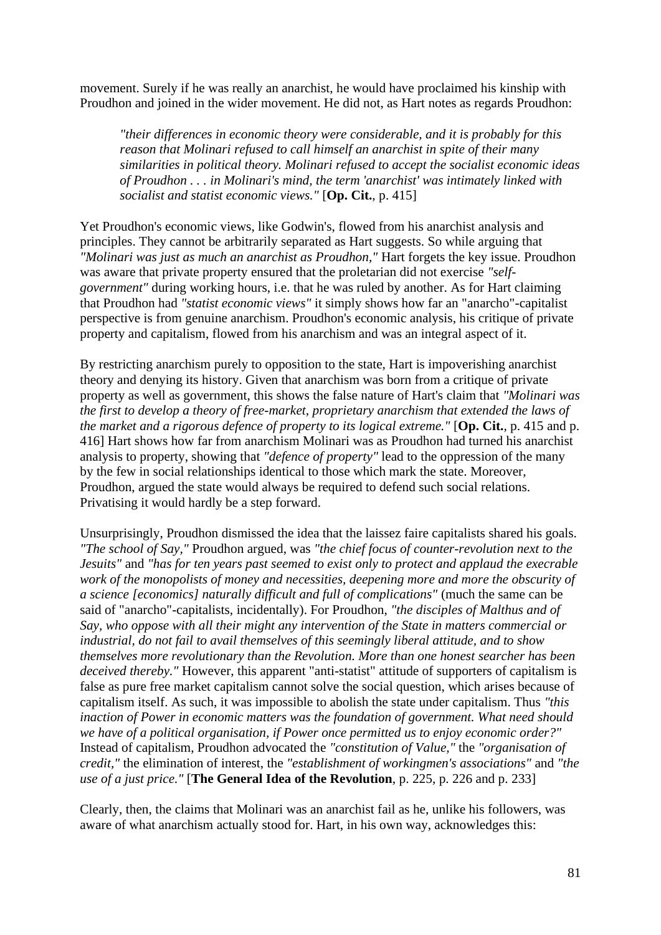movement. Surely if he was really an anarchist, he would have proclaimed his kinship with Proudhon and joined in the wider movement. He did not, as Hart notes as regards Proudhon:

*"their differences in economic theory were considerable, and it is probably for this reason that Molinari refused to call himself an anarchist in spite of their many similarities in political theory. Molinari refused to accept the socialist economic ideas of Proudhon . . . in Molinari's mind, the term 'anarchist' was intimately linked with socialist and statist economic views."* [**Op. Cit.**, p. 415]

Yet Proudhon's economic views, like Godwin's, flowed from his anarchist analysis and principles. They cannot be arbitrarily separated as Hart suggests. So while arguing that *"Molinari was just as much an anarchist as Proudhon,"* Hart forgets the key issue. Proudhon was aware that private property ensured that the proletarian did not exercise *"selfgovernment"* during working hours, i.e. that he was ruled by another. As for Hart claiming that Proudhon had *"statist economic views"* it simply shows how far an "anarcho"-capitalist perspective is from genuine anarchism. Proudhon's economic analysis, his critique of private property and capitalism, flowed from his anarchism and was an integral aspect of it.

By restricting anarchism purely to opposition to the state, Hart is impoverishing anarchist theory and denying its history. Given that anarchism was born from a critique of private property as well as government, this shows the false nature of Hart's claim that *"Molinari was the first to develop a theory of free-market, proprietary anarchism that extended the laws of the market and a rigorous defence of property to its logical extreme."* [**Op. Cit.**, p. 415 and p. 416] Hart shows how far from anarchism Molinari was as Proudhon had turned his anarchist analysis to property, showing that *"defence of property"* lead to the oppression of the many by the few in social relationships identical to those which mark the state. Moreover, Proudhon, argued the state would always be required to defend such social relations. Privatising it would hardly be a step forward.

Unsurprisingly, Proudhon dismissed the idea that the laissez faire capitalists shared his goals. *"The school of Say,"* Proudhon argued, was *"the chief focus of counter-revolution next to the Jesuits"* and *"has for ten years past seemed to exist only to protect and applaud the execrable work of the monopolists of money and necessities, deepening more and more the obscurity of a science [economics] naturally difficult and full of complications"* (much the same can be said of "anarcho"-capitalists, incidentally). For Proudhon, *"the disciples of Malthus and of Say, who oppose with all their might any intervention of the State in matters commercial or industrial, do not fail to avail themselves of this seemingly liberal attitude, and to show themselves more revolutionary than the Revolution. More than one honest searcher has been deceived thereby."* However, this apparent "anti-statist" attitude of supporters of capitalism is false as pure free market capitalism cannot solve the social question, which arises because of capitalism itself. As such, it was impossible to abolish the state under capitalism. Thus *"this inaction of Power in economic matters was the foundation of government. What need should we have of a political organisation, if Power once permitted us to enjoy economic order?"* Instead of capitalism, Proudhon advocated the *"constitution of Value,"* the *"organisation of credit,"* the elimination of interest, the *"establishment of workingmen's associations"* and *"the use of a just price."* [**The General Idea of the Revolution**, p. 225, p. 226 and p. 233]

Clearly, then, the claims that Molinari was an anarchist fail as he, unlike his followers, was aware of what anarchism actually stood for. Hart, in his own way, acknowledges this: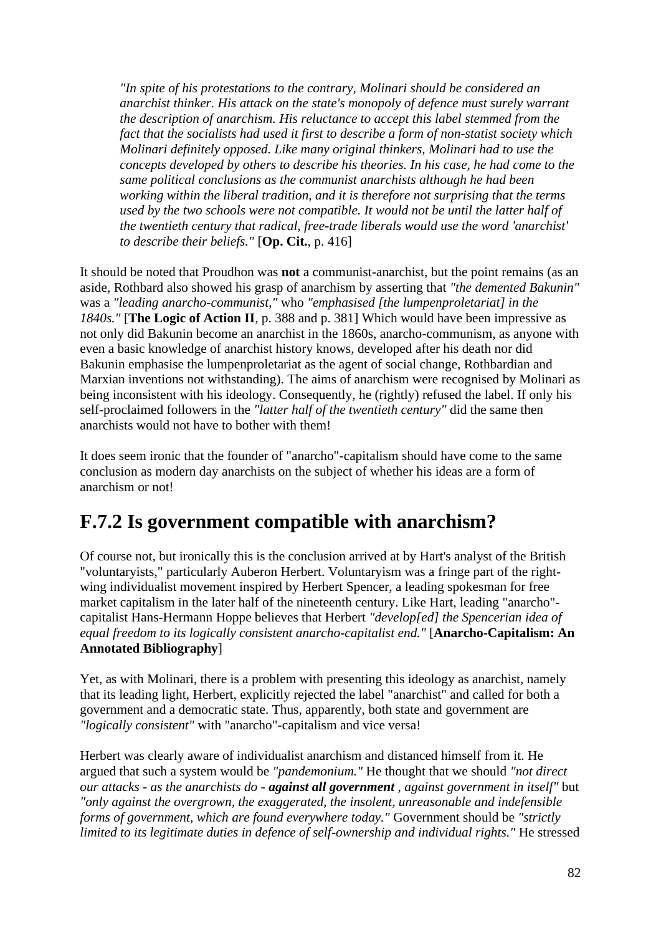*"In spite of his protestations to the contrary, Molinari should be considered an anarchist thinker. His attack on the state's monopoly of defence must surely warrant the description of anarchism. His reluctance to accept this label stemmed from the fact that the socialists had used it first to describe a form of non-statist society which Molinari definitely opposed. Like many original thinkers, Molinari had to use the concepts developed by others to describe his theories. In his case, he had come to the same political conclusions as the communist anarchists although he had been working within the liberal tradition, and it is therefore not surprising that the terms used by the two schools were not compatible. It would not be until the latter half of the twentieth century that radical, free-trade liberals would use the word 'anarchist' to describe their beliefs."* [**Op. Cit.**, p. 416]

It should be noted that Proudhon was **not** a communist-anarchist, but the point remains (as an aside, Rothbard also showed his grasp of anarchism by asserting that *"the demented Bakunin"* was a *"leading anarcho-communist,"* who *"emphasised [the lumpenproletariat] in the 1840s."* [**The Logic of Action II**, p. 388 and p. 381] Which would have been impressive as not only did Bakunin become an anarchist in the 1860s, anarcho-communism, as anyone with even a basic knowledge of anarchist history knows, developed after his death nor did Bakunin emphasise the lumpenproletariat as the agent of social change, Rothbardian and Marxian inventions not withstanding). The aims of anarchism were recognised by Molinari as being inconsistent with his ideology. Consequently, he (rightly) refused the label. If only his self-proclaimed followers in the *"latter half of the twentieth century"* did the same then anarchists would not have to bother with them!

It does seem ironic that the founder of "anarcho"-capitalism should have come to the same conclusion as modern day anarchists on the subject of whether his ideas are a form of anarchism or not!

### **F.7.2 Is government compatible with anarchism?**

Of course not, but ironically this is the conclusion arrived at by Hart's analyst of the British "voluntaryists," particularly Auberon Herbert. Voluntaryism was a fringe part of the rightwing individualist movement inspired by Herbert Spencer, a leading spokesman for free market capitalism in the later half of the nineteenth century. Like Hart, leading "anarcho" capitalist Hans-Hermann Hoppe believes that Herbert *"develop[ed] the Spencerian idea of equal freedom to its logically consistent anarcho-capitalist end."* [**Anarcho-Capitalism: An Annotated Bibliography**]

Yet, as with Molinari, there is a problem with presenting this ideology as anarchist, namely that its leading light, Herbert, explicitly rejected the label "anarchist" and called for both a government and a democratic state. Thus, apparently, both state and government are *"logically consistent"* with "anarcho"-capitalism and vice versa!

Herbert was clearly aware of individualist anarchism and distanced himself from it. He argued that such a system would be *"pandemonium."* He thought that we should *"not direct our attacks - as the anarchists do - against all government , against government in itself"* but *"only against the overgrown, the exaggerated, the insolent, unreasonable and indefensible forms of government, which are found everywhere today."* Government should be *"strictly limited to its legitimate duties in defence of self-ownership and individual rights."* He stressed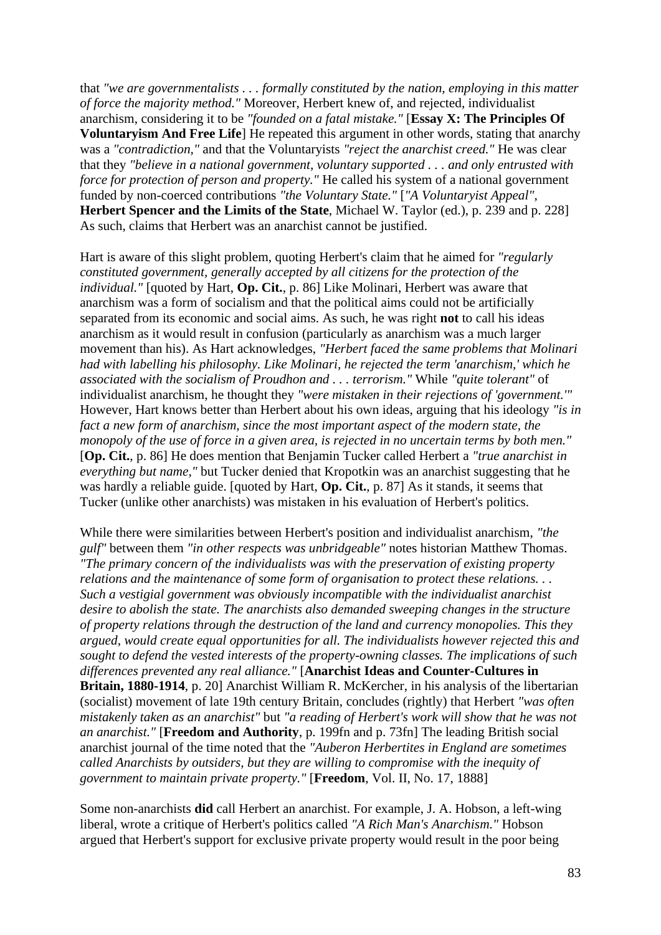that *"we are governmentalists . . . formally constituted by the nation, employing in this matter of force the majority method."* Moreover, Herbert knew of, and rejected, individualist anarchism, considering it to be *"founded on a fatal mistake."* [**Essay X: The Principles Of Voluntaryism And Free Life**] He repeated this argument in other words, stating that anarchy was a *"contradiction,"* and that the Voluntaryists *"reject the anarchist creed."* He was clear that they *"believe in a national government, voluntary supported . . . and only entrusted with force for protection of person and property.* "He called his system of a national government funded by non-coerced contributions *"the Voluntary State."* [*"A Voluntaryist Appeal"*, **Herbert Spencer and the Limits of the State**, Michael W. Taylor (ed.), p. 239 and p. 228] As such, claims that Herbert was an anarchist cannot be justified.

Hart is aware of this slight problem, quoting Herbert's claim that he aimed for *"regularly constituted government, generally accepted by all citizens for the protection of the individual."* [quoted by Hart, **Op. Cit.**, p. 86] Like Molinari, Herbert was aware that anarchism was a form of socialism and that the political aims could not be artificially separated from its economic and social aims. As such, he was right **not** to call his ideas anarchism as it would result in confusion (particularly as anarchism was a much larger movement than his). As Hart acknowledges, *"Herbert faced the same problems that Molinari had with labelling his philosophy. Like Molinari, he rejected the term 'anarchism,' which he associated with the socialism of Proudhon and . . . terrorism."* While *"quite tolerant"* of individualist anarchism, he thought they *"were mistaken in their rejections of 'government.'"* However, Hart knows better than Herbert about his own ideas, arguing that his ideology *"is in*  fact a new form of anarchism, since the most important aspect of the modern state, the *monopoly of the use of force in a given area, is rejected in no uncertain terms by both men."* [**Op. Cit.**, p. 86] He does mention that Benjamin Tucker called Herbert a *"true anarchist in everything but name,"* but Tucker denied that Kropotkin was an anarchist suggesting that he was hardly a reliable guide. [quoted by Hart, **Op. Cit.**, p. 87] As it stands, it seems that Tucker (unlike other anarchists) was mistaken in his evaluation of Herbert's politics.

While there were similarities between Herbert's position and individualist anarchism, *"the gulf"* between them *"in other respects was unbridgeable"* notes historian Matthew Thomas. *"The primary concern of the individualists was with the preservation of existing property relations and the maintenance of some form of organisation to protect these relations. . . Such a vestigial government was obviously incompatible with the individualist anarchist desire to abolish the state. The anarchists also demanded sweeping changes in the structure of property relations through the destruction of the land and currency monopolies. This they argued, would create equal opportunities for all. The individualists however rejected this and sought to defend the vested interests of the property-owning classes. The implications of such differences prevented any real alliance."* [**Anarchist Ideas and Counter-Cultures in Britain, 1880-1914**, p. 20] Anarchist William R. McKercher, in his analysis of the libertarian (socialist) movement of late 19th century Britain, concludes (rightly) that Herbert *"was often mistakenly taken as an anarchist"* but *"a reading of Herbert's work will show that he was not an anarchist."* [**Freedom and Authority**, p. 199fn and p. 73fn] The leading British social anarchist journal of the time noted that the *"Auberon Herbertites in England are sometimes called Anarchists by outsiders, but they are willing to compromise with the inequity of government to maintain private property."* [**Freedom**, Vol. II, No. 17, 1888]

Some non-anarchists **did** call Herbert an anarchist. For example, J. A. Hobson, a left-wing liberal, wrote a critique of Herbert's politics called *"A Rich Man's Anarchism."* Hobson argued that Herbert's support for exclusive private property would result in the poor being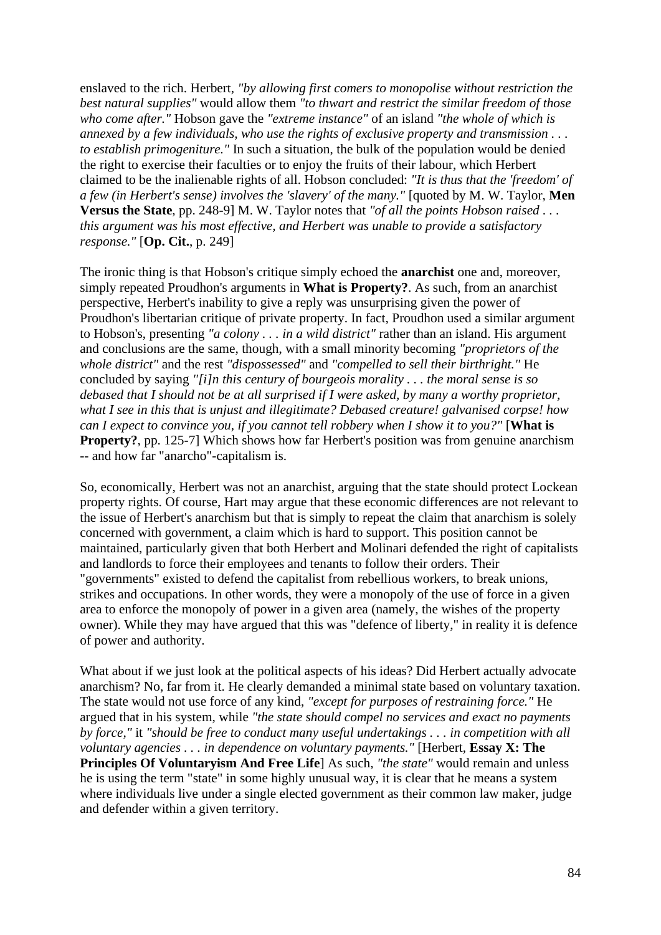enslaved to the rich. Herbert, *"by allowing first comers to monopolise without restriction the best natural supplies"* would allow them *"to thwart and restrict the similar freedom of those who come after."* Hobson gave the *"extreme instance"* of an island *"the whole of which is annexed by a few individuals, who use the rights of exclusive property and transmission . . . to establish primogeniture."* In such a situation, the bulk of the population would be denied the right to exercise their faculties or to enjoy the fruits of their labour, which Herbert claimed to be the inalienable rights of all. Hobson concluded: *"It is thus that the 'freedom' of a few (in Herbert's sense) involves the 'slavery' of the many."* [quoted by M. W. Taylor, **Men Versus the State**, pp. 248-9] M. W. Taylor notes that *"of all the points Hobson raised . . . this argument was his most effective, and Herbert was unable to provide a satisfactory response."* [**Op. Cit.**, p. 249]

The ironic thing is that Hobson's critique simply echoed the **anarchist** one and, moreover, simply repeated Proudhon's arguments in **What is Property?**. As such, from an anarchist perspective, Herbert's inability to give a reply was unsurprising given the power of Proudhon's libertarian critique of private property. In fact, Proudhon used a similar argument to Hobson's, presenting *"a colony . . . in a wild district"* rather than an island. His argument and conclusions are the same, though, with a small minority becoming *"proprietors of the whole district"* and the rest *"dispossessed"* and *"compelled to sell their birthright."* He concluded by saying *"[i]n this century of bourgeois morality . . . the moral sense is so debased that I should not be at all surprised if I were asked, by many a worthy proprietor, what I see in this that is unjust and illegitimate? Debased creature! galvanised corpse! how can I expect to convince you, if you cannot tell robbery when I show it to you?"* [**What is Property?**, pp. 125-7] Which shows how far Herbert's position was from genuine anarchism -- and how far "anarcho"-capitalism is.

So, economically, Herbert was not an anarchist, arguing that the state should protect Lockean property rights. Of course, Hart may argue that these economic differences are not relevant to the issue of Herbert's anarchism but that is simply to repeat the claim that anarchism is solely concerned with government, a claim which is hard to support. This position cannot be maintained, particularly given that both Herbert and Molinari defended the right of capitalists and landlords to force their employees and tenants to follow their orders. Their "governments" existed to defend the capitalist from rebellious workers, to break unions, strikes and occupations. In other words, they were a monopoly of the use of force in a given area to enforce the monopoly of power in a given area (namely, the wishes of the property owner). While they may have argued that this was "defence of liberty," in reality it is defence of power and authority.

What about if we just look at the political aspects of his ideas? Did Herbert actually advocate anarchism? No, far from it. He clearly demanded a minimal state based on voluntary taxation. The state would not use force of any kind, *"except for purposes of restraining force."* He argued that in his system, while *"the state should compel no services and exact no payments by force,"* it *"should be free to conduct many useful undertakings . . . in competition with all voluntary agencies . . . in dependence on voluntary payments."* [Herbert, **Essay X: The Principles Of Voluntaryism And Free Life**] As such, *"the state"* would remain and unless he is using the term "state" in some highly unusual way, it is clear that he means a system where individuals live under a single elected government as their common law maker, judge and defender within a given territory.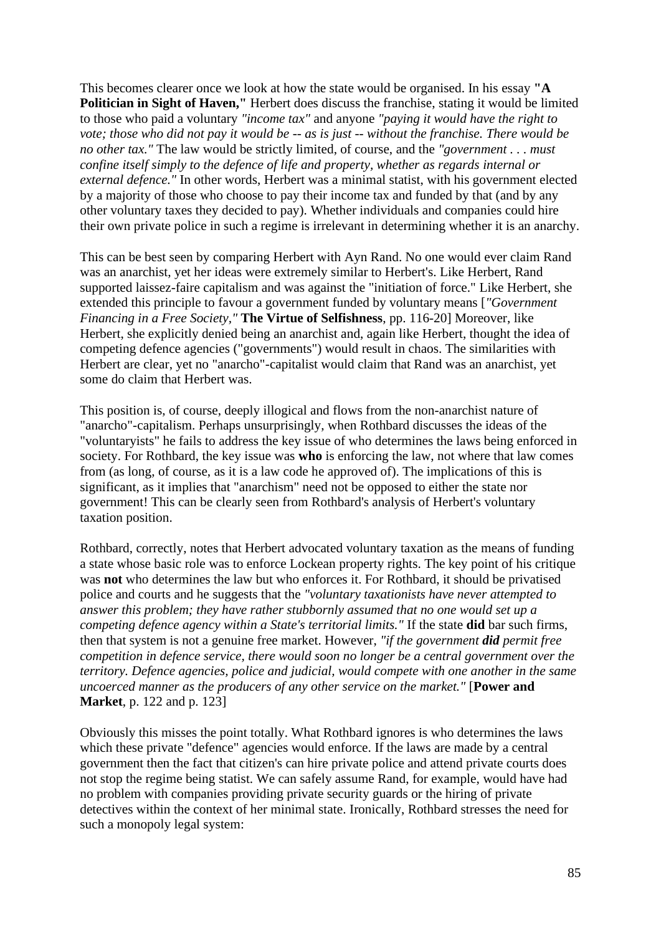This becomes clearer once we look at how the state would be organised. In his essay **"A Politician in Sight of Haven,"** Herbert does discuss the franchise, stating it would be limited to those who paid a voluntary *"income tax"* and anyone *"paying it would have the right to vote; those who did not pay it would be -- as is just -- without the franchise. There would be no other tax."* The law would be strictly limited, of course, and the *"government . . . must confine itself simply to the defence of life and property, whether as regards internal or external defence."* In other words, Herbert was a minimal statist, with his government elected by a majority of those who choose to pay their income tax and funded by that (and by any other voluntary taxes they decided to pay). Whether individuals and companies could hire their own private police in such a regime is irrelevant in determining whether it is an anarchy.

This can be best seen by comparing Herbert with Ayn Rand. No one would ever claim Rand was an anarchist, yet her ideas were extremely similar to Herbert's. Like Herbert, Rand supported laissez-faire capitalism and was against the "initiation of force." Like Herbert, she extended this principle to favour a government funded by voluntary means [*"Government Financing in a Free Society,"* **The Virtue of Selfishness**, pp. 116-20] Moreover, like Herbert, she explicitly denied being an anarchist and, again like Herbert, thought the idea of competing defence agencies ("governments") would result in chaos. The similarities with Herbert are clear, yet no "anarcho"-capitalist would claim that Rand was an anarchist, yet some do claim that Herbert was.

This position is, of course, deeply illogical and flows from the non-anarchist nature of "anarcho"-capitalism. Perhaps unsurprisingly, when Rothbard discusses the ideas of the "voluntaryists" he fails to address the key issue of who determines the laws being enforced in society. For Rothbard, the key issue was **who** is enforcing the law, not where that law comes from (as long, of course, as it is a law code he approved of). The implications of this is significant, as it implies that "anarchism" need not be opposed to either the state nor government! This can be clearly seen from Rothbard's analysis of Herbert's voluntary taxation position.

Rothbard, correctly, notes that Herbert advocated voluntary taxation as the means of funding a state whose basic role was to enforce Lockean property rights. The key point of his critique was **not** who determines the law but who enforces it. For Rothbard, it should be privatised police and courts and he suggests that the *"voluntary taxationists have never attempted to answer this problem; they have rather stubbornly assumed that no one would set up a competing defence agency within a State's territorial limits."* If the state **did** bar such firms, then that system is not a genuine free market. However, *"if the government did permit free competition in defence service, there would soon no longer be a central government over the territory. Defence agencies, police and judicial, would compete with one another in the same uncoerced manner as the producers of any other service on the market."* [**Power and Market**, p. 122 and p. 123]

Obviously this misses the point totally. What Rothbard ignores is who determines the laws which these private "defence" agencies would enforce. If the laws are made by a central government then the fact that citizen's can hire private police and attend private courts does not stop the regime being statist. We can safely assume Rand, for example, would have had no problem with companies providing private security guards or the hiring of private detectives within the context of her minimal state. Ironically, Rothbard stresses the need for such a monopoly legal system: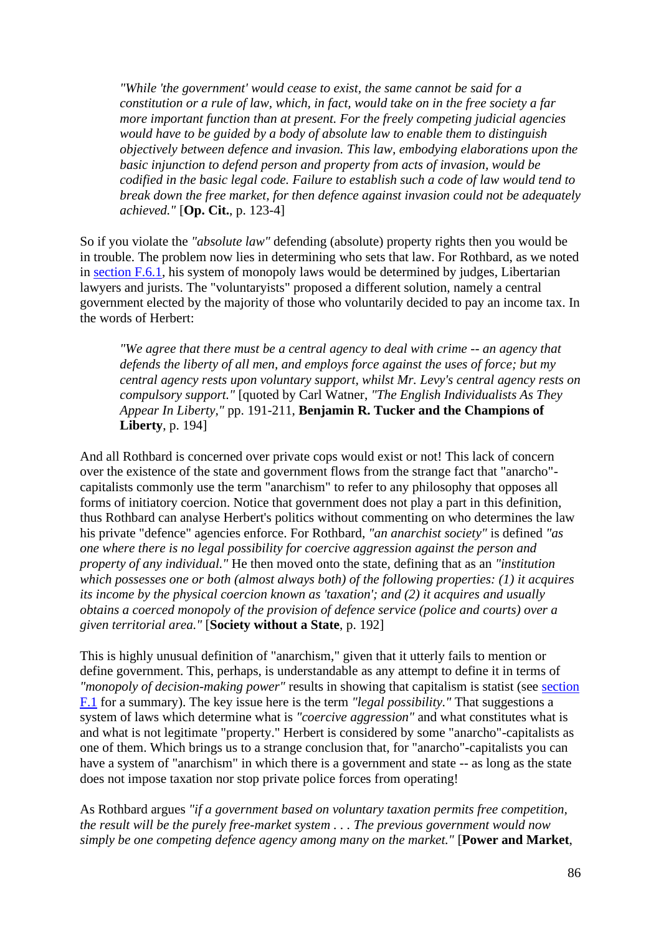*"While 'the government' would cease to exist, the same cannot be said for a constitution or a rule of law, which, in fact, would take on in the free society a far more important function than at present. For the freely competing judicial agencies would have to be guided by a body of absolute law to enable them to distinguish objectively between defence and invasion. This law, embodying elaborations upon the basic injunction to defend person and property from acts of invasion, would be codified in the basic legal code. Failure to establish such a code of law would tend to break down the free market, for then defence against invasion could not be adequately achieved."* [**Op. Cit.**, p. 123-4]

So if you violate the *"absolute law"* defending (absolute) property rights then you would be in trouble. The problem now lies in determining who sets that law. For Rothbard, as we noted in [section F.6.1,](sectionF.html#secf61) his system of monopoly laws would be determined by judges, Libertarian lawyers and jurists. The "voluntaryists" proposed a different solution, namely a central government elected by the majority of those who voluntarily decided to pay an income tax. In the words of Herbert:

*"We agree that there must be a central agency to deal with crime -- an agency that defends the liberty of all men, and employs force against the uses of force; but my central agency rests upon voluntary support, whilst Mr. Levy's central agency rests on compulsory support."* [quoted by Carl Watner, *"The English Individualists As They Appear In Liberty,"* pp. 191-211, **Benjamin R. Tucker and the Champions of Liberty**, p. 194]

And all Rothbard is concerned over private cops would exist or not! This lack of concern over the existence of the state and government flows from the strange fact that "anarcho" capitalists commonly use the term "anarchism" to refer to any philosophy that opposes all forms of initiatory coercion. Notice that government does not play a part in this definition, thus Rothbard can analyse Herbert's politics without commenting on who determines the law his private "defence" agencies enforce. For Rothbard, *"an anarchist society"* is defined *"as one where there is no legal possibility for coercive aggression against the person and property of any individual."* He then moved onto the state, defining that as an *"institution which possesses one or both (almost always both) of the following properties: (1) it acquires its income by the physical coercion known as 'taxation'; and (2) it acquires and usually obtains a coerced monopoly of the provision of defence service (police and courts) over a given territorial area."* [**Society without a State**, p. 192]

This is highly unusual definition of "anarchism," given that it utterly fails to mention or define government. This, perhaps, is understandable as any attempt to define it in terms of *"monopoly of decision-making power"* results in showing that capitalism is statist (see [section](sectionF.html#secf1)  [F.1](sectionF.html#secf1) for a summary). The key issue here is the term *"legal possibility."* That suggestions a system of laws which determine what is *"coercive aggression"* and what constitutes what is and what is not legitimate "property." Herbert is considered by some "anarcho"-capitalists as one of them. Which brings us to a strange conclusion that, for "anarcho"-capitalists you can have a system of "anarchism" in which there is a government and state -- as long as the state does not impose taxation nor stop private police forces from operating!

As Rothbard argues *"if a government based on voluntary taxation permits free competition, the result will be the purely free-market system . . . The previous government would now simply be one competing defence agency among many on the market."* [**Power and Market**,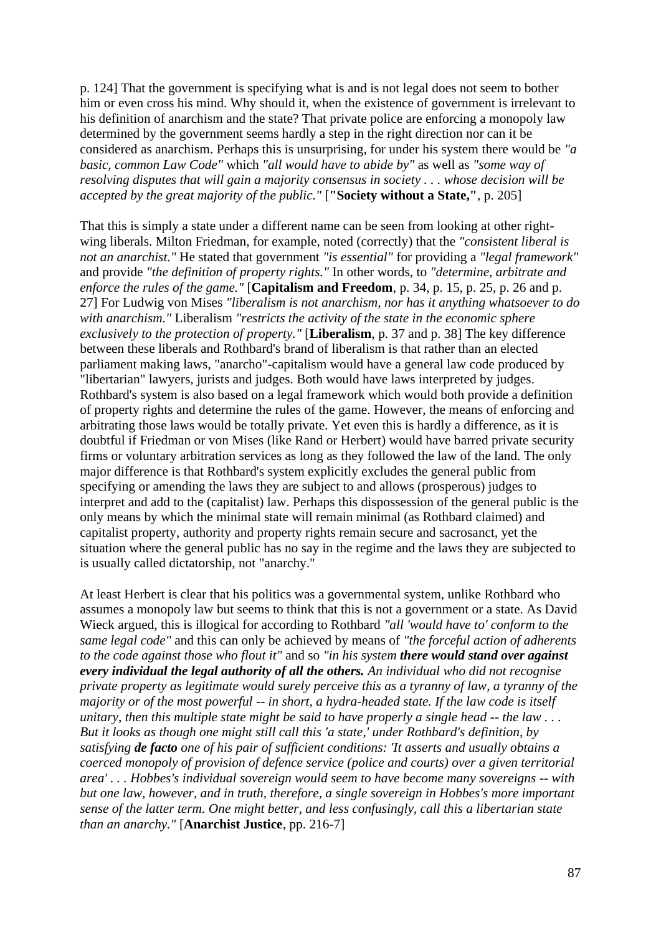p. 124] That the government is specifying what is and is not legal does not seem to bother him or even cross his mind. Why should it, when the existence of government is irrelevant to his definition of anarchism and the state? That private police are enforcing a monopoly law determined by the government seems hardly a step in the right direction nor can it be considered as anarchism. Perhaps this is unsurprising, for under his system there would be *"a basic, common Law Code"* which *"all would have to abide by"* as well as *"some way of resolving disputes that will gain a majority consensus in society . . . whose decision will be accepted by the great majority of the public."* [**"Society without a State,"**, p. 205]

That this is simply a state under a different name can be seen from looking at other rightwing liberals. Milton Friedman, for example, noted (correctly) that the *"consistent liberal is not an anarchist."* He stated that government *"is essential"* for providing a *"legal framework"* and provide *"the definition of property rights."* In other words, to *"determine, arbitrate and enforce the rules of the game."* [**Capitalism and Freedom**, p. 34, p. 15, p. 25, p. 26 and p. 27] For Ludwig von Mises *"liberalism is not anarchism, nor has it anything whatsoever to do with anarchism."* Liberalism *"restricts the activity of the state in the economic sphere exclusively to the protection of property."* [**Liberalism**, p. 37 and p. 38] The key difference between these liberals and Rothbard's brand of liberalism is that rather than an elected parliament making laws, "anarcho"-capitalism would have a general law code produced by "libertarian" lawyers, jurists and judges. Both would have laws interpreted by judges. Rothbard's system is also based on a legal framework which would both provide a definition of property rights and determine the rules of the game. However, the means of enforcing and arbitrating those laws would be totally private. Yet even this is hardly a difference, as it is doubtful if Friedman or von Mises (like Rand or Herbert) would have barred private security firms or voluntary arbitration services as long as they followed the law of the land. The only major difference is that Rothbard's system explicitly excludes the general public from specifying or amending the laws they are subject to and allows (prosperous) judges to interpret and add to the (capitalist) law. Perhaps this dispossession of the general public is the only means by which the minimal state will remain minimal (as Rothbard claimed) and capitalist property, authority and property rights remain secure and sacrosanct, yet the situation where the general public has no say in the regime and the laws they are subjected to is usually called dictatorship, not "anarchy."

At least Herbert is clear that his politics was a governmental system, unlike Rothbard who assumes a monopoly law but seems to think that this is not a government or a state. As David Wieck argued, this is illogical for according to Rothbard *"all 'would have to' conform to the same legal code"* and this can only be achieved by means of *"the forceful action of adherents to the code against those who flout it"* and so *"in his system there would stand over against every individual the legal authority of all the others. An individual who did not recognise private property as legitimate would surely perceive this as a tyranny of law, a tyranny of the majority or of the most powerful -- in short, a hydra-headed state. If the law code is itself unitary, then this multiple state might be said to have properly a single head -- the law . . . But it looks as though one might still call this 'a state,' under Rothbard's definition, by satisfying de facto one of his pair of sufficient conditions: 'It asserts and usually obtains a coerced monopoly of provision of defence service (police and courts) over a given territorial area' . . . Hobbes's individual sovereign would seem to have become many sovereigns -- with but one law, however, and in truth, therefore, a single sovereign in Hobbes's more important sense of the latter term. One might better, and less confusingly, call this a libertarian state than an anarchy."* [**Anarchist Justice**, pp. 216-7]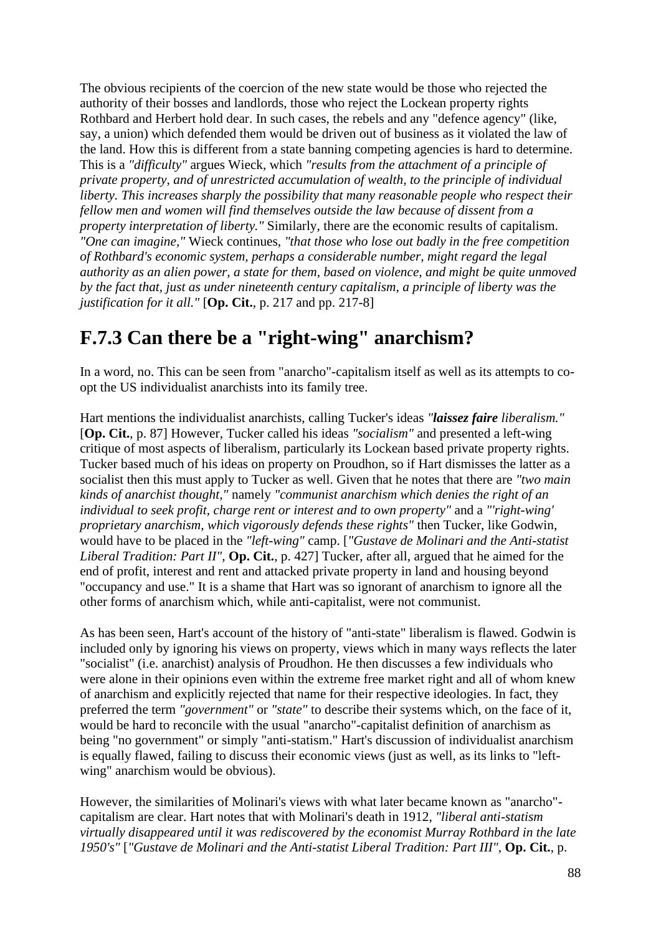The obvious recipients of the coercion of the new state would be those who rejected the authority of their bosses and landlords, those who reject the Lockean property rights Rothbard and Herbert hold dear. In such cases, the rebels and any "defence agency" (like, say, a union) which defended them would be driven out of business as it violated the law of the land. How this is different from a state banning competing agencies is hard to determine. This is a *"difficulty"* argues Wieck, which *"results from the attachment of a principle of private property, and of unrestricted accumulation of wealth, to the principle of individual liberty. This increases sharply the possibility that many reasonable people who respect their fellow men and women will find themselves outside the law because of dissent from a property interpretation of liberty."* Similarly, there are the economic results of capitalism. *"One can imagine,"* Wieck continues, *"that those who lose out badly in the free competition of Rothbard's economic system, perhaps a considerable number, might regard the legal authority as an alien power, a state for them, based on violence, and might be quite unmoved by the fact that, just as under nineteenth century capitalism, a principle of liberty was the justification for it all."* [**Op. Cit.**, p. 217 and pp. 217-8]

## **F.7.3 Can there be a "right-wing" anarchism?**

In a word, no. This can be seen from "anarcho"-capitalism itself as well as its attempts to coopt the US individualist anarchists into its family tree.

Hart mentions the individualist anarchists, calling Tucker's ideas *"laissez faire liberalism."* [**Op. Cit.**, p. 87] However, Tucker called his ideas *"socialism"* and presented a left-wing critique of most aspects of liberalism, particularly its Lockean based private property rights. Tucker based much of his ideas on property on Proudhon, so if Hart dismisses the latter as a socialist then this must apply to Tucker as well. Given that he notes that there are *"two main kinds of anarchist thought,"* namely *"communist anarchism which denies the right of an individual to seek profit, charge rent or interest and to own property"* and a *"'right-wing' proprietary anarchism, which vigorously defends these rights"* then Tucker, like Godwin, would have to be placed in the *"left-wing"* camp. [*"Gustave de Molinari and the Anti-statist Liberal Tradition: Part II"*, **Op. Cit.**, p. 427] Tucker, after all, argued that he aimed for the end of profit, interest and rent and attacked private property in land and housing beyond "occupancy and use." It is a shame that Hart was so ignorant of anarchism to ignore all the other forms of anarchism which, while anti-capitalist, were not communist.

As has been seen, Hart's account of the history of "anti-state" liberalism is flawed. Godwin is included only by ignoring his views on property, views which in many ways reflects the later "socialist" (i.e. anarchist) analysis of Proudhon. He then discusses a few individuals who were alone in their opinions even within the extreme free market right and all of whom knew of anarchism and explicitly rejected that name for their respective ideologies. In fact, they preferred the term *"government"* or *"state"* to describe their systems which, on the face of it, would be hard to reconcile with the usual "anarcho"-capitalist definition of anarchism as being "no government" or simply "anti-statism." Hart's discussion of individualist anarchism is equally flawed, failing to discuss their economic views (just as well, as its links to "leftwing" anarchism would be obvious).

However, the similarities of Molinari's views with what later became known as "anarcho" capitalism are clear. Hart notes that with Molinari's death in 1912, *"liberal anti-statism virtually disappeared until it was rediscovered by the economist Murray Rothbard in the late 1950's"* [*"Gustave de Molinari and the Anti-statist Liberal Tradition: Part III"*, **Op. Cit.**, p.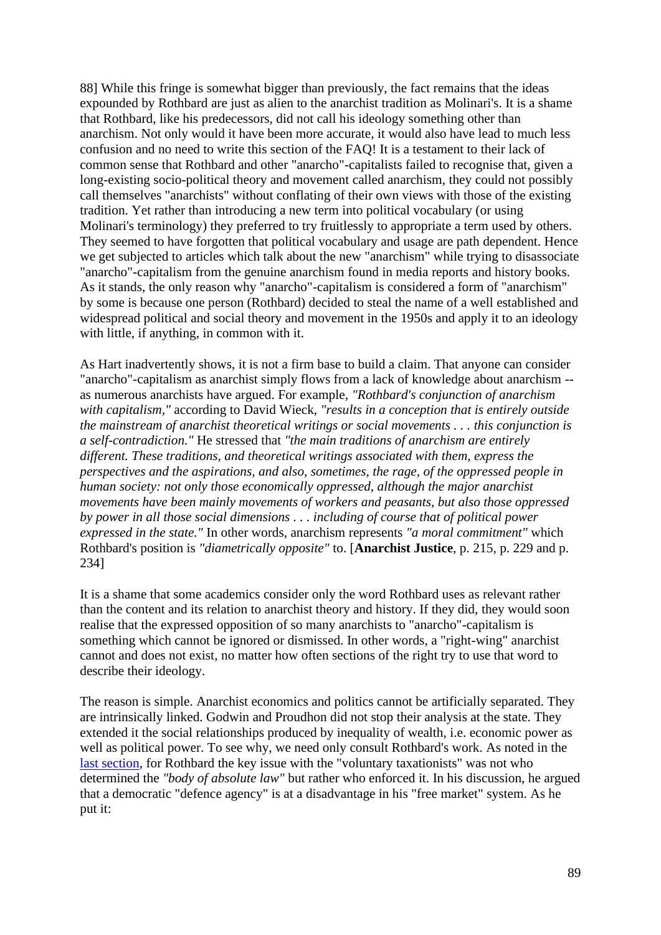88] While this fringe is somewhat bigger than previously, the fact remains that the ideas expounded by Rothbard are just as alien to the anarchist tradition as Molinari's. It is a shame that Rothbard, like his predecessors, did not call his ideology something other than anarchism. Not only would it have been more accurate, it would also have lead to much less confusion and no need to write this section of the FAQ! It is a testament to their lack of common sense that Rothbard and other "anarcho"-capitalists failed to recognise that, given a long-existing socio-political theory and movement called anarchism, they could not possibly call themselves "anarchists" without conflating of their own views with those of the existing tradition. Yet rather than introducing a new term into political vocabulary (or using Molinari's terminology) they preferred to try fruitlessly to appropriate a term used by others. They seemed to have forgotten that political vocabulary and usage are path dependent. Hence we get subjected to articles which talk about the new "anarchism" while trying to disassociate "anarcho"-capitalism from the genuine anarchism found in media reports and history books. As it stands, the only reason why "anarcho"-capitalism is considered a form of "anarchism" by some is because one person (Rothbard) decided to steal the name of a well established and widespread political and social theory and movement in the 1950s and apply it to an ideology with little, if anything, in common with it.

As Hart inadvertently shows, it is not a firm base to build a claim. That anyone can consider "anarcho"-capitalism as anarchist simply flows from a lack of knowledge about anarchism - as numerous anarchists have argued. For example, *"Rothbard's conjunction of anarchism with capitalism,"* according to David Wieck, *"results in a conception that is entirely outside the mainstream of anarchist theoretical writings or social movements . . . this conjunction is a self-contradiction."* He stressed that *"the main traditions of anarchism are entirely different. These traditions, and theoretical writings associated with them, express the perspectives and the aspirations, and also, sometimes, the rage, of the oppressed people in human society: not only those economically oppressed, although the major anarchist movements have been mainly movements of workers and peasants, but also those oppressed by power in all those social dimensions . . . including of course that of political power expressed in the state."* In other words, anarchism represents *"a moral commitment"* which Rothbard's position is *"diametrically opposite"* to. [**Anarchist Justice**, p. 215, p. 229 and p. 234]

It is a shame that some academics consider only the word Rothbard uses as relevant rather than the content and its relation to anarchist theory and history. If they did, they would soon realise that the expressed opposition of so many anarchists to "anarcho"-capitalism is something which cannot be ignored or dismissed. In other words, a "right-wing" anarchist cannot and does not exist, no matter how often sections of the right try to use that word to describe their ideology.

The reason is simple. Anarchist economics and politics cannot be artificially separated. They are intrinsically linked. Godwin and Proudhon did not stop their analysis at the state. They extended it the social relationships produced by inequality of wealth, i.e. economic power as well as political power. To see why, we need only consult Rothbard's work. As noted in the [last section,](sectionF.html#secf72) for Rothbard the key issue with the "voluntary taxationists" was not who determined the *"body of absolute law"* but rather who enforced it. In his discussion, he argued that a democratic "defence agency" is at a disadvantage in his "free market" system. As he put it: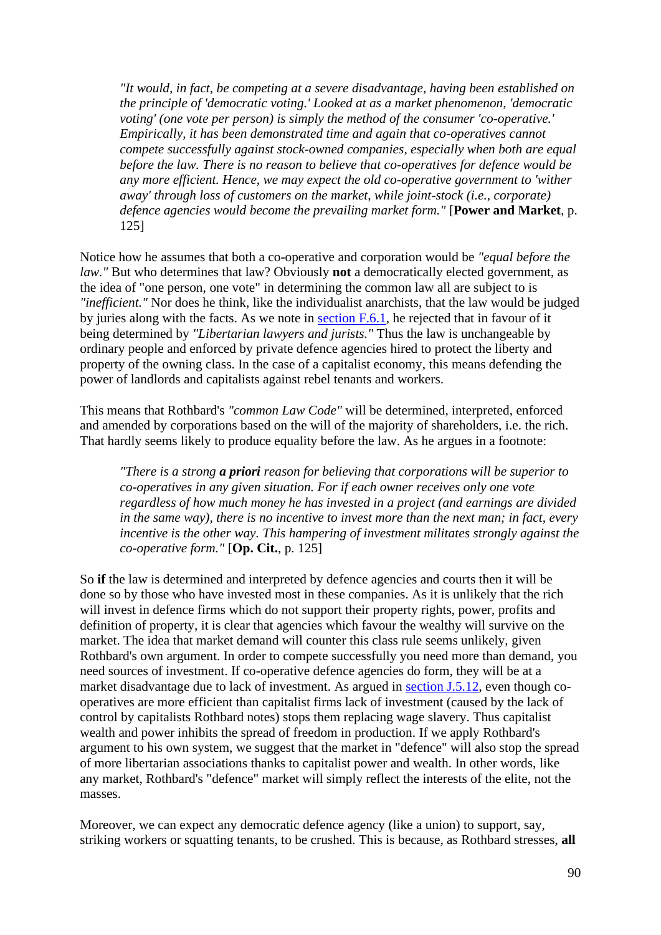*"It would, in fact, be competing at a severe disadvantage, having been established on the principle of 'democratic voting.' Looked at as a market phenomenon, 'democratic voting' (one vote per person) is simply the method of the consumer 'co-operative.' Empirically, it has been demonstrated time and again that co-operatives cannot compete successfully against stock-owned companies, especially when both are equal before the law. There is no reason to believe that co-operatives for defence would be any more efficient. Hence, we may expect the old co-operative government to 'wither away' through loss of customers on the market, while joint-stock (i.e., corporate) defence agencies would become the prevailing market form."* [**Power and Market**, p. 125]

Notice how he assumes that both a co-operative and corporation would be *"equal before the law."* But who determines that law? Obviously **not** a democratically elected government, as the idea of "one person, one vote" in determining the common law all are subject to is *"inefficient."* Nor does he think, like the individualist anarchists, that the law would be judged by juries along with the facts. As we note in section  $F.6.1$ , he rejected that in favour of it being determined by *"Libertarian lawyers and jurists."* Thus the law is unchangeable by ordinary people and enforced by private defence agencies hired to protect the liberty and property of the owning class. In the case of a capitalist economy, this means defending the power of landlords and capitalists against rebel tenants and workers.

This means that Rothbard's *"common Law Code"* will be determined, interpreted, enforced and amended by corporations based on the will of the majority of shareholders, i.e. the rich. That hardly seems likely to produce equality before the law. As he argues in a footnote:

*"There is a strong a priori reason for believing that corporations will be superior to co-operatives in any given situation. For if each owner receives only one vote regardless of how much money he has invested in a project (and earnings are divided in the same way), there is no incentive to invest more than the next man; in fact, every incentive is the other way. This hampering of investment militates strongly against the co-operative form."* [**Op. Cit.**, p. 125]

So **if** the law is determined and interpreted by defence agencies and courts then it will be done so by those who have invested most in these companies. As it is unlikely that the rich will invest in defence firms which do not support their property rights, power, profits and definition of property, it is clear that agencies which favour the wealthy will survive on the market. The idea that market demand will counter this class rule seems unlikely, given Rothbard's own argument. In order to compete successfully you need more than demand, you need sources of investment. If co-operative defence agencies do form, they will be at a market disadvantage due to lack of investment. As argued in [section J.5.12,](sectionJ.html#secj512) even though cooperatives are more efficient than capitalist firms lack of investment (caused by the lack of control by capitalists Rothbard notes) stops them replacing wage slavery. Thus capitalist wealth and power inhibits the spread of freedom in production. If we apply Rothbard's argument to his own system, we suggest that the market in "defence" will also stop the spread of more libertarian associations thanks to capitalist power and wealth. In other words, like any market, Rothbard's "defence" market will simply reflect the interests of the elite, not the masses.

Moreover, we can expect any democratic defence agency (like a union) to support, say, striking workers or squatting tenants, to be crushed. This is because, as Rothbard stresses, **all**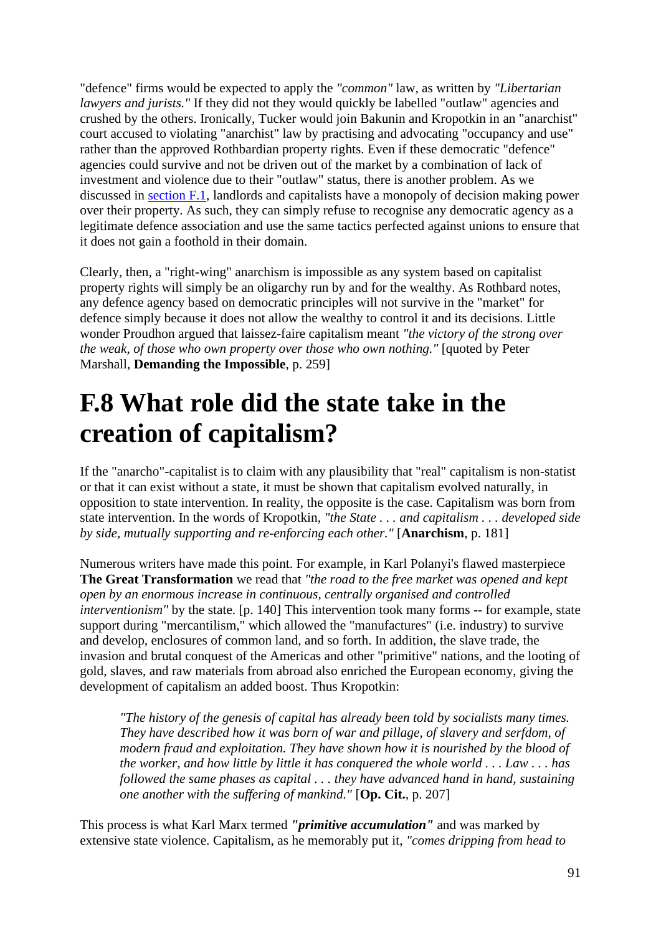"defence" firms would be expected to apply the *"common"* law, as written by *"Libertarian lawyers and jurists.*" If they did not they would quickly be labelled "outlaw" agencies and crushed by the others. Ironically, Tucker would join Bakunin and Kropotkin in an "anarchist" court accused to violating "anarchist" law by practising and advocating "occupancy and use" rather than the approved Rothbardian property rights. Even if these democratic "defence" agencies could survive and not be driven out of the market by a combination of lack of investment and violence due to their "outlaw" status, there is another problem. As we discussed in [section F.1,](sectionF.html#secf1) landlords and capitalists have a monopoly of decision making power over their property. As such, they can simply refuse to recognise any democratic agency as a legitimate defence association and use the same tactics perfected against unions to ensure that it does not gain a foothold in their domain.

Clearly, then, a "right-wing" anarchism is impossible as any system based on capitalist property rights will simply be an oligarchy run by and for the wealthy. As Rothbard notes, any defence agency based on democratic principles will not survive in the "market" for defence simply because it does not allow the wealthy to control it and its decisions. Little wonder Proudhon argued that laissez-faire capitalism meant *"the victory of the strong over the weak, of those who own property over those who own nothing."* [quoted by Peter Marshall, **Demanding the Impossible**, p. 259]

## **F.8 What role did the state take in the creation of capitalism?**

If the "anarcho"-capitalist is to claim with any plausibility that "real" capitalism is non-statist or that it can exist without a state, it must be shown that capitalism evolved naturally, in opposition to state intervention. In reality, the opposite is the case. Capitalism was born from state intervention. In the words of Kropotkin, *"the State . . . and capitalism . . . developed side by side, mutually supporting and re-enforcing each other."* [**Anarchism**, p. 181]

Numerous writers have made this point. For example, in Karl Polanyi's flawed masterpiece **The Great Transformation** we read that *"the road to the free market was opened and kept open by an enormous increase in continuous, centrally organised and controlled interventionism"* by the state. [p. 140] This intervention took many forms -- for example, state support during "mercantilism," which allowed the "manufactures" (i.e. industry) to survive and develop, enclosures of common land, and so forth. In addition, the slave trade, the invasion and brutal conquest of the Americas and other "primitive" nations, and the looting of gold, slaves, and raw materials from abroad also enriched the European economy, giving the development of capitalism an added boost. Thus Kropotkin:

*"The history of the genesis of capital has already been told by socialists many times. They have described how it was born of war and pillage, of slavery and serfdom, of modern fraud and exploitation. They have shown how it is nourished by the blood of the worker, and how little by little it has conquered the whole world . . . Law . . . has followed the same phases as capital . . . they have advanced hand in hand, sustaining one another with the suffering of mankind."* [**Op. Cit.**, p. 207]

This process is what Karl Marx termed *"primitive accumulation"* and was marked by extensive state violence. Capitalism, as he memorably put it, *"comes dripping from head to*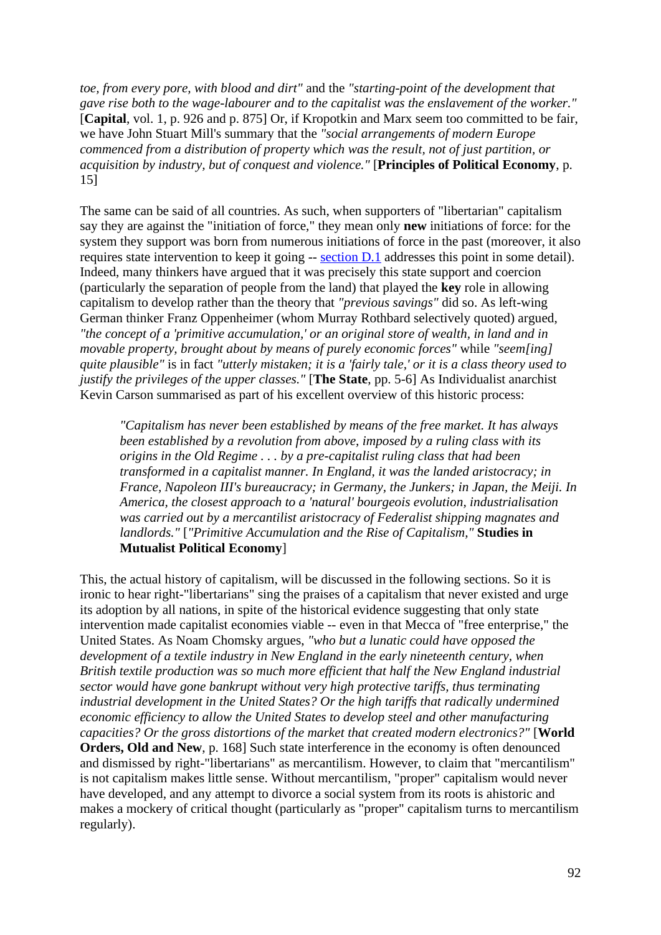*toe, from every pore, with blood and dirt"* and the *"starting-point of the development that gave rise both to the wage-labourer and to the capitalist was the enslavement of the worker."* [**Capital**, vol. 1, p. 926 and p. 875] Or, if Kropotkin and Marx seem too committed to be fair, we have John Stuart Mill's summary that the *"social arrangements of modern Europe commenced from a distribution of property which was the result, not of just partition, or acquisition by industry, but of conquest and violence."* [**Principles of Political Economy**, p. 15]

The same can be said of all countries. As such, when supporters of "libertarian" capitalism say they are against the "initiation of force," they mean only **new** initiations of force: for the system they support was born from numerous initiations of force in the past (moreover, it also requires state intervention to keep it going -- [section D.1](sectionD.html#secd1) addresses this point in some detail). Indeed, many thinkers have argued that it was precisely this state support and coercion (particularly the separation of people from the land) that played the **key** role in allowing capitalism to develop rather than the theory that *"previous savings"* did so. As left-wing German thinker Franz Oppenheimer (whom Murray Rothbard selectively quoted) argued, *"the concept of a 'primitive accumulation,' or an original store of wealth, in land and in movable property, brought about by means of purely economic forces"* while *"seem[ing] quite plausible"* is in fact *"utterly mistaken; it is a 'fairly tale,' or it is a class theory used to justify the privileges of the upper classes."* [**The State**, pp. 5-6] As Individualist anarchist Kevin Carson summarised as part of his excellent overview of this historic process:

*"Capitalism has never been established by means of the free market. It has always been established by a revolution from above, imposed by a ruling class with its origins in the Old Regime . . . by a pre-capitalist ruling class that had been transformed in a capitalist manner. In England, it was the landed aristocracy; in France, Napoleon III's bureaucracy; in Germany, the Junkers; in Japan, the Meiji. In America, the closest approach to a 'natural' bourgeois evolution, industrialisation was carried out by a mercantilist aristocracy of Federalist shipping magnates and landlords."* [*"Primitive Accumulation and the Rise of Capitalism,"* **Studies in Mutualist Political Economy**]

This, the actual history of capitalism, will be discussed in the following sections. So it is ironic to hear right-"libertarians" sing the praises of a capitalism that never existed and urge its adoption by all nations, in spite of the historical evidence suggesting that only state intervention made capitalist economies viable -- even in that Mecca of "free enterprise," the United States. As Noam Chomsky argues, *"who but a lunatic could have opposed the development of a textile industry in New England in the early nineteenth century, when British textile production was so much more efficient that half the New England industrial sector would have gone bankrupt without very high protective tariffs, thus terminating industrial development in the United States? Or the high tariffs that radically undermined economic efficiency to allow the United States to develop steel and other manufacturing capacities? Or the gross distortions of the market that created modern electronics?"* [**World Orders, Old and New**, p. 168] Such state interference in the economy is often denounced and dismissed by right-"libertarians" as mercantilism. However, to claim that "mercantilism" is not capitalism makes little sense. Without mercantilism, "proper" capitalism would never have developed, and any attempt to divorce a social system from its roots is ahistoric and makes a mockery of critical thought (particularly as "proper" capitalism turns to mercantilism regularly).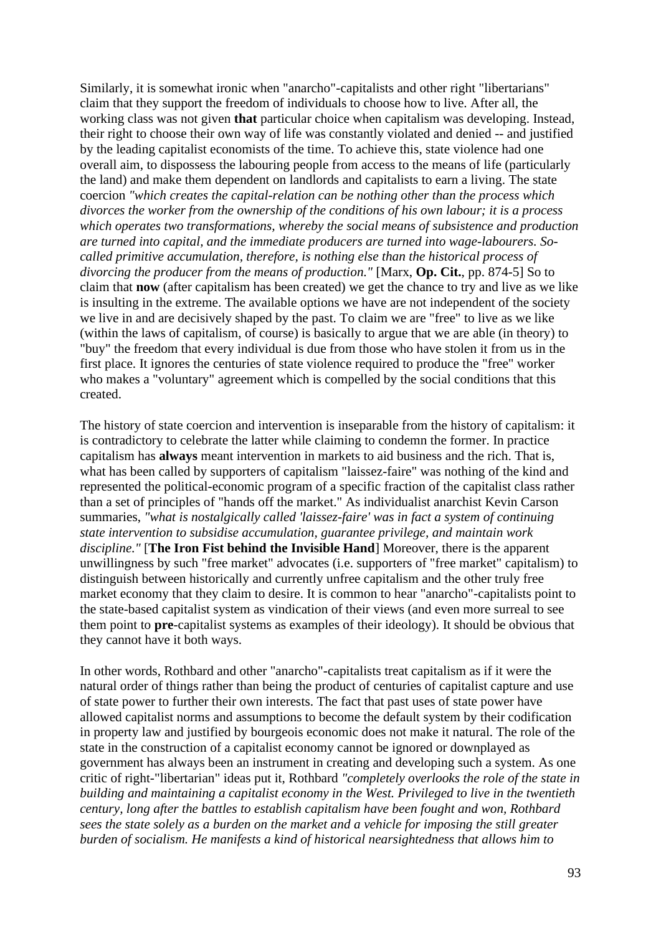Similarly, it is somewhat ironic when "anarcho"-capitalists and other right "libertarians" claim that they support the freedom of individuals to choose how to live. After all, the working class was not given **that** particular choice when capitalism was developing. Instead, their right to choose their own way of life was constantly violated and denied -- and justified by the leading capitalist economists of the time. To achieve this, state violence had one overall aim, to dispossess the labouring people from access to the means of life (particularly the land) and make them dependent on landlords and capitalists to earn a living. The state coercion *"which creates the capital-relation can be nothing other than the process which divorces the worker from the ownership of the conditions of his own labour; it is a process which operates two transformations, whereby the social means of subsistence and production are turned into capital, and the immediate producers are turned into wage-labourers. Socalled primitive accumulation, therefore, is nothing else than the historical process of divorcing the producer from the means of production."* [Marx, **Op. Cit.**, pp. 874-5] So to claim that **now** (after capitalism has been created) we get the chance to try and live as we like is insulting in the extreme. The available options we have are not independent of the society we live in and are decisively shaped by the past. To claim we are "free" to live as we like (within the laws of capitalism, of course) is basically to argue that we are able (in theory) to "buy" the freedom that every individual is due from those who have stolen it from us in the first place. It ignores the centuries of state violence required to produce the "free" worker who makes a "voluntary" agreement which is compelled by the social conditions that this created.

The history of state coercion and intervention is inseparable from the history of capitalism: it is contradictory to celebrate the latter while claiming to condemn the former. In practice capitalism has **always** meant intervention in markets to aid business and the rich. That is, what has been called by supporters of capitalism "laissez-faire" was nothing of the kind and represented the political-economic program of a specific fraction of the capitalist class rather than a set of principles of "hands off the market." As individualist anarchist Kevin Carson summaries, *"what is nostalgically called 'laissez-faire' was in fact a system of continuing state intervention to subsidise accumulation, guarantee privilege, and maintain work discipline."* [**The Iron Fist behind the Invisible Hand**] Moreover, there is the apparent unwillingness by such "free market" advocates (i.e. supporters of "free market" capitalism) to distinguish between historically and currently unfree capitalism and the other truly free market economy that they claim to desire. It is common to hear "anarcho"-capitalists point to the state-based capitalist system as vindication of their views (and even more surreal to see them point to **pre**-capitalist systems as examples of their ideology). It should be obvious that they cannot have it both ways.

In other words, Rothbard and other "anarcho"-capitalists treat capitalism as if it were the natural order of things rather than being the product of centuries of capitalist capture and use of state power to further their own interests. The fact that past uses of state power have allowed capitalist norms and assumptions to become the default system by their codification in property law and justified by bourgeois economic does not make it natural. The role of the state in the construction of a capitalist economy cannot be ignored or downplayed as government has always been an instrument in creating and developing such a system. As one critic of right-"libertarian" ideas put it, Rothbard *"completely overlooks the role of the state in building and maintaining a capitalist economy in the West. Privileged to live in the twentieth century, long after the battles to establish capitalism have been fought and won, Rothbard sees the state solely as a burden on the market and a vehicle for imposing the still greater burden of socialism. He manifests a kind of historical nearsightedness that allows him to*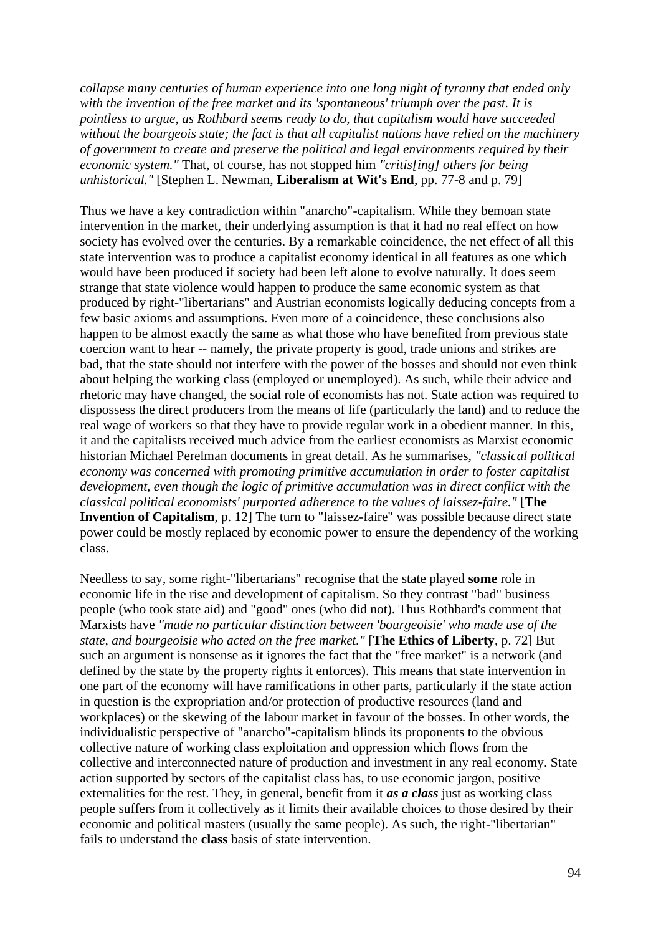*collapse many centuries of human experience into one long night of tyranny that ended only with the invention of the free market and its 'spontaneous' triumph over the past. It is pointless to argue, as Rothbard seems ready to do, that capitalism would have succeeded without the bourgeois state; the fact is that all capitalist nations have relied on the machinery of government to create and preserve the political and legal environments required by their economic system."* That, of course, has not stopped him *"critis[ing] others for being unhistorical."* [Stephen L. Newman, **Liberalism at Wit's End**, pp. 77-8 and p. 79]

Thus we have a key contradiction within "anarcho"-capitalism. While they bemoan state intervention in the market, their underlying assumption is that it had no real effect on how society has evolved over the centuries. By a remarkable coincidence, the net effect of all this state intervention was to produce a capitalist economy identical in all features as one which would have been produced if society had been left alone to evolve naturally. It does seem strange that state violence would happen to produce the same economic system as that produced by right-"libertarians" and Austrian economists logically deducing concepts from a few basic axioms and assumptions. Even more of a coincidence, these conclusions also happen to be almost exactly the same as what those who have benefited from previous state coercion want to hear -- namely, the private property is good, trade unions and strikes are bad, that the state should not interfere with the power of the bosses and should not even think about helping the working class (employed or unemployed). As such, while their advice and rhetoric may have changed, the social role of economists has not. State action was required to dispossess the direct producers from the means of life (particularly the land) and to reduce the real wage of workers so that they have to provide regular work in a obedient manner. In this, it and the capitalists received much advice from the earliest economists as Marxist economic historian Michael Perelman documents in great detail. As he summarises, *"classical political economy was concerned with promoting primitive accumulation in order to foster capitalist development, even though the logic of primitive accumulation was in direct conflict with the classical political economists' purported adherence to the values of laissez-faire."* [**The Invention of Capitalism**, p. 12] The turn to "laissez-faire" was possible because direct state power could be mostly replaced by economic power to ensure the dependency of the working class.

Needless to say, some right-"libertarians" recognise that the state played **some** role in economic life in the rise and development of capitalism. So they contrast "bad" business people (who took state aid) and "good" ones (who did not). Thus Rothbard's comment that Marxists have *"made no particular distinction between 'bourgeoisie' who made use of the state, and bourgeoisie who acted on the free market."* [**The Ethics of Liberty**, p. 72] But such an argument is nonsense as it ignores the fact that the "free market" is a network (and defined by the state by the property rights it enforces). This means that state intervention in one part of the economy will have ramifications in other parts, particularly if the state action in question is the expropriation and/or protection of productive resources (land and workplaces) or the skewing of the labour market in favour of the bosses. In other words, the individualistic perspective of "anarcho"-capitalism blinds its proponents to the obvious collective nature of working class exploitation and oppression which flows from the collective and interconnected nature of production and investment in any real economy. State action supported by sectors of the capitalist class has, to use economic jargon, positive externalities for the rest. They, in general, benefit from it *as a class* just as working class people suffers from it collectively as it limits their available choices to those desired by their economic and political masters (usually the same people). As such, the right-"libertarian" fails to understand the **class** basis of state intervention.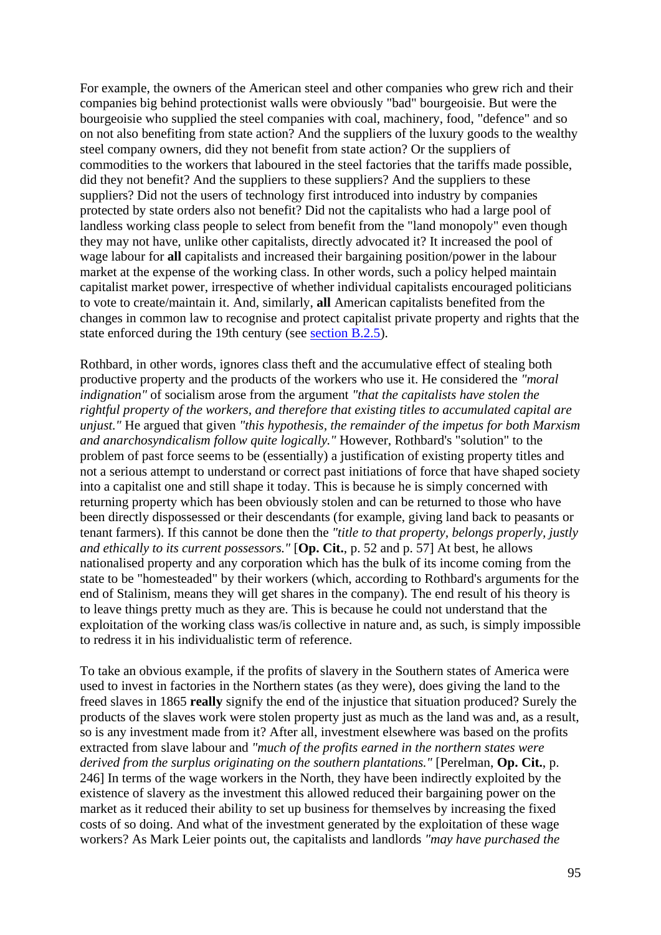For example, the owners of the American steel and other companies who grew rich and their companies big behind protectionist walls were obviously "bad" bourgeoisie. But were the bourgeoisie who supplied the steel companies with coal, machinery, food, "defence" and so on not also benefiting from state action? And the suppliers of the luxury goods to the wealthy steel company owners, did they not benefit from state action? Or the suppliers of commodities to the workers that laboured in the steel factories that the tariffs made possible, did they not benefit? And the suppliers to these suppliers? And the suppliers to these suppliers? Did not the users of technology first introduced into industry by companies protected by state orders also not benefit? Did not the capitalists who had a large pool of landless working class people to select from benefit from the "land monopoly" even though they may not have, unlike other capitalists, directly advocated it? It increased the pool of wage labour for **all** capitalists and increased their bargaining position/power in the labour market at the expense of the working class. In other words, such a policy helped maintain capitalist market power, irrespective of whether individual capitalists encouraged politicians to vote to create/maintain it. And, similarly, **all** American capitalists benefited from the changes in common law to recognise and protect capitalist private property and rights that the state enforced during the 19th century (see [section B.2.5\)](sectionB.html#secb25).

Rothbard, in other words, ignores class theft and the accumulative effect of stealing both productive property and the products of the workers who use it. He considered the *"moral indignation"* of socialism arose from the argument *"that the capitalists have stolen the rightful property of the workers, and therefore that existing titles to accumulated capital are unjust."* He argued that given *"this hypothesis, the remainder of the impetus for both Marxism and anarchosyndicalism follow quite logically."* However, Rothbard's "solution" to the problem of past force seems to be (essentially) a justification of existing property titles and not a serious attempt to understand or correct past initiations of force that have shaped society into a capitalist one and still shape it today. This is because he is simply concerned with returning property which has been obviously stolen and can be returned to those who have been directly dispossessed or their descendants (for example, giving land back to peasants or tenant farmers). If this cannot be done then the *"title to that property, belongs properly, justly and ethically to its current possessors."* [**Op. Cit.**, p. 52 and p. 57] At best, he allows nationalised property and any corporation which has the bulk of its income coming from the state to be "homesteaded" by their workers (which, according to Rothbard's arguments for the end of Stalinism, means they will get shares in the company). The end result of his theory is to leave things pretty much as they are. This is because he could not understand that the exploitation of the working class was/is collective in nature and, as such, is simply impossible to redress it in his individualistic term of reference.

To take an obvious example, if the profits of slavery in the Southern states of America were used to invest in factories in the Northern states (as they were), does giving the land to the freed slaves in 1865 **really** signify the end of the injustice that situation produced? Surely the products of the slaves work were stolen property just as much as the land was and, as a result, so is any investment made from it? After all, investment elsewhere was based on the profits extracted from slave labour and *"much of the profits earned in the northern states were derived from the surplus originating on the southern plantations."* [Perelman, **Op. Cit.**, p. 246] In terms of the wage workers in the North, they have been indirectly exploited by the existence of slavery as the investment this allowed reduced their bargaining power on the market as it reduced their ability to set up business for themselves by increasing the fixed costs of so doing. And what of the investment generated by the exploitation of these wage workers? As Mark Leier points out, the capitalists and landlords *"may have purchased the*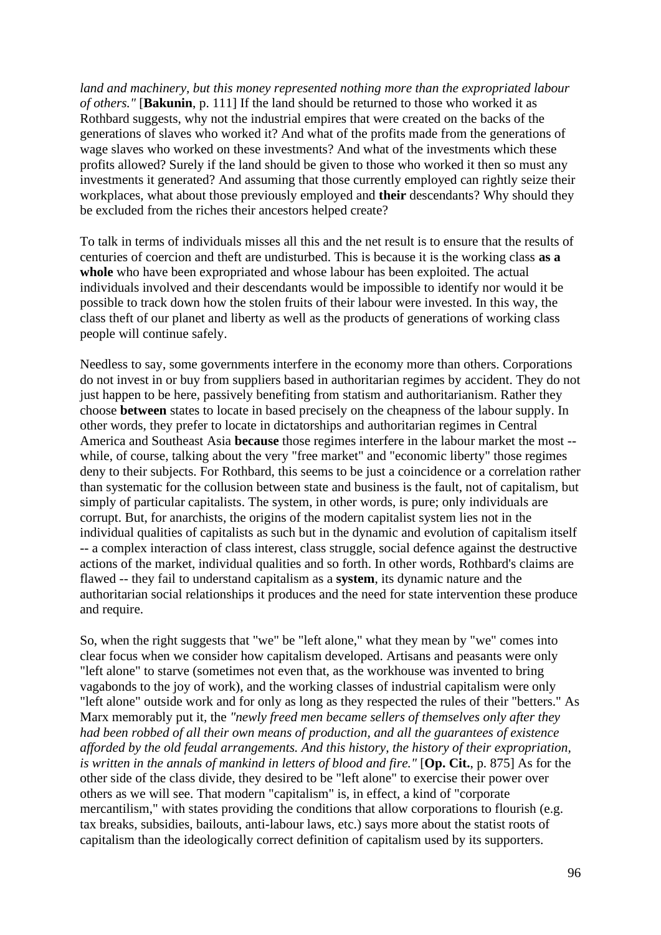*land and machinery, but this money represented nothing more than the expropriated labour of others."* [**Bakunin**, p. 111] If the land should be returned to those who worked it as Rothbard suggests, why not the industrial empires that were created on the backs of the generations of slaves who worked it? And what of the profits made from the generations of wage slaves who worked on these investments? And what of the investments which these profits allowed? Surely if the land should be given to those who worked it then so must any investments it generated? And assuming that those currently employed can rightly seize their workplaces, what about those previously employed and **their** descendants? Why should they be excluded from the riches their ancestors helped create?

To talk in terms of individuals misses all this and the net result is to ensure that the results of centuries of coercion and theft are undisturbed. This is because it is the working class **as a**  whole who have been expropriated and whose labour has been exploited. The actual individuals involved and their descendants would be impossible to identify nor would it be possible to track down how the stolen fruits of their labour were invested. In this way, the class theft of our planet and liberty as well as the products of generations of working class people will continue safely.

Needless to say, some governments interfere in the economy more than others. Corporations do not invest in or buy from suppliers based in authoritarian regimes by accident. They do not just happen to be here, passively benefiting from statism and authoritarianism. Rather they choose **between** states to locate in based precisely on the cheapness of the labour supply. In other words, they prefer to locate in dictatorships and authoritarian regimes in Central America and Southeast Asia **because** those regimes interfere in the labour market the most - while, of course, talking about the very "free market" and "economic liberty" those regimes deny to their subjects. For Rothbard, this seems to be just a coincidence or a correlation rather than systematic for the collusion between state and business is the fault, not of capitalism, but simply of particular capitalists. The system, in other words, is pure; only individuals are corrupt. But, for anarchists, the origins of the modern capitalist system lies not in the individual qualities of capitalists as such but in the dynamic and evolution of capitalism itself -- a complex interaction of class interest, class struggle, social defence against the destructive actions of the market, individual qualities and so forth. In other words, Rothbard's claims are flawed -- they fail to understand capitalism as a **system**, its dynamic nature and the authoritarian social relationships it produces and the need for state intervention these produce and require.

So, when the right suggests that "we" be "left alone," what they mean by "we" comes into clear focus when we consider how capitalism developed. Artisans and peasants were only "left alone" to starve (sometimes not even that, as the workhouse was invented to bring vagabonds to the joy of work), and the working classes of industrial capitalism were only "left alone" outside work and for only as long as they respected the rules of their "betters." As Marx memorably put it, the *"newly freed men became sellers of themselves only after they had been robbed of all their own means of production, and all the guarantees of existence afforded by the old feudal arrangements. And this history, the history of their expropriation, is written in the annals of mankind in letters of blood and fire."* [**Op. Cit.**, p. 875] As for the other side of the class divide, they desired to be "left alone" to exercise their power over others as we will see. That modern "capitalism" is, in effect, a kind of "corporate mercantilism," with states providing the conditions that allow corporations to flourish (e.g. tax breaks, subsidies, bailouts, anti-labour laws, etc.) says more about the statist roots of capitalism than the ideologically correct definition of capitalism used by its supporters.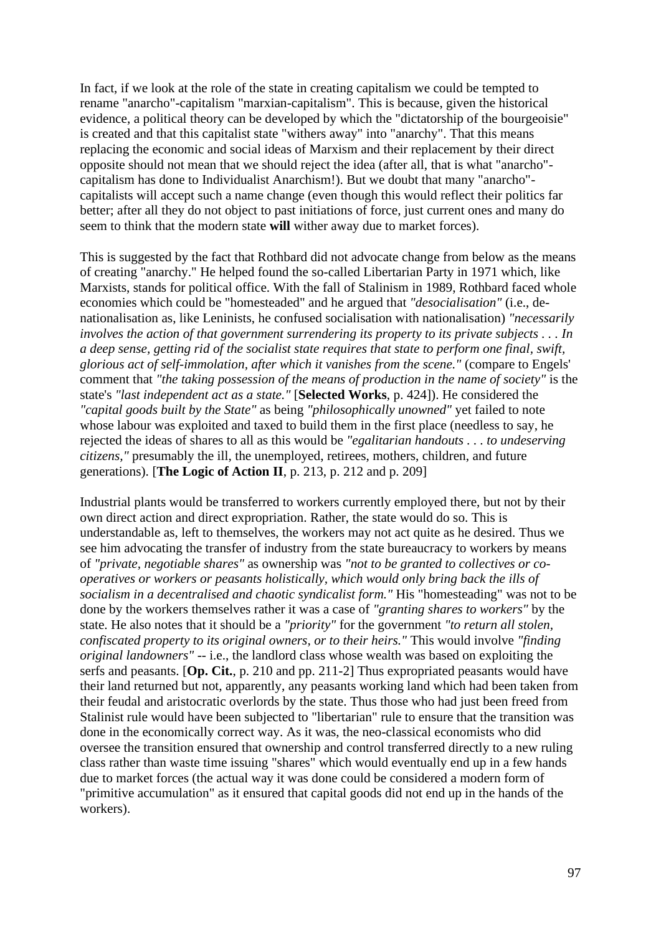In fact, if we look at the role of the state in creating capitalism we could be tempted to rename "anarcho"-capitalism "marxian-capitalism". This is because, given the historical evidence, a political theory can be developed by which the "dictatorship of the bourgeoisie" is created and that this capitalist state "withers away" into "anarchy". That this means replacing the economic and social ideas of Marxism and their replacement by their direct opposite should not mean that we should reject the idea (after all, that is what "anarcho" capitalism has done to Individualist Anarchism!). But we doubt that many "anarcho" capitalists will accept such a name change (even though this would reflect their politics far better; after all they do not object to past initiations of force, just current ones and many do seem to think that the modern state **will** wither away due to market forces).

This is suggested by the fact that Rothbard did not advocate change from below as the means of creating "anarchy." He helped found the so-called Libertarian Party in 1971 which, like Marxists, stands for political office. With the fall of Stalinism in 1989, Rothbard faced whole economies which could be "homesteaded" and he argued that *"desocialisation"* (i.e., denationalisation as, like Leninists, he confused socialisation with nationalisation) *"necessarily involves the action of that government surrendering its property to its private subjects . . . In a deep sense, getting rid of the socialist state requires that state to perform one final, swift, glorious act of self-immolation, after which it vanishes from the scene."* (compare to Engels' comment that *"the taking possession of the means of production in the name of society"* is the state's *"last independent act as a state."* [**Selected Works**, p. 424]). He considered the *"capital goods built by the State"* as being *"philosophically unowned"* yet failed to note whose labour was exploited and taxed to build them in the first place (needless to say, he rejected the ideas of shares to all as this would be *"egalitarian handouts . . . to undeserving citizens,"* presumably the ill, the unemployed, retirees, mothers, children, and future generations). [**The Logic of Action II**, p. 213, p. 212 and p. 209]

Industrial plants would be transferred to workers currently employed there, but not by their own direct action and direct expropriation. Rather, the state would do so. This is understandable as, left to themselves, the workers may not act quite as he desired. Thus we see him advocating the transfer of industry from the state bureaucracy to workers by means of *"private, negotiable shares"* as ownership was *"not to be granted to collectives or cooperatives or workers or peasants holistically, which would only bring back the ills of socialism in a decentralised and chaotic syndicalist form."* His "homesteading" was not to be done by the workers themselves rather it was a case of *"granting shares to workers"* by the state. He also notes that it should be a *"priority"* for the government *"to return all stolen, confiscated property to its original owners, or to their heirs."* This would involve *"finding original landowners"* -- i.e., the landlord class whose wealth was based on exploiting the serfs and peasants. [**Op. Cit.**, p. 210 and pp. 211-2] Thus expropriated peasants would have their land returned but not, apparently, any peasants working land which had been taken from their feudal and aristocratic overlords by the state. Thus those who had just been freed from Stalinist rule would have been subjected to "libertarian" rule to ensure that the transition was done in the economically correct way. As it was, the neo-classical economists who did oversee the transition ensured that ownership and control transferred directly to a new ruling class rather than waste time issuing "shares" which would eventually end up in a few hands due to market forces (the actual way it was done could be considered a modern form of "primitive accumulation" as it ensured that capital goods did not end up in the hands of the workers).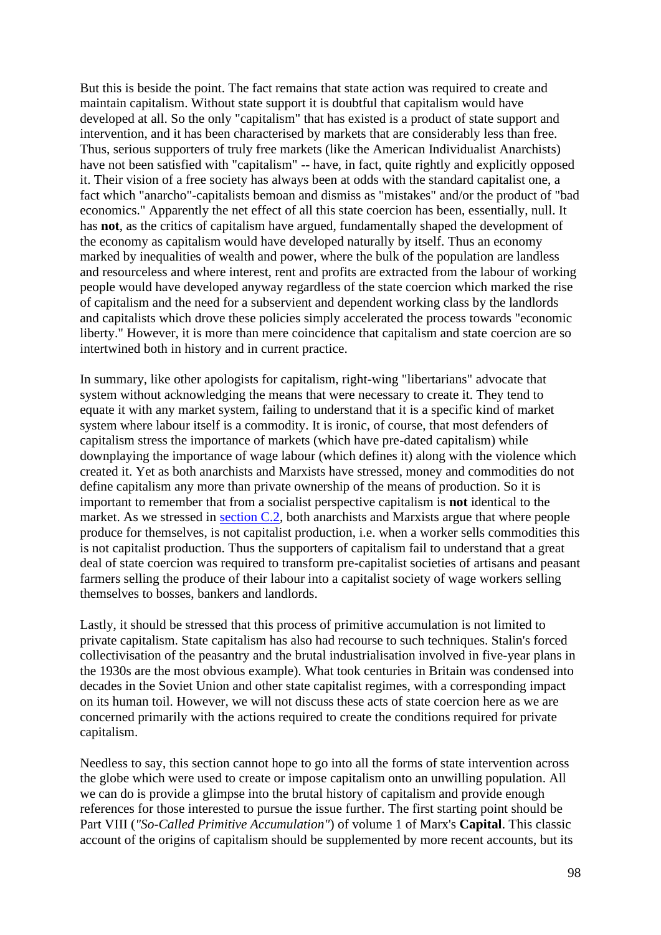But this is beside the point. The fact remains that state action was required to create and maintain capitalism. Without state support it is doubtful that capitalism would have developed at all. So the only "capitalism" that has existed is a product of state support and intervention, and it has been characterised by markets that are considerably less than free. Thus, serious supporters of truly free markets (like the American Individualist Anarchists) have not been satisfied with "capitalism" -- have, in fact, quite rightly and explicitly opposed it. Their vision of a free society has always been at odds with the standard capitalist one, a fact which "anarcho"-capitalists bemoan and dismiss as "mistakes" and/or the product of "bad economics." Apparently the net effect of all this state coercion has been, essentially, null. It has **not**, as the critics of capitalism have argued, fundamentally shaped the development of the economy as capitalism would have developed naturally by itself. Thus an economy marked by inequalities of wealth and power, where the bulk of the population are landless and resourceless and where interest, rent and profits are extracted from the labour of working people would have developed anyway regardless of the state coercion which marked the rise of capitalism and the need for a subservient and dependent working class by the landlords and capitalists which drove these policies simply accelerated the process towards "economic liberty." However, it is more than mere coincidence that capitalism and state coercion are so intertwined both in history and in current practice.

In summary, like other apologists for capitalism, right-wing "libertarians" advocate that system without acknowledging the means that were necessary to create it. They tend to equate it with any market system, failing to understand that it is a specific kind of market system where labour itself is a commodity. It is ironic, of course, that most defenders of capitalism stress the importance of markets (which have pre-dated capitalism) while downplaying the importance of wage labour (which defines it) along with the violence which created it. Yet as both anarchists and Marxists have stressed, money and commodities do not define capitalism any more than private ownership of the means of production. So it is important to remember that from a socialist perspective capitalism is **not** identical to the market. As we stressed in section  $C.2$ , both anarchists and Marxists argue that where people produce for themselves, is not capitalist production, i.e. when a worker sells commodities this is not capitalist production. Thus the supporters of capitalism fail to understand that a great deal of state coercion was required to transform pre-capitalist societies of artisans and peasant farmers selling the produce of their labour into a capitalist society of wage workers selling themselves to bosses, bankers and landlords.

Lastly, it should be stressed that this process of primitive accumulation is not limited to private capitalism. State capitalism has also had recourse to such techniques. Stalin's forced collectivisation of the peasantry and the brutal industrialisation involved in five-year plans in the 1930s are the most obvious example). What took centuries in Britain was condensed into decades in the Soviet Union and other state capitalist regimes, with a corresponding impact on its human toil. However, we will not discuss these acts of state coercion here as we are concerned primarily with the actions required to create the conditions required for private capitalism.

Needless to say, this section cannot hope to go into all the forms of state intervention across the globe which were used to create or impose capitalism onto an unwilling population. All we can do is provide a glimpse into the brutal history of capitalism and provide enough references for those interested to pursue the issue further. The first starting point should be Part VIII (*"So-Called Primitive Accumulation"*) of volume 1 of Marx's **Capital**. This classic account of the origins of capitalism should be supplemented by more recent accounts, but its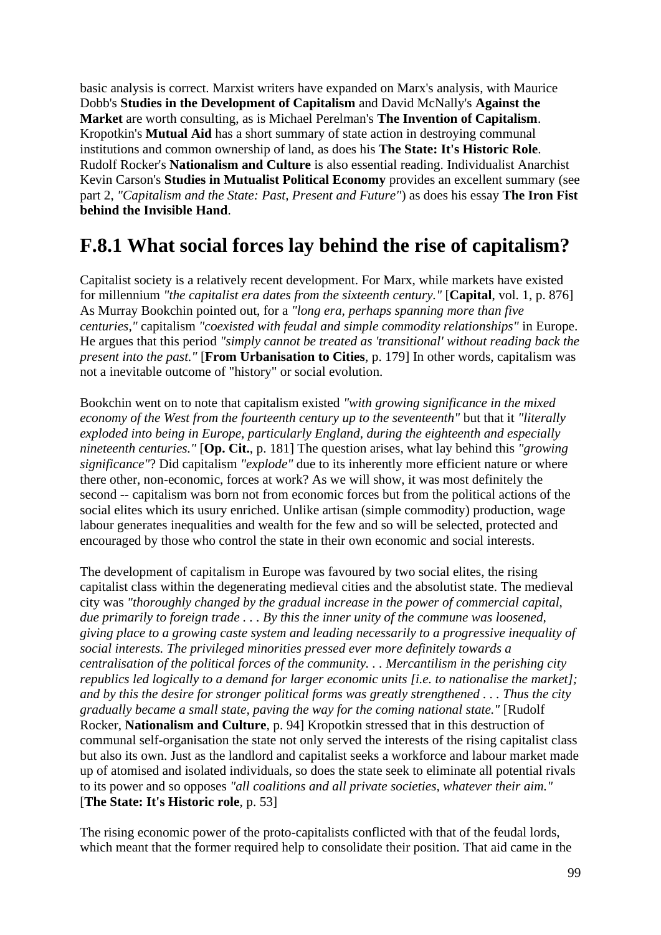basic analysis is correct. Marxist writers have expanded on Marx's analysis, with Maurice Dobb's **Studies in the Development of Capitalism** and David McNally's **Against the Market** are worth consulting, as is Michael Perelman's **The Invention of Capitalism**. Kropotkin's **Mutual Aid** has a short summary of state action in destroying communal institutions and common ownership of land, as does his **The State: It's Historic Role**. Rudolf Rocker's **Nationalism and Culture** is also essential reading. Individualist Anarchist Kevin Carson's **Studies in Mutualist Political Economy** provides an excellent summary (see part 2, *"Capitalism and the State: Past, Present and Future"*) as does his essay **The Iron Fist behind the Invisible Hand**.

### **F.8.1 What social forces lay behind the rise of capitalism?**

Capitalist society is a relatively recent development. For Marx, while markets have existed for millennium *"the capitalist era dates from the sixteenth century."* [**Capital**, vol. 1, p. 876] As Murray Bookchin pointed out, for a *"long era, perhaps spanning more than five centuries,"* capitalism *"coexisted with feudal and simple commodity relationships"* in Europe. He argues that this period *"simply cannot be treated as 'transitional' without reading back the present into the past."* [**From Urbanisation to Cities**, p. 179] In other words, capitalism was not a inevitable outcome of "history" or social evolution.

Bookchin went on to note that capitalism existed *"with growing significance in the mixed economy of the West from the fourteenth century up to the seventeenth"* but that it *"literally exploded into being in Europe, particularly England, during the eighteenth and especially nineteenth centuries."* [**Op. Cit.**, p. 181] The question arises, what lay behind this *"growing significance"*? Did capitalism *"explode"* due to its inherently more efficient nature or where there other, non-economic, forces at work? As we will show, it was most definitely the second -- capitalism was born not from economic forces but from the political actions of the social elites which its usury enriched. Unlike artisan (simple commodity) production, wage labour generates inequalities and wealth for the few and so will be selected, protected and encouraged by those who control the state in their own economic and social interests.

The development of capitalism in Europe was favoured by two social elites, the rising capitalist class within the degenerating medieval cities and the absolutist state. The medieval city was *"thoroughly changed by the gradual increase in the power of commercial capital, due primarily to foreign trade . . . By this the inner unity of the commune was loosened, giving place to a growing caste system and leading necessarily to a progressive inequality of social interests. The privileged minorities pressed ever more definitely towards a centralisation of the political forces of the community. . . Mercantilism in the perishing city republics led logically to a demand for larger economic units [i.e. to nationalise the market]; and by this the desire for stronger political forms was greatly strengthened . . . Thus the city gradually became a small state, paving the way for the coming national state."* [Rudolf Rocker, **Nationalism and Culture**, p. 94] Kropotkin stressed that in this destruction of communal self-organisation the state not only served the interests of the rising capitalist class but also its own. Just as the landlord and capitalist seeks a workforce and labour market made up of atomised and isolated individuals, so does the state seek to eliminate all potential rivals to its power and so opposes *"all coalitions and all private societies, whatever their aim."* [**The State: It's Historic role**, p. 53]

The rising economic power of the proto-capitalists conflicted with that of the feudal lords, which meant that the former required help to consolidate their position. That aid came in the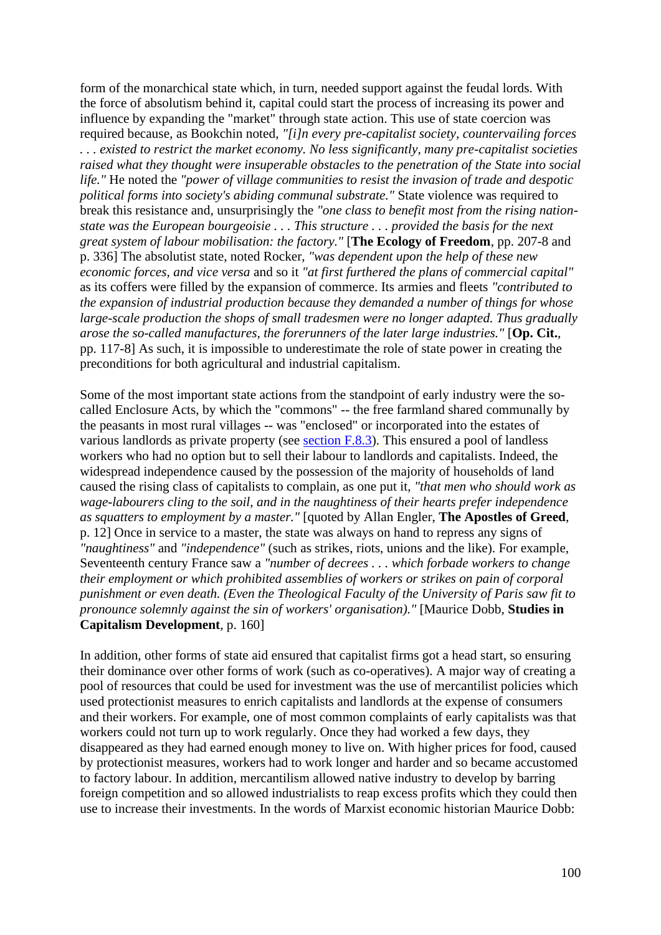form of the monarchical state which, in turn, needed support against the feudal lords. With the force of absolutism behind it, capital could start the process of increasing its power and influence by expanding the "market" through state action. This use of state coercion was required because, as Bookchin noted, *"[i]n every pre-capitalist society, countervailing forces . . . existed to restrict the market economy. No less significantly, many pre-capitalist societies raised what they thought were insuperable obstacles to the penetration of the State into social life."* He noted the *"power of village communities to resist the invasion of trade and despotic political forms into society's abiding communal substrate."* State violence was required to break this resistance and, unsurprisingly the *"one class to benefit most from the rising nationstate was the European bourgeoisie . . . This structure . . . provided the basis for the next great system of labour mobilisation: the factory."* [**The Ecology of Freedom**, pp. 207-8 and p. 336] The absolutist state, noted Rocker, *"was dependent upon the help of these new economic forces, and vice versa* and so it *"at first furthered the plans of commercial capital"* as its coffers were filled by the expansion of commerce. Its armies and fleets *"contributed to the expansion of industrial production because they demanded a number of things for whose large-scale production the shops of small tradesmen were no longer adapted. Thus gradually arose the so-called manufactures, the forerunners of the later large industries."* [**Op. Cit.**, pp. 117-8] As such, it is impossible to underestimate the role of state power in creating the preconditions for both agricultural and industrial capitalism.

Some of the most important state actions from the standpoint of early industry were the socalled Enclosure Acts, by which the "commons" -- the free farmland shared communally by the peasants in most rural villages -- was "enclosed" or incorporated into the estates of various landlords as private property (see [section F.8.3\)](sectionF.html#secf83). This ensured a pool of landless workers who had no option but to sell their labour to landlords and capitalists. Indeed, the widespread independence caused by the possession of the majority of households of land caused the rising class of capitalists to complain, as one put it, *"that men who should work as wage-labourers cling to the soil, and in the naughtiness of their hearts prefer independence as squatters to employment by a master."* [quoted by Allan Engler, **The Apostles of Greed**, p. 12] Once in service to a master, the state was always on hand to repress any signs of *"naughtiness"* and *"independence"* (such as strikes, riots, unions and the like). For example, Seventeenth century France saw a *"number of decrees . . . which forbade workers to change their employment or which prohibited assemblies of workers or strikes on pain of corporal punishment or even death. (Even the Theological Faculty of the University of Paris saw fit to pronounce solemnly against the sin of workers' organisation)."* [Maurice Dobb, **Studies in Capitalism Development**, p. 160]

In addition, other forms of state aid ensured that capitalist firms got a head start, so ensuring their dominance over other forms of work (such as co-operatives). A major way of creating a pool of resources that could be used for investment was the use of mercantilist policies which used protectionist measures to enrich capitalists and landlords at the expense of consumers and their workers. For example, one of most common complaints of early capitalists was that workers could not turn up to work regularly. Once they had worked a few days, they disappeared as they had earned enough money to live on. With higher prices for food, caused by protectionist measures, workers had to work longer and harder and so became accustomed to factory labour. In addition, mercantilism allowed native industry to develop by barring foreign competition and so allowed industrialists to reap excess profits which they could then use to increase their investments. In the words of Marxist economic historian Maurice Dobb: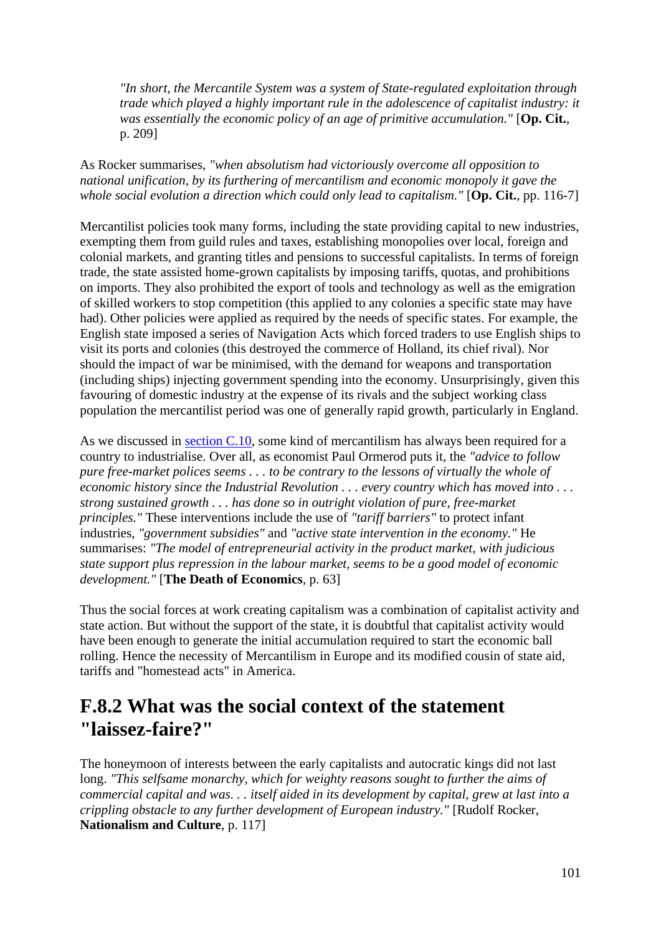*"In short, the Mercantile System was a system of State-regulated exploitation through trade which played a highly important rule in the adolescence of capitalist industry: it was essentially the economic policy of an age of primitive accumulation."* [**Op. Cit.**, p. 209]

As Rocker summarises, *"when absolutism had victoriously overcome all opposition to national unification, by its furthering of mercantilism and economic monopoly it gave the whole social evolution a direction which could only lead to capitalism."* [**Op. Cit.**, pp. 116-7]

Mercantilist policies took many forms, including the state providing capital to new industries, exempting them from guild rules and taxes, establishing monopolies over local, foreign and colonial markets, and granting titles and pensions to successful capitalists. In terms of foreign trade, the state assisted home-grown capitalists by imposing tariffs, quotas, and prohibitions on imports. They also prohibited the export of tools and technology as well as the emigration of skilled workers to stop competition (this applied to any colonies a specific state may have had). Other policies were applied as required by the needs of specific states. For example, the English state imposed a series of Navigation Acts which forced traders to use English ships to visit its ports and colonies (this destroyed the commerce of Holland, its chief rival). Nor should the impact of war be minimised, with the demand for weapons and transportation (including ships) injecting government spending into the economy. Unsurprisingly, given this favouring of domestic industry at the expense of its rivals and the subject working class population the mercantilist period was one of generally rapid growth, particularly in England.

As we discussed in [section C.10,](sectionC.html#secc10) some kind of mercantilism has always been required for a country to industrialise. Over all, as economist Paul Ormerod puts it, the *"advice to follow pure free-market polices seems . . . to be contrary to the lessons of virtually the whole of economic history since the Industrial Revolution . . . every country which has moved into . . . strong sustained growth . . . has done so in outright violation of pure, free-market principles."* These interventions include the use of *"tariff barriers"* to protect infant industries, *"government subsidies"* and *"active state intervention in the economy."* He summarises: *"The model of entrepreneurial activity in the product market, with judicious state support plus repression in the labour market, seems to be a good model of economic development."* [**The Death of Economics**, p. 63]

Thus the social forces at work creating capitalism was a combination of capitalist activity and state action. But without the support of the state, it is doubtful that capitalist activity would have been enough to generate the initial accumulation required to start the economic ball rolling. Hence the necessity of Mercantilism in Europe and its modified cousin of state aid, tariffs and "homestead acts" in America.

#### **F.8.2 What was the social context of the statement "laissez-faire?"**

The honeymoon of interests between the early capitalists and autocratic kings did not last long. *"This selfsame monarchy, which for weighty reasons sought to further the aims of commercial capital and was. . . itself aided in its development by capital, grew at last into a crippling obstacle to any further development of European industry."* [Rudolf Rocker, **Nationalism and Culture**, p. 117]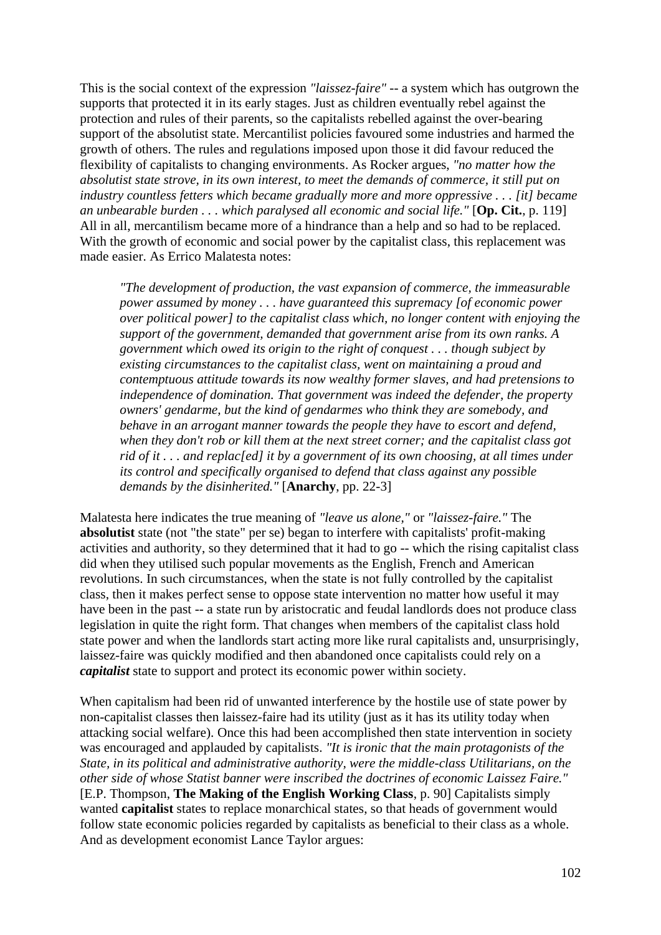This is the social context of the expression *"laissez-faire"* -- a system which has outgrown the supports that protected it in its early stages. Just as children eventually rebel against the protection and rules of their parents, so the capitalists rebelled against the over-bearing support of the absolutist state. Mercantilist policies favoured some industries and harmed the growth of others. The rules and regulations imposed upon those it did favour reduced the flexibility of capitalists to changing environments. As Rocker argues, *"no matter how the absolutist state strove, in its own interest, to meet the demands of commerce, it still put on industry countless fetters which became gradually more and more oppressive . . . [it] became an unbearable burden . . . which paralysed all economic and social life."* [**Op. Cit.**, p. 119] All in all, mercantilism became more of a hindrance than a help and so had to be replaced. With the growth of economic and social power by the capitalist class, this replacement was made easier. As Errico Malatesta notes:

*"The development of production, the vast expansion of commerce, the immeasurable power assumed by money . . . have guaranteed this supremacy [of economic power over political power] to the capitalist class which, no longer content with enjoying the support of the government, demanded that government arise from its own ranks. A government which owed its origin to the right of conquest . . . though subject by existing circumstances to the capitalist class, went on maintaining a proud and contemptuous attitude towards its now wealthy former slaves, and had pretensions to independence of domination. That government was indeed the defender, the property owners' gendarme, but the kind of gendarmes who think they are somebody, and behave in an arrogant manner towards the people they have to escort and defend, when they don't rob or kill them at the next street corner; and the capitalist class got rid of it . . . and replac[ed] it by a government of its own choosing, at all times under its control and specifically organised to defend that class against any possible demands by the disinherited."* [**Anarchy**, pp. 22-3]

Malatesta here indicates the true meaning of *"leave us alone,"* or *"laissez-faire."* The **absolutist** state (not "the state" per se) began to interfere with capitalists' profit-making activities and authority, so they determined that it had to go -- which the rising capitalist class did when they utilised such popular movements as the English, French and American revolutions. In such circumstances, when the state is not fully controlled by the capitalist class, then it makes perfect sense to oppose state intervention no matter how useful it may have been in the past -- a state run by aristocratic and feudal landlords does not produce class legislation in quite the right form. That changes when members of the capitalist class hold state power and when the landlords start acting more like rural capitalists and, unsurprisingly, laissez-faire was quickly modified and then abandoned once capitalists could rely on a *capitalist* state to support and protect its economic power within society.

When capitalism had been rid of unwanted interference by the hostile use of state power by non-capitalist classes then laissez-faire had its utility (just as it has its utility today when attacking social welfare). Once this had been accomplished then state intervention in society was encouraged and applauded by capitalists. *"It is ironic that the main protagonists of the State, in its political and administrative authority, were the middle-class Utilitarians, on the other side of whose Statist banner were inscribed the doctrines of economic Laissez Faire."* [E.P. Thompson, **The Making of the English Working Class**, p. 90] Capitalists simply wanted **capitalist** states to replace monarchical states, so that heads of government would follow state economic policies regarded by capitalists as beneficial to their class as a whole. And as development economist Lance Taylor argues: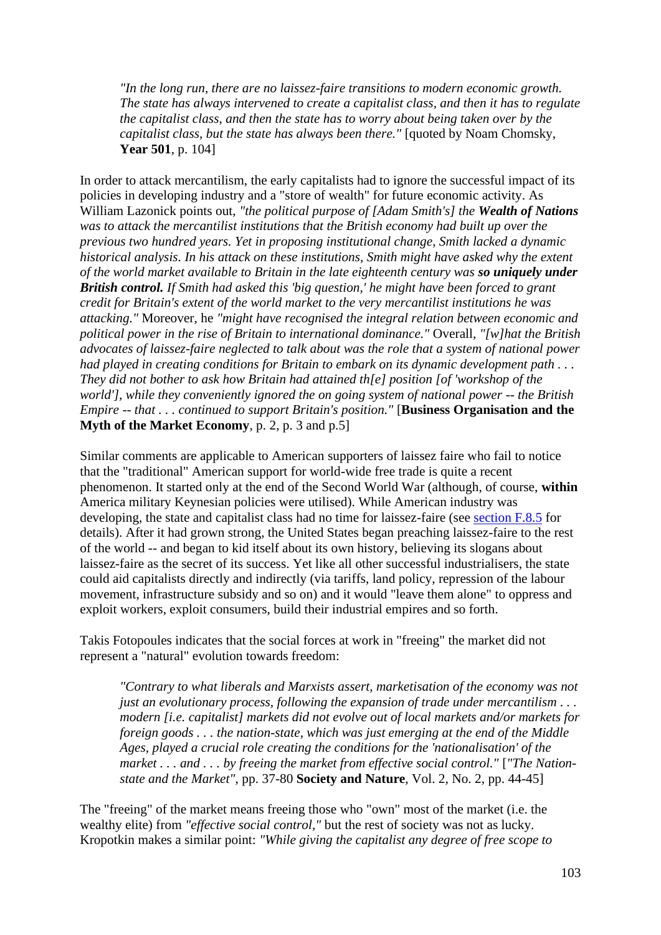*"In the long run, there are no laissez-faire transitions to modern economic growth. The state has always intervened to create a capitalist class, and then it has to regulate the capitalist class, and then the state has to worry about being taken over by the capitalist class, but the state has always been there."* [quoted by Noam Chomsky, **Year 501**, p. 104]

In order to attack mercantilism, the early capitalists had to ignore the successful impact of its policies in developing industry and a "store of wealth" for future economic activity. As William Lazonick points out, *"the political purpose of [Adam Smith's] the Wealth of Nations was to attack the mercantilist institutions that the British economy had built up over the previous two hundred years. Yet in proposing institutional change, Smith lacked a dynamic historical analysis. In his attack on these institutions, Smith might have asked why the extent of the world market available to Britain in the late eighteenth century was so uniquely under British control. If Smith had asked this 'big question,' he might have been forced to grant credit for Britain's extent of the world market to the very mercantilist institutions he was attacking."* Moreover, he *"might have recognised the integral relation between economic and political power in the rise of Britain to international dominance."* Overall, *"[w]hat the British advocates of laissez-faire neglected to talk about was the role that a system of national power had played in creating conditions for Britain to embark on its dynamic development path . . . They did not bother to ask how Britain had attained th[e] position [of 'workshop of the world'], while they conveniently ignored the on going system of national power -- the British Empire -- that . . . continued to support Britain's position."* [**Business Organisation and the Myth of the Market Economy**, p. 2, p. 3 and p.5]

Similar comments are applicable to American supporters of laissez faire who fail to notice that the "traditional" American support for world-wide free trade is quite a recent phenomenon. It started only at the end of the Second World War (although, of course, **within** America military Keynesian policies were utilised). While American industry was developing, the state and capitalist class had no time for laissez-faire (see [section F.8.5](sectionF.html#secf85) for details). After it had grown strong, the United States began preaching laissez-faire to the rest of the world -- and began to kid itself about its own history, believing its slogans about laissez-faire as the secret of its success. Yet like all other successful industrialisers, the state could aid capitalists directly and indirectly (via tariffs, land policy, repression of the labour movement, infrastructure subsidy and so on) and it would "leave them alone" to oppress and exploit workers, exploit consumers, build their industrial empires and so forth.

Takis Fotopoules indicates that the social forces at work in "freeing" the market did not represent a "natural" evolution towards freedom:

*"Contrary to what liberals and Marxists assert, marketisation of the economy was not just an evolutionary process, following the expansion of trade under mercantilism . . . modern [i.e. capitalist] markets did not evolve out of local markets and/or markets for foreign goods . . . the nation-state, which was just emerging at the end of the Middle Ages, played a crucial role creating the conditions for the 'nationalisation' of the market . . . and . . . by freeing the market from effective social control."* [*"The Nationstate and the Market"*, pp. 37-80 **Society and Nature**, Vol. 2, No. 2, pp. 44-45]

The "freeing" of the market means freeing those who "own" most of the market (i.e. the wealthy elite) from *"effective social control,"* but the rest of society was not as lucky. Kropotkin makes a similar point: *"While giving the capitalist any degree of free scope to*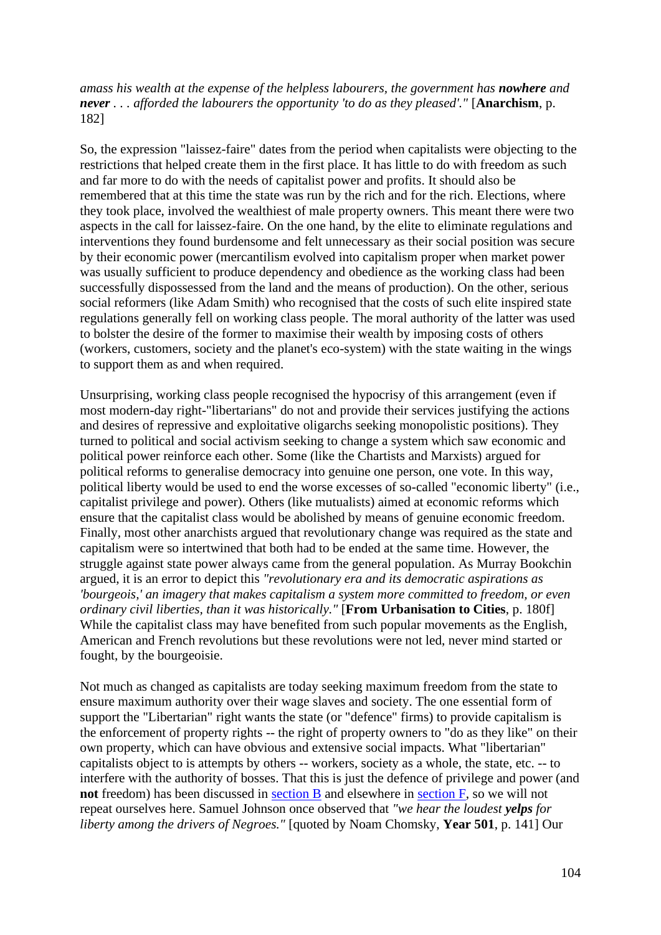*amass his wealth at the expense of the helpless labourers, the government has nowhere and never . . . afforded the labourers the opportunity 'to do as they pleased'."* [**Anarchism**, p. 182]

So, the expression "laissez-faire" dates from the period when capitalists were objecting to the restrictions that helped create them in the first place. It has little to do with freedom as such and far more to do with the needs of capitalist power and profits. It should also be remembered that at this time the state was run by the rich and for the rich. Elections, where they took place, involved the wealthiest of male property owners. This meant there were two aspects in the call for laissez-faire. On the one hand, by the elite to eliminate regulations and interventions they found burdensome and felt unnecessary as their social position was secure by their economic power (mercantilism evolved into capitalism proper when market power was usually sufficient to produce dependency and obedience as the working class had been successfully dispossessed from the land and the means of production). On the other, serious social reformers (like Adam Smith) who recognised that the costs of such elite inspired state regulations generally fell on working class people. The moral authority of the latter was used to bolster the desire of the former to maximise their wealth by imposing costs of others (workers, customers, society and the planet's eco-system) with the state waiting in the wings to support them as and when required.

Unsurprising, working class people recognised the hypocrisy of this arrangement (even if most modern-day right-"libertarians" do not and provide their services justifying the actions and desires of repressive and exploitative oligarchs seeking monopolistic positions). They turned to political and social activism seeking to change a system which saw economic and political power reinforce each other. Some (like the Chartists and Marxists) argued for political reforms to generalise democracy into genuine one person, one vote. In this way, political liberty would be used to end the worse excesses of so-called "economic liberty" (i.e., capitalist privilege and power). Others (like mutualists) aimed at economic reforms which ensure that the capitalist class would be abolished by means of genuine economic freedom. Finally, most other anarchists argued that revolutionary change was required as the state and capitalism were so intertwined that both had to be ended at the same time. However, the struggle against state power always came from the general population. As Murray Bookchin argued, it is an error to depict this *"revolutionary era and its democratic aspirations as 'bourgeois,' an imagery that makes capitalism a system more committed to freedom, or even ordinary civil liberties, than it was historically."* [**From Urbanisation to Cities**, p. 180f] While the capitalist class may have benefited from such popular movements as the English, American and French revolutions but these revolutions were not led, never mind started or fought, by the bourgeoisie.

Not much as changed as capitalists are today seeking maximum freedom from the state to ensure maximum authority over their wage slaves and society. The one essential form of support the "Libertarian" right wants the state (or "defence" firms) to provide capitalism is the enforcement of property rights -- the right of property owners to "do as they like" on their own property, which can have obvious and extensive social impacts. What "libertarian" capitalists object to is attempts by others -- workers, society as a whole, the state, etc. -- to interfere with the authority of bosses. That this is just the defence of privilege and power (and **not** freedom) has been discussed in [section B](sectionB.html) and elsewhere in [section F,](sectionF.html) so we will not repeat ourselves here. Samuel Johnson once observed that *"we hear the loudest yelps for liberty among the drivers of Negroes."* [quoted by Noam Chomsky, **Year 501**, p. 141] Our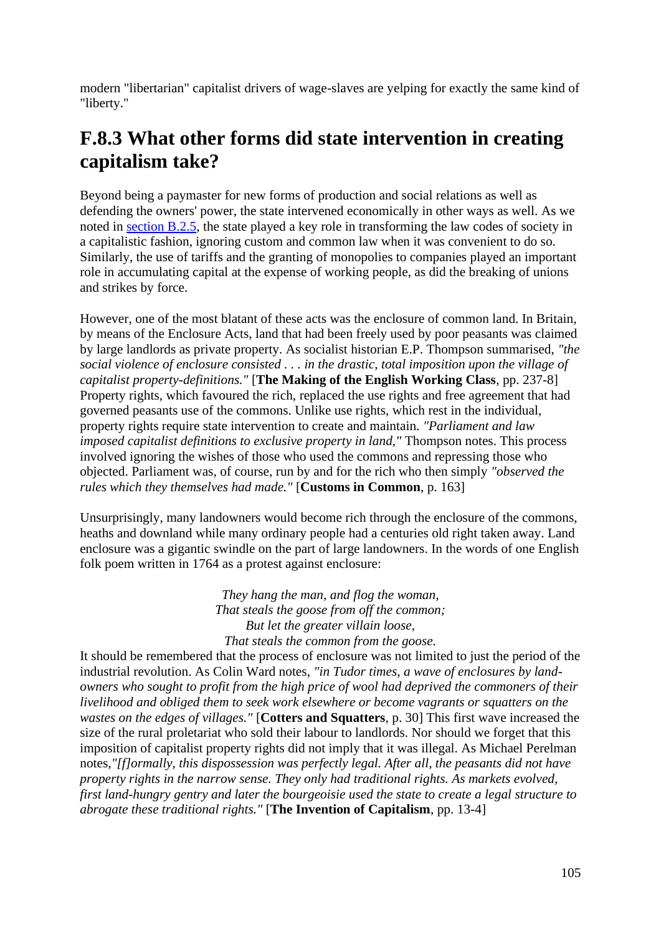modern "libertarian" capitalist drivers of wage-slaves are yelping for exactly the same kind of "liberty."

## **F.8.3 What other forms did state intervention in creating capitalism take?**

Beyond being a paymaster for new forms of production and social relations as well as defending the owners' power, the state intervened economically in other ways as well. As we noted in [section B.2.5,](sectionB.html#secb25) the state played a key role in transforming the law codes of society in a capitalistic fashion, ignoring custom and common law when it was convenient to do so. Similarly, the use of tariffs and the granting of monopolies to companies played an important role in accumulating capital at the expense of working people, as did the breaking of unions and strikes by force.

However, one of the most blatant of these acts was the enclosure of common land. In Britain, by means of the Enclosure Acts, land that had been freely used by poor peasants was claimed by large landlords as private property. As socialist historian E.P. Thompson summarised, *"the social violence of enclosure consisted . . . in the drastic, total imposition upon the village of capitalist property-definitions."* [**The Making of the English Working Class**, pp. 237-8] Property rights, which favoured the rich, replaced the use rights and free agreement that had governed peasants use of the commons. Unlike use rights, which rest in the individual, property rights require state intervention to create and maintain. *"Parliament and law imposed capitalist definitions to exclusive property in land,"* Thompson notes. This process involved ignoring the wishes of those who used the commons and repressing those who objected. Parliament was, of course, run by and for the rich who then simply *"observed the rules which they themselves had made."* [**Customs in Common**, p. 163]

Unsurprisingly, many landowners would become rich through the enclosure of the commons, heaths and downland while many ordinary people had a centuries old right taken away. Land enclosure was a gigantic swindle on the part of large landowners. In the words of one English folk poem written in 1764 as a protest against enclosure:

> *They hang the man, and flog the woman, That steals the goose from off the common; But let the greater villain loose, That steals the common from the goose.*

It should be remembered that the process of enclosure was not limited to just the period of the industrial revolution. As Colin Ward notes, *"in Tudor times, a wave of enclosures by landowners who sought to profit from the high price of wool had deprived the commoners of their livelihood and obliged them to seek work elsewhere or become vagrants or squatters on the wastes on the edges of villages."* [**Cotters and Squatters**, p. 30] This first wave increased the size of the rural proletariat who sold their labour to landlords. Nor should we forget that this imposition of capitalist property rights did not imply that it was illegal. As Michael Perelman notes,*"[f]ormally, this dispossession was perfectly legal. After all, the peasants did not have property rights in the narrow sense. They only had traditional rights. As markets evolved, first land-hungry gentry and later the bourgeoisie used the state to create a legal structure to abrogate these traditional rights."* [**The Invention of Capitalism**, pp. 13-4]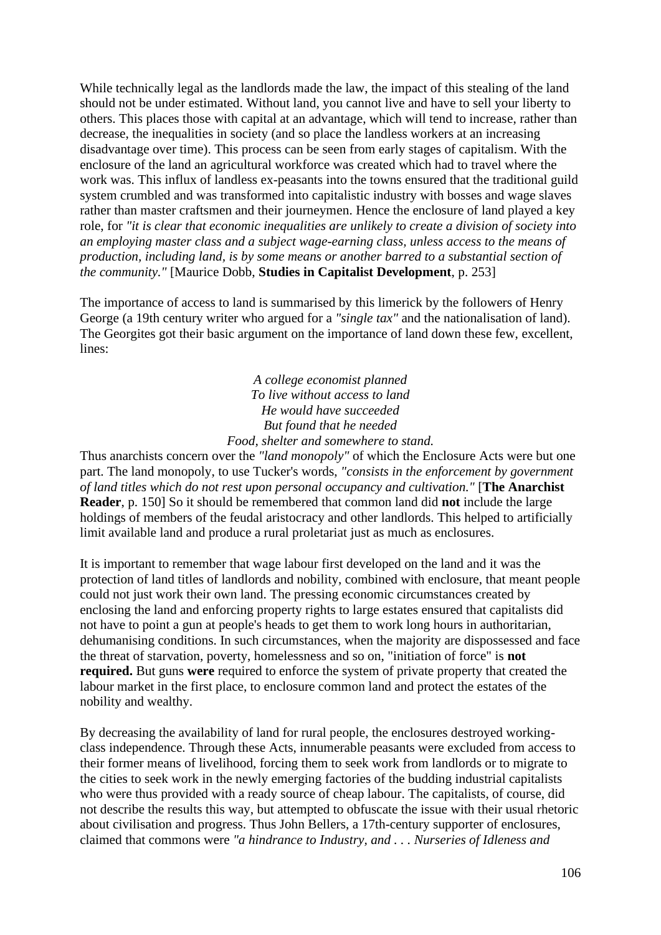While technically legal as the landlords made the law, the impact of this stealing of the land should not be under estimated. Without land, you cannot live and have to sell your liberty to others. This places those with capital at an advantage, which will tend to increase, rather than decrease, the inequalities in society (and so place the landless workers at an increasing disadvantage over time). This process can be seen from early stages of capitalism. With the enclosure of the land an agricultural workforce was created which had to travel where the work was. This influx of landless ex-peasants into the towns ensured that the traditional guild system crumbled and was transformed into capitalistic industry with bosses and wage slaves rather than master craftsmen and their journeymen. Hence the enclosure of land played a key role, for *"it is clear that economic inequalities are unlikely to create a division of society into an employing master class and a subject wage-earning class, unless access to the means of production, including land, is by some means or another barred to a substantial section of the community."* [Maurice Dobb, **Studies in Capitalist Development**, p. 253]

The importance of access to land is summarised by this limerick by the followers of Henry George (a 19th century writer who argued for a *"single tax"* and the nationalisation of land). The Georgites got their basic argument on the importance of land down these few, excellent, lines:

> *A college economist planned To live without access to land He would have succeeded But found that he needed Food, shelter and somewhere to stand.*

Thus anarchists concern over the *"land monopoly"* of which the Enclosure Acts were but one part. The land monopoly, to use Tucker's words, *"consists in the enforcement by government of land titles which do not rest upon personal occupancy and cultivation."* [**The Anarchist Reader**, p. 150] So it should be remembered that common land did **not** include the large holdings of members of the feudal aristocracy and other landlords. This helped to artificially limit available land and produce a rural proletariat just as much as enclosures.

It is important to remember that wage labour first developed on the land and it was the protection of land titles of landlords and nobility, combined with enclosure, that meant people could not just work their own land. The pressing economic circumstances created by enclosing the land and enforcing property rights to large estates ensured that capitalists did not have to point a gun at people's heads to get them to work long hours in authoritarian, dehumanising conditions. In such circumstances, when the majority are dispossessed and face the threat of starvation, poverty, homelessness and so on, "initiation of force" is **not required.** But guns **were** required to enforce the system of private property that created the labour market in the first place, to enclosure common land and protect the estates of the nobility and wealthy.

By decreasing the availability of land for rural people, the enclosures destroyed workingclass independence. Through these Acts, innumerable peasants were excluded from access to their former means of livelihood, forcing them to seek work from landlords or to migrate to the cities to seek work in the newly emerging factories of the budding industrial capitalists who were thus provided with a ready source of cheap labour. The capitalists, of course, did not describe the results this way, but attempted to obfuscate the issue with their usual rhetoric about civilisation and progress. Thus John Bellers, a 17th-century supporter of enclosures, claimed that commons were *"a hindrance to Industry, and . . . Nurseries of Idleness and*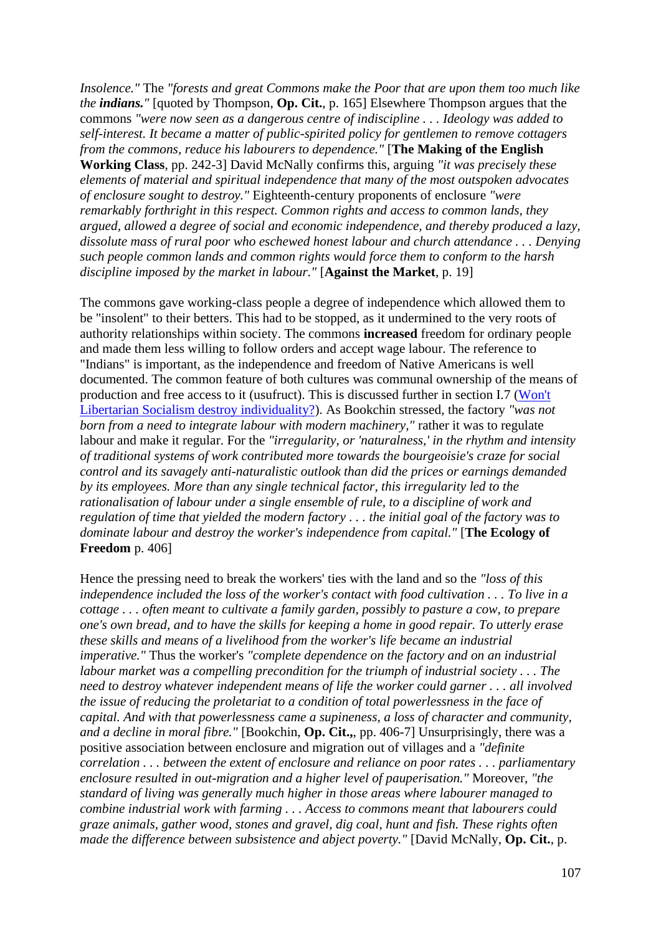*Insolence."* The *"forests and great Commons make the Poor that are upon them too much like the indians."* [quoted by Thompson, **Op. Cit.**, p. 165] Elsewhere Thompson argues that the commons *"were now seen as a dangerous centre of indiscipline . . . Ideology was added to self-interest. It became a matter of public-spirited policy for gentlemen to remove cottagers from the commons, reduce his labourers to dependence."* [**The Making of the English Working Class**, pp. 242-3] David McNally confirms this, arguing *"it was precisely these elements of material and spiritual independence that many of the most outspoken advocates of enclosure sought to destroy."* Eighteenth-century proponents of enclosure *"were remarkably forthright in this respect. Common rights and access to common lands, they argued, allowed a degree of social and economic independence, and thereby produced a lazy, dissolute mass of rural poor who eschewed honest labour and church attendance . . . Denying such people common lands and common rights would force them to conform to the harsh discipline imposed by the market in labour."* [**Against the Market**, p. 19]

The commons gave working-class people a degree of independence which allowed them to be "insolent" to their betters. This had to be stopped, as it undermined to the very roots of authority relationships within society. The commons **increased** freedom for ordinary people and made them less willing to follow orders and accept wage labour. The reference to "Indians" is important, as the independence and freedom of Native Americans is well documented. The common feature of both cultures was communal ownership of the means of production and free access to it (usufruct). This is discussed further in section I.7 [\(Won't](sectionI.html#seci7)  [Libertarian Socialism destroy individuality?\)](sectionI.html#seci7). As Bookchin stressed, the factory *"was not born from a need to integrate labour with modern machinery,"* rather it was to regulate labour and make it regular. For the *"irregularity, or 'naturalness,' in the rhythm and intensity of traditional systems of work contributed more towards the bourgeoisie's craze for social control and its savagely anti-naturalistic outlook than did the prices or earnings demanded by its employees. More than any single technical factor, this irregularity led to the rationalisation of labour under a single ensemble of rule, to a discipline of work and regulation of time that yielded the modern factory . . . the initial goal of the factory was to dominate labour and destroy the worker's independence from capital."* [**The Ecology of Freedom** p. 406]

Hence the pressing need to break the workers' ties with the land and so the *"loss of this independence included the loss of the worker's contact with food cultivation . . . To live in a cottage . . . often meant to cultivate a family garden, possibly to pasture a cow, to prepare one's own bread, and to have the skills for keeping a home in good repair. To utterly erase these skills and means of a livelihood from the worker's life became an industrial imperative."* Thus the worker's *"complete dependence on the factory and on an industrial labour market was a compelling precondition for the triumph of industrial society . . . The need to destroy whatever independent means of life the worker could garner . . . all involved the issue of reducing the proletariat to a condition of total powerlessness in the face of capital. And with that powerlessness came a supineness, a loss of character and community, and a decline in moral fibre."* [Bookchin, **Op. Cit.,**, pp. 406-7] Unsurprisingly, there was a positive association between enclosure and migration out of villages and a *"definite correlation . . . between the extent of enclosure and reliance on poor rates . . . parliamentary enclosure resulted in out-migration and a higher level of pauperisation."* Moreover, *"the standard of living was generally much higher in those areas where labourer managed to combine industrial work with farming . . . Access to commons meant that labourers could graze animals, gather wood, stones and gravel, dig coal, hunt and fish. These rights often made the difference between subsistence and abject poverty."* [David McNally, **Op. Cit.**, p.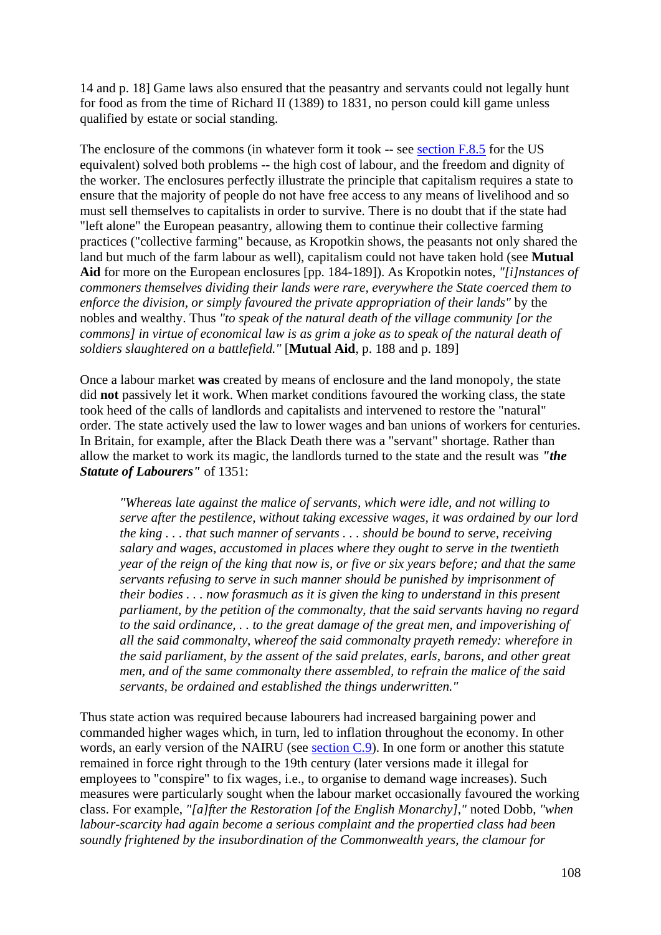14 and p. 18] Game laws also ensured that the peasantry and servants could not legally hunt for food as from the time of Richard II (1389) to 1831, no person could kill game unless qualified by estate or social standing.

The enclosure of the commons (in whatever form it took -- see [section F.8.5](sectionF.html#secf85) for the US equivalent) solved both problems -- the high cost of labour, and the freedom and dignity of the worker. The enclosures perfectly illustrate the principle that capitalism requires a state to ensure that the majority of people do not have free access to any means of livelihood and so must sell themselves to capitalists in order to survive. There is no doubt that if the state had "left alone" the European peasantry, allowing them to continue their collective farming practices ("collective farming" because, as Kropotkin shows, the peasants not only shared the land but much of the farm labour as well), capitalism could not have taken hold (see **Mutual Aid** for more on the European enclosures [pp. 184-189]). As Kropotkin notes, *"[i]nstances of commoners themselves dividing their lands were rare, everywhere the State coerced them to enforce the division, or simply favoured the private appropriation of their lands"* by the nobles and wealthy. Thus *"to speak of the natural death of the village community [or the commons] in virtue of economical law is as grim a joke as to speak of the natural death of soldiers slaughtered on a battlefield."* [**Mutual Aid**, p. 188 and p. 189]

Once a labour market **was** created by means of enclosure and the land monopoly, the state did **not** passively let it work. When market conditions favoured the working class, the state took heed of the calls of landlords and capitalists and intervened to restore the "natural" order. The state actively used the law to lower wages and ban unions of workers for centuries. In Britain, for example, after the Black Death there was a "servant" shortage. Rather than allow the market to work its magic, the landlords turned to the state and the result was *"the Statute of Labourers"* of 1351:

*"Whereas late against the malice of servants, which were idle, and not willing to serve after the pestilence, without taking excessive wages, it was ordained by our lord the king . . . that such manner of servants . . . should be bound to serve, receiving salary and wages, accustomed in places where they ought to serve in the twentieth year of the reign of the king that now is, or five or six years before; and that the same servants refusing to serve in such manner should be punished by imprisonment of their bodies . . . now forasmuch as it is given the king to understand in this present parliament, by the petition of the commonalty, that the said servants having no regard to the said ordinance, . . to the great damage of the great men, and impoverishing of all the said commonalty, whereof the said commonalty prayeth remedy: wherefore in the said parliament, by the assent of the said prelates, earls, barons, and other great men, and of the same commonalty there assembled, to refrain the malice of the said servants, be ordained and established the things underwritten."*

Thus state action was required because labourers had increased bargaining power and commanded higher wages which, in turn, led to inflation throughout the economy. In other words, an early version of the NAIRU (see section  $C.9$ ). In one form or another this statute remained in force right through to the 19th century (later versions made it illegal for employees to "conspire" to fix wages, i.e., to organise to demand wage increases). Such measures were particularly sought when the labour market occasionally favoured the working class. For example, *"[a]fter the Restoration [of the English Monarchy],"* noted Dobb, *"when labour-scarcity had again become a serious complaint and the propertied class had been soundly frightened by the insubordination of the Commonwealth years, the clamour for*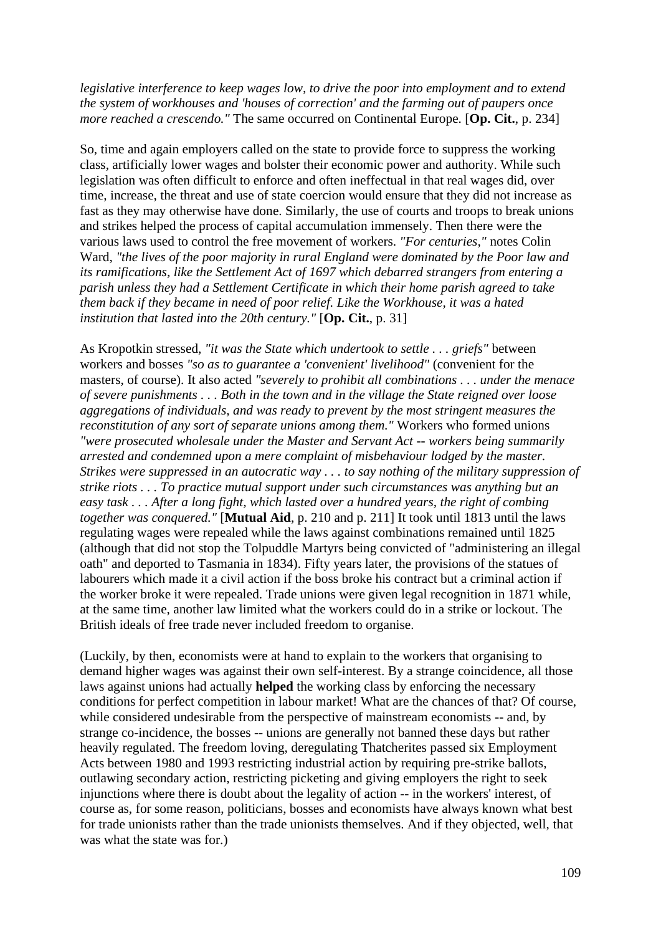*legislative interference to keep wages low, to drive the poor into employment and to extend the system of workhouses and 'houses of correction' and the farming out of paupers once more reached a crescendo."* The same occurred on Continental Europe. [**Op. Cit.**, p. 234]

So, time and again employers called on the state to provide force to suppress the working class, artificially lower wages and bolster their economic power and authority. While such legislation was often difficult to enforce and often ineffectual in that real wages did, over time, increase, the threat and use of state coercion would ensure that they did not increase as fast as they may otherwise have done. Similarly, the use of courts and troops to break unions and strikes helped the process of capital accumulation immensely. Then there were the various laws used to control the free movement of workers. *"For centuries,"* notes Colin Ward, *"the lives of the poor majority in rural England were dominated by the Poor law and its ramifications, like the Settlement Act of 1697 which debarred strangers from entering a parish unless they had a Settlement Certificate in which their home parish agreed to take them back if they became in need of poor relief. Like the Workhouse, it was a hated institution that lasted into the 20th century."* [**Op. Cit.**, p. 31]

As Kropotkin stressed, *"it was the State which undertook to settle . . . griefs"* between workers and bosses *"so as to guarantee a 'convenient' livelihood"* (convenient for the masters, of course). It also acted *"severely to prohibit all combinations . . . under the menace of severe punishments . . . Both in the town and in the village the State reigned over loose aggregations of individuals, and was ready to prevent by the most stringent measures the reconstitution of any sort of separate unions among them."* Workers who formed unions *"were prosecuted wholesale under the Master and Servant Act -- workers being summarily arrested and condemned upon a mere complaint of misbehaviour lodged by the master. Strikes were suppressed in an autocratic way . . . to say nothing of the military suppression of strike riots . . . To practice mutual support under such circumstances was anything but an easy task . . . After a long fight, which lasted over a hundred years, the right of combing together was conquered."* [**Mutual Aid**, p. 210 and p. 211] It took until 1813 until the laws regulating wages were repealed while the laws against combinations remained until 1825 (although that did not stop the Tolpuddle Martyrs being convicted of "administering an illegal oath" and deported to Tasmania in 1834). Fifty years later, the provisions of the statues of labourers which made it a civil action if the boss broke his contract but a criminal action if the worker broke it were repealed. Trade unions were given legal recognition in 1871 while, at the same time, another law limited what the workers could do in a strike or lockout. The British ideals of free trade never included freedom to organise.

(Luckily, by then, economists were at hand to explain to the workers that organising to demand higher wages was against their own self-interest. By a strange coincidence, all those laws against unions had actually **helped** the working class by enforcing the necessary conditions for perfect competition in labour market! What are the chances of that? Of course, while considered undesirable from the perspective of mainstream economists -- and, by strange co-incidence, the bosses -- unions are generally not banned these days but rather heavily regulated. The freedom loving, deregulating Thatcherites passed six Employment Acts between 1980 and 1993 restricting industrial action by requiring pre-strike ballots, outlawing secondary action, restricting picketing and giving employers the right to seek injunctions where there is doubt about the legality of action -- in the workers' interest, of course as, for some reason, politicians, bosses and economists have always known what best for trade unionists rather than the trade unionists themselves. And if they objected, well, that was what the state was for.)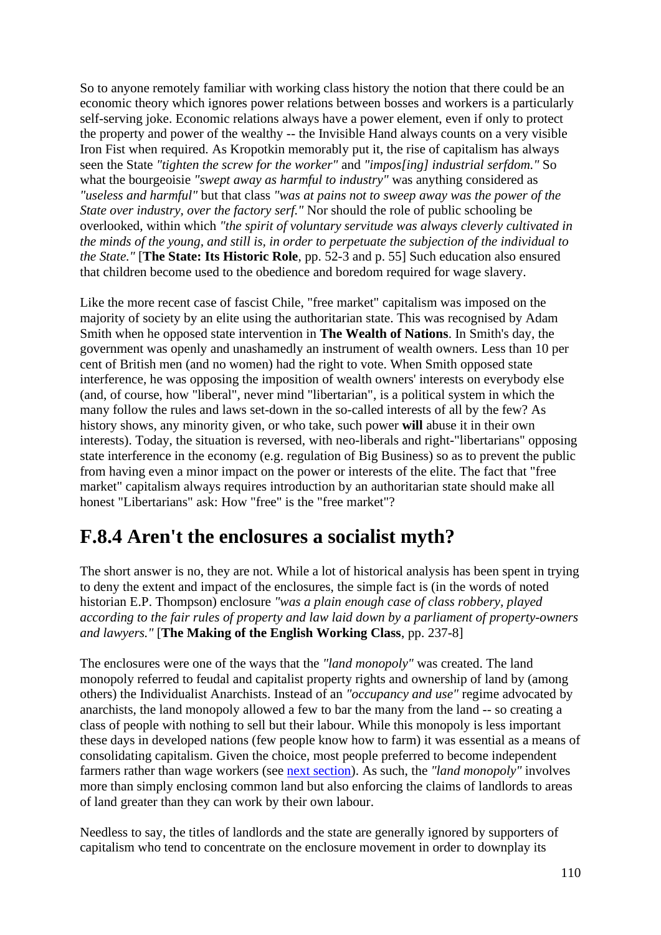So to anyone remotely familiar with working class history the notion that there could be an economic theory which ignores power relations between bosses and workers is a particularly self-serving joke. Economic relations always have a power element, even if only to protect the property and power of the wealthy -- the Invisible Hand always counts on a very visible Iron Fist when required. As Kropotkin memorably put it, the rise of capitalism has always seen the State *"tighten the screw for the worker"* and *"impos[ing] industrial serfdom."* So what the bourgeoisie *"swept away as harmful to industry"* was anything considered as *"useless and harmful"* but that class *"was at pains not to sweep away was the power of the State over industry, over the factory serf."* Nor should the role of public schooling be overlooked, within which *"the spirit of voluntary servitude was always cleverly cultivated in the minds of the young, and still is, in order to perpetuate the subjection of the individual to the State."* [**The State: Its Historic Role**, pp. 52-3 and p. 55] Such education also ensured that children become used to the obedience and boredom required for wage slavery.

Like the more recent case of fascist Chile, "free market" capitalism was imposed on the majority of society by an elite using the authoritarian state. This was recognised by Adam Smith when he opposed state intervention in **The Wealth of Nations**. In Smith's day, the government was openly and unashamedly an instrument of wealth owners. Less than 10 per cent of British men (and no women) had the right to vote. When Smith opposed state interference, he was opposing the imposition of wealth owners' interests on everybody else (and, of course, how "liberal", never mind "libertarian", is a political system in which the many follow the rules and laws set-down in the so-called interests of all by the few? As history shows, any minority given, or who take, such power **will** abuse it in their own interests). Today, the situation is reversed, with neo-liberals and right-"libertarians" opposing state interference in the economy (e.g. regulation of Big Business) so as to prevent the public from having even a minor impact on the power or interests of the elite. The fact that "free market" capitalism always requires introduction by an authoritarian state should make all honest "Libertarians" ask: How "free" is the "free market"?

## **F.8.4 Aren't the enclosures a socialist myth?**

The short answer is no, they are not. While a lot of historical analysis has been spent in trying to deny the extent and impact of the enclosures, the simple fact is (in the words of noted historian E.P. Thompson) enclosure *"was a plain enough case of class robbery, played according to the fair rules of property and law laid down by a parliament of property-owners and lawyers."* [**The Making of the English Working Class**, pp. 237-8]

The enclosures were one of the ways that the *"land monopoly"* was created. The land monopoly referred to feudal and capitalist property rights and ownership of land by (among others) the Individualist Anarchists. Instead of an *"occupancy and use"* regime advocated by anarchists, the land monopoly allowed a few to bar the many from the land -- so creating a class of people with nothing to sell but their labour. While this monopoly is less important these days in developed nations (few people know how to farm) it was essential as a means of consolidating capitalism. Given the choice, most people preferred to become independent farmers rather than wage workers (see [next section\)](sectionF.html#secf85). As such, the *"land monopoly"* involves more than simply enclosing common land but also enforcing the claims of landlords to areas of land greater than they can work by their own labour.

Needless to say, the titles of landlords and the state are generally ignored by supporters of capitalism who tend to concentrate on the enclosure movement in order to downplay its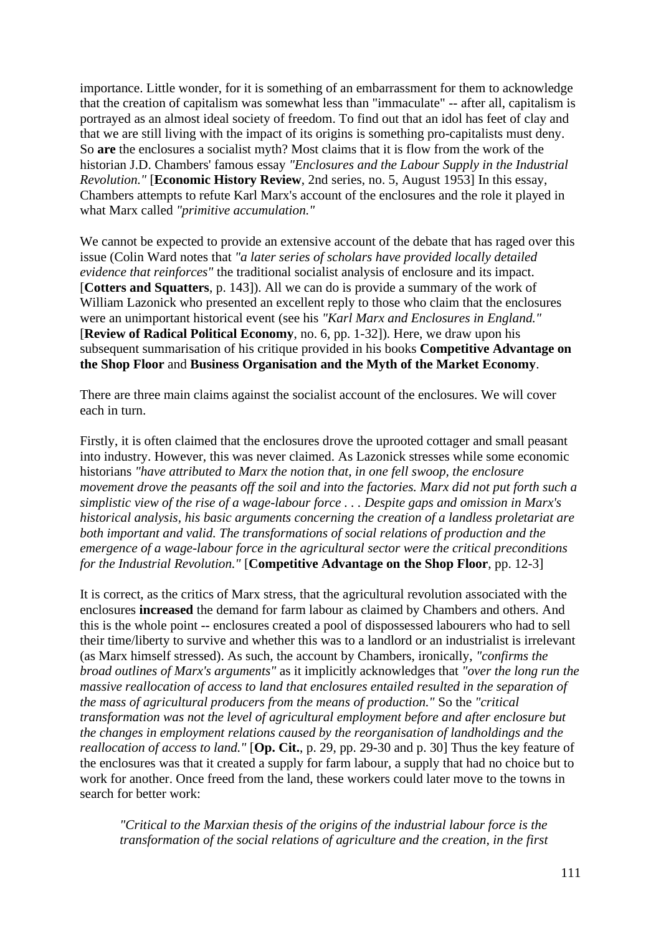importance. Little wonder, for it is something of an embarrassment for them to acknowledge that the creation of capitalism was somewhat less than "immaculate" -- after all, capitalism is portrayed as an almost ideal society of freedom. To find out that an idol has feet of clay and that we are still living with the impact of its origins is something pro-capitalists must deny. So **are** the enclosures a socialist myth? Most claims that it is flow from the work of the historian J.D. Chambers' famous essay *"Enclosures and the Labour Supply in the Industrial Revolution."* [**Economic History Review**, 2nd series, no. 5, August 1953] In this essay, Chambers attempts to refute Karl Marx's account of the enclosures and the role it played in what Marx called *"primitive accumulation."*

We cannot be expected to provide an extensive account of the debate that has raged over this issue (Colin Ward notes that *"a later series of scholars have provided locally detailed evidence that reinforces"* the traditional socialist analysis of enclosure and its impact. [**Cotters and Squatters**, p. 143]). All we can do is provide a summary of the work of William Lazonick who presented an excellent reply to those who claim that the enclosures were an unimportant historical event (see his *"Karl Marx and Enclosures in England."* [**Review of Radical Political Economy**, no. 6, pp. 1-32]). Here, we draw upon his subsequent summarisation of his critique provided in his books **Competitive Advantage on the Shop Floor** and **Business Organisation and the Myth of the Market Economy**.

There are three main claims against the socialist account of the enclosures. We will cover each in turn.

Firstly, it is often claimed that the enclosures drove the uprooted cottager and small peasant into industry. However, this was never claimed. As Lazonick stresses while some economic historians *"have attributed to Marx the notion that, in one fell swoop, the enclosure movement drove the peasants off the soil and into the factories. Marx did not put forth such a simplistic view of the rise of a wage-labour force . . . Despite gaps and omission in Marx's historical analysis, his basic arguments concerning the creation of a landless proletariat are both important and valid. The transformations of social relations of production and the emergence of a wage-labour force in the agricultural sector were the critical preconditions for the Industrial Revolution."* [**Competitive Advantage on the Shop Floor**, pp. 12-3]

It is correct, as the critics of Marx stress, that the agricultural revolution associated with the enclosures **increased** the demand for farm labour as claimed by Chambers and others. And this is the whole point -- enclosures created a pool of dispossessed labourers who had to sell their time/liberty to survive and whether this was to a landlord or an industrialist is irrelevant (as Marx himself stressed). As such, the account by Chambers, ironically, *"confirms the broad outlines of Marx's arguments"* as it implicitly acknowledges that *"over the long run the massive reallocation of access to land that enclosures entailed resulted in the separation of the mass of agricultural producers from the means of production."* So the *"critical transformation was not the level of agricultural employment before and after enclosure but the changes in employment relations caused by the reorganisation of landholdings and the reallocation of access to land."* [**Op. Cit.**, p. 29, pp. 29-30 and p. 30] Thus the key feature of the enclosures was that it created a supply for farm labour, a supply that had no choice but to work for another. Once freed from the land, these workers could later move to the towns in search for better work:

*"Critical to the Marxian thesis of the origins of the industrial labour force is the transformation of the social relations of agriculture and the creation, in the first*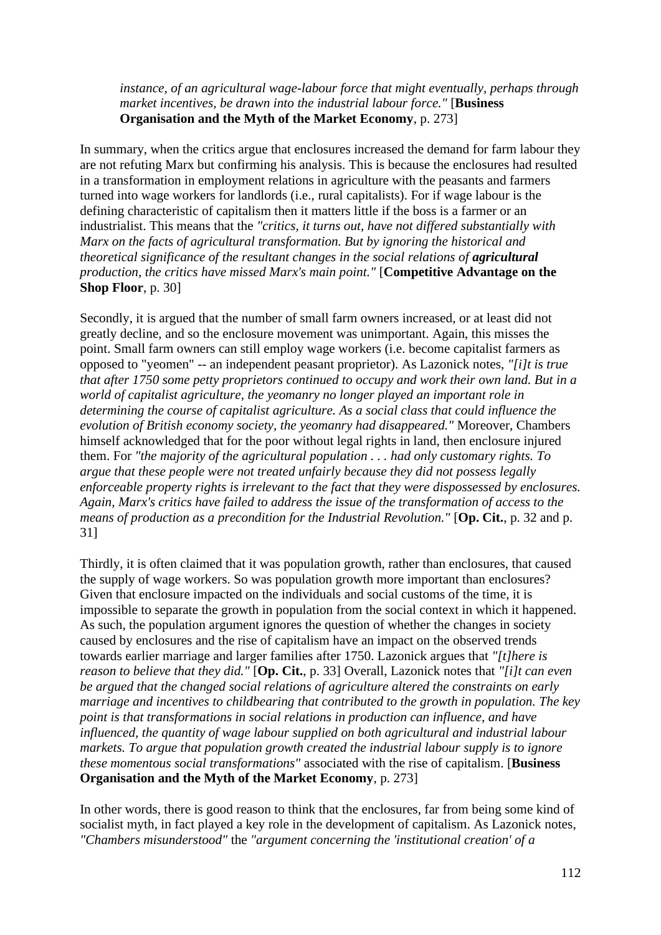*instance, of an agricultural wage-labour force that might eventually, perhaps through market incentives, be drawn into the industrial labour force."* [**Business Organisation and the Myth of the Market Economy**, p. 273]

In summary, when the critics argue that enclosures increased the demand for farm labour they are not refuting Marx but confirming his analysis. This is because the enclosures had resulted in a transformation in employment relations in agriculture with the peasants and farmers turned into wage workers for landlords (i.e., rural capitalists). For if wage labour is the defining characteristic of capitalism then it matters little if the boss is a farmer or an industrialist. This means that the *"critics, it turns out, have not differed substantially with Marx on the facts of agricultural transformation. But by ignoring the historical and theoretical significance of the resultant changes in the social relations of <i>agricultural production, the critics have missed Marx's main point."* [**Competitive Advantage on the Shop Floor**, p. 30]

Secondly, it is argued that the number of small farm owners increased, or at least did not greatly decline, and so the enclosure movement was unimportant. Again, this misses the point. Small farm owners can still employ wage workers (i.e. become capitalist farmers as opposed to "yeomen" -- an independent peasant proprietor). As Lazonick notes, *"[i]t is true that after 1750 some petty proprietors continued to occupy and work their own land. But in a world of capitalist agriculture, the yeomanry no longer played an important role in determining the course of capitalist agriculture. As a social class that could influence the evolution of British economy society, the yeomanry had disappeared."* Moreover, Chambers himself acknowledged that for the poor without legal rights in land, then enclosure injured them. For *"the majority of the agricultural population . . . had only customary rights. To argue that these people were not treated unfairly because they did not possess legally enforceable property rights is irrelevant to the fact that they were dispossessed by enclosures. Again, Marx's critics have failed to address the issue of the transformation of access to the means of production as a precondition for the Industrial Revolution."* [**Op. Cit.**, p. 32 and p. 31]

Thirdly, it is often claimed that it was population growth, rather than enclosures, that caused the supply of wage workers. So was population growth more important than enclosures? Given that enclosure impacted on the individuals and social customs of the time, it is impossible to separate the growth in population from the social context in which it happened. As such, the population argument ignores the question of whether the changes in society caused by enclosures and the rise of capitalism have an impact on the observed trends towards earlier marriage and larger families after 1750. Lazonick argues that *"[t]here is reason to believe that they did."* [**Op. Cit.**, p. 33] Overall, Lazonick notes that *"[i]t can even be argued that the changed social relations of agriculture altered the constraints on early marriage and incentives to childbearing that contributed to the growth in population. The key point is that transformations in social relations in production can influence, and have influenced, the quantity of wage labour supplied on both agricultural and industrial labour markets. To argue that population growth created the industrial labour supply is to ignore these momentous social transformations"* associated with the rise of capitalism. [**Business Organisation and the Myth of the Market Economy**, p. 273]

In other words, there is good reason to think that the enclosures, far from being some kind of socialist myth, in fact played a key role in the development of capitalism. As Lazonick notes, *"Chambers misunderstood"* the *"argument concerning the 'institutional creation' of a*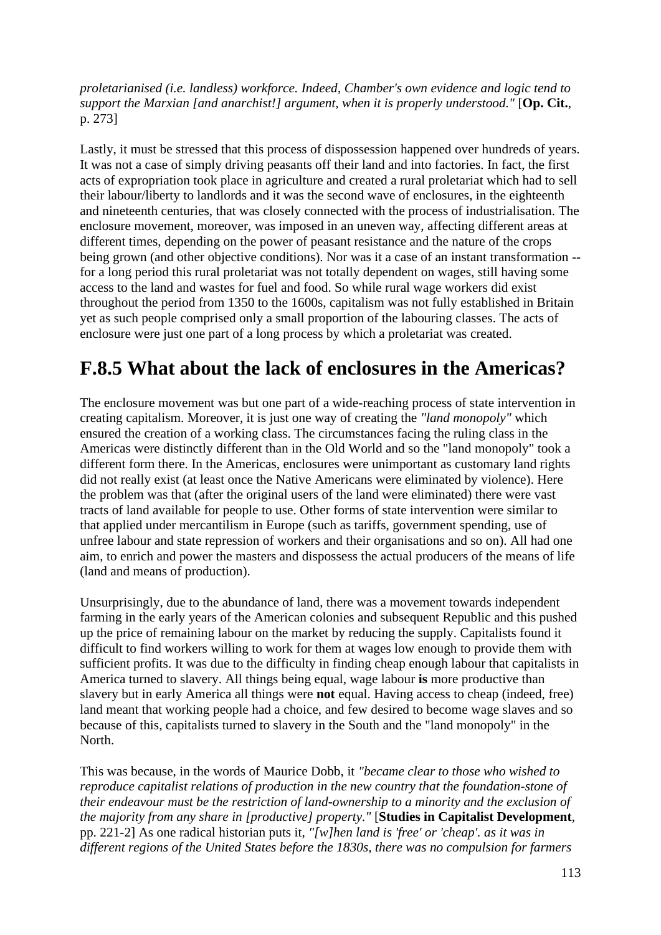*proletarianised (i.e. landless) workforce. Indeed, Chamber's own evidence and logic tend to support the Marxian [and anarchist!] argument, when it is properly understood."* [**Op. Cit.**, p. 273]

Lastly, it must be stressed that this process of dispossession happened over hundreds of years. It was not a case of simply driving peasants off their land and into factories. In fact, the first acts of expropriation took place in agriculture and created a rural proletariat which had to sell their labour/liberty to landlords and it was the second wave of enclosures, in the eighteenth and nineteenth centuries, that was closely connected with the process of industrialisation. The enclosure movement, moreover, was imposed in an uneven way, affecting different areas at different times, depending on the power of peasant resistance and the nature of the crops being grown (and other objective conditions). Nor was it a case of an instant transformation - for a long period this rural proletariat was not totally dependent on wages, still having some access to the land and wastes for fuel and food. So while rural wage workers did exist throughout the period from 1350 to the 1600s, capitalism was not fully established in Britain yet as such people comprised only a small proportion of the labouring classes. The acts of enclosure were just one part of a long process by which a proletariat was created.

## **F.8.5 What about the lack of enclosures in the Americas?**

The enclosure movement was but one part of a wide-reaching process of state intervention in creating capitalism. Moreover, it is just one way of creating the *"land monopoly"* which ensured the creation of a working class. The circumstances facing the ruling class in the Americas were distinctly different than in the Old World and so the "land monopoly" took a different form there. In the Americas, enclosures were unimportant as customary land rights did not really exist (at least once the Native Americans were eliminated by violence). Here the problem was that (after the original users of the land were eliminated) there were vast tracts of land available for people to use. Other forms of state intervention were similar to that applied under mercantilism in Europe (such as tariffs, government spending, use of unfree labour and state repression of workers and their organisations and so on). All had one aim, to enrich and power the masters and dispossess the actual producers of the means of life (land and means of production).

Unsurprisingly, due to the abundance of land, there was a movement towards independent farming in the early years of the American colonies and subsequent Republic and this pushed up the price of remaining labour on the market by reducing the supply. Capitalists found it difficult to find workers willing to work for them at wages low enough to provide them with sufficient profits. It was due to the difficulty in finding cheap enough labour that capitalists in America turned to slavery. All things being equal, wage labour **is** more productive than slavery but in early America all things were **not** equal. Having access to cheap (indeed, free) land meant that working people had a choice, and few desired to become wage slaves and so because of this, capitalists turned to slavery in the South and the "land monopoly" in the North.

This was because, in the words of Maurice Dobb, it *"became clear to those who wished to reproduce capitalist relations of production in the new country that the foundation-stone of their endeavour must be the restriction of land-ownership to a minority and the exclusion of the majority from any share in [productive] property."* [**Studies in Capitalist Development**, pp. 221-2] As one radical historian puts it, *"[w]hen land is 'free' or 'cheap'. as it was in different regions of the United States before the 1830s, there was no compulsion for farmers*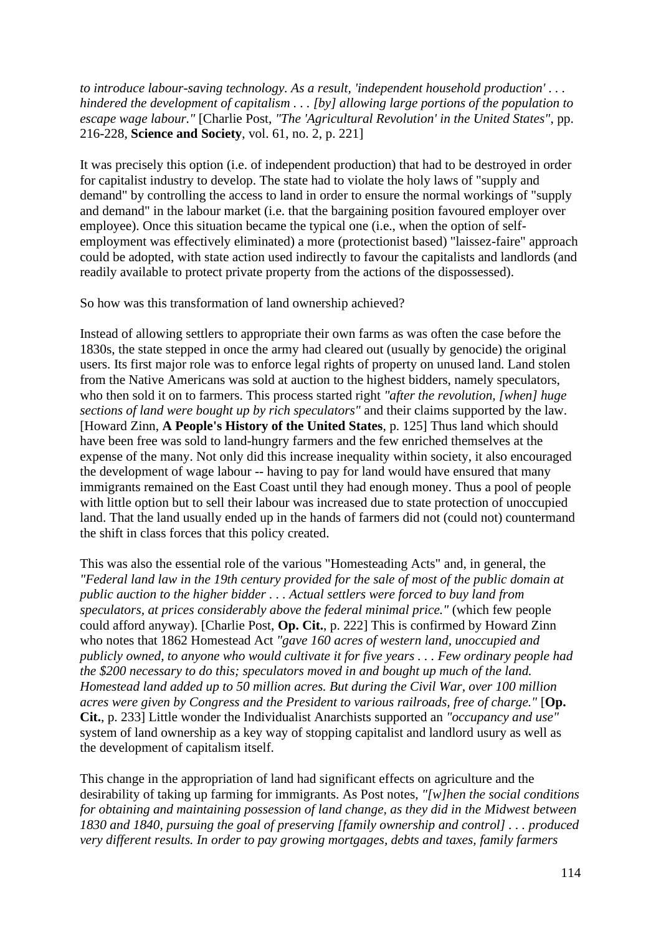*to introduce labour-saving technology. As a result, 'independent household production' . . . hindered the development of capitalism . . . [by] allowing large portions of the population to escape wage labour."* [Charlie Post, *"The 'Agricultural Revolution' in the United States"*, pp. 216-228, **Science and Society**, vol. 61, no. 2, p. 221]

It was precisely this option (i.e. of independent production) that had to be destroyed in order for capitalist industry to develop. The state had to violate the holy laws of "supply and demand" by controlling the access to land in order to ensure the normal workings of "supply and demand" in the labour market (i.e. that the bargaining position favoured employer over employee). Once this situation became the typical one (i.e., when the option of selfemployment was effectively eliminated) a more (protectionist based) "laissez-faire" approach could be adopted, with state action used indirectly to favour the capitalists and landlords (and readily available to protect private property from the actions of the dispossessed).

So how was this transformation of land ownership achieved?

Instead of allowing settlers to appropriate their own farms as was often the case before the 1830s, the state stepped in once the army had cleared out (usually by genocide) the original users. Its first major role was to enforce legal rights of property on unused land. Land stolen from the Native Americans was sold at auction to the highest bidders, namely speculators, who then sold it on to farmers. This process started right *"after the revolution, [when] huge sections of land were bought up by rich speculators"* and their claims supported by the law. [Howard Zinn, **A People's History of the United States**, p. 125] Thus land which should have been free was sold to land-hungry farmers and the few enriched themselves at the expense of the many. Not only did this increase inequality within society, it also encouraged the development of wage labour -- having to pay for land would have ensured that many immigrants remained on the East Coast until they had enough money. Thus a pool of people with little option but to sell their labour was increased due to state protection of unoccupied land. That the land usually ended up in the hands of farmers did not (could not) countermand the shift in class forces that this policy created.

This was also the essential role of the various "Homesteading Acts" and, in general, the *"Federal land law in the 19th century provided for the sale of most of the public domain at public auction to the higher bidder . . . Actual settlers were forced to buy land from speculators, at prices considerably above the federal minimal price."* (which few people could afford anyway). [Charlie Post, **Op. Cit.**, p. 222] This is confirmed by Howard Zinn who notes that 1862 Homestead Act *"gave 160 acres of western land, unoccupied and publicly owned, to anyone who would cultivate it for five years . . . Few ordinary people had the \$200 necessary to do this; speculators moved in and bought up much of the land. Homestead land added up to 50 million acres. But during the Civil War, over 100 million acres were given by Congress and the President to various railroads, free of charge."* [**Op. Cit.**, p. 233] Little wonder the Individualist Anarchists supported an *"occupancy and use"* system of land ownership as a key way of stopping capitalist and landlord usury as well as the development of capitalism itself.

This change in the appropriation of land had significant effects on agriculture and the desirability of taking up farming for immigrants. As Post notes, *"[w]hen the social conditions for obtaining and maintaining possession of land change, as they did in the Midwest between 1830 and 1840, pursuing the goal of preserving [family ownership and control] . . . produced very different results. In order to pay growing mortgages, debts and taxes, family farmers*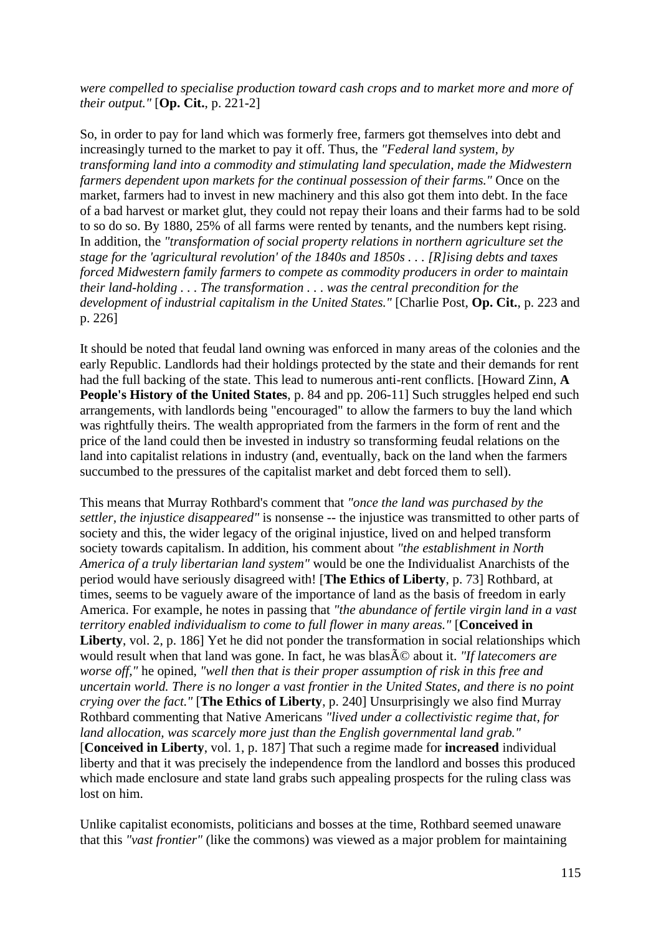*were compelled to specialise production toward cash crops and to market more and more of their output."* [**Op. Cit.**, p. 221-2]

So, in order to pay for land which was formerly free, farmers got themselves into debt and increasingly turned to the market to pay it off. Thus, the *"Federal land system, by transforming land into a commodity and stimulating land speculation, made the Midwestern farmers dependent upon markets for the continual possession of their farms."* Once on the market, farmers had to invest in new machinery and this also got them into debt. In the face of a bad harvest or market glut, they could not repay their loans and their farms had to be sold to so do so. By 1880, 25% of all farms were rented by tenants, and the numbers kept rising. In addition, the *"transformation of social property relations in northern agriculture set the stage for the 'agricultural revolution' of the 1840s and 1850s . . . [R]ising debts and taxes forced Midwestern family farmers to compete as commodity producers in order to maintain their land-holding . . . The transformation . . . was the central precondition for the development of industrial capitalism in the United States."* [Charlie Post, **Op. Cit.**, p. 223 and p. 226]

It should be noted that feudal land owning was enforced in many areas of the colonies and the early Republic. Landlords had their holdings protected by the state and their demands for rent had the full backing of the state. This lead to numerous anti-rent conflicts. [Howard Zinn, **A People's History of the United States**, p. 84 and pp. 206-11] Such struggles helped end such arrangements, with landlords being "encouraged" to allow the farmers to buy the land which was rightfully theirs. The wealth appropriated from the farmers in the form of rent and the price of the land could then be invested in industry so transforming feudal relations on the land into capitalist relations in industry (and, eventually, back on the land when the farmers succumbed to the pressures of the capitalist market and debt forced them to sell).

This means that Murray Rothbard's comment that *"once the land was purchased by the settler, the injustice disappeared"* is nonsense -- the injustice was transmitted to other parts of society and this, the wider legacy of the original injustice, lived on and helped transform society towards capitalism. In addition, his comment about *"the establishment in North America of a truly libertarian land system"* would be one the Individualist Anarchists of the period would have seriously disagreed with! [**The Ethics of Liberty**, p. 73] Rothbard, at times, seems to be vaguely aware of the importance of land as the basis of freedom in early America. For example, he notes in passing that *"the abundance of fertile virgin land in a vast territory enabled individualism to come to full flower in many areas."* [**Conceived in Liberty**, vol. 2, p. 186] Yet he did not ponder the transformation in social relationships which would result when that land was gone. In fact, he was blas $\tilde{A}$ © about it. *"If latecomers are worse off,"* he opined, *"well then that is their proper assumption of risk in this free and uncertain world. There is no longer a vast frontier in the United States, and there is no point crying over the fact."* [**The Ethics of Liberty**, p. 240] Unsurprisingly we also find Murray Rothbard commenting that Native Americans *"lived under a collectivistic regime that, for land allocation, was scarcely more just than the English governmental land grab."* [**Conceived in Liberty**, vol. 1, p. 187] That such a regime made for **increased** individual liberty and that it was precisely the independence from the landlord and bosses this produced which made enclosure and state land grabs such appealing prospects for the ruling class was lost on him.

Unlike capitalist economists, politicians and bosses at the time, Rothbard seemed unaware that this *"vast frontier"* (like the commons) was viewed as a major problem for maintaining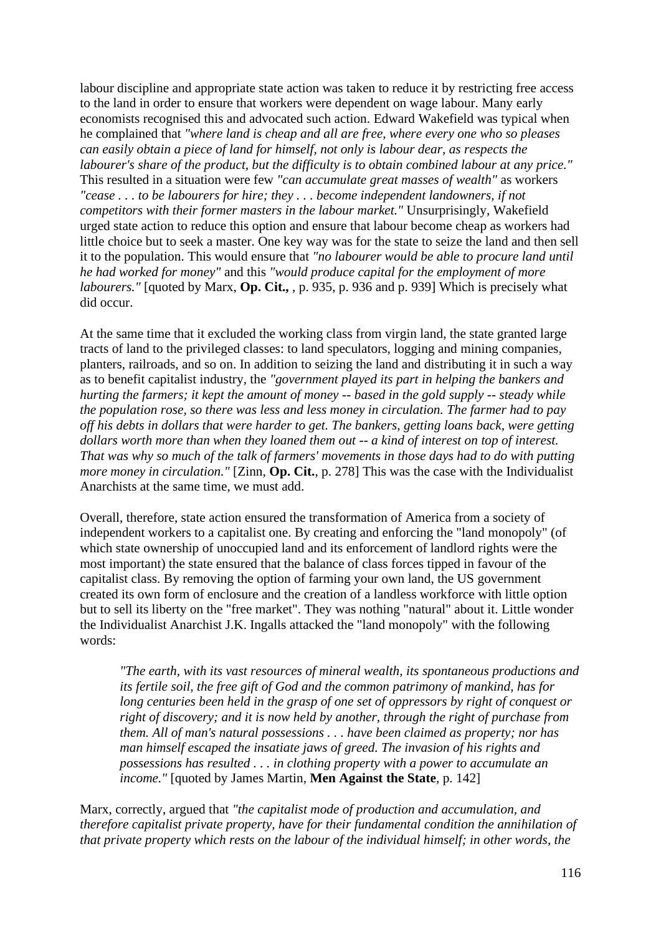labour discipline and appropriate state action was taken to reduce it by restricting free access to the land in order to ensure that workers were dependent on wage labour. Many early economists recognised this and advocated such action. Edward Wakefield was typical when he complained that *"where land is cheap and all are free, where every one who so pleases can easily obtain a piece of land for himself, not only is labour dear, as respects the labourer's share of the product, but the difficulty is to obtain combined labour at any price."* This resulted in a situation were few *"can accumulate great masses of wealth"* as workers *"cease . . . to be labourers for hire; they . . . become independent landowners, if not competitors with their former masters in the labour market."* Unsurprisingly, Wakefield urged state action to reduce this option and ensure that labour become cheap as workers had little choice but to seek a master. One key way was for the state to seize the land and then sell it to the population. This would ensure that *"no labourer would be able to procure land until he had worked for money"* and this *"would produce capital for the employment of more labourers."* [quoted by Marx, **Op. Cit.,** , p. 935, p. 936 and p. 939] Which is precisely what did occur.

At the same time that it excluded the working class from virgin land, the state granted large tracts of land to the privileged classes: to land speculators, logging and mining companies, planters, railroads, and so on. In addition to seizing the land and distributing it in such a way as to benefit capitalist industry, the *"government played its part in helping the bankers and hurting the farmers; it kept the amount of money -- based in the gold supply -- steady while the population rose, so there was less and less money in circulation. The farmer had to pay off his debts in dollars that were harder to get. The bankers, getting loans back, were getting dollars worth more than when they loaned them out -- a kind of interest on top of interest. That was why so much of the talk of farmers' movements in those days had to do with putting more money in circulation."* [Zinn, **Op. Cit.**, p. 278] This was the case with the Individualist Anarchists at the same time, we must add.

Overall, therefore, state action ensured the transformation of America from a society of independent workers to a capitalist one. By creating and enforcing the "land monopoly" (of which state ownership of unoccupied land and its enforcement of landlord rights were the most important) the state ensured that the balance of class forces tipped in favour of the capitalist class. By removing the option of farming your own land, the US government created its own form of enclosure and the creation of a landless workforce with little option but to sell its liberty on the "free market". They was nothing "natural" about it. Little wonder the Individualist Anarchist J.K. Ingalls attacked the "land monopoly" with the following words:

*"The earth, with its vast resources of mineral wealth, its spontaneous productions and its fertile soil, the free gift of God and the common patrimony of mankind, has for long centuries been held in the grasp of one set of oppressors by right of conquest or right of discovery; and it is now held by another, through the right of purchase from them. All of man's natural possessions . . . have been claimed as property; nor has man himself escaped the insatiate jaws of greed. The invasion of his rights and possessions has resulted . . . in clothing property with a power to accumulate an income."* [quoted by James Martin, **Men Against the State**, p. 142]

Marx, correctly, argued that *"the capitalist mode of production and accumulation, and therefore capitalist private property, have for their fundamental condition the annihilation of that private property which rests on the labour of the individual himself; in other words, the*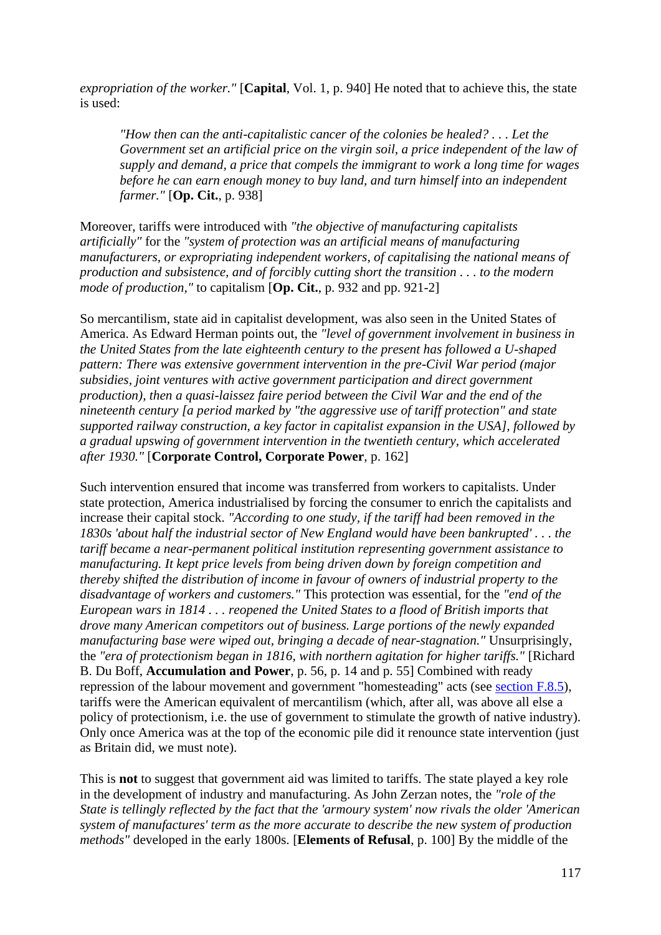*expropriation of the worker."* [**Capital**, Vol. 1, p. 940] He noted that to achieve this, the state is used:

*"How then can the anti-capitalistic cancer of the colonies be healed? . . . Let the Government set an artificial price on the virgin soil, a price independent of the law of supply and demand, a price that compels the immigrant to work a long time for wages before he can earn enough money to buy land, and turn himself into an independent farmer."* [**Op. Cit.**, p. 938]

Moreover, tariffs were introduced with *"the objective of manufacturing capitalists artificially"* for the *"system of protection was an artificial means of manufacturing manufacturers, or expropriating independent workers, of capitalising the national means of production and subsistence, and of forcibly cutting short the transition . . . to the modern mode of production,"* to capitalism [**Op. Cit.**, p. 932 and pp. 921-2]

So mercantilism, state aid in capitalist development, was also seen in the United States of America. As Edward Herman points out, the *"level of government involvement in business in the United States from the late eighteenth century to the present has followed a U-shaped pattern: There was extensive government intervention in the pre-Civil War period (major subsidies, joint ventures with active government participation and direct government production), then a quasi-laissez faire period between the Civil War and the end of the nineteenth century [a period marked by "the aggressive use of tariff protection" and state supported railway construction, a key factor in capitalist expansion in the USA], followed by a gradual upswing of government intervention in the twentieth century, which accelerated after 1930."* [**Corporate Control, Corporate Power**, p. 162]

Such intervention ensured that income was transferred from workers to capitalists. Under state protection, America industrialised by forcing the consumer to enrich the capitalists and increase their capital stock. *"According to one study, if the tariff had been removed in the 1830s 'about half the industrial sector of New England would have been bankrupted' . . . the tariff became a near-permanent political institution representing government assistance to manufacturing. It kept price levels from being driven down by foreign competition and thereby shifted the distribution of income in favour of owners of industrial property to the disadvantage of workers and customers."* This protection was essential, for the *"end of the European wars in 1814 . . . reopened the United States to a flood of British imports that drove many American competitors out of business. Large portions of the newly expanded manufacturing base were wiped out, bringing a decade of near-stagnation."* Unsurprisingly, the *"era of protectionism began in 1816, with northern agitation for higher tariffs."* [Richard B. Du Boff, **Accumulation and Power**, p. 56, p. 14 and p. 55] Combined with ready repression of the labour movement and government "homesteading" acts (see [section F.8.5\)](sectionF.html#secf85), tariffs were the American equivalent of mercantilism (which, after all, was above all else a policy of protectionism, i.e. the use of government to stimulate the growth of native industry). Only once America was at the top of the economic pile did it renounce state intervention (just as Britain did, we must note).

This is **not** to suggest that government aid was limited to tariffs. The state played a key role in the development of industry and manufacturing. As John Zerzan notes, the *"role of the State is tellingly reflected by the fact that the 'armoury system' now rivals the older 'American system of manufactures' term as the more accurate to describe the new system of production methods"* developed in the early 1800s. [**Elements of Refusal**, p. 100] By the middle of the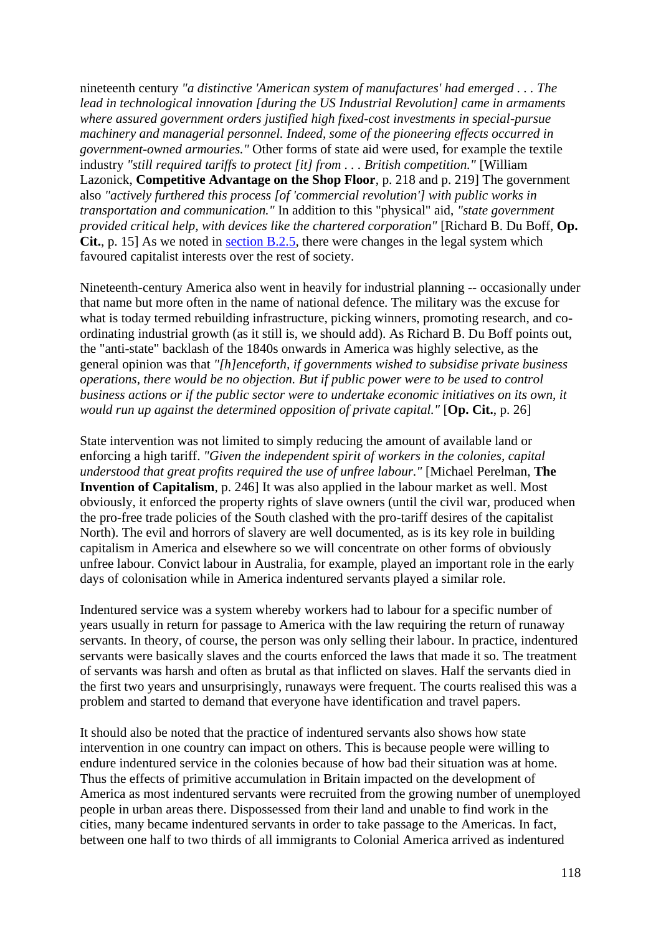nineteenth century *"a distinctive 'American system of manufactures' had emerged . . . The lead in technological innovation [during the US Industrial Revolution] came in armaments where assured government orders justified high fixed-cost investments in special-pursue machinery and managerial personnel. Indeed, some of the pioneering effects occurred in government-owned armouries."* Other forms of state aid were used, for example the textile industry *"still required tariffs to protect [it] from . . . British competition."* [William Lazonick, **Competitive Advantage on the Shop Floor**, p. 218 and p. 219] The government also *"actively furthered this process [of 'commercial revolution'] with public works in transportation and communication."* In addition to this "physical" aid, *"state government provided critical help, with devices like the chartered corporation"* [Richard B. Du Boff, **Op. Cit.**, p. 15] As we noted in [section B.2.5,](sectionB.html#secb25) there were changes in the legal system which favoured capitalist interests over the rest of society.

Nineteenth-century America also went in heavily for industrial planning -- occasionally under that name but more often in the name of national defence. The military was the excuse for what is today termed rebuilding infrastructure, picking winners, promoting research, and coordinating industrial growth (as it still is, we should add). As Richard B. Du Boff points out, the "anti-state" backlash of the 1840s onwards in America was highly selective, as the general opinion was that *"[h]enceforth, if governments wished to subsidise private business operations, there would be no objection. But if public power were to be used to control business actions or if the public sector were to undertake economic initiatives on its own, it would run up against the determined opposition of private capital."* [**Op. Cit.**, p. 26]

State intervention was not limited to simply reducing the amount of available land or enforcing a high tariff. *"Given the independent spirit of workers in the colonies, capital understood that great profits required the use of unfree labour."* [Michael Perelman, **The Invention of Capitalism**, p. 246] It was also applied in the labour market as well. Most obviously, it enforced the property rights of slave owners (until the civil war, produced when the pro-free trade policies of the South clashed with the pro-tariff desires of the capitalist North). The evil and horrors of slavery are well documented, as is its key role in building capitalism in America and elsewhere so we will concentrate on other forms of obviously unfree labour. Convict labour in Australia, for example, played an important role in the early days of colonisation while in America indentured servants played a similar role.

Indentured service was a system whereby workers had to labour for a specific number of years usually in return for passage to America with the law requiring the return of runaway servants. In theory, of course, the person was only selling their labour. In practice, indentured servants were basically slaves and the courts enforced the laws that made it so. The treatment of servants was harsh and often as brutal as that inflicted on slaves. Half the servants died in the first two years and unsurprisingly, runaways were frequent. The courts realised this was a problem and started to demand that everyone have identification and travel papers.

It should also be noted that the practice of indentured servants also shows how state intervention in one country can impact on others. This is because people were willing to endure indentured service in the colonies because of how bad their situation was at home. Thus the effects of primitive accumulation in Britain impacted on the development of America as most indentured servants were recruited from the growing number of unemployed people in urban areas there. Dispossessed from their land and unable to find work in the cities, many became indentured servants in order to take passage to the Americas. In fact, between one half to two thirds of all immigrants to Colonial America arrived as indentured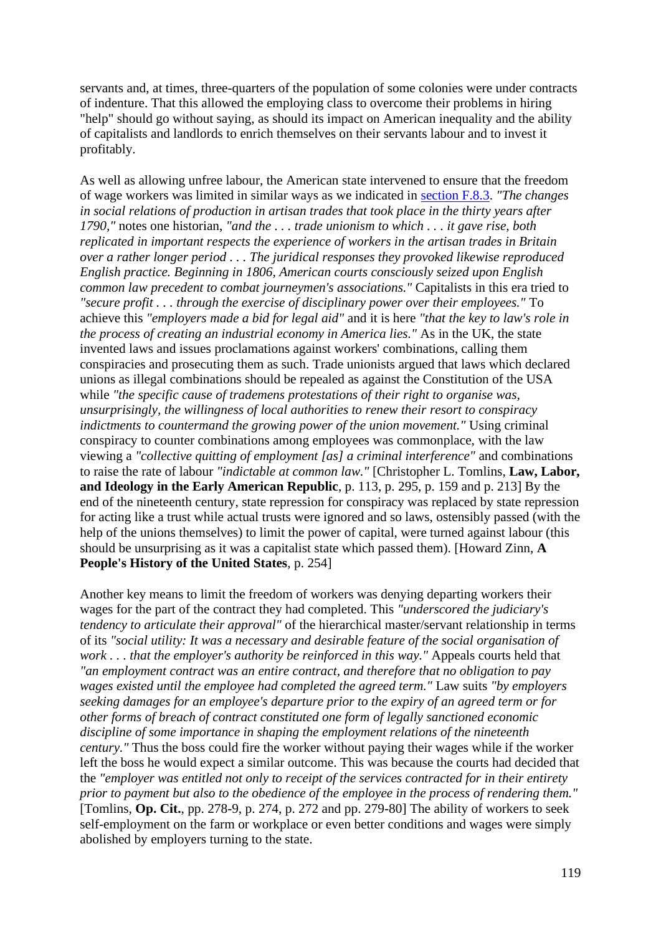servants and, at times, three-quarters of the population of some colonies were under contracts of indenture. That this allowed the employing class to overcome their problems in hiring "help" should go without saying, as should its impact on American inequality and the ability of capitalists and landlords to enrich themselves on their servants labour and to invest it profitably.

As well as allowing unfree labour, the American state intervened to ensure that the freedom of wage workers was limited in similar ways as we indicated in [section F.8.3.](sectionF.html#secf83) *"The changes in social relations of production in artisan trades that took place in the thirty years after 1790,"* notes one historian, *"and the . . . trade unionism to which . . . it gave rise, both replicated in important respects the experience of workers in the artisan trades in Britain over a rather longer period . . . The juridical responses they provoked likewise reproduced English practice. Beginning in 1806, American courts consciously seized upon English common law precedent to combat journeymen's associations."* Capitalists in this era tried to *"secure profit . . . through the exercise of disciplinary power over their employees."* To achieve this *"employers made a bid for legal aid"* and it is here *"that the key to law's role in the process of creating an industrial economy in America lies."* As in the UK, the state invented laws and issues proclamations against workers' combinations, calling them conspiracies and prosecuting them as such. Trade unionists argued that laws which declared unions as illegal combinations should be repealed as against the Constitution of the USA while *"the specific cause of trademens protestations of their right to organise was, unsurprisingly, the willingness of local authorities to renew their resort to conspiracy indictments to countermand the growing power of the union movement."* Using criminal conspiracy to counter combinations among employees was commonplace, with the law viewing a *"collective quitting of employment [as] a criminal interference"* and combinations to raise the rate of labour *"indictable at common law."* [Christopher L. Tomlins, **Law, Labor, and Ideology in the Early American Republic**, p. 113, p. 295, p. 159 and p. 213] By the end of the nineteenth century, state repression for conspiracy was replaced by state repression for acting like a trust while actual trusts were ignored and so laws, ostensibly passed (with the help of the unions themselves) to limit the power of capital, were turned against labour (this should be unsurprising as it was a capitalist state which passed them). [Howard Zinn, **A People's History of the United States**, p. 254]

Another key means to limit the freedom of workers was denying departing workers their wages for the part of the contract they had completed. This *"underscored the judiciary's tendency to articulate their approval"* of the hierarchical master/servant relationship in terms of its *"social utility: It was a necessary and desirable feature of the social organisation of work . . . that the employer's authority be reinforced in this way."* Appeals courts held that *"an employment contract was an entire contract, and therefore that no obligation to pay wages existed until the employee had completed the agreed term."* Law suits *"by employers seeking damages for an employee's departure prior to the expiry of an agreed term or for other forms of breach of contract constituted one form of legally sanctioned economic discipline of some importance in shaping the employment relations of the nineteenth century."* Thus the boss could fire the worker without paying their wages while if the worker left the boss he would expect a similar outcome. This was because the courts had decided that the *"employer was entitled not only to receipt of the services contracted for in their entirety prior to payment but also to the obedience of the employee in the process of rendering them."* [Tomlins, **Op. Cit.**, pp. 278-9, p. 274, p. 272 and pp. 279-80] The ability of workers to seek self-employment on the farm or workplace or even better conditions and wages were simply abolished by employers turning to the state.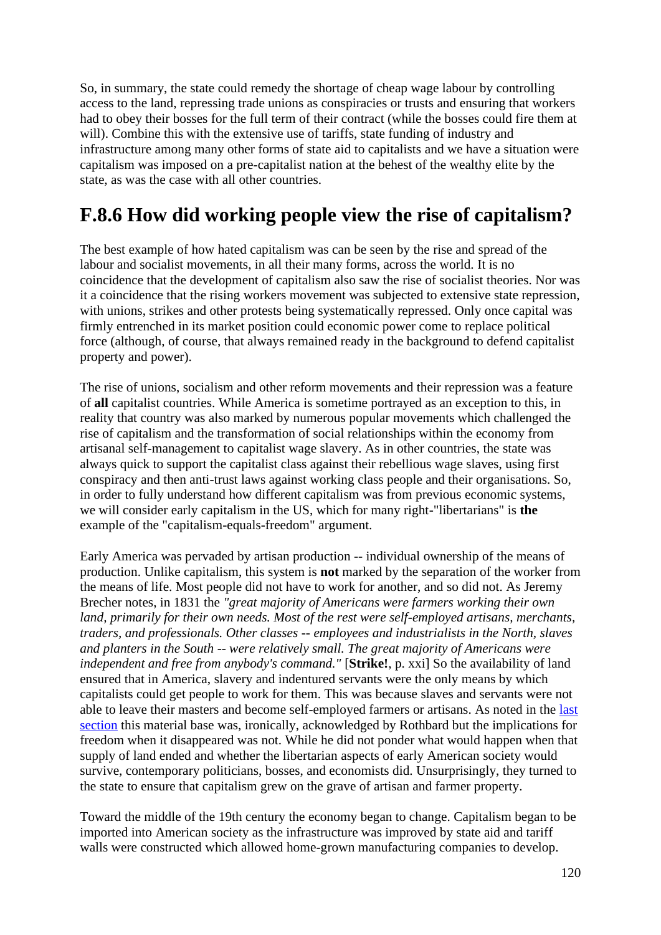So, in summary, the state could remedy the shortage of cheap wage labour by controlling access to the land, repressing trade unions as conspiracies or trusts and ensuring that workers had to obey their bosses for the full term of their contract (while the bosses could fire them at will). Combine this with the extensive use of tariffs, state funding of industry and infrastructure among many other forms of state aid to capitalists and we have a situation were capitalism was imposed on a pre-capitalist nation at the behest of the wealthy elite by the state, as was the case with all other countries.

## **F.8.6 How did working people view the rise of capitalism?**

The best example of how hated capitalism was can be seen by the rise and spread of the labour and socialist movements, in all their many forms, across the world. It is no coincidence that the development of capitalism also saw the rise of socialist theories. Nor was it a coincidence that the rising workers movement was subjected to extensive state repression, with unions, strikes and other protests being systematically repressed. Only once capital was firmly entrenched in its market position could economic power come to replace political force (although, of course, that always remained ready in the background to defend capitalist property and power).

The rise of unions, socialism and other reform movements and their repression was a feature of **all** capitalist countries. While America is sometime portrayed as an exception to this, in reality that country was also marked by numerous popular movements which challenged the rise of capitalism and the transformation of social relationships within the economy from artisanal self-management to capitalist wage slavery. As in other countries, the state was always quick to support the capitalist class against their rebellious wage slaves, using first conspiracy and then anti-trust laws against working class people and their organisations. So, in order to fully understand how different capitalism was from previous economic systems, we will consider early capitalism in the US, which for many right-"libertarians" is **the** example of the "capitalism-equals-freedom" argument.

Early America was pervaded by artisan production -- individual ownership of the means of production. Unlike capitalism, this system is **not** marked by the separation of the worker from the means of life. Most people did not have to work for another, and so did not. As Jeremy Brecher notes, in 1831 the *"great majority of Americans were farmers working their own land, primarily for their own needs. Most of the rest were self-employed artisans, merchants, traders, and professionals. Other classes -- employees and industrialists in the North, slaves and planters in the South -- were relatively small. The great majority of Americans were independent and free from anybody's command."* [**Strike!**, p. xxi] So the availability of land ensured that in America, slavery and indentured servants were the only means by which capitalists could get people to work for them. This was because slaves and servants were not able to leave their masters and become self-employed farmers or artisans. As noted in the [last](sectionF.html#secf85)  [section](sectionF.html#secf85) this material base was, ironically, acknowledged by Rothbard but the implications for freedom when it disappeared was not. While he did not ponder what would happen when that supply of land ended and whether the libertarian aspects of early American society would survive, contemporary politicians, bosses, and economists did. Unsurprisingly, they turned to the state to ensure that capitalism grew on the grave of artisan and farmer property.

Toward the middle of the 19th century the economy began to change. Capitalism began to be imported into American society as the infrastructure was improved by state aid and tariff walls were constructed which allowed home-grown manufacturing companies to develop.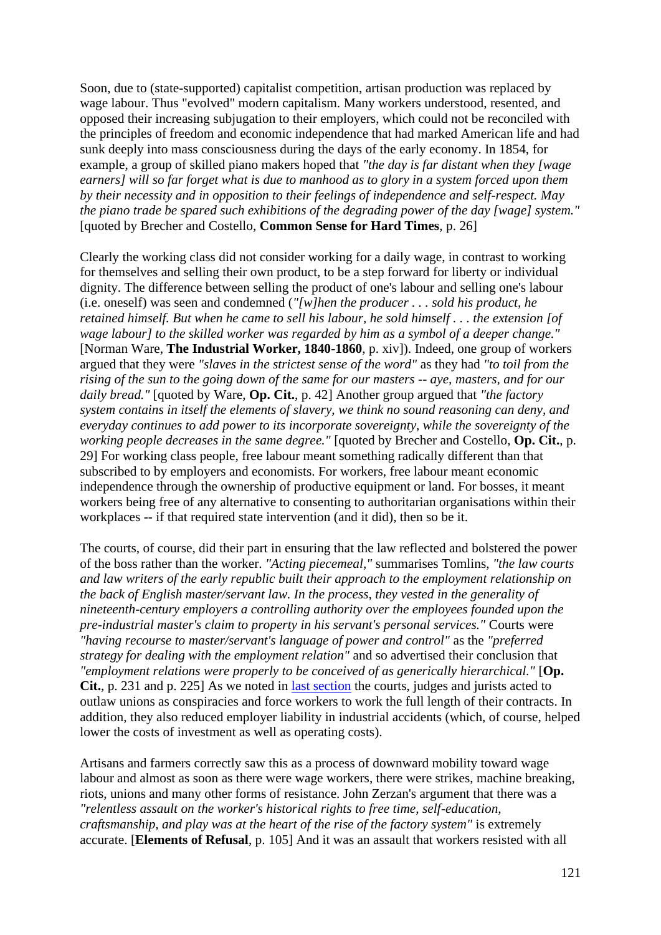Soon, due to (state-supported) capitalist competition, artisan production was replaced by wage labour. Thus "evolved" modern capitalism. Many workers understood, resented, and opposed their increasing subjugation to their employers, which could not be reconciled with the principles of freedom and economic independence that had marked American life and had sunk deeply into mass consciousness during the days of the early economy. In 1854, for example, a group of skilled piano makers hoped that *"the day is far distant when they [wage earners] will so far forget what is due to manhood as to glory in a system forced upon them by their necessity and in opposition to their feelings of independence and self-respect. May the piano trade be spared such exhibitions of the degrading power of the day [wage] system."* [quoted by Brecher and Costello, **Common Sense for Hard Times**, p. 26]

Clearly the working class did not consider working for a daily wage, in contrast to working for themselves and selling their own product, to be a step forward for liberty or individual dignity. The difference between selling the product of one's labour and selling one's labour (i.e. oneself) was seen and condemned (*"[w]hen the producer . . . sold his product, he retained himself. But when he came to sell his labour, he sold himself . . . the extension [of wage labour] to the skilled worker was regarded by him as a symbol of a deeper change."* [Norman Ware, **The Industrial Worker, 1840-1860**, p. xiv]). Indeed, one group of workers argued that they were *"slaves in the strictest sense of the word"* as they had *"to toil from the rising of the sun to the going down of the same for our masters -- aye, masters, and for our daily bread."* [quoted by Ware, **Op. Cit.**, p. 42] Another group argued that *"the factory system contains in itself the elements of slavery, we think no sound reasoning can deny, and everyday continues to add power to its incorporate sovereignty, while the sovereignty of the working people decreases in the same degree."* [quoted by Brecher and Costello, **Op. Cit.**, p. 29] For working class people, free labour meant something radically different than that subscribed to by employers and economists. For workers, free labour meant economic independence through the ownership of productive equipment or land. For bosses, it meant workers being free of any alternative to consenting to authoritarian organisations within their workplaces -- if that required state intervention (and it did), then so be it.

The courts, of course, did their part in ensuring that the law reflected and bolstered the power of the boss rather than the worker. *"Acting piecemeal,"* summarises Tomlins, *"the law courts and law writers of the early republic built their approach to the employment relationship on the back of English master/servant law. In the process, they vested in the generality of nineteenth-century employers a controlling authority over the employees founded upon the pre-industrial master's claim to property in his servant's personal services."* Courts were *"having recourse to master/servant's language of power and control"* as the *"preferred strategy for dealing with the employment relation"* and so advertised their conclusion that *"employment relations were properly to be conceived of as generically hierarchical."* [**Op. Cit.**, p. 231 and p. 225] As we noted in [last section](sectionF.html#secf85) the courts, judges and jurists acted to outlaw unions as conspiracies and force workers to work the full length of their contracts. In addition, they also reduced employer liability in industrial accidents (which, of course, helped lower the costs of investment as well as operating costs).

Artisans and farmers correctly saw this as a process of downward mobility toward wage labour and almost as soon as there were wage workers, there were strikes, machine breaking, riots, unions and many other forms of resistance. John Zerzan's argument that there was a *"relentless assault on the worker's historical rights to free time, self-education, craftsmanship, and play was at the heart of the rise of the factory system"* is extremely accurate. [**Elements of Refusal**, p. 105] And it was an assault that workers resisted with all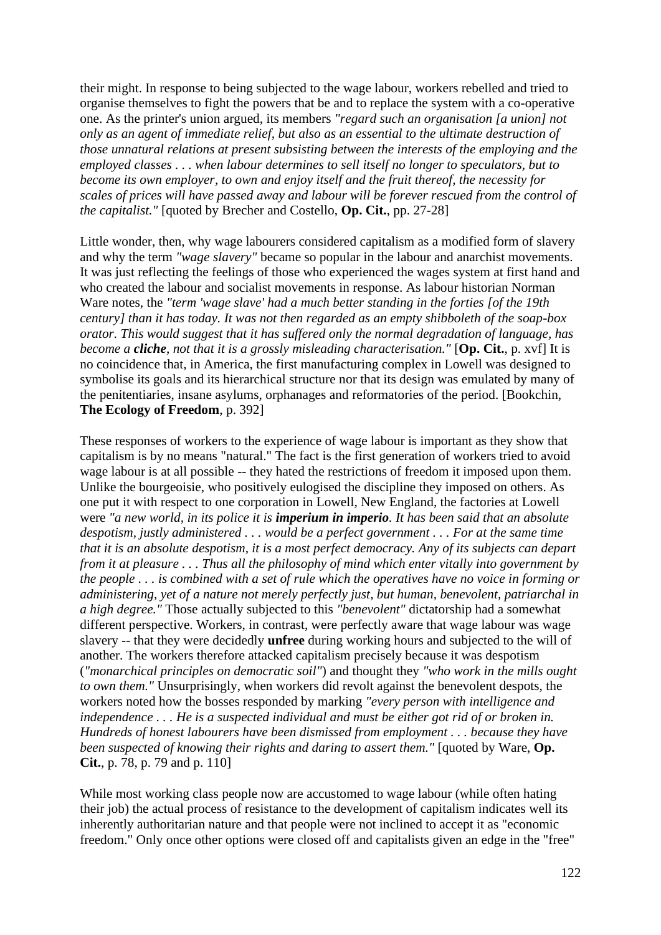their might. In response to being subjected to the wage labour, workers rebelled and tried to organise themselves to fight the powers that be and to replace the system with a co-operative one. As the printer's union argued, its members *"regard such an organisation [a union] not only as an agent of immediate relief, but also as an essential to the ultimate destruction of those unnatural relations at present subsisting between the interests of the employing and the employed classes . . . when labour determines to sell itself no longer to speculators, but to become its own employer, to own and enjoy itself and the fruit thereof, the necessity for scales of prices will have passed away and labour will be forever rescued from the control of the capitalist."* [quoted by Brecher and Costello, **Op. Cit.**, pp. 27-28]

Little wonder, then, why wage labourers considered capitalism as a modified form of slavery and why the term *"wage slavery"* became so popular in the labour and anarchist movements. It was just reflecting the feelings of those who experienced the wages system at first hand and who created the labour and socialist movements in response. As labour historian Norman Ware notes, the *"term 'wage slave' had a much better standing in the forties [of the 19th century] than it has today. It was not then regarded as an empty shibboleth of the soap-box orator. This would suggest that it has suffered only the normal degradation of language, has become a cliche, not that it is a grossly misleading characterisation."* [**Op. Cit.**, p. xvf] It is no coincidence that, in America, the first manufacturing complex in Lowell was designed to symbolise its goals and its hierarchical structure nor that its design was emulated by many of the penitentiaries, insane asylums, orphanages and reformatories of the period. [Bookchin, **The Ecology of Freedom**, p. 392]

These responses of workers to the experience of wage labour is important as they show that capitalism is by no means "natural." The fact is the first generation of workers tried to avoid wage labour is at all possible -- they hated the restrictions of freedom it imposed upon them. Unlike the bourgeoisie, who positively eulogised the discipline they imposed on others. As one put it with respect to one corporation in Lowell, New England, the factories at Lowell were *"a new world, in its police it is imperium in imperio. It has been said that an absolute despotism, justly administered . . . would be a perfect government . . . For at the same time that it is an absolute despotism, it is a most perfect democracy. Any of its subjects can depart from it at pleasure . . . Thus all the philosophy of mind which enter vitally into government by the people . . . is combined with a set of rule which the operatives have no voice in forming or administering, yet of a nature not merely perfectly just, but human, benevolent, patriarchal in a high degree."* Those actually subjected to this *"benevolent"* dictatorship had a somewhat different perspective. Workers, in contrast, were perfectly aware that wage labour was wage slavery -- that they were decidedly **unfree** during working hours and subjected to the will of another. The workers therefore attacked capitalism precisely because it was despotism (*"monarchical principles on democratic soil"*) and thought they *"who work in the mills ought to own them."* Unsurprisingly, when workers did revolt against the benevolent despots, the workers noted how the bosses responded by marking *"every person with intelligence and independence . . . He is a suspected individual and must be either got rid of or broken in. Hundreds of honest labourers have been dismissed from employment . . . because they have been suspected of knowing their rights and daring to assert them."* [quoted by Ware, **Op. Cit.**, p. 78, p. 79 and p. 110]

While most working class people now are accustomed to wage labour (while often hating their job) the actual process of resistance to the development of capitalism indicates well its inherently authoritarian nature and that people were not inclined to accept it as "economic freedom." Only once other options were closed off and capitalists given an edge in the "free"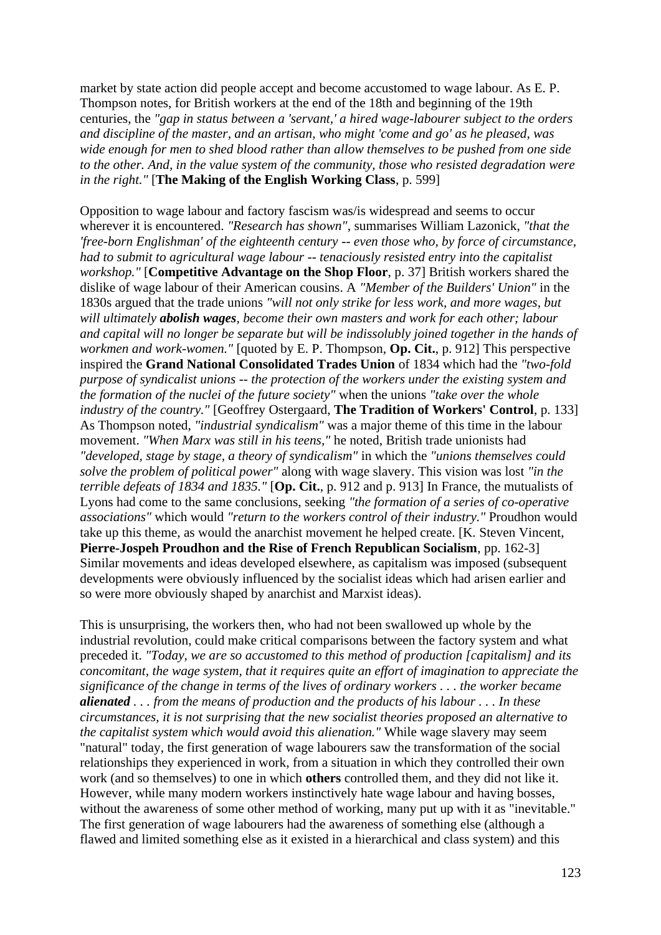market by state action did people accept and become accustomed to wage labour. As E. P. Thompson notes, for British workers at the end of the 18th and beginning of the 19th centuries, the *"gap in status between a 'servant,' a hired wage-labourer subject to the orders and discipline of the master, and an artisan, who might 'come and go' as he pleased, was wide enough for men to shed blood rather than allow themselves to be pushed from one side to the other. And, in the value system of the community, those who resisted degradation were in the right."* [**The Making of the English Working Class**, p. 599]

Opposition to wage labour and factory fascism was/is widespread and seems to occur wherever it is encountered. *"Research has shown"*, summarises William Lazonick, *"that the 'free-born Englishman' of the eighteenth century -- even those who, by force of circumstance, had to submit to agricultural wage labour -- tenaciously resisted entry into the capitalist workshop."* [**Competitive Advantage on the Shop Floor**, p. 37] British workers shared the dislike of wage labour of their American cousins. A *"Member of the Builders' Union"* in the 1830s argued that the trade unions *"will not only strike for less work, and more wages, but will ultimately abolish wages, become their own masters and work for each other; labour and capital will no longer be separate but will be indissolubly joined together in the hands of workmen and work-women."* [quoted by E. P. Thompson, **Op. Cit.**, p. 912] This perspective inspired the **Grand National Consolidated Trades Union** of 1834 which had the *"two-fold purpose of syndicalist unions -- the protection of the workers under the existing system and the formation of the nuclei of the future society"* when the unions *"take over the whole industry of the country."* [Geoffrey Ostergaard, **The Tradition of Workers' Control**, p. 133] As Thompson noted, *"industrial syndicalism"* was a major theme of this time in the labour movement. *"When Marx was still in his teens,"* he noted, British trade unionists had *"developed, stage by stage, a theory of syndicalism"* in which the *"unions themselves could solve the problem of political power"* along with wage slavery. This vision was lost *"in the terrible defeats of 1834 and 1835."* [**Op. Cit.**, p. 912 and p. 913] In France, the mutualists of Lyons had come to the same conclusions, seeking *"the formation of a series of co-operative associations"* which would *"return to the workers control of their industry."* Proudhon would take up this theme, as would the anarchist movement he helped create. [K. Steven Vincent, **Pierre-Jospeh Proudhon and the Rise of French Republican Socialism**, pp. 162-3] Similar movements and ideas developed elsewhere, as capitalism was imposed (subsequent developments were obviously influenced by the socialist ideas which had arisen earlier and so were more obviously shaped by anarchist and Marxist ideas).

This is unsurprising, the workers then, who had not been swallowed up whole by the industrial revolution, could make critical comparisons between the factory system and what preceded it. *"Today, we are so accustomed to this method of production [capitalism] and its concomitant, the wage system, that it requires quite an effort of imagination to appreciate the significance of the change in terms of the lives of ordinary workers . . . the worker became alienated . . . from the means of production and the products of his labour . . . In these circumstances, it is not surprising that the new socialist theories proposed an alternative to the capitalist system which would avoid this alienation."* While wage slavery may seem "natural" today, the first generation of wage labourers saw the transformation of the social relationships they experienced in work, from a situation in which they controlled their own work (and so themselves) to one in which **others** controlled them, and they did not like it. However, while many modern workers instinctively hate wage labour and having bosses, without the awareness of some other method of working, many put up with it as "inevitable." The first generation of wage labourers had the awareness of something else (although a flawed and limited something else as it existed in a hierarchical and class system) and this